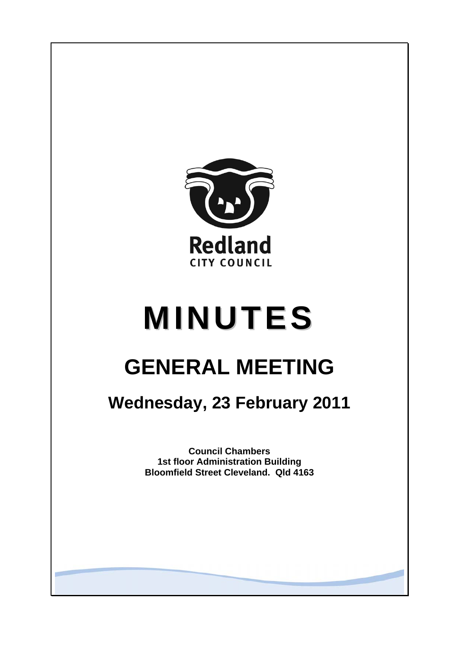

# **MINUTES**

# **GENERAL MEETING**

## **Wednesday, 23 February 2011**

**Council Chambers 1st floor Administration Building Bloomfield Street Cleveland. Qld 4163**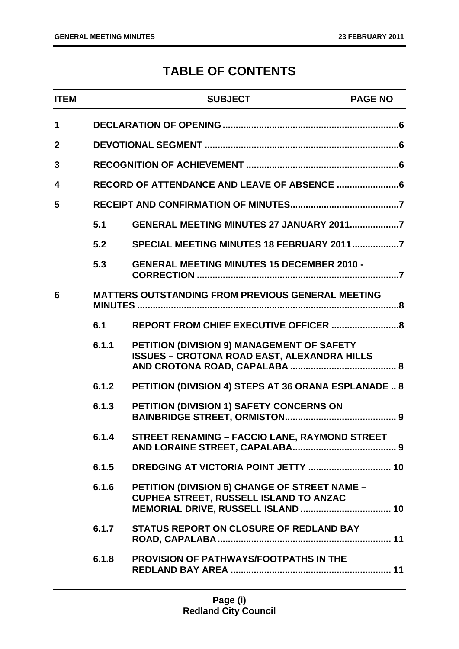### **TABLE OF CONTENTS**

| <b>ITEM</b>  |       | <b>SUBJECT</b>                                                                                   | <b>PAGE NO</b> |
|--------------|-------|--------------------------------------------------------------------------------------------------|----------------|
| 1            |       |                                                                                                  |                |
| $\mathbf{2}$ |       |                                                                                                  |                |
| 3            |       |                                                                                                  |                |
| 4            |       |                                                                                                  |                |
| 5            |       |                                                                                                  |                |
|              | 5.1   | GENERAL MEETING MINUTES 27 JANUARY 20117                                                         |                |
|              | 5.2   |                                                                                                  |                |
|              | 5.3   | <b>GENERAL MEETING MINUTES 15 DECEMBER 2010 -</b>                                                |                |
| 6            |       | <b>MATTERS OUTSTANDING FROM PREVIOUS GENERAL MEETING</b>                                         |                |
|              | 6.1   |                                                                                                  |                |
|              | 6.1.1 | PETITION (DIVISION 9) MANAGEMENT OF SAFETY<br><b>ISSUES - CROTONA ROAD EAST, ALEXANDRA HILLS</b> |                |
|              | 6.1.2 | PETITION (DIVISION 4) STEPS AT 36 ORANA ESPLANADE  8                                             |                |
|              | 6.1.3 | PETITION (DIVISION 1) SAFETY CONCERNS ON                                                         |                |
|              | 6.1.4 | STREET RENAMING - FACCIO LANE, RAYMOND STREET                                                    |                |
|              | 6.1.5 |                                                                                                  |                |
|              | 6.1.6 | <b>PETITION (DIVISION 5) CHANGE OF STREET NAME -</b><br>CUPHEA STREET, RUSSELL ISLAND TO ANZAC   |                |
|              | 6.1.7 | STATUS REPORT ON CLOSURE OF REDLAND BAY                                                          |                |
|              | 6.1.8 | <b>PROVISION OF PATHWAYS/FOOTPATHS IN THE</b>                                                    |                |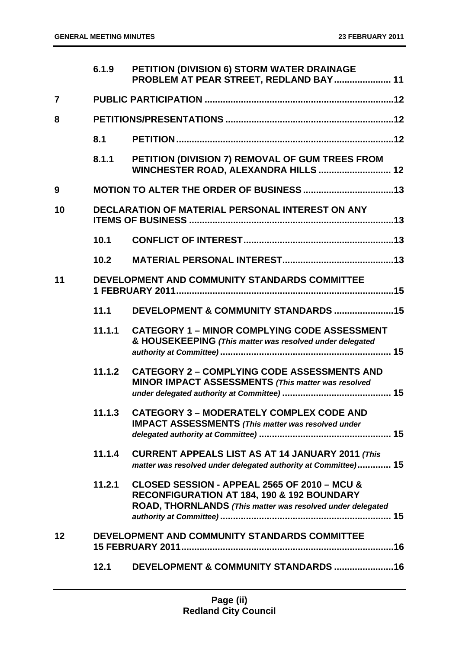|                | 6.1.9  | PETITION (DIVISION 6) STORM WATER DRAINAGE<br>PROBLEM AT PEAR STREET, REDLAND BAY  11                                                                               |
|----------------|--------|---------------------------------------------------------------------------------------------------------------------------------------------------------------------|
| $\overline{7}$ |        |                                                                                                                                                                     |
| 8              |        |                                                                                                                                                                     |
|                | 8.1    |                                                                                                                                                                     |
|                | 8.1.1  | PETITION (DIVISION 7) REMOVAL OF GUM TREES FROM<br>WINCHESTER ROAD, ALEXANDRA HILLS  12                                                                             |
| 9              |        |                                                                                                                                                                     |
| 10             |        | <b>DECLARATION OF MATERIAL PERSONAL INTEREST ON ANY</b>                                                                                                             |
|                | 10.1   |                                                                                                                                                                     |
|                | 10.2   |                                                                                                                                                                     |
| 11             |        | DEVELOPMENT AND COMMUNITY STANDARDS COMMITTEE                                                                                                                       |
|                | 11.1   | DEVELOPMENT & COMMUNITY STANDARDS 15                                                                                                                                |
|                | 11.1.1 | <b>CATEGORY 1 - MINOR COMPLYING CODE ASSESSMENT</b><br>& HOUSEKEEPING (This matter was resolved under delegated                                                     |
|                | 11.1.2 | <b>CATEGORY 2 - COMPLYING CODE ASSESSMENTS AND</b><br>MINOR IMPACT ASSESSMENTS (This matter was resolved                                                            |
|                | 11.1.3 | <b>CATEGORY 3 - MODERATELY COMPLEX CODE AND</b><br><b>IMPACT ASSESSMENTS (This matter was resolved under</b>                                                        |
|                | 11.1.4 | <b>CURRENT APPEALS LIST AS AT 14 JANUARY 2011 (This</b><br>matter was resolved under delegated authority at Committee) 15                                           |
|                | 11.2.1 | CLOSED SESSION - APPEAL 2565 OF 2010 - MCU &<br><b>RECONFIGURATION AT 184, 190 &amp; 192 BOUNDARY</b><br>ROAD, THORNLANDS (This matter was resolved under delegated |
| 12             |        | DEVELOPMENT AND COMMUNITY STANDARDS COMMITTEE                                                                                                                       |
|                | 12.1   |                                                                                                                                                                     |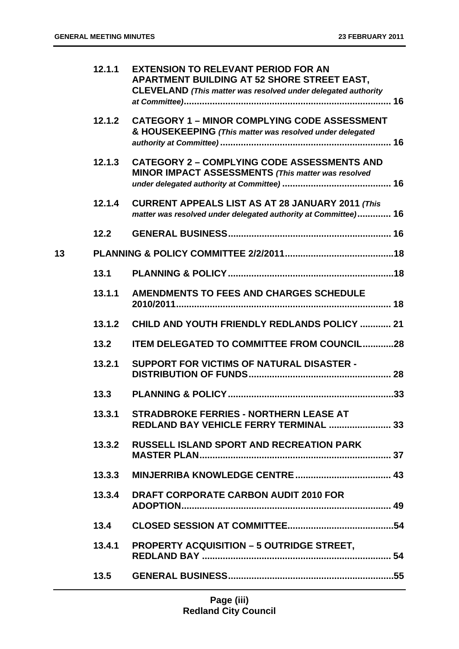|    | 12.1.1 | <b>EXTENSION TO RELEVANT PERIOD FOR AN</b><br>APARTMENT BUILDING AT 52 SHORE STREET EAST,<br><b>CLEVELAND</b> (This matter was resolved under delegated authority |
|----|--------|-------------------------------------------------------------------------------------------------------------------------------------------------------------------|
|    | 12.1.2 | <b>CATEGORY 1 - MINOR COMPLYING CODE ASSESSMENT</b><br>& HOUSEKEEPING (This matter was resolved under delegated                                                   |
|    | 12.1.3 | <b>CATEGORY 2 - COMPLYING CODE ASSESSMENTS AND</b><br>MINOR IMPACT ASSESSMENTS (This matter was resolved                                                          |
|    | 12.1.4 | <b>CURRENT APPEALS LIST AS AT 28 JANUARY 2011 (This</b><br>matter was resolved under delegated authority at Committee) 16                                         |
|    | 12.2   |                                                                                                                                                                   |
| 13 |        |                                                                                                                                                                   |
|    | 13.1   |                                                                                                                                                                   |
|    | 13.1.1 | <b>AMENDMENTS TO FEES AND CHARGES SCHEDULE</b>                                                                                                                    |
|    | 13.1.2 | <b>CHILD AND YOUTH FRIENDLY REDLANDS POLICY  21</b>                                                                                                               |
|    | 13.2   | <b>ITEM DELEGATED TO COMMITTEE FROM COUNCIL28</b>                                                                                                                 |
|    | 13.2.1 | <b>SUPPORT FOR VICTIMS OF NATURAL DISASTER -</b>                                                                                                                  |
|    | 13.3   |                                                                                                                                                                   |
|    | 13.3.1 | <b>STRADBROKE FERRIES - NORTHERN LEASE AT</b><br>REDLAND BAY VEHICLE FERRY TERMINAL  33                                                                           |
|    | 13.3.2 | <b>RUSSELL ISLAND SPORT AND RECREATION PARK</b>                                                                                                                   |
|    | 13.3.3 |                                                                                                                                                                   |
|    | 13.3.4 | <b>DRAFT CORPORATE CARBON AUDIT 2010 FOR</b>                                                                                                                      |
|    | 13.4   |                                                                                                                                                                   |
|    | 13.4.1 | <b>PROPERTY ACQUISITION - 5 OUTRIDGE STREET,</b>                                                                                                                  |
|    | 13.5   |                                                                                                                                                                   |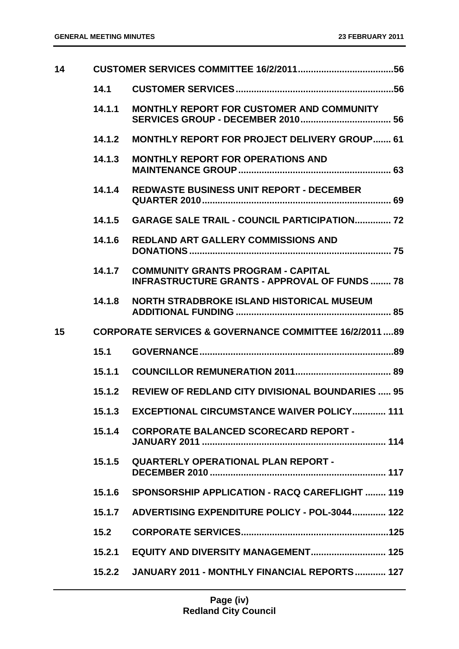| 14 |        |                                                                                                   |
|----|--------|---------------------------------------------------------------------------------------------------|
|    | 14.1   |                                                                                                   |
|    | 14.1.1 | <b>MONTHLY REPORT FOR CUSTOMER AND COMMUNITY</b>                                                  |
|    | 14.1.2 | <b>MONTHLY REPORT FOR PROJECT DELIVERY GROUP 61</b>                                               |
|    | 14.1.3 | <b>MONTHLY REPORT FOR OPERATIONS AND</b>                                                          |
|    | 14.1.4 | <b>REDWASTE BUSINESS UNIT REPORT - DECEMBER</b>                                                   |
|    | 14.1.5 | <b>GARAGE SALE TRAIL - COUNCIL PARTICIPATION 72</b>                                               |
|    | 14.1.6 | <b>REDLAND ART GALLERY COMMISSIONS AND</b>                                                        |
|    | 14.1.7 | <b>COMMUNITY GRANTS PROGRAM - CAPITAL</b><br><b>INFRASTRUCTURE GRANTS - APPROVAL OF FUNDS  78</b> |
|    | 14.1.8 | <b>NORTH STRADBROKE ISLAND HISTORICAL MUSEUM</b>                                                  |
|    |        |                                                                                                   |
| 15 |        | <b>CORPORATE SERVICES &amp; GOVERNANCE COMMITTEE 16/2/2011 89</b>                                 |
|    | 15.1   |                                                                                                   |
|    | 15.1.1 |                                                                                                   |
|    | 15.1.2 | <b>REVIEW OF REDLAND CITY DIVISIONAL BOUNDARIES  95</b>                                           |
|    | 15.1.3 | <b>EXCEPTIONAL CIRCUMSTANCE WAIVER POLICY 111</b>                                                 |
|    | 15.1.4 | <b>CORPORATE BALANCED SCORECARD REPORT -</b>                                                      |
|    | 15.1.5 | <b>QUARTERLY OPERATIONAL PLAN REPORT -</b>                                                        |
|    | 15.1.6 | SPONSORSHIP APPLICATION - RACQ CAREFLIGHT  119                                                    |
|    | 15.1.7 | ADVERTISING EXPENDITURE POLICY - POL-3044 122                                                     |
|    | 15.2   |                                                                                                   |
|    | 15.2.1 | EQUITY AND DIVERSITY MANAGEMENT 125                                                               |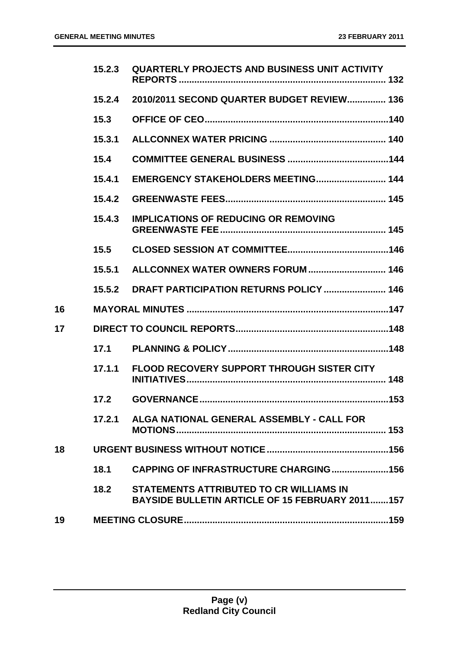|    | 15.2.3 | <b>QUARTERLY PROJECTS AND BUSINESS UNIT ACTIVITY</b>                                                     |
|----|--------|----------------------------------------------------------------------------------------------------------|
|    | 15.2.4 | 2010/2011 SECOND QUARTER BUDGET REVIEW 136                                                               |
|    | 15.3   |                                                                                                          |
|    | 15.3.1 |                                                                                                          |
|    | 15.4   |                                                                                                          |
|    | 15.4.1 |                                                                                                          |
|    | 15.4.2 |                                                                                                          |
|    | 15.4.3 | <b>IMPLICATIONS OF REDUCING OR REMOVING</b>                                                              |
|    | 15.5   |                                                                                                          |
|    | 15.5.1 |                                                                                                          |
|    | 15.5.2 | DRAFT PARTICIPATION RETURNS POLICY  146                                                                  |
| 16 |        |                                                                                                          |
| 17 |        |                                                                                                          |
|    | 17.1   |                                                                                                          |
|    | 17.1.1 | <b>FLOOD RECOVERY SUPPORT THROUGH SISTER CITY</b>                                                        |
|    | 17.2   |                                                                                                          |
|    |        | 17.2.1 ALGA NATIONAL GENERAL ASSEMBLY - CALL FOR                                                         |
| 18 |        |                                                                                                          |
|    | 18.1   | <b>CAPPING OF INFRASTRUCTURE CHARGING156</b>                                                             |
|    | 18.2   | <b>STATEMENTS ATTRIBUTED TO CR WILLIAMS IN</b><br><b>BAYSIDE BULLETIN ARTICLE OF 15 FEBRUARY 2011157</b> |
| 19 |        |                                                                                                          |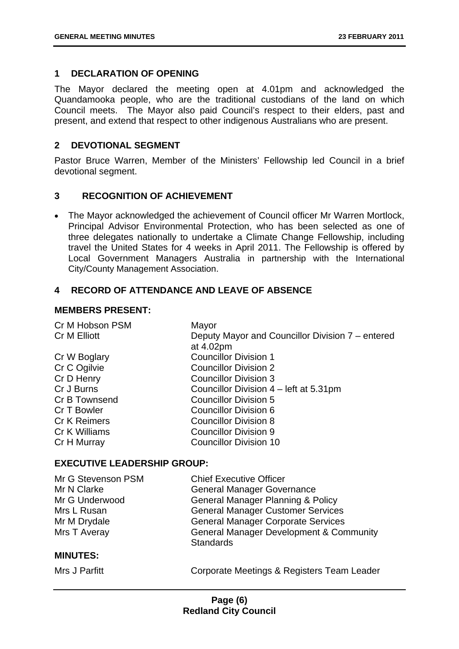#### <span id="page-6-0"></span>**1 DECLARATION OF OPENING**

The Mayor declared the meeting open at 4.01pm and acknowledged the Quandamooka people, who are the traditional custodians of the land on which Council meets. The Mayor also paid Council's respect to their elders, past and present, and extend that respect to other indigenous Australians who are present.

#### <span id="page-6-1"></span>**2 DEVOTIONAL SEGMENT**

Pastor Bruce Warren, Member of the Ministers' Fellowship led Council in a brief devotional segment.

#### <span id="page-6-2"></span>**3 RECOGNITION OF ACHIEVEMENT**

• The Mayor acknowledged the achievement of Council officer Mr Warren Mortlock, Principal Advisor Environmental Protection, who has been selected as one of three delegates nationally to undertake a Climate Change Fellowship, including travel the United States for 4 weeks in April 2011. The Fellowship is offered by Local Government Managers Australia in partnership with the International City/County Management Association.

#### <span id="page-6-3"></span>**4 RECORD OF ATTENDANCE AND LEAVE OF ABSENCE**

#### **MEMBERS PRESENT:**

| Cr M Hobson PSM     | Mayor                                            |
|---------------------|--------------------------------------------------|
| Cr M Elliott        | Deputy Mayor and Councillor Division 7 – entered |
|                     | at 4.02pm                                        |
| Cr W Boglary        | <b>Councillor Division 1</b>                     |
| Cr C Ogilvie        | <b>Councillor Division 2</b>                     |
| Cr D Henry          | <b>Councillor Division 3</b>                     |
| Cr J Burns          | Councillor Division 4 – left at 5.31pm           |
| Cr B Townsend       | <b>Councillor Division 5</b>                     |
| Cr T Bowler         | Councillor Division 6                            |
| <b>Cr K Reimers</b> | <b>Councillor Division 8</b>                     |
| Cr K Williams       | <b>Councillor Division 9</b>                     |
| Cr H Murray         | <b>Councillor Division 10</b>                    |
|                     |                                                  |

#### **EXECUTIVE LEADERSHIP GROUP:**

| Mr G Stevenson PSM | <b>Chief Executive Officer</b>                     |
|--------------------|----------------------------------------------------|
| Mr N Clarke        | <b>General Manager Governance</b>                  |
| Mr G Underwood     | <b>General Manager Planning &amp; Policy</b>       |
| Mrs L Rusan        | <b>General Manager Customer Services</b>           |
| Mr M Drydale       | <b>General Manager Corporate Services</b>          |
| Mrs T Averay       | <b>General Manager Development &amp; Community</b> |
|                    | <b>Standards</b>                                   |
| <b>MINUTES:</b>    |                                                    |
| Mrs J Parfitt      | Corporate Meetings & Registers Team Leader         |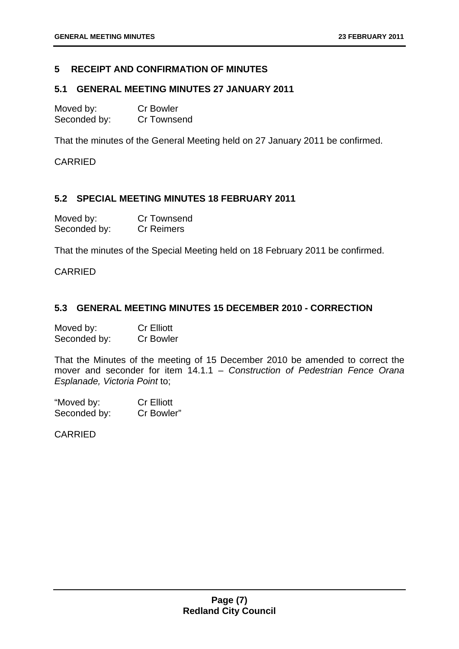#### <span id="page-7-0"></span>**5 RECEIPT AND CONFIRMATION OF MINUTES**

#### <span id="page-7-1"></span>**5.1 GENERAL MEETING MINUTES 27 JANUARY 2011**

| Moved by:    | <b>Cr Bowler</b> |
|--------------|------------------|
| Seconded by: | Cr Townsend      |

That the minutes of the General Meeting held on 27 January 2011 be confirmed.

CARRIED

#### <span id="page-7-2"></span>**5.2 SPECIAL MEETING MINUTES 18 FEBRUARY 2011**

| Moved by:    | <b>Cr Townsend</b> |
|--------------|--------------------|
| Seconded by: | <b>Cr Reimers</b>  |

That the minutes of the Special Meeting held on 18 February 2011 be confirmed.

#### CARRIED

#### <span id="page-7-3"></span>**5.3 GENERAL MEETING MINUTES 15 DECEMBER 2010 - CORRECTION**

| Moved by:    | <b>Cr Elliott</b> |
|--------------|-------------------|
| Seconded by: | <b>Cr Bowler</b>  |

That the Minutes of the meeting of 15 December 2010 be amended to correct the mover and seconder for item 14.1.1 – *Construction of Pedestrian Fence Orana Esplanade, Victoria Point* to;

"Moved by: Cr Elliott Seconded by: Cr Bowler"

CARRIED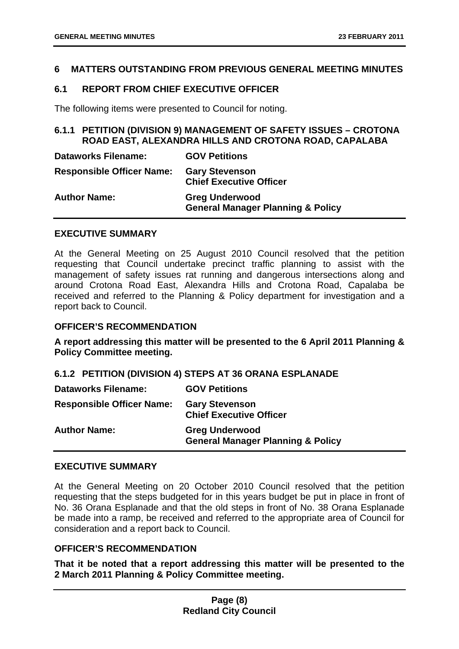#### <span id="page-8-0"></span>**6 MATTERS OUTSTANDING FROM PREVIOUS GENERAL MEETING MINUTES**

#### <span id="page-8-1"></span>**6.1 REPORT FROM CHIEF EXECUTIVE OFFICER**

The following items were presented to Council for noting.

#### <span id="page-8-2"></span>**6.1.1 PETITION (DIVISION 9) MANAGEMENT OF SAFETY ISSUES – CROTONA ROAD EAST, ALEXANDRA HILLS AND CROTONA ROAD, CAPALABA**

| <b>Dataworks Filename:</b>       | <b>GOV Petitions</b>                                                  |
|----------------------------------|-----------------------------------------------------------------------|
| <b>Responsible Officer Name:</b> | <b>Gary Stevenson</b><br><b>Chief Executive Officer</b>               |
| <b>Author Name:</b>              | <b>Greg Underwood</b><br><b>General Manager Planning &amp; Policy</b> |

#### **EXECUTIVE SUMMARY**

At the General Meeting on 25 August 2010 Council resolved that the petition requesting that Council undertake precinct traffic planning to assist with the management of safety issues rat running and dangerous intersections along and around Crotona Road East, Alexandra Hills and Crotona Road, Capalaba be received and referred to the Planning & Policy department for investigation and a report back to Council.

#### **OFFICER'S RECOMMENDATION**

**A report addressing this matter will be presented to the 6 April 2011 Planning & Policy Committee meeting.** 

#### <span id="page-8-3"></span>**6.1.2 PETITION (DIVISION 4) STEPS AT 36 ORANA ESPLANADE**

**Dataworks Filename: GOV Petitions Responsible Officer Name: Gary Stevenson Chief Executive Officer Author Name: Greg Underwood General Manager Planning & Policy** 

#### **EXECUTIVE SUMMARY**

At the General Meeting on 20 October 2010 Council resolved that the petition requesting that the steps budgeted for in this years budget be put in place in front of No. 36 Orana Esplanade and that the old steps in front of No. 38 Orana Esplanade be made into a ramp, be received and referred to the appropriate area of Council for consideration and a report back to Council.

#### **OFFICER'S RECOMMENDATION**

**That it be noted that a report addressing this matter will be presented to the 2 March 2011 Planning & Policy Committee meeting.**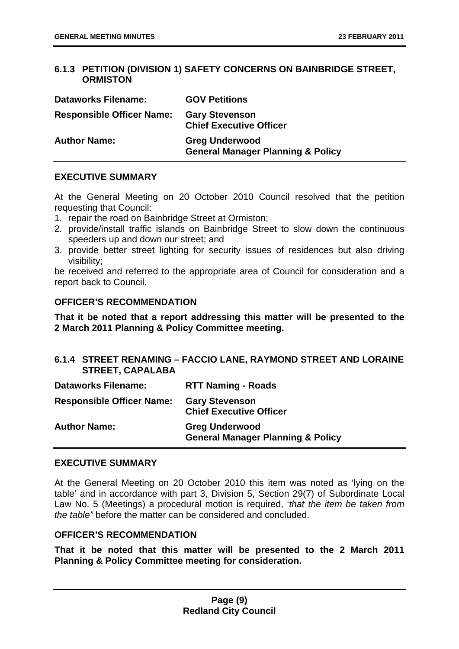#### <span id="page-9-0"></span>**6.1.3 PETITION (DIVISION 1) SAFETY CONCERNS ON BAINBRIDGE STREET, ORMISTON**

| <b>Dataworks Filename:</b>       | <b>GOV Petitions</b>                                                  |
|----------------------------------|-----------------------------------------------------------------------|
| <b>Responsible Officer Name:</b> | <b>Gary Stevenson</b><br><b>Chief Executive Officer</b>               |
| <b>Author Name:</b>              | <b>Greg Underwood</b><br><b>General Manager Planning &amp; Policy</b> |

#### **EXECUTIVE SUMMARY**

At the General Meeting on 20 October 2010 Council resolved that the petition requesting that Council:

- 1. repair the road on Bainbridge Street at Ormiston;
- 2. provide/install traffic islands on Bainbridge Street to slow down the continuous speeders up and down our street; and
- 3. provide better street lighting for security issues of residences but also driving visibility;

be received and referred to the appropriate area of Council for consideration and a report back to Council.

#### **OFFICER'S RECOMMENDATION**

**That it be noted that a report addressing this matter will be presented to the 2 March 2011 Planning & Policy Committee meeting.** 

#### <span id="page-9-1"></span>**6.1.4 STREET RENAMING – FACCIO LANE, RAYMOND STREET AND LORAINE STREET, CAPALABA**

| <b>Dataworks Filename:</b>       | <b>RTT Naming - Roads</b>                                             |
|----------------------------------|-----------------------------------------------------------------------|
| <b>Responsible Officer Name:</b> | <b>Gary Stevenson</b><br><b>Chief Executive Officer</b>               |
| <b>Author Name:</b>              | <b>Greg Underwood</b><br><b>General Manager Planning &amp; Policy</b> |

#### **EXECUTIVE SUMMARY**

At the General Meeting on 20 October 2010 this item was noted as 'lying on the table' and in accordance with part 3, Division 5, Section 29(7) of Subordinate Local Law No. 5 (Meetings) a procedural motion is required, '*that the item be taken from the table"* before the matter can be considered and concluded.

#### **OFFICER'S RECOMMENDATION**

**That it be noted that this matter will be presented to the 2 March 2011 Planning & Policy Committee meeting for consideration.**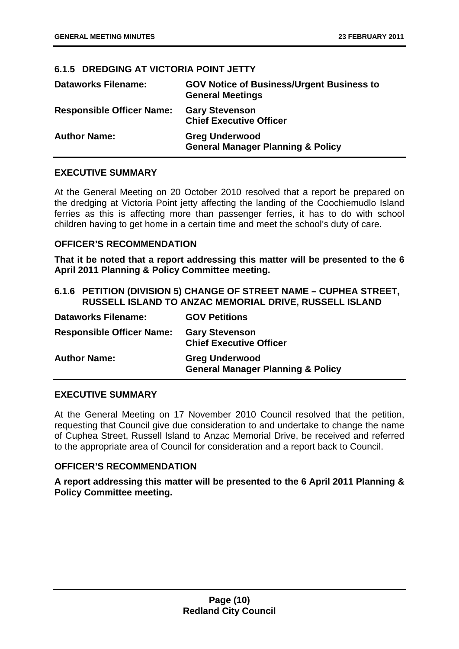#### <span id="page-10-0"></span>**6.1.5 DREDGING AT VICTORIA POINT JETTY**

| <b>Dataworks Filename:</b>       | <b>GOV Notice of Business/Urgent Business to</b><br><b>General Meetings</b> |
|----------------------------------|-----------------------------------------------------------------------------|
| <b>Responsible Officer Name:</b> | <b>Gary Stevenson</b><br><b>Chief Executive Officer</b>                     |
| <b>Author Name:</b>              | <b>Greg Underwood</b><br><b>General Manager Planning &amp; Policy</b>       |

#### **EXECUTIVE SUMMARY**

At the General Meeting on 20 October 2010 resolved that a report be prepared on the dredging at Victoria Point jetty affecting the landing of the Coochiemudlo Island ferries as this is affecting more than passenger ferries, it has to do with school children having to get home in a certain time and meet the school's duty of care.

#### **OFFICER'S RECOMMENDATION**

**That it be noted that a report addressing this matter will be presented to the 6 April 2011 Planning & Policy Committee meeting.** 

#### <span id="page-10-1"></span>**6.1.6 PETITION (DIVISION 5) CHANGE OF STREET NAME – CUPHEA STREET, RUSSELL ISLAND TO ANZAC MEMORIAL DRIVE, RUSSELL ISLAND**

| <b>Dataworks Filename:</b>       | <b>GOV Petitions</b>                                                  |
|----------------------------------|-----------------------------------------------------------------------|
| <b>Responsible Officer Name:</b> | <b>Gary Stevenson</b><br><b>Chief Executive Officer</b>               |
| <b>Author Name:</b>              | <b>Greg Underwood</b><br><b>General Manager Planning &amp; Policy</b> |

#### **EXECUTIVE SUMMARY**

At the General Meeting on 17 November 2010 Council resolved that the petition, requesting that Council give due consideration to and undertake to change the name of Cuphea Street, Russell Island to Anzac Memorial Drive, be received and referred to the appropriate area of Council for consideration and a report back to Council.

#### **OFFICER'S RECOMMENDATION**

**A report addressing this matter will be presented to the 6 April 2011 Planning & Policy Committee meeting.**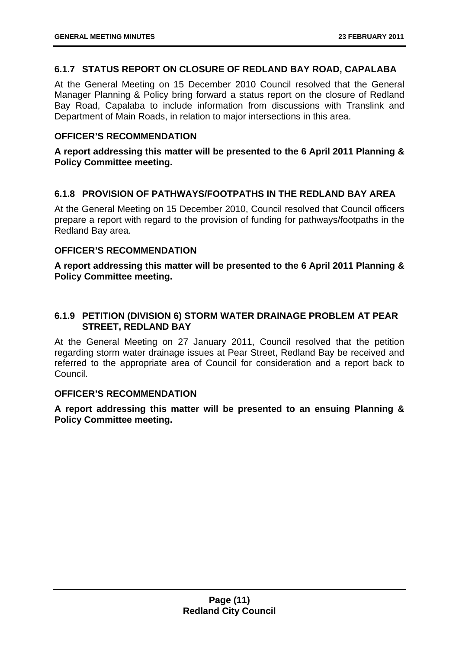#### <span id="page-11-0"></span>**6.1.7 STATUS REPORT ON CLOSURE OF REDLAND BAY ROAD, CAPALABA**

At the General Meeting on 15 December 2010 Council resolved that the General Manager Planning & Policy bring forward a status report on the closure of Redland Bay Road, Capalaba to include information from discussions with Translink and Department of Main Roads, in relation to major intersections in this area.

#### **OFFICER'S RECOMMENDATION**

#### **A report addressing this matter will be presented to the 6 April 2011 Planning & Policy Committee meeting.**

#### <span id="page-11-1"></span>**6.1.8 PROVISION OF PATHWAYS/FOOTPATHS IN THE REDLAND BAY AREA**

At the General Meeting on 15 December 2010, Council resolved that Council officers prepare a report with regard to the provision of funding for pathways/footpaths in the Redland Bay area.

#### **OFFICER'S RECOMMENDATION**

**A report addressing this matter will be presented to the 6 April 2011 Planning & Policy Committee meeting.** 

#### <span id="page-11-2"></span>**6.1.9 PETITION (DIVISION 6) STORM WATER DRAINAGE PROBLEM AT PEAR STREET, REDLAND BAY**

At the General Meeting on 27 January 2011, Council resolved that the petition regarding storm water drainage issues at Pear Street, Redland Bay be received and referred to the appropriate area of Council for consideration and a report back to Council.

#### **OFFICER'S RECOMMENDATION**

**A report addressing this matter will be presented to an ensuing Planning & Policy Committee meeting.**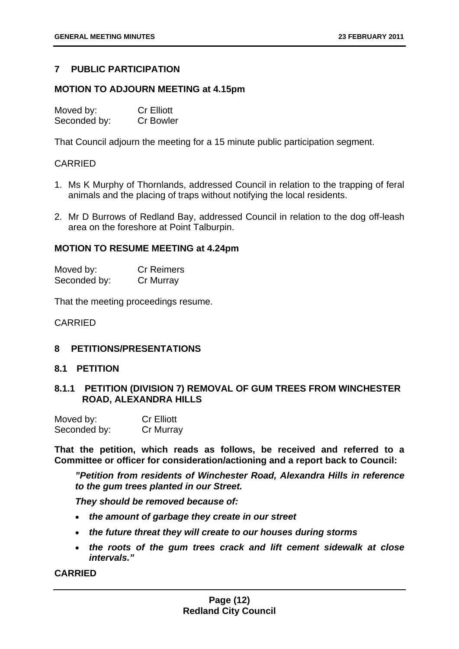#### <span id="page-12-0"></span>**7 PUBLIC PARTICIPATION**

#### **MOTION TO ADJOURN MEETING at 4.15pm**

| Moved by:    | <b>Cr Elliott</b> |
|--------------|-------------------|
| Seconded by: | <b>Cr Bowler</b>  |

That Council adjourn the meeting for a 15 minute public participation segment.

#### CARRIED

- 1. Ms K Murphy of Thornlands, addressed Council in relation to the trapping of feral animals and the placing of traps without notifying the local residents.
- 2. Mr D Burrows of Redland Bay, addressed Council in relation to the dog off-leash area on the foreshore at Point Talburpin.

#### **MOTION TO RESUME MEETING at 4.24pm**

| Moved by:    | <b>Cr Reimers</b> |
|--------------|-------------------|
| Seconded by: | Cr Murray         |

That the meeting proceedings resume.

#### CARRIED

#### <span id="page-12-1"></span>**8 PETITIONS/PRESENTATIONS**

#### <span id="page-12-2"></span>**8.1 PETITION**

#### <span id="page-12-3"></span>**8.1.1 PETITION (DIVISION 7) REMOVAL OF GUM TREES FROM WINCHESTER ROAD, ALEXANDRA HILLS**

| Moved by:    | <b>Cr Elliott</b> |
|--------------|-------------------|
| Seconded by: | Cr Murray         |

**That the petition, which reads as follows, be received and referred to a Committee or officer for consideration/actioning and a report back to Council:** 

 *"Petition from residents of Winchester Road, Alexandra Hills in reference to the gum trees planted in our Street.* 

*They should be removed because of:* 

- *the amount of garbage they create in our street*
- *the future threat they will create to our houses during storms*
- *the roots of the gum trees crack and lift cement sidewalk at close intervals."*

#### **CARRIED**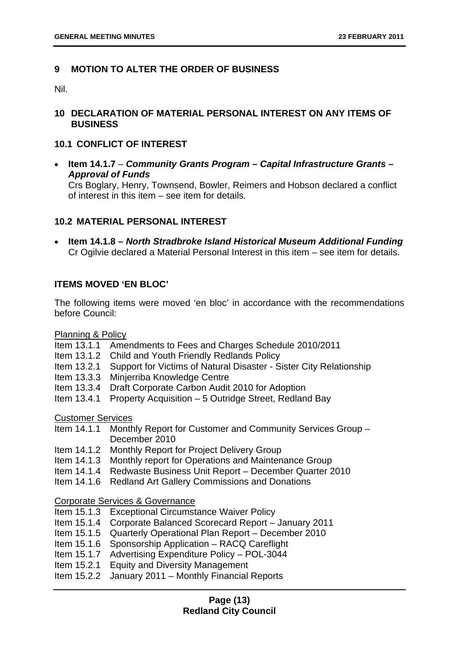#### <span id="page-13-0"></span>**9 MOTION TO ALTER THE ORDER OF BUSINESS**

Nil.

#### <span id="page-13-1"></span>**10 DECLARATION OF MATERIAL PERSONAL INTEREST ON ANY ITEMS OF BUSINESS**

#### <span id="page-13-2"></span>**10.1 CONFLICT OF INTEREST**

• **Item 14.1.7** – *Community Grants Program – Capital Infrastructure Grants – Approval of Funds* Crs Boglary, Henry, Townsend, Bowler, Reimers and Hobson declared a conflict of interest in this item – see item for details.

#### <span id="page-13-3"></span>**10.2 MATERIAL PERSONAL INTEREST**

• **Item 14.1.8 –** *North Stradbroke Island Historical Museum Additional Funding* Cr Ogilvie declared a Material Personal Interest in this item – see item for details.

#### **ITEMS MOVED 'EN BLOC'**

The following items were moved 'en bloc' in accordance with the recommendations before Council:

Planning & Policy

- Item 13.1.1 Amendments to Fees and Charges Schedule 2010/2011
- Item 13.1.2 Child and Youth Friendly Redlands Policy
- Item 13.2.1 Support for Victims of Natural Disaster Sister City Relationship
- Item 13.3.3 Minjerriba Knowledge Centre
- Item 13.3.4 Draft Corporate Carbon Audit 2010 for Adoption
- Item 13.4.1 Property Acquisition 5 Outridge Street, Redland Bay

Customer Services

Item 14.1.1 Monthly Report for Customer and Community Services Group – December 2010

- Item 14.1.2 Monthly Report for Project Delivery Group
- Item 14.1.3 Monthly report for Operations and Maintenance Group
- Item 14.1.4 Redwaste Business Unit Report December Quarter 2010
- Item 14.1.6 Redland Art Gallery Commissions and Donations

Corporate Services & Governance

- Item 15.1.3 Exceptional Circumstance Waiver Policy
- Item 15.1.4 Corporate Balanced Scorecard Report January 2011
- Item 15.1.5 Quarterly Operational Plan Report December 2010
- Item 15.1.6 Sponsorship Application RACQ Careflight
- Item 15.1.7 Advertising Expenditure Policy POL-3044
- Item 15.2.1 Equity and Diversity Management
- Item 15.2.2 January 2011 Monthly Financial Reports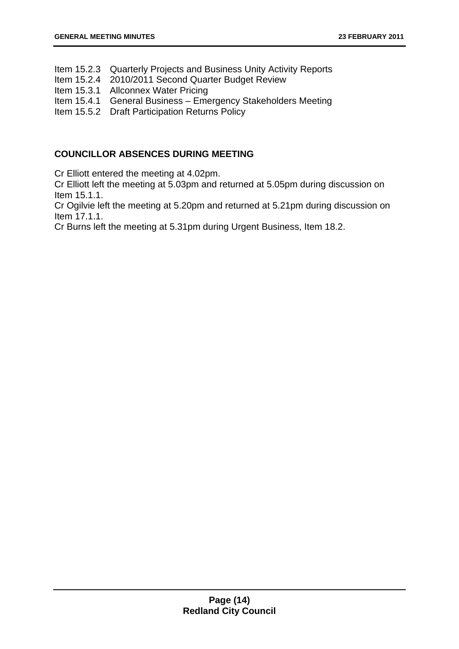- Item 15.2.3 Quarterly Projects and Business Unity Activity Reports
- Item 15.2.4 2010/2011 Second Quarter Budget Review
- Item 15.3.1 Allconnex Water Pricing
- Item 15.4.1 General Business Emergency Stakeholders Meeting
- Item 15.5.2 Draft Participation Returns Policy

#### **COUNCILLOR ABSENCES DURING MEETING**

Cr Elliott entered the meeting at 4.02pm.

Cr Elliott left the meeting at 5.03pm and returned at 5.05pm during discussion on Item 15.1.1.

Cr Ogilvie left the meeting at 5.20pm and returned at 5.21pm during discussion on Item 17.1.1.

Cr Burns left the meeting at 5.31pm during Urgent Business, Item 18.2.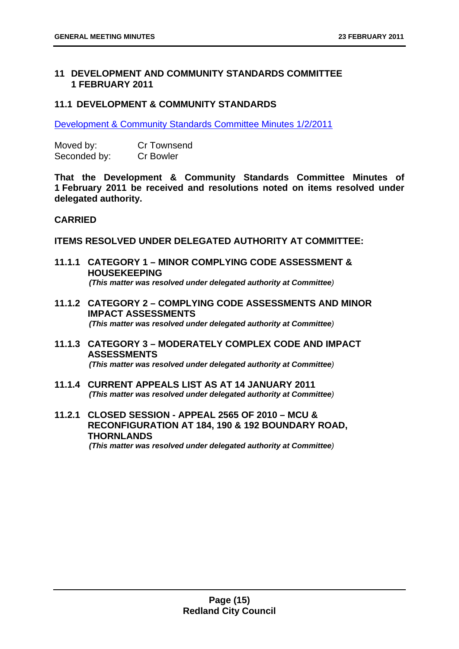#### <span id="page-15-0"></span>**11 DEVELOPMENT AND COMMUNITY STANDARDS COMMITTEE 1 FEBRUARY 2011**

#### <span id="page-15-1"></span>**11.1 DEVELOPMENT & COMMUNITY STANDARDS**

Development & Community Standards Committee Minutes 1/2/2011

| Moved by:    | <b>Cr Townsend</b> |
|--------------|--------------------|
| Seconded by: | <b>Cr Bowler</b>   |

**That the Development & Community Standards Committee Minutes of 1 February 2011 be received and resolutions noted on items resolved under delegated authority.** 

#### **CARRIED**

**ITEMS RESOLVED UNDER DELEGATED AUTHORITY AT COMMITTEE:** 

- <span id="page-15-2"></span>**11.1.1 CATEGORY 1 – MINOR COMPLYING CODE ASSESSMENT & HOUSEKEEPING**  *(This matter was resolved under delegated authority at Committee)*
- <span id="page-15-3"></span>**11.1.2 CATEGORY 2 – COMPLYING CODE ASSESSMENTS AND MINOR IMPACT ASSESSMENTS**  *(This matter was resolved under delegated authority at Committee)*
- <span id="page-15-4"></span>**11.1.3 CATEGORY 3 – MODERATELY COMPLEX CODE AND IMPACT ASSESSMENTS**  *(This matter was resolved under delegated authority at Committee)*
- <span id="page-15-5"></span>**11.1.4 CURRENT APPEALS LIST AS AT 14 JANUARY 2011**  *(This matter was resolved under delegated authority at Committee)*
- <span id="page-15-6"></span>**11.2.1 CLOSED SESSION - APPEAL 2565 OF 2010 – MCU & RECONFIGURATION AT 184, 190 & 192 BOUNDARY ROAD, THORNLANDS**  *(This matter was resolved under delegated authority at Committee)*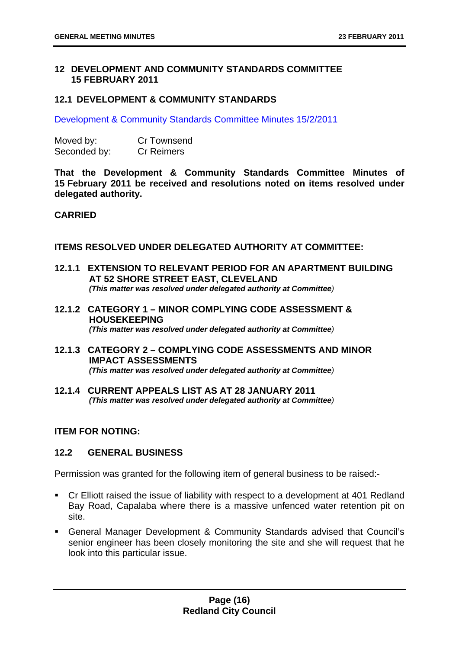#### <span id="page-16-0"></span>**12 DEVELOPMENT AND COMMUNITY STANDARDS COMMITTEE 15 FEBRUARY 2011**

#### <span id="page-16-1"></span>**12.1 DEVELOPMENT & COMMUNITY STANDARDS**

Development & Community Standards Committee Minutes 15/2/2011

| Moved by:    | <b>Cr Townsend</b> |
|--------------|--------------------|
| Seconded by: | <b>Cr Reimers</b>  |

**That the Development & Community Standards Committee Minutes of 15 February 2011 be received and resolutions noted on items resolved under delegated authority.** 

#### **CARRIED**

**ITEMS RESOLVED UNDER DELEGATED AUTHORITY AT COMMITTEE:** 

- <span id="page-16-2"></span>**12.1.1 EXTENSION TO RELEVANT PERIOD FOR AN APARTMENT BUILDING AT 52 SHORE STREET EAST, CLEVELAND**  *(This matter was resolved under delegated authority at Committee)*
- <span id="page-16-3"></span>**12.1.2 CATEGORY 1 – MINOR COMPLYING CODE ASSESSMENT & HOUSEKEEPING**  *(This matter was resolved under delegated authority at Committee)*
- <span id="page-16-4"></span>**12.1.3 CATEGORY 2 – COMPLYING CODE ASSESSMENTS AND MINOR IMPACT ASSESSMENTS**  *(This matter was resolved under delegated authority at Committee)*
- <span id="page-16-5"></span>**12.1.4 CURRENT APPEALS LIST AS AT 28 JANUARY 2011**  *(This matter was resolved under delegated authority at Committee)*

#### **ITEM FOR NOTING:**

#### <span id="page-16-6"></span>**12.2 GENERAL BUSINESS**

Permission was granted for the following item of general business to be raised:-

- Cr Elliott raised the issue of liability with respect to a development at 401 Redland Bay Road, Capalaba where there is a massive unfenced water retention pit on site.
- General Manager Development & Community Standards advised that Council's senior engineer has been closely monitoring the site and she will request that he look into this particular issue.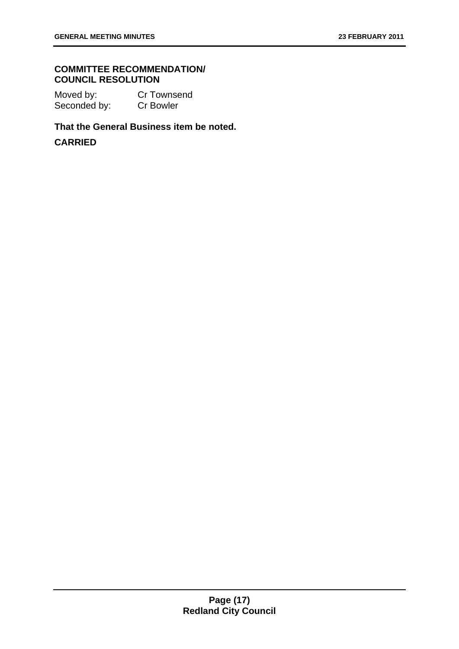#### **COMMITTEE RECOMMENDATION/ COUNCIL RESOLUTION**

Moved by: Cr Townsend Seconded by: Cr Bowler

#### **That the General Business item be noted.**

#### **CARRIED**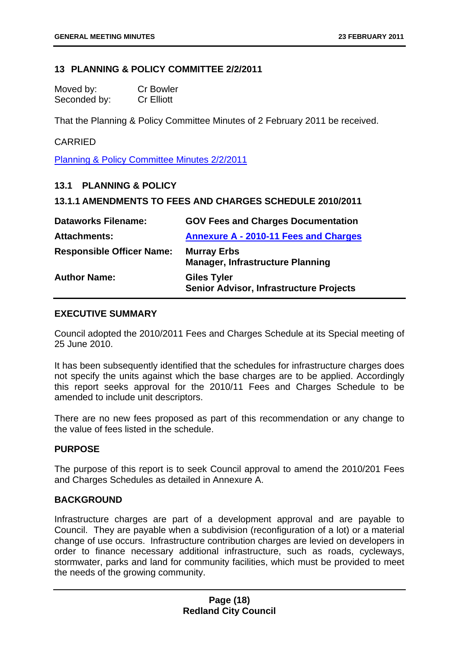#### <span id="page-18-0"></span>**13 PLANNING & POLICY COMMITTEE 2/2/2011**

| Moved by:    | <b>Cr Bowler</b>  |
|--------------|-------------------|
| Seconded by: | <b>Cr Elliott</b> |

That the Planning & Policy Committee Minutes of 2 February 2011 be received.

#### CARRIED

Planning & Policy Committee Minutes 2/2/2011

#### <span id="page-18-1"></span>**13.1 PLANNING & POLICY**

#### <span id="page-18-2"></span>**13.1.1 AMENDMENTS TO FEES AND CHARGES SCHEDULE 2010/2011**

| <b>Dataworks Filename:</b>       | <b>GOV Fees and Charges Documentation</b>                            |
|----------------------------------|----------------------------------------------------------------------|
| <b>Attachments:</b>              | <b>Annexure A - 2010-11 Fees and Charges</b>                         |
| <b>Responsible Officer Name:</b> | <b>Murray Erbs</b><br><b>Manager, Infrastructure Planning</b>        |
| <b>Author Name:</b>              | <b>Giles Tyler</b><br><b>Senior Advisor, Infrastructure Projects</b> |

#### **EXECUTIVE SUMMARY**

Council adopted the 2010/2011 Fees and Charges Schedule at its Special meeting of 25 June 2010.

It has been subsequently identified that the schedules for infrastructure charges does not specify the units against which the base charges are to be applied. Accordingly this report seeks approval for the 2010/11 Fees and Charges Schedule to be amended to include unit descriptors.

There are no new fees proposed as part of this recommendation or any change to the value of fees listed in the schedule.

#### **PURPOSE**

The purpose of this report is to seek Council approval to amend the 2010/201 Fees and Charges Schedules as detailed in Annexure A.

#### **BACKGROUND**

Infrastructure charges are part of a development approval and are payable to Council. They are payable when a subdivision (reconfiguration of a lot) or a material change of use occurs. Infrastructure contribution charges are levied on developers in order to finance necessary additional infrastructure, such as roads, cycleways, stormwater, parks and land for community facilities, which must be provided to meet the needs of the growing community.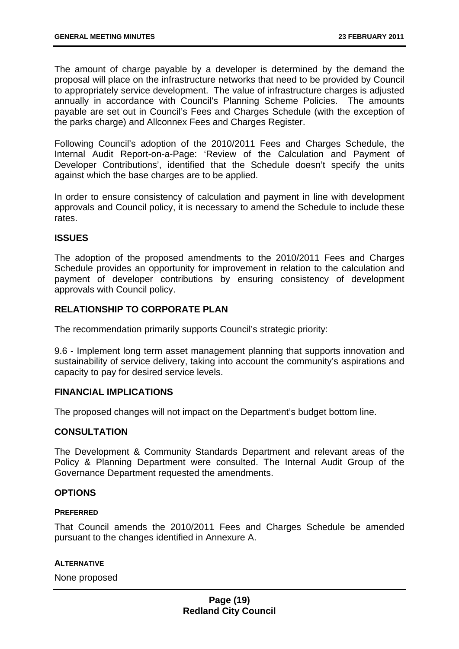The amount of charge payable by a developer is determined by the demand the proposal will place on the infrastructure networks that need to be provided by Council to appropriately service development. The value of infrastructure charges is adjusted annually in accordance with Council's Planning Scheme Policies. The amounts payable are set out in Council's Fees and Charges Schedule (with the exception of the parks charge) and Allconnex Fees and Charges Register.

Following Council's adoption of the 2010/2011 Fees and Charges Schedule, the Internal Audit Report-on-a-Page: 'Review of the Calculation and Payment of Developer Contributions', identified that the Schedule doesn't specify the units against which the base charges are to be applied.

In order to ensure consistency of calculation and payment in line with development approvals and Council policy, it is necessary to amend the Schedule to include these rates.

#### **ISSUES**

The adoption of the proposed amendments to the 2010/2011 Fees and Charges Schedule provides an opportunity for improvement in relation to the calculation and payment of developer contributions by ensuring consistency of development approvals with Council policy.

#### **RELATIONSHIP TO CORPORATE PLAN**

The recommendation primarily supports Council's strategic priority:

9.6 - Implement long term asset management planning that supports innovation and sustainability of service delivery, taking into account the community's aspirations and capacity to pay for desired service levels.

#### **FINANCIAL IMPLICATIONS**

The proposed changes will not impact on the Department's budget bottom line.

#### **CONSULTATION**

The Development & Community Standards Department and relevant areas of the Policy & Planning Department were consulted. The Internal Audit Group of the Governance Department requested the amendments.

#### **OPTIONS**

#### **PREFERRED**

That Council amends the 2010/2011 Fees and Charges Schedule be amended pursuant to the changes identified in Annexure A.

#### **ALTERNATIVE**

None proposed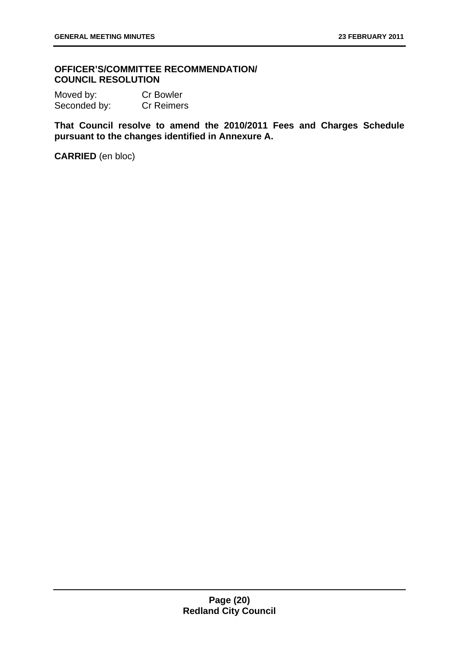#### **OFFICER'S/COMMITTEE RECOMMENDATION/ COUNCIL RESOLUTION**

Moved by: Cr Bowler Seconded by: Cr Reimers

**That Council resolve to amend the 2010/2011 Fees and Charges Schedule pursuant to the changes identified in Annexure A.** 

**CARRIED** (en bloc)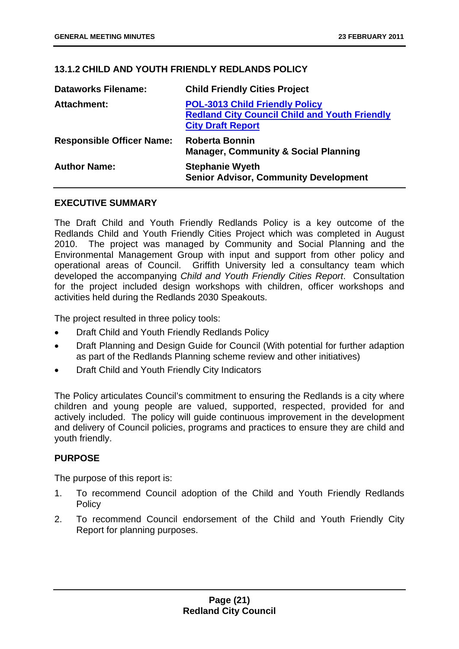#### <span id="page-21-0"></span>**13.1.2 CHILD AND YOUTH FRIENDLY REDLANDS POLICY**

| <b>Dataworks Filename:</b>       | <b>Child Friendly Cities Project</b>                                                                                      |
|----------------------------------|---------------------------------------------------------------------------------------------------------------------------|
| <b>Attachment:</b>               | <b>POL-3013 Child Friendly Policy</b><br><b>Redland City Council Child and Youth Friendly</b><br><b>City Draft Report</b> |
| <b>Responsible Officer Name:</b> | <b>Roberta Bonnin</b><br><b>Manager, Community &amp; Social Planning</b>                                                  |
| <b>Author Name:</b>              | <b>Stephanie Wyeth</b><br><b>Senior Advisor, Community Development</b>                                                    |

#### **EXECUTIVE SUMMARY**

The Draft Child and Youth Friendly Redlands Policy is a key outcome of the Redlands Child and Youth Friendly Cities Project which was completed in August 2010. The project was managed by Community and Social Planning and the Environmental Management Group with input and support from other policy and operational areas of Council. Griffith University led a consultancy team which developed the accompanying *Child and Youth Friendly Cities Report*. Consultation for the project included design workshops with children, officer workshops and activities held during the Redlands 2030 Speakouts.

The project resulted in three policy tools:

- Draft Child and Youth Friendly Redlands Policy
- Draft Planning and Design Guide for Council (With potential for further adaption as part of the Redlands Planning scheme review and other initiatives)
- Draft Child and Youth Friendly City Indicators

The Policy articulates Council's commitment to ensuring the Redlands is a city where children and young people are valued, supported, respected, provided for and actively included. The policy will guide continuous improvement in the development and delivery of Council policies, programs and practices to ensure they are child and youth friendly.

#### **PURPOSE**

The purpose of this report is:

- 1. To recommend Council adoption of the Child and Youth Friendly Redlands **Policy**
- 2. To recommend Council endorsement of the Child and Youth Friendly City Report for planning purposes.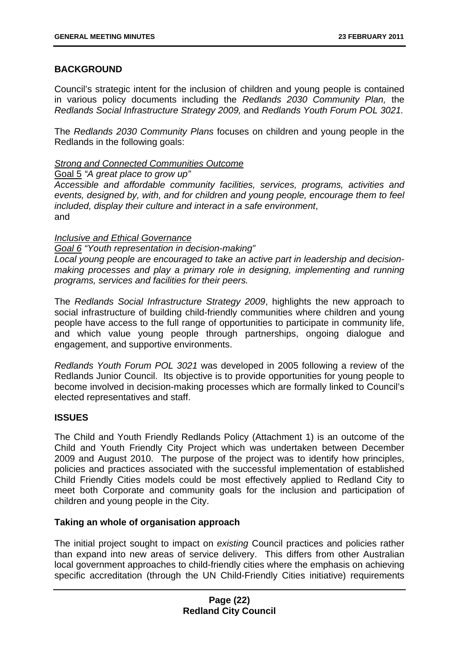#### **BACKGROUND**

Council's strategic intent for the inclusion of children and young people is contained in various policy documents including the *Redlands 2030 Community Plan,* the *Redlands Social Infrastructure Strategy 2009,* and *Redlands Youth Forum POL 3021.* 

The *Redlands 2030 Community Plans* focuses on children and young people in the Redlands in the following goals:

#### *Strong and Connected Communities Outcome*

Goal 5 *"A great place to grow up"* 

*Accessible and affordable community facilities, services, programs, activities and events, designed by, with, and for children and young people, encourage them to feel included, display their culture and interact in a safe environment*, and

#### *Inclusive and Ethical Governance*

*Goal 6 "Youth representation in decision-making"* 

*Local young people are encouraged to take an active part in leadership and decisionmaking processes and play a primary role in designing, implementing and running programs, services and facilities for their peers.* 

The *Redlands Social Infrastructure Strategy 2009*, highlights the new approach to social infrastructure of building child-friendly communities where children and young people have access to the full range of opportunities to participate in community life, and which value young people through partnerships, ongoing dialogue and engagement, and supportive environments.

*Redlands Youth Forum POL 3021* was developed in 2005 following a review of the Redlands Junior Council. Its objective is to provide opportunities for young people to become involved in decision-making processes which are formally linked to Council's elected representatives and staff.

#### **ISSUES**

The Child and Youth Friendly Redlands Policy (Attachment 1) is an outcome of the Child and Youth Friendly City Project which was undertaken between December 2009 and August 2010. The purpose of the project was to identify how principles, policies and practices associated with the successful implementation of established Child Friendly Cities models could be most effectively applied to Redland City to meet both Corporate and community goals for the inclusion and participation of children and young people in the City.

#### **Taking an whole of organisation approach**

The initial project sought to impact on *existing* Council practices and policies rather than expand into new areas of service delivery. This differs from other Australian local government approaches to child-friendly cities where the emphasis on achieving specific accreditation (through the UN Child-Friendly Cities initiative) requirements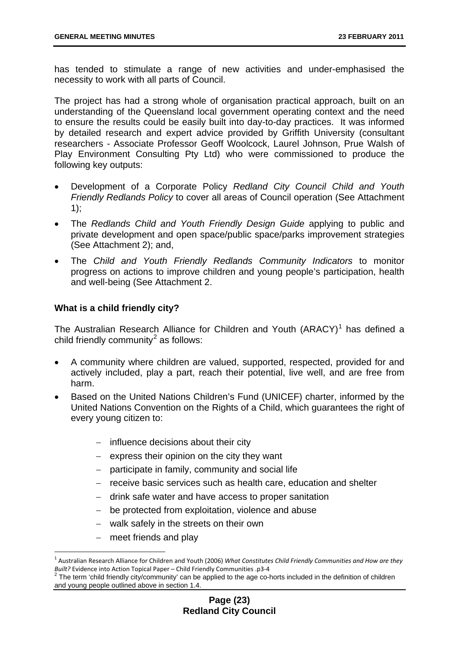has tended to stimulate a range of new activities and under-emphasised the necessity to work with all parts of Council.

The project has had a strong whole of organisation practical approach, built on an understanding of the Queensland local government operating context and the need to ensure the results could be easily built into day-to-day practices. It was informed by detailed research and expert advice provided by Griffith University (consultant researchers - Associate Professor Geoff Woolcock, Laurel Johnson, Prue Walsh of Play Environment Consulting Pty Ltd) who were commissioned to produce the following key outputs:

- Development of a Corporate Policy *Redland City Council Child and Youth Friendly Redlands Policy* to cover all areas of Council operation (See Attachment 1);
- The *Redlands Child and Youth Friendly Design Guide* applying to public and private development and open space/public space/parks improvement strategies (See Attachment 2); and,
- The *Child and Youth Friendly Redlands Community Indicators* to monitor progress on actions to improve children and young people's participation, health and well-being (See Attachment 2.

#### **What is a child friendly city?**

The Australian Research Alliance for Children and Youth  $(ARACY)^1$  $(ARACY)^1$  has defined a child friendly community<sup>[2](#page-23-1)</sup> as follows:

- A community where children are valued, supported, respected, provided for and actively included, play a part, reach their potential, live well, and are free from harm.
- Based on the United Nations Children's Fund (UNICEF) charter, informed by the United Nations Convention on the Rights of a Child, which guarantees the right of every young citizen to:
	- − influence decisions about their city
	- − express their opinion on the city they want
	- − participate in family, community and social life
	- − receive basic services such as health care, education and shelter
	- − drink safe water and have access to proper sanitation
	- − be protected from exploitation, violence and abuse
	- − walk safely in the streets on their own
	- meet friends and play

 $\overline{a}$ 

<span id="page-23-0"></span><sup>1</sup> Australian Research Alliance for Children and Youth (2006) *What Constitutes Child Friendly Communities and How are they Built?* Evidence into Action Topical Paper – Child Friendly Communities .p3‐<sup>4</sup> <sup>2</sup>

<span id="page-23-1"></span> $2$  The term 'child friendly city/community' can be applied to the age co-horts included in the definition of children and young people outlined above in section 1.4.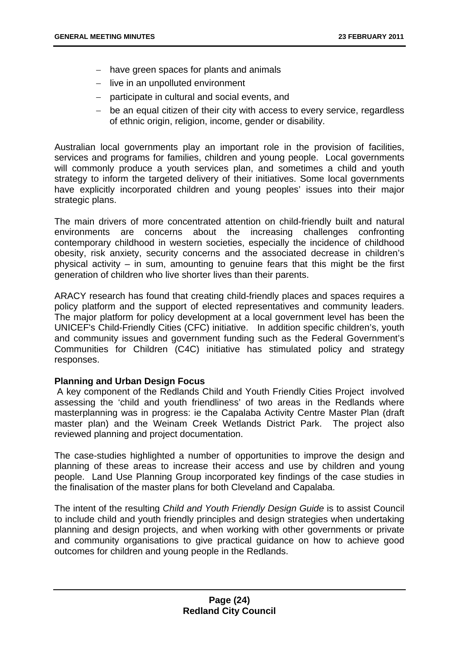- − have green spaces for plants and animals
- − live in an unpolluted environment
- − participate in cultural and social events, and
- − be an equal citizen of their city with access to every service, regardless of ethnic origin, religion, income, gender or disability.

Australian local governments play an important role in the provision of facilities, services and programs for families, children and young people. Local governments will commonly produce a youth services plan, and sometimes a child and youth strategy to inform the targeted delivery of their initiatives. Some local governments have explicitly incorporated children and young peoples' issues into their major strategic plans.

The main drivers of more concentrated attention on child-friendly built and natural environments are concerns about the increasing challenges confronting contemporary childhood in western societies, especially the incidence of childhood obesity, risk anxiety, security concerns and the associated decrease in children's physical activity – in sum, amounting to genuine fears that this might be the first generation of children who live shorter lives than their parents.

ARACY research has found that creating child-friendly places and spaces requires a policy platform and the support of elected representatives and community leaders. The major platform for policy development at a local government level has been the UNICEF's Child-Friendly Cities (CFC) initiative. In addition specific children's, youth and community issues and government funding such as the Federal Government's Communities for Children (C4C) initiative has stimulated policy and strategy responses.

#### **Planning and Urban Design Focus**

 A key component of the Redlands Child and Youth Friendly Cities Project involved assessing the 'child and youth friendliness' of two areas in the Redlands where masterplanning was in progress: ie the Capalaba Activity Centre Master Plan (draft master plan) and the Weinam Creek Wetlands District Park. The project also reviewed planning and project documentation.

The case-studies highlighted a number of opportunities to improve the design and planning of these areas to increase their access and use by children and young people. Land Use Planning Group incorporated key findings of the case studies in the finalisation of the master plans for both Cleveland and Capalaba.

The intent of the resulting *Child and Youth Friendly Design Guide* is to assist Council to include child and youth friendly principles and design strategies when undertaking planning and design projects, and when working with other governments or private and community organisations to give practical guidance on how to achieve good outcomes for children and young people in the Redlands.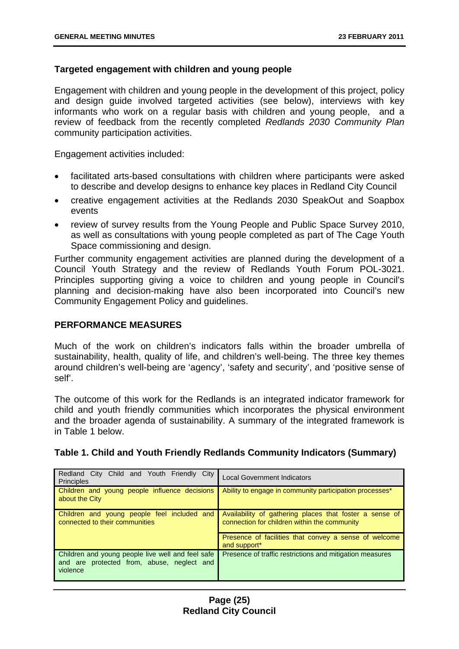#### **Targeted engagement with children and young people**

Engagement with children and young people in the development of this project, policy and design guide involved targeted activities (see below), interviews with key informants who work on a regular basis with children and young people, and a review of feedback from the recently completed *Redlands 2030 Community Plan* community participation activities.

Engagement activities included:

- facilitated arts-based consultations with children where participants were asked to describe and develop designs to enhance key places in Redland City Council
- creative engagement activities at the Redlands 2030 SpeakOut and Soapbox events
- review of survey results from the Young People and Public Space Survey 2010, as well as consultations with young people completed as part of The Cage Youth Space commissioning and design.

Further community engagement activities are planned during the development of a Council Youth Strategy and the review of Redlands Youth Forum POL-3021. Principles supporting giving a voice to children and young people in Council's planning and decision-making have also been incorporated into Council's new Community Engagement Policy and guidelines.

#### **PERFORMANCE MEASURES**

Much of the work on children's indicators falls within the broader umbrella of sustainability, health, quality of life, and children's well-being. The three key themes around children's well-being are 'agency', 'safety and security', and 'positive sense of self'.

The outcome of this work for the Redlands is an integrated indicator framework for child and youth friendly communities which incorporates the physical environment and the broader agenda of sustainability. A summary of the integrated framework is in Table 1 below.

| Redland City Child and Youth Friendly City<br><b>Principles</b>                                             | <b>Local Government Indicators</b>                                                                      |
|-------------------------------------------------------------------------------------------------------------|---------------------------------------------------------------------------------------------------------|
| Children and young people influence decisions<br>about the City                                             | Ability to engage in community participation processes*                                                 |
| Children and young people feel included and<br>connected to their communities                               | Availability of gathering places that foster a sense of<br>connection for children within the community |
|                                                                                                             | Presence of facilities that convey a sense of welcome<br>and support*                                   |
| Children and young people live well and feel safe<br>and are protected from, abuse, neglect and<br>violence | Presence of traffic restrictions and mitigation measures                                                |

#### **Table 1. Child and Youth Friendly Redlands Community Indicators (Summary)**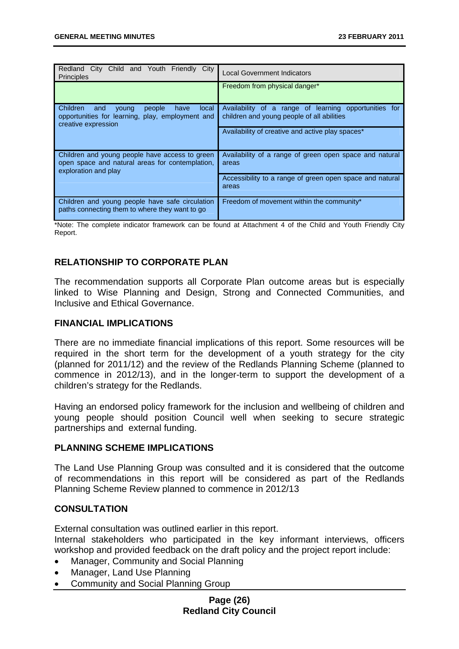| Redland City Child and Youth Friendly City<br><b>Principles</b>                                                                | <b>Local Government Indicators</b>                                                                  |
|--------------------------------------------------------------------------------------------------------------------------------|-----------------------------------------------------------------------------------------------------|
|                                                                                                                                | Freedom from physical danger*                                                                       |
| Children<br>and<br>people<br>local<br>young<br>have<br>opportunities for learning, play, employment and<br>creative expression | Availability of a range of learning opportunities for<br>children and young people of all abilities |
|                                                                                                                                | Availability of creative and active play spaces*                                                    |
| Children and young people have access to green<br>open space and natural areas for contemplation,<br>exploration and play      | Availability of a range of green open space and natural<br>areas                                    |
|                                                                                                                                | Accessibility to a range of green open space and natural<br>areas                                   |
| Children and young people have safe circulation<br>paths connecting them to where they want to go                              | Freedom of movement within the community*                                                           |

\*Note: The complete indicator framework can be found at Attachment 4 of the Child and Youth Friendly City Report.

#### **RELATIONSHIP TO CORPORATE PLAN**

The recommendation supports all Corporate Plan outcome areas but is especially linked to Wise Planning and Design, Strong and Connected Communities, and Inclusive and Ethical Governance.

#### **FINANCIAL IMPLICATIONS**

There are no immediate financial implications of this report. Some resources will be required in the short term for the development of a youth strategy for the city (planned for 2011/12) and the review of the Redlands Planning Scheme (planned to commence in 2012/13), and in the longer-term to support the development of a children's strategy for the Redlands.

Having an endorsed policy framework for the inclusion and wellbeing of children and young people should position Council well when seeking to secure strategic partnerships and external funding.

#### **PLANNING SCHEME IMPLICATIONS**

The Land Use Planning Group was consulted and it is considered that the outcome of recommendations in this report will be considered as part of the Redlands Planning Scheme Review planned to commence in 2012/13

#### **CONSULTATION**

External consultation was outlined earlier in this report.

Internal stakeholders who participated in the key informant interviews, officers workshop and provided feedback on the draft policy and the project report include:

- Manager, Community and Social Planning
- Manager, Land Use Planning
- Community and Social Planning Group

#### **Page (26) Redland City Council**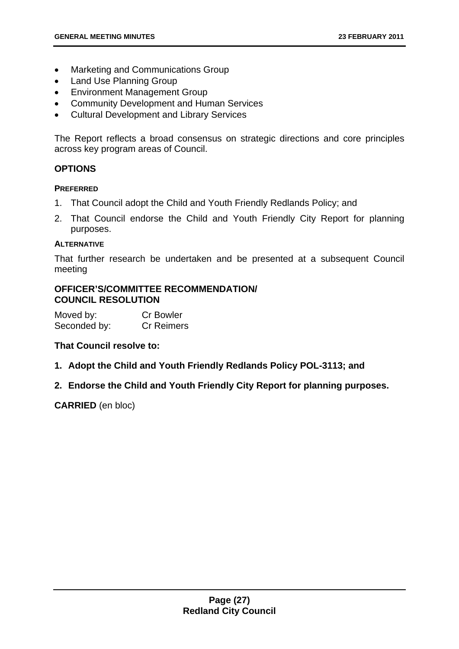- Marketing and Communications Group
- Land Use Planning Group
- Environment Management Group
- Community Development and Human Services
- Cultural Development and Library Services

The Report reflects a broad consensus on strategic directions and core principles across key program areas of Council.

#### **OPTIONS**

#### **PREFERRED**

- 1. That Council adopt the Child and Youth Friendly Redlands Policy; and
- 2. That Council endorse the Child and Youth Friendly City Report for planning purposes.

#### **ALTERNATIVE**

That further research be undertaken and be presented at a subsequent Council meeting

#### **OFFICER'S/COMMITTEE RECOMMENDATION/ COUNCIL RESOLUTION**

| Moved by:    | <b>Cr Bowler</b>  |
|--------------|-------------------|
| Seconded by: | <b>Cr Reimers</b> |

#### **That Council resolve to:**

- **1. Adopt the Child and Youth Friendly Redlands Policy POL-3113; and**
- **2. Endorse the Child and Youth Friendly City Report for planning purposes.**

**CARRIED** (en bloc)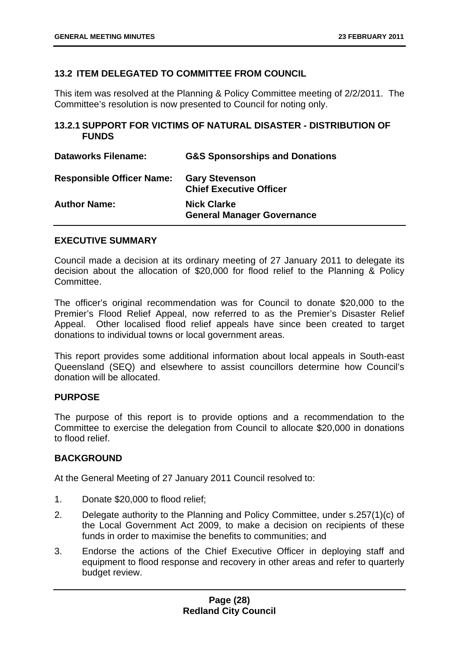#### <span id="page-28-0"></span>**13.2 ITEM DELEGATED TO COMMITTEE FROM COUNCIL**

This item was resolved at the Planning & Policy Committee meeting of 2/2/2011. The Committee's resolution is now presented to Council for noting only.

#### <span id="page-28-1"></span>**13.2.1 SUPPORT FOR VICTIMS OF NATURAL DISASTER - DISTRIBUTION OF FUNDS**

| <b>Dataworks Filename:</b>       | <b>G&amp;S Sponsorships and Donations</b>               |
|----------------------------------|---------------------------------------------------------|
| <b>Responsible Officer Name:</b> | <b>Gary Stevenson</b><br><b>Chief Executive Officer</b> |
| <b>Author Name:</b>              | <b>Nick Clarke</b><br><b>General Manager Governance</b> |

#### **EXECUTIVE SUMMARY**

Council made a decision at its ordinary meeting of 27 January 2011 to delegate its decision about the allocation of \$20,000 for flood relief to the Planning & Policy Committee.

The officer's original recommendation was for Council to donate \$20,000 to the Premier's Flood Relief Appeal, now referred to as the Premier's Disaster Relief Appeal. Other localised flood relief appeals have since been created to target donations to individual towns or local government areas.

This report provides some additional information about local appeals in South-east Queensland (SEQ) and elsewhere to assist councillors determine how Council's donation will be allocated.

#### **PURPOSE**

The purpose of this report is to provide options and a recommendation to the Committee to exercise the delegation from Council to allocate \$20,000 in donations to flood relief.

#### **BACKGROUND**

At the General Meeting of 27 January 2011 Council resolved to:

- 1. Donate \$20,000 to flood relief;
- 2. Delegate authority to the Planning and Policy Committee, under s.257(1)(c) of the Local Government Act 2009, to make a decision on recipients of these funds in order to maximise the benefits to communities; and
- 3. Endorse the actions of the Chief Executive Officer in deploying staff and equipment to flood response and recovery in other areas and refer to quarterly budget review.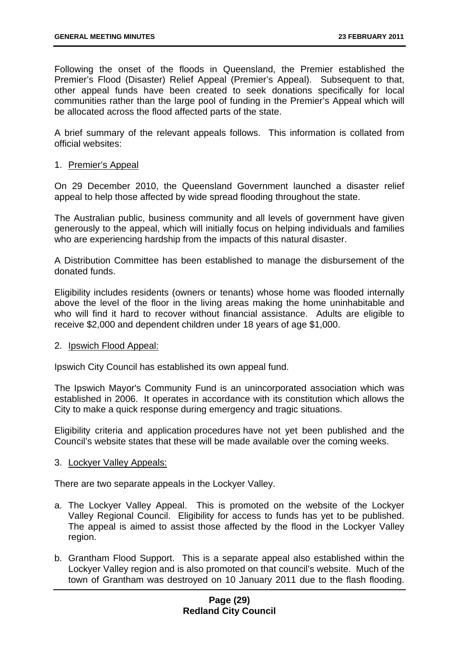Following the onset of the floods in Queensland, the Premier established the Premier's Flood (Disaster) Relief Appeal (Premier's Appeal). Subsequent to that, other appeal funds have been created to seek donations specifically for local communities rather than the large pool of funding in the Premier's Appeal which will be allocated across the flood affected parts of the state.

A brief summary of the relevant appeals follows. This information is collated from official websites:

#### 1. Premier's Appeal

On 29 December 2010, the Queensland Government launched a [disaster relief](http://www.thepremier.qld.gov.au/initiatives/disaster_recovery/index.aspx)  [appeal](http://www.thepremier.qld.gov.au/initiatives/disaster_recovery/index.aspx) to help those affected by wide spread flooding throughout the state.

The Australian public, business community and all levels of government have given generously to the appeal, which will initially focus on helping individuals and families who are experiencing hardship from the impacts of this natural disaster.

A Distribution Committee has been established to manage the disbursement of the donated funds.

Eligibility includes residents (owners or tenants) whose home was flooded internally above the level of the floor in the living areas making the home uninhabitable and who will find it hard to recover without financial assistance. Adults are eligible to receive \$2,000 and dependent children under 18 years of age \$1,000.

#### 2. Ipswich Flood Appeal:

Ipswich City Council has established its own appeal fund.

The Ipswich Mayor's Community Fund is an unincorporated association which was established in 2006. It operates in accordance with its constitution which allows the City to make a quick response during emergency and tragic situations.

Eligibility criteria and application procedures have not yet been published and the Council's website states that these will be made available over the coming weeks.

#### 3. Lockyer Valley Appeals:

There are two separate appeals in the Lockyer Valley.

- a. The Lockyer Valley Appeal. This is promoted on the website of the Lockyer Valley Regional Council. Eligibility for access to funds has yet to be published. The appeal is aimed to assist those affected by the flood in the Lockyer Valley region.
- b. Grantham Flood Support. This is a separate appeal also established within the Lockyer Valley region and is also promoted on that council's website. Much of the town of Grantham was destroyed on 10 January 2011 due to the flash flooding.

#### **Page (29) Redland City Council**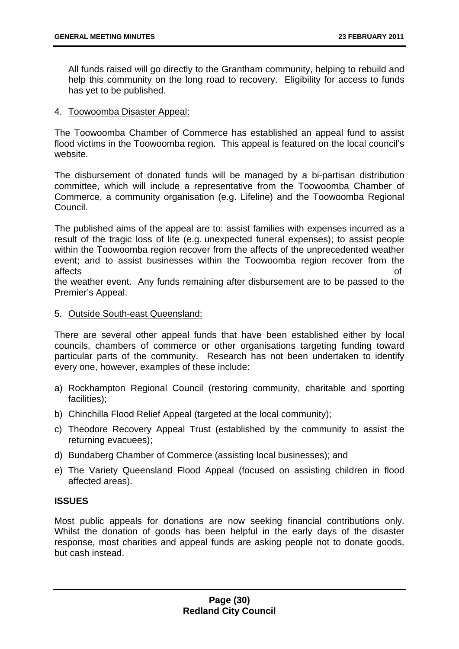All funds raised will go directly to the Grantham community, helping to rebuild and help this community on the long road to recovery. Eligibility for access to funds has yet to be published.

#### 4. Toowoomba Disaster Appeal:

The Toowoomba Chamber of Commerce has established an appeal fund to assist flood victims in the Toowoomba region. This appeal is featured on the local council's website.

The disbursement of donated funds will be managed by a bi-partisan distribution committee, which will include a representative from the Toowoomba Chamber of Commerce, a community organisation (e.g. Lifeline) and the Toowoomba Regional Council.

The published aims of the appeal are to: assist families with expenses incurred as a result of the tragic loss of life (e.g. unexpected funeral expenses); to assist people within the Toowoomba region recover from the affects of the unprecedented weather event; and to assist businesses within the Toowoomba region recover from the affects of

the weather event. Any funds remaining after disbursement are to be passed to the Premier's Appeal.

#### 5. Outside South-east Queensland:

There are several other appeal funds that have been established either by local councils, chambers of commerce or other organisations targeting funding toward particular parts of the community. Research has not been undertaken to identify every one, however, examples of these include:

- a) Rockhampton Regional Council (restoring community, charitable and sporting facilities);
- b) Chinchilla Flood Relief Appeal (targeted at the local community);
- c) Theodore Recovery Appeal Trust (established by the community to assist the returning evacuees);
- d) Bundaberg Chamber of Commerce (assisting local businesses); and
- e) The Variety Queensland Flood Appeal (focused on assisting children in flood affected areas).

#### **ISSUES**

Most public appeals for donations are now seeking financial contributions only. Whilst the donation of goods has been helpful in the early days of the disaster response, most charities and appeal funds are asking people not to donate goods, but cash instead.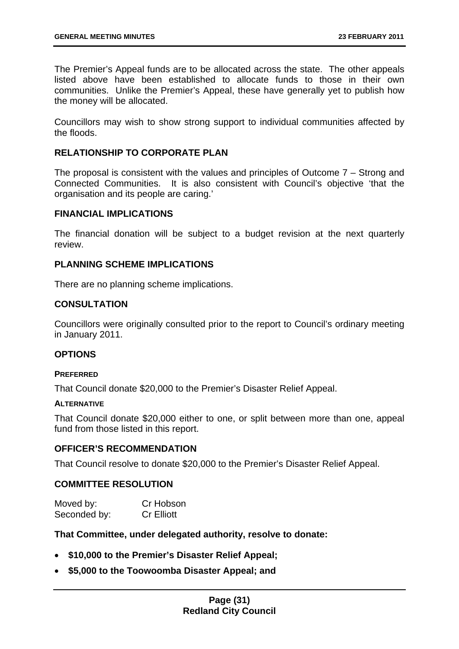The Premier's Appeal funds are to be allocated across the state. The other appeals listed above have been established to allocate funds to those in their own communities. Unlike the Premier's Appeal, these have generally yet to publish how the money will be allocated.

Councillors may wish to show strong support to individual communities affected by the floods.

#### **RELATIONSHIP TO CORPORATE PLAN**

The proposal is consistent with the values and principles of Outcome 7 – Strong and Connected Communities. It is also consistent with Council's objective 'that the organisation and its people are caring.'

#### **FINANCIAL IMPLICATIONS**

The financial donation will be subject to a budget revision at the next quarterly review.

#### **PLANNING SCHEME IMPLICATIONS**

There are no planning scheme implications.

#### **CONSULTATION**

Councillors were originally consulted prior to the report to Council's ordinary meeting in January 2011.

#### **OPTIONS**

#### **PREFERRED**

That Council donate \$20,000 to the Premier's Disaster Relief Appeal.

#### **ALTERNATIVE**

That Council donate \$20,000 either to one, or split between more than one, appeal fund from those listed in this report.

#### **OFFICER'S RECOMMENDATION**

That Council resolve to donate \$20,000 to the Premier's Disaster Relief Appeal.

#### **COMMITTEE RESOLUTION**

| Moved by:    | Cr Hobson         |
|--------------|-------------------|
| Seconded by: | <b>Cr Elliott</b> |

#### **That Committee, under delegated authority, resolve to donate:**

- **\$10,000 to the Premier's Disaster Relief Appeal;**
- **\$5,000 to the Toowoomba Disaster Appeal; and**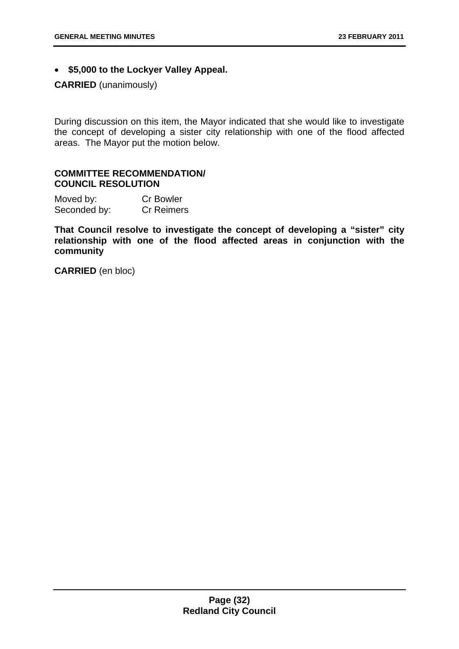• **\$5,000 to the Lockyer Valley Appeal.** 

#### **CARRIED** (unanimously)

During discussion on this item, the Mayor indicated that she would like to investigate the concept of developing a sister city relationship with one of the flood affected areas. The Mayor put the motion below.

#### **COMMITTEE RECOMMENDATION/ COUNCIL RESOLUTION**

| Moved by:    | <b>Cr Bowler</b>  |
|--------------|-------------------|
| Seconded by: | <b>Cr Reimers</b> |

**That Council resolve to investigate the concept of developing a "sister" city relationship with one of the flood affected areas in conjunction with the community** 

**CARRIED** (en bloc)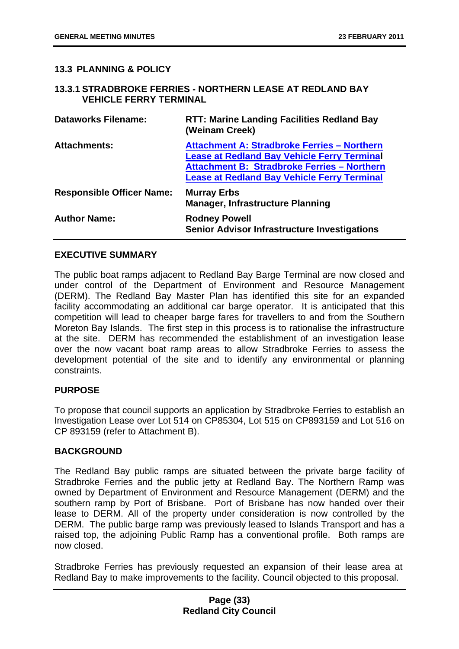#### <span id="page-33-0"></span>**13.3 PLANNING & POLICY**

#### <span id="page-33-1"></span>**13.3.1 STRADBROKE FERRIES - NORTHERN LEASE AT REDLAND BAY VEHICLE FERRY TERMINAL**

| <b>Dataworks Filename:</b>       | <b>RTT: Marine Landing Facilities Redland Bay</b><br>(Weinam Creek)                                                                                                                                                  |
|----------------------------------|----------------------------------------------------------------------------------------------------------------------------------------------------------------------------------------------------------------------|
| <b>Attachments:</b>              | <b>Attachment A: Stradbroke Ferries - Northern</b><br><b>Lease at Redland Bay Vehicle Ferry Terminal</b><br><b>Attachment B: Stradbroke Ferries - Northern</b><br><b>Lease at Redland Bay Vehicle Ferry Terminal</b> |
| <b>Responsible Officer Name:</b> | <b>Murray Erbs</b><br><b>Manager, Infrastructure Planning</b>                                                                                                                                                        |
| <b>Author Name:</b>              | <b>Rodney Powell</b><br><b>Senior Advisor Infrastructure Investigations</b>                                                                                                                                          |

#### **EXECUTIVE SUMMARY**

The public boat ramps adjacent to Redland Bay Barge Terminal are now closed and under control of the Department of Environment and Resource Management (DERM). The Redland Bay Master Plan has identified this site for an expanded facility accommodating an additional car barge operator. It is anticipated that this competition will lead to cheaper barge fares for travellers to and from the Southern Moreton Bay Islands. The first step in this process is to rationalise the infrastructure at the site. DERM has recommended the establishment of an investigation lease over the now vacant boat ramp areas to allow Stradbroke Ferries to assess the development potential of the site and to identify any environmental or planning constraints.

#### **PURPOSE**

To propose that council supports an application by Stradbroke Ferries to establish an Investigation Lease over Lot 514 on CP85304, Lot 515 on CP893159 and Lot 516 on CP 893159 (refer to Attachment B).

#### **BACKGROUND**

The Redland Bay public ramps are situated between the private barge facility of Stradbroke Ferries and the public jetty at Redland Bay. The Northern Ramp was owned by Department of Environment and Resource Management (DERM) and the southern ramp by Port of Brisbane. Port of Brisbane has now handed over their lease to DERM. All of the property under consideration is now controlled by the DERM. The public barge ramp was previously leased to Islands Transport and has a raised top, the adjoining Public Ramp has a conventional profile. Both ramps are now closed.

Stradbroke Ferries has previously requested an expansion of their lease area at Redland Bay to make improvements to the facility. Council objected to this proposal.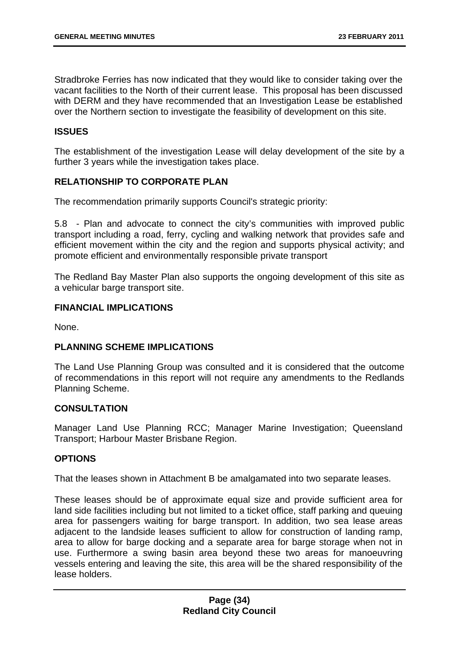Stradbroke Ferries has now indicated that they would like to consider taking over the vacant facilities to the North of their current lease. This proposal has been discussed with DERM and they have recommended that an Investigation Lease be established over the Northern section to investigate the feasibility of development on this site.

#### **ISSUES**

The establishment of the investigation Lease will delay development of the site by a further 3 years while the investigation takes place.

#### **RELATIONSHIP TO CORPORATE PLAN**

The recommendation primarily supports Council's strategic priority:

5.8 - Plan and advocate to connect the city's communities with improved public transport including a road, ferry, cycling and walking network that provides safe and efficient movement within the city and the region and supports physical activity; and promote efficient and environmentally responsible private transport

The Redland Bay Master Plan also supports the ongoing development of this site as a vehicular barge transport site.

#### **FINANCIAL IMPLICATIONS**

None.

#### **PLANNING SCHEME IMPLICATIONS**

The Land Use Planning Group was consulted and it is considered that the outcome of recommendations in this report will not require any amendments to the Redlands Planning Scheme.

#### **CONSULTATION**

Manager Land Use Planning RCC; Manager Marine Investigation; Queensland Transport; Harbour Master Brisbane Region.

#### **OPTIONS**

That the leases shown in Attachment B be amalgamated into two separate leases.

These leases should be of approximate equal size and provide sufficient area for land side facilities including but not limited to a ticket office, staff parking and queuing area for passengers waiting for barge transport. In addition, two sea lease areas adjacent to the landside leases sufficient to allow for construction of landing ramp, area to allow for barge docking and a separate area for barge storage when not in use. Furthermore a swing basin area beyond these two areas for manoeuvring vessels entering and leaving the site, this area will be the shared responsibility of the lease holders.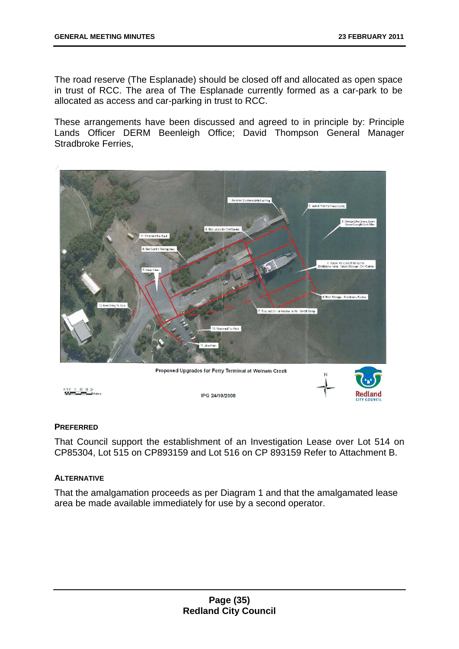The road reserve (The Esplanade) should be closed off and allocated as open space in trust of RCC. The area of The Esplanade currently formed as a car-park to be allocated as access and car-parking in trust to RCC.

These arrangements have been discussed and agreed to in principle by: Principle Lands Officer DERM Beenleigh Office; David Thompson General Manager Stradbroke Ferries,



#### **PREFERRED**

That Council support the establishment of an Investigation Lease over Lot 514 on CP85304, Lot 515 on CP893159 and Lot 516 on CP 893159 Refer to Attachment B.

#### **ALTERNATIVE**

That the amalgamation proceeds as per Diagram 1 and that the amalgamated lease area be made available immediately for use by a second operator.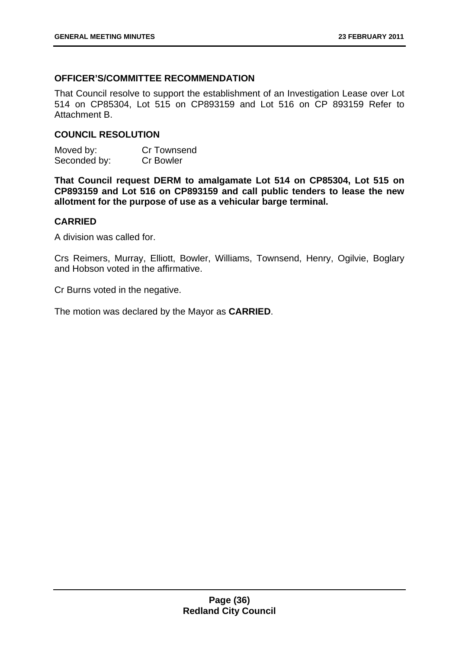## **OFFICER'S/COMMITTEE RECOMMENDATION**

That Council resolve to support the establishment of an Investigation Lease over Lot 514 on CP85304, Lot 515 on CP893159 and Lot 516 on CP 893159 Refer to Attachment B.

### **COUNCIL RESOLUTION**

| Moved by:    | Cr Townsend      |
|--------------|------------------|
| Seconded by: | <b>Cr Bowler</b> |

**That Council request DERM to amalgamate Lot 514 on CP85304, Lot 515 on CP893159 and Lot 516 on CP893159 and call public tenders to lease the new allotment for the purpose of use as a vehicular barge terminal.** 

### **CARRIED**

A division was called for.

Crs Reimers, Murray, Elliott, Bowler, Williams, Townsend, Henry, Ogilvie, Boglary and Hobson voted in the affirmative.

Cr Burns voted in the negative.

The motion was declared by the Mayor as **CARRIED**.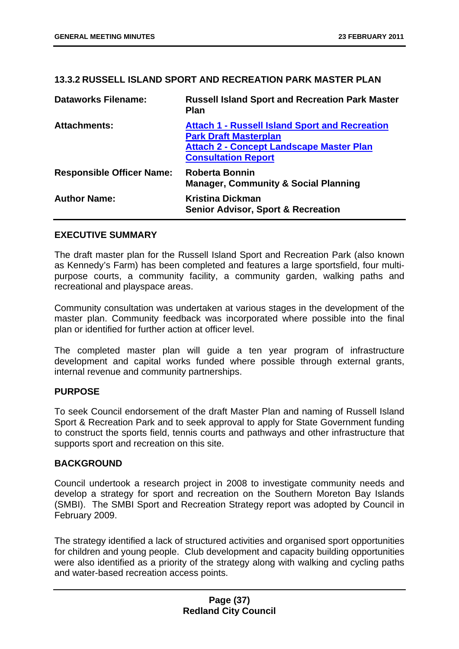### **13.3.2 RUSSELL ISLAND SPORT AND RECREATION PARK MASTER PLAN**

| <b>Dataworks Filename:</b>       | <b>Russell Island Sport and Recreation Park Master</b><br><b>Plan</b>                                                                                                  |
|----------------------------------|------------------------------------------------------------------------------------------------------------------------------------------------------------------------|
| <b>Attachments:</b>              | <b>Attach 1 - Russell Island Sport and Recreation</b><br><b>Park Draft Masterplan</b><br><b>Attach 2 - Concept Landscape Master Plan</b><br><b>Consultation Report</b> |
| <b>Responsible Officer Name:</b> | <b>Roberta Bonnin</b><br><b>Manager, Community &amp; Social Planning</b>                                                                                               |
| <b>Author Name:</b>              | <b>Kristina Dickman</b><br><b>Senior Advisor, Sport &amp; Recreation</b>                                                                                               |

## **EXECUTIVE SUMMARY**

The draft master plan for the Russell Island Sport and Recreation Park (also known as Kennedy's Farm) has been completed and features a large sportsfield, four multipurpose courts, a community facility, a community garden, walking paths and recreational and playspace areas.

Community consultation was undertaken at various stages in the development of the master plan. Community feedback was incorporated where possible into the final plan or identified for further action at officer level.

The completed master plan will guide a ten year program of infrastructure development and capital works funded where possible through external grants, internal revenue and community partnerships.

### **PURPOSE**

To seek Council endorsement of the draft Master Plan and naming of Russell Island Sport & Recreation Park and to seek approval to apply for State Government funding to construct the sports field, tennis courts and pathways and other infrastructure that supports sport and recreation on this site.

### **BACKGROUND**

Council undertook a research project in 2008 to investigate community needs and develop a strategy for sport and recreation on the Southern Moreton Bay Islands (SMBI). The SMBI Sport and Recreation Strategy report was adopted by Council in February 2009.

The strategy identified a lack of structured activities and organised sport opportunities for children and young people. Club development and capacity building opportunities were also identified as a priority of the strategy along with walking and cycling paths and water-based recreation access points.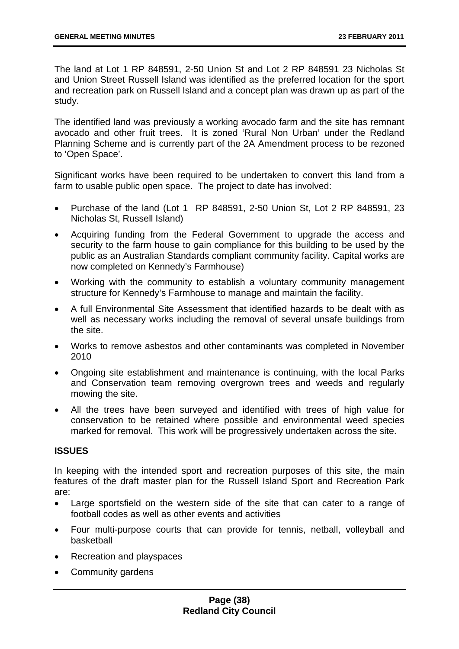The land at Lot 1 RP 848591, 2-50 Union St and Lot 2 RP 848591 23 Nicholas St and Union Street Russell Island was identified as the preferred location for the sport and recreation park on Russell Island and a concept plan was drawn up as part of the study.

The identified land was previously a working avocado farm and the site has remnant avocado and other fruit trees. It is zoned 'Rural Non Urban' under the Redland Planning Scheme and is currently part of the 2A Amendment process to be rezoned to 'Open Space'.

Significant works have been required to be undertaken to convert this land from a farm to usable public open space. The project to date has involved:

- Purchase of the land (Lot 1 RP 848591, 2-50 Union St, Lot 2 RP 848591, 23 Nicholas St, Russell Island)
- Acquiring funding from the Federal Government to upgrade the access and security to the farm house to gain compliance for this building to be used by the public as an Australian Standards compliant community facility. Capital works are now completed on Kennedy's Farmhouse)
- Working with the community to establish a voluntary community management structure for Kennedy's Farmhouse to manage and maintain the facility.
- A full Environmental Site Assessment that identified hazards to be dealt with as well as necessary works including the removal of several unsafe buildings from the site.
- Works to remove asbestos and other contaminants was completed in November 2010
- Ongoing site establishment and maintenance is continuing, with the local Parks and Conservation team removing overgrown trees and weeds and regularly mowing the site.
- All the trees have been surveyed and identified with trees of high value for conservation to be retained where possible and environmental weed species marked for removal. This work will be progressively undertaken across the site.

## **ISSUES**

In keeping with the intended sport and recreation purposes of this site, the main features of the draft master plan for the Russell Island Sport and Recreation Park are:

- Large sportsfield on the western side of the site that can cater to a range of football codes as well as other events and activities
- Four multi-purpose courts that can provide for tennis, netball, volleyball and basketball
- Recreation and playspaces
- Community gardens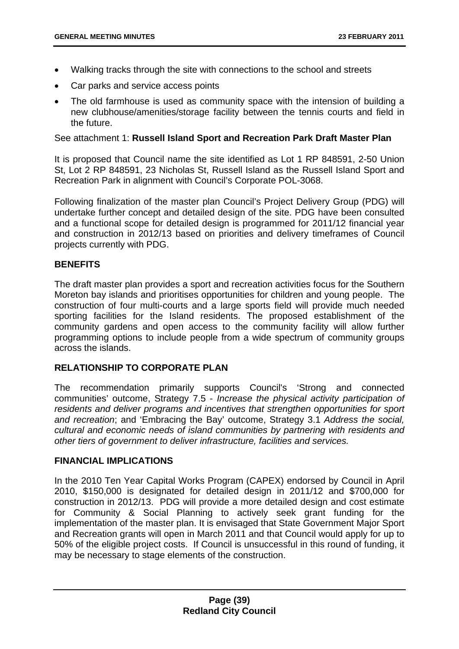- Walking tracks through the site with connections to the school and streets
- Car parks and service access points
- The old farmhouse is used as community space with the intension of building a new clubhouse/amenities/storage facility between the tennis courts and field in the future.

## See attachment 1: **Russell Island Sport and Recreation Park Draft Master Plan**

It is proposed that Council name the site identified as Lot 1 RP 848591, 2-50 Union St, Lot 2 RP 848591, 23 Nicholas St, Russell Island as the Russell Island Sport and Recreation Park in alignment with Council's Corporate POL-3068.

Following finalization of the master plan Council's Project Delivery Group (PDG) will undertake further concept and detailed design of the site. PDG have been consulted and a functional scope for detailed design is programmed for 2011/12 financial year and construction in 2012/13 based on priorities and delivery timeframes of Council projects currently with PDG.

## **BENEFITS**

The draft master plan provides a sport and recreation activities focus for the Southern Moreton bay islands and prioritises opportunities for children and young people. The construction of four multi-courts and a large sports field will provide much needed sporting facilities for the Island residents. The proposed establishment of the community gardens and open access to the community facility will allow further programming options to include people from a wide spectrum of community groups across the islands.

## **RELATIONSHIP TO CORPORATE PLAN**

The recommendation primarily supports Council's 'Strong and connected communities' outcome, Strategy 7.5 - *Increase the physical activity participation of residents and deliver programs and incentives that strengthen opportunities for sport and recreation*; and 'Embracing the Bay' outcome, Strategy 3.1 *Address the social, cultural and economic needs of island communities by partnering with residents and other tiers of government to deliver infrastructure, facilities and services.* 

### **FINANCIAL IMPLICATIONS**

In the 2010 Ten Year Capital Works Program (CAPEX) endorsed by Council in April 2010, \$150,000 is designated for detailed design in 2011/12 and \$700,000 for construction in 2012/13. PDG will provide a more detailed design and cost estimate for Community & Social Planning to actively seek grant funding for the implementation of the master plan. It is envisaged that State Government Major Sport and Recreation grants will open in March 2011 and that Council would apply for up to 50% of the eligible project costs. If Council is unsuccessful in this round of funding, it may be necessary to stage elements of the construction.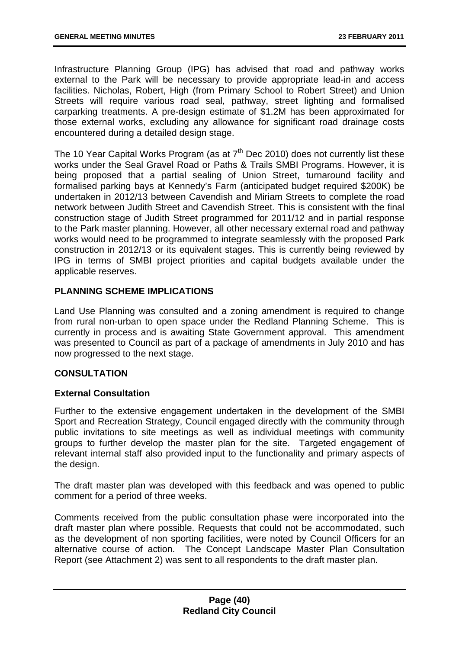Infrastructure Planning Group (IPG) has advised that road and pathway works external to the Park will be necessary to provide appropriate lead-in and access facilities. Nicholas, Robert, High (from Primary School to Robert Street) and Union Streets will require various road seal, pathway, street lighting and formalised carparking treatments. A pre-design estimate of \$1.2M has been approximated for those external works, excluding any allowance for significant road drainage costs encountered during a detailed design stage.

The 10 Year Capital Works Program (as at  $7<sup>th</sup>$  Dec 2010) does not currently list these works under the Seal Gravel Road or Paths & Trails SMBI Programs. However, it is being proposed that a partial sealing of Union Street, turnaround facility and formalised parking bays at Kennedy's Farm (anticipated budget required \$200K) be undertaken in 2012/13 between Cavendish and Miriam Streets to complete the road network between Judith Street and Cavendish Street. This is consistent with the final construction stage of Judith Street programmed for 2011/12 and in partial response to the Park master planning. However, all other necessary external road and pathway works would need to be programmed to integrate seamlessly with the proposed Park construction in 2012/13 or its equivalent stages. This is currently being reviewed by IPG in terms of SMBI project priorities and capital budgets available under the applicable reserves.

## **PLANNING SCHEME IMPLICATIONS**

Land Use Planning was consulted and a zoning amendment is required to change from rural non-urban to open space under the Redland Planning Scheme. This is currently in process and is awaiting State Government approval. This amendment was presented to Council as part of a package of amendments in July 2010 and has now progressed to the next stage.

## **CONSULTATION**

### **External Consultation**

Further to the extensive engagement undertaken in the development of the SMBI Sport and Recreation Strategy, Council engaged directly with the community through public invitations to site meetings as well as individual meetings with community groups to further develop the master plan for the site. Targeted engagement of relevant internal staff also provided input to the functionality and primary aspects of the design.

The draft master plan was developed with this feedback and was opened to public comment for a period of three weeks.

Comments received from the public consultation phase were incorporated into the draft master plan where possible. Requests that could not be accommodated, such as the development of non sporting facilities, were noted by Council Officers for an alternative course of action. The Concept Landscape Master Plan Consultation Report (see Attachment 2) was sent to all respondents to the draft master plan.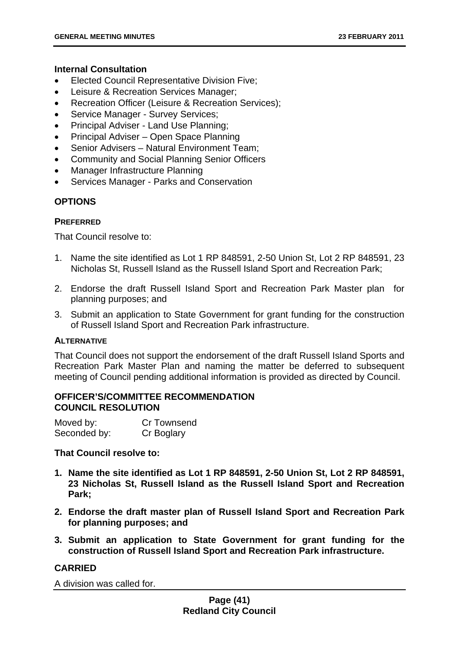## **Internal Consultation**

- Elected Council Representative Division Five;
- Leisure & Recreation Services Manager;
- Recreation Officer (Leisure & Recreation Services);
- Service Manager Survey Services:
- Principal Adviser Land Use Planning;
- Principal Adviser Open Space Planning
- Senior Advisers Natural Environment Team;
- Community and Social Planning Senior Officers
- Manager Infrastructure Planning
- Services Manager Parks and Conservation

# **OPTIONS**

## **PREFERRED**

That Council resolve to:

- 1. Name the site identified as Lot 1 RP 848591, 2-50 Union St, Lot 2 RP 848591, 23 Nicholas St, Russell Island as the Russell Island Sport and Recreation Park;
- 2. Endorse the draft Russell Island Sport and Recreation Park Master plan for planning purposes; and
- 3. Submit an application to State Government for grant funding for the construction of Russell Island Sport and Recreation Park infrastructure.

## **ALTERNATIVE**

That Council does not support the endorsement of the draft Russell Island Sports and Recreation Park Master Plan and naming the matter be deferred to subsequent meeting of Council pending additional information is provided as directed by Council.

## **OFFICER'S/COMMITTEE RECOMMENDATION COUNCIL RESOLUTION**

| Moved by:    | Cr Townsend |
|--------------|-------------|
| Seconded by: | Cr Boglary  |

# **That Council resolve to:**

- **1. Name the site identified as Lot 1 RP 848591, 2-50 Union St, Lot 2 RP 848591, 23 Nicholas St, Russell Island as the Russell Island Sport and Recreation Park;**
- **2. Endorse the draft master plan of Russell Island Sport and Recreation Park for planning purposes; and**
- **3. Submit an application to State Government for grant funding for the construction of Russell Island Sport and Recreation Park infrastructure.**

## **CARRIED**

A division was called for.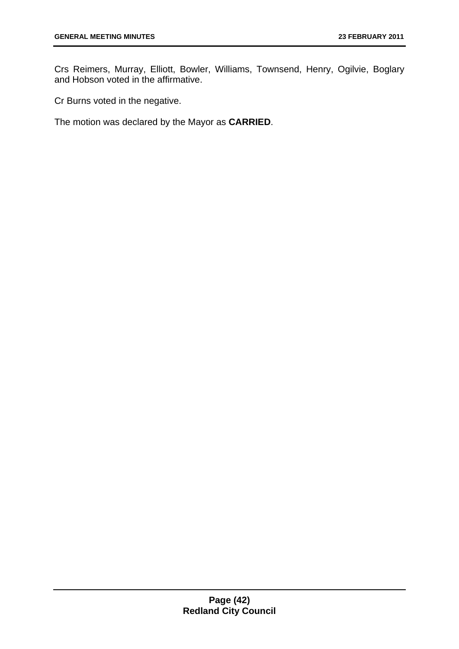Crs Reimers, Murray, Elliott, Bowler, Williams, Townsend, Henry, Ogilvie, Boglary and Hobson voted in the affirmative.

Cr Burns voted in the negative.

The motion was declared by the Mayor as **CARRIED**.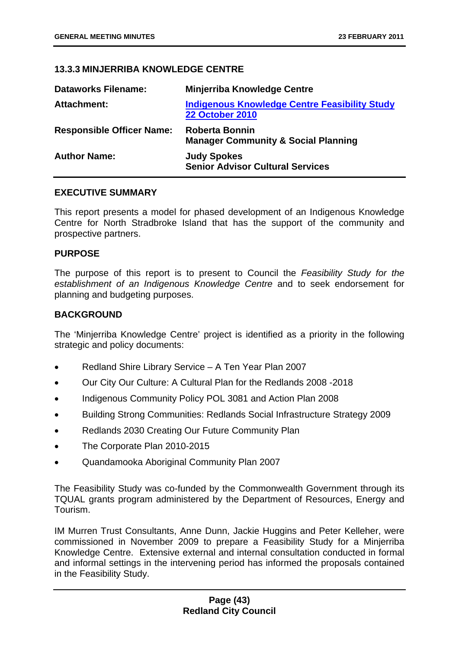# **13.3.3 MINJERRIBA KNOWLEDGE CENTRE**

| <b>Dataworks Filename:</b>       | <b>Minjerriba Knowledge Centre</b>                                             |
|----------------------------------|--------------------------------------------------------------------------------|
| Attachment:                      | <b>Indigenous Knowledge Centre Feasibility Study</b><br><b>22 October 2010</b> |
| <b>Responsible Officer Name:</b> | <b>Roberta Bonnin</b><br><b>Manager Community &amp; Social Planning</b>        |
| <b>Author Name:</b>              | <b>Judy Spokes</b><br><b>Senior Advisor Cultural Services</b>                  |

### **EXECUTIVE SUMMARY**

This report presents a model for phased development of an Indigenous Knowledge Centre for North Stradbroke Island that has the support of the community and prospective partners.

### **PURPOSE**

The purpose of this report is to present to Council the *Feasibility Study for the establishment of an Indigenous Knowledge Centre* and to seek endorsement for planning and budgeting purposes.

## **BACKGROUND**

The 'Minjerriba Knowledge Centre' project is identified as a priority in the following strategic and policy documents:

- Redland Shire Library Service A Ten Year Plan 2007
- Our City Our Culture: A Cultural Plan for the Redlands 2008 -2018
- Indigenous Community Policy POL 3081 and Action Plan 2008
- Building Strong Communities: Redlands Social Infrastructure Strategy 2009
- Redlands 2030 Creating Our Future Community Plan
- The Corporate Plan 2010-2015
- Quandamooka Aboriginal Community Plan 2007

The Feasibility Study was co-funded by the Commonwealth Government through its TQUAL grants program administered by the Department of Resources, Energy and Tourism.

IM Murren Trust Consultants, Anne Dunn, Jackie Huggins and Peter Kelleher, were commissioned in November 2009 to prepare a Feasibility Study for a Minjerriba Knowledge Centre. Extensive external and internal consultation conducted in formal and informal settings in the intervening period has informed the proposals contained in the Feasibility Study.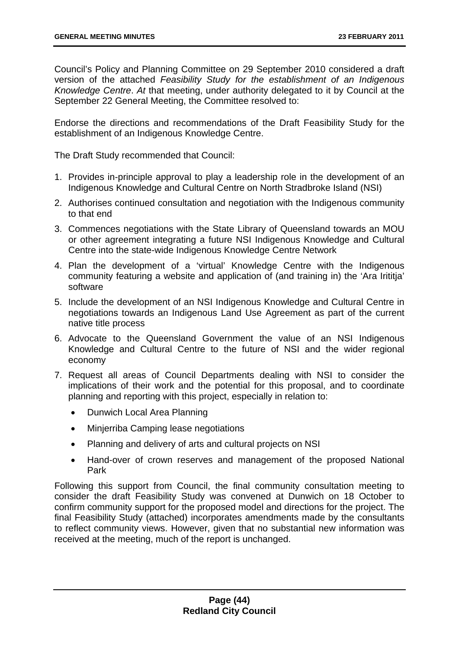Council's Policy and Planning Committee on 29 September 2010 considered a draft version of the attached *Feasibility Study for the establishment of an Indigenous Knowledge Centre*. *At* that meeting, under authority delegated to it by Council at the September 22 General Meeting, the Committee resolved to:

Endorse the directions and recommendations of the Draft Feasibility Study for the establishment of an Indigenous Knowledge Centre.

The Draft Study recommended that Council:

- 1. Provides in-principle approval to play a leadership role in the development of an Indigenous Knowledge and Cultural Centre on North Stradbroke Island (NSI)
- 2. Authorises continued consultation and negotiation with the Indigenous community to that end
- 3. Commences negotiations with the State Library of Queensland towards an MOU or other agreement integrating a future NSI Indigenous Knowledge and Cultural Centre into the state-wide Indigenous Knowledge Centre Network
- 4. Plan the development of a 'virtual' Knowledge Centre with the Indigenous community featuring a website and application of (and training in) the 'Ara Irititja' software
- 5. Include the development of an NSI Indigenous Knowledge and Cultural Centre in negotiations towards an Indigenous Land Use Agreement as part of the current native title process
- 6. Advocate to the Queensland Government the value of an NSI Indigenous Knowledge and Cultural Centre to the future of NSI and the wider regional economy
- 7. Request all areas of Council Departments dealing with NSI to consider the implications of their work and the potential for this proposal, and to coordinate planning and reporting with this project, especially in relation to:
	- Dunwich Local Area Planning
	- Minjerriba Camping lease negotiations
	- Planning and delivery of arts and cultural projects on NSI
	- Hand-over of crown reserves and management of the proposed National Park

Following this support from Council, the final community consultation meeting to consider the draft Feasibility Study was convened at Dunwich on 18 October to confirm community support for the proposed model and directions for the project. The final Feasibility Study (attached) incorporates amendments made by the consultants to reflect community views. However, given that no substantial new information was received at the meeting, much of the report is unchanged.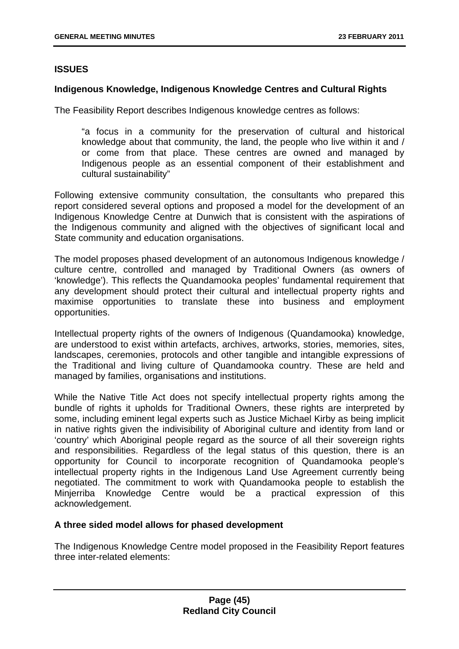## **ISSUES**

#### **Indigenous Knowledge, Indigenous Knowledge Centres and Cultural Rights**

The Feasibility Report describes Indigenous knowledge centres as follows:

"a focus in a community for the preservation of cultural and historical knowledge about that community, the land, the people who live within it and / or come from that place. These centres are owned and managed by Indigenous people as an essential component of their establishment and cultural sustainability"

Following extensive community consultation, the consultants who prepared this report considered several options and proposed a model for the development of an Indigenous Knowledge Centre at Dunwich that is consistent with the aspirations of the Indigenous community and aligned with the objectives of significant local and State community and education organisations.

The model proposes phased development of an autonomous Indigenous knowledge / culture centre, controlled and managed by Traditional Owners (as owners of 'knowledge'). This reflects the Quandamooka peoples' fundamental requirement that any development should protect their cultural and intellectual property rights and maximise opportunities to translate these into business and employment opportunities.

Intellectual property rights of the owners of Indigenous (Quandamooka) knowledge, are understood to exist within artefacts, archives, artworks, stories, memories, sites, landscapes, ceremonies, protocols and other tangible and intangible expressions of the Traditional and living culture of Quandamooka country. These are held and managed by families, organisations and institutions.

While the Native Title Act does not specify intellectual property rights among the bundle of rights it upholds for Traditional Owners, these rights are interpreted by some, including eminent legal experts such as Justice Michael Kirby as being implicit in native rights given the indivisibility of Aboriginal culture and identity from land or 'country' which Aboriginal people regard as the source of all their sovereign rights and responsibilities. Regardless of the legal status of this question, there is an opportunity for Council to incorporate recognition of Quandamooka people's intellectual property rights in the Indigenous Land Use Agreement currently being negotiated. The commitment to work with Quandamooka people to establish the Minjerriba Knowledge Centre would be a practical expression of this acknowledgement.

### **A three sided model allows for phased development**

The Indigenous Knowledge Centre model proposed in the Feasibility Report features three inter-related elements: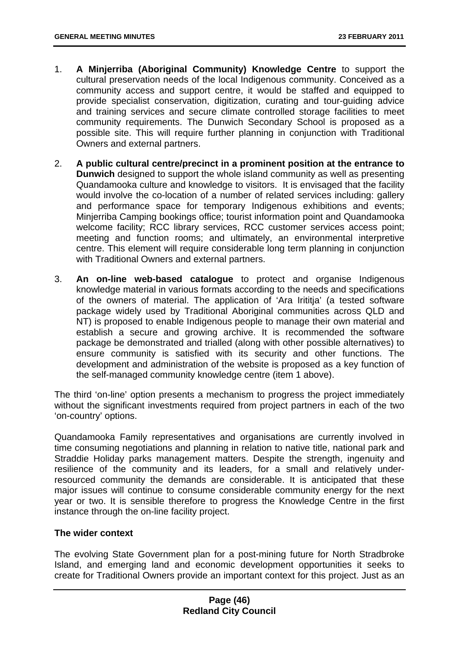- 1. **A Minjerriba (Aboriginal Community) Knowledge Centre** to support the cultural preservation needs of the local Indigenous community. Conceived as a community access and support centre, it would be staffed and equipped to provide specialist conservation, digitization, curating and tour-guiding advice and training services and secure climate controlled storage facilities to meet community requirements. The Dunwich Secondary School is proposed as a possible site. This will require further planning in conjunction with Traditional Owners and external partners.
- 2. **A public cultural centre/precinct in a prominent position at the entrance to Dunwich** designed to support the whole island community as well as presenting Quandamooka culture and knowledge to visitors. It is envisaged that the facility would involve the co-location of a number of related services including: gallery and performance space for temporary Indigenous exhibitions and events; Minjerriba Camping bookings office; tourist information point and Quandamooka welcome facility; RCC library services, RCC customer services access point; meeting and function rooms; and ultimately, an environmental interpretive centre. This element will require considerable long term planning in conjunction with Traditional Owners and external partners.
- 3. **An on-line web-based catalogue** to protect and organise Indigenous knowledge material in various formats according to the needs and specifications of the owners of material. The application of 'Ara Irititja' (a tested software package widely used by Traditional Aboriginal communities across QLD and NT) is proposed to enable Indigenous people to manage their own material and establish a secure and growing archive. It is recommended the software package be demonstrated and trialled (along with other possible alternatives) to ensure community is satisfied with its security and other functions. The development and administration of the website is proposed as a key function of the self-managed community knowledge centre (item 1 above).

The third 'on-line' option presents a mechanism to progress the project immediately without the significant investments required from project partners in each of the two 'on-country' options.

Quandamooka Family representatives and organisations are currently involved in time consuming negotiations and planning in relation to native title, national park and Straddie Holiday parks management matters. Despite the strength, ingenuity and resilience of the community and its leaders, for a small and relatively underresourced community the demands are considerable. It is anticipated that these major issues will continue to consume considerable community energy for the next year or two. It is sensible therefore to progress the Knowledge Centre in the first instance through the on-line facility project.

## **The wider context**

The evolving State Government plan for a post-mining future for North Stradbroke Island, and emerging land and economic development opportunities it seeks to create for Traditional Owners provide an important context for this project. Just as an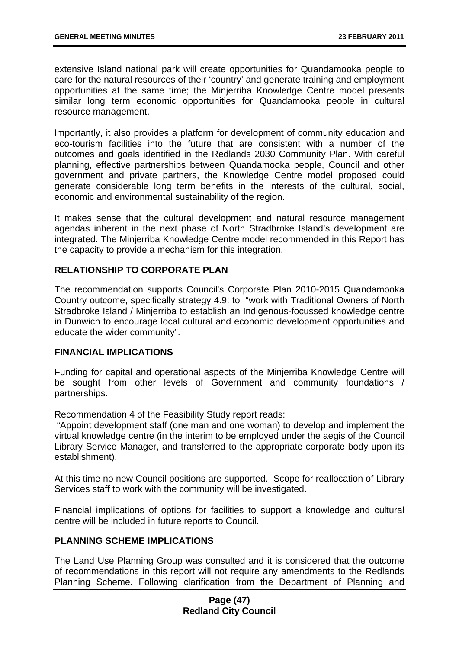extensive Island national park will create opportunities for Quandamooka people to care for the natural resources of their 'country' and generate training and employment opportunities at the same time; the Minjerriba Knowledge Centre model presents similar long term economic opportunities for Quandamooka people in cultural resource management.

Importantly, it also provides a platform for development of community education and eco-tourism facilities into the future that are consistent with a number of the outcomes and goals identified in the Redlands 2030 Community Plan. With careful planning, effective partnerships between Quandamooka people, Council and other government and private partners, the Knowledge Centre model proposed could generate considerable long term benefits in the interests of the cultural, social, economic and environmental sustainability of the region.

It makes sense that the cultural development and natural resource management agendas inherent in the next phase of North Stradbroke Island's development are integrated. The Minjerriba Knowledge Centre model recommended in this Report has the capacity to provide a mechanism for this integration.

## **RELATIONSHIP TO CORPORATE PLAN**

The recommendation supports Council's Corporate Plan 2010-2015 Quandamooka Country outcome, specifically strategy 4.9: to "work with Traditional Owners of North Stradbroke Island / Minjerriba to establish an Indigenous-focussed knowledge centre in Dunwich to encourage local cultural and economic development opportunities and educate the wider community".

### **FINANCIAL IMPLICATIONS**

Funding for capital and operational aspects of the Minjerriba Knowledge Centre will be sought from other levels of Government and community foundations / partnerships.

Recommendation 4 of the Feasibility Study report reads:

 "Appoint development staff (one man and one woman) to develop and implement the virtual knowledge centre (in the interim to be employed under the aegis of the Council Library Service Manager, and transferred to the appropriate corporate body upon its establishment).

At this time no new Council positions are supported. Scope for reallocation of Library Services staff to work with the community will be investigated.

Financial implications of options for facilities to support a knowledge and cultural centre will be included in future reports to Council.

### **PLANNING SCHEME IMPLICATIONS**

The Land Use Planning Group was consulted and it is considered that the outcome of recommendations in this report will not require any amendments to the Redlands Planning Scheme. Following clarification from the Department of Planning and

### **Page (47) Redland City Council**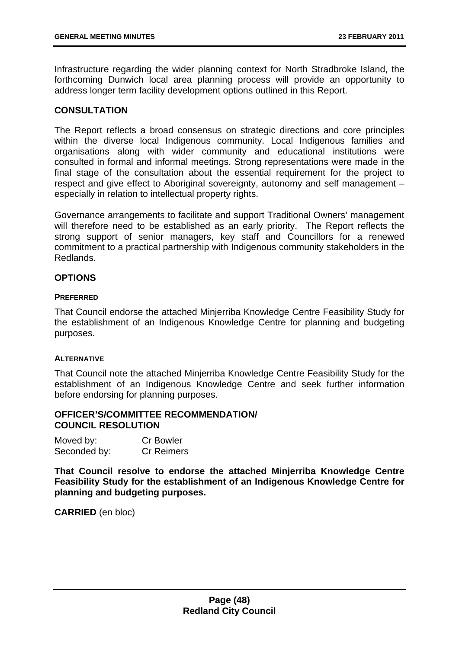Infrastructure regarding the wider planning context for North Stradbroke Island, the forthcoming Dunwich local area planning process will provide an opportunity to address longer term facility development options outlined in this Report.

## **CONSULTATION**

The Report reflects a broad consensus on strategic directions and core principles within the diverse local Indigenous community. Local Indigenous families and organisations along with wider community and educational institutions were consulted in formal and informal meetings. Strong representations were made in the final stage of the consultation about the essential requirement for the project to respect and give effect to Aboriginal sovereignty, autonomy and self management – especially in relation to intellectual property rights.

Governance arrangements to facilitate and support Traditional Owners' management will therefore need to be established as an early priority. The Report reflects the strong support of senior managers, key staff and Councillors for a renewed commitment to a practical partnership with Indigenous community stakeholders in the Redlands.

### **OPTIONS**

#### **PREFERRED**

That Council endorse the attached Minjerriba Knowledge Centre Feasibility Study for the establishment of an Indigenous Knowledge Centre for planning and budgeting purposes.

### **ALTERNATIVE**

That Council note the attached Minjerriba Knowledge Centre Feasibility Study for the establishment of an Indigenous Knowledge Centre and seek further information before endorsing for planning purposes.

### **OFFICER'S/COMMITTEE RECOMMENDATION/ COUNCIL RESOLUTION**

| Moved by:    | <b>Cr Bowler</b>  |
|--------------|-------------------|
| Seconded by: | <b>Cr Reimers</b> |

**That Council resolve to endorse the attached Minjerriba Knowledge Centre Feasibility Study for the establishment of an Indigenous Knowledge Centre for planning and budgeting purposes.**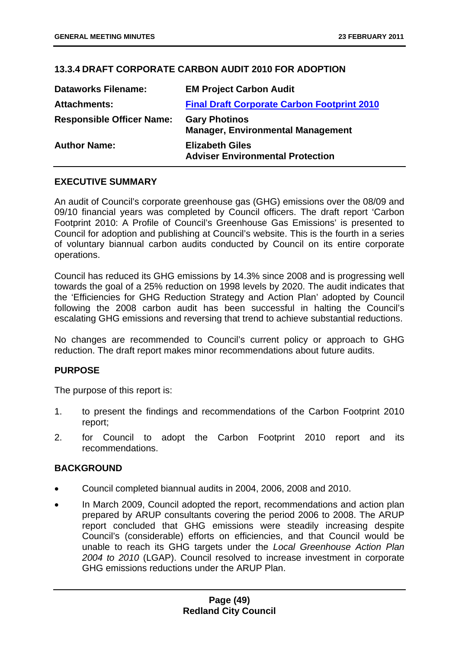# **13.3.4 DRAFT CORPORATE CARBON AUDIT 2010 FOR ADOPTION**

| <b>Dataworks Filename:</b>       | <b>EM Project Carbon Audit</b>                                    |
|----------------------------------|-------------------------------------------------------------------|
| <b>Attachments:</b>              | <b>Final Draft Corporate Carbon Footprint 2010</b>                |
| <b>Responsible Officer Name:</b> | <b>Gary Photinos</b><br><b>Manager, Environmental Management</b>  |
| <b>Author Name:</b>              | <b>Elizabeth Giles</b><br><b>Adviser Environmental Protection</b> |

## **EXECUTIVE SUMMARY**

An audit of Council's corporate greenhouse gas (GHG) emissions over the 08/09 and 09/10 financial years was completed by Council officers. The draft report 'Carbon Footprint 2010: A Profile of Council's Greenhouse Gas Emissions' is presented to Council for adoption and publishing at Council's website. This is the fourth in a series of voluntary biannual carbon audits conducted by Council on its entire corporate operations.

Council has reduced its GHG emissions by 14.3% since 2008 and is progressing well towards the goal of a 25% reduction on 1998 levels by 2020. The audit indicates that the 'Efficiencies for GHG Reduction Strategy and Action Plan' adopted by Council following the 2008 carbon audit has been successful in halting the Council's escalating GHG emissions and reversing that trend to achieve substantial reductions.

No changes are recommended to Council's current policy or approach to GHG reduction. The draft report makes minor recommendations about future audits.

### **PURPOSE**

The purpose of this report is:

- 1. to present the findings and recommendations of the Carbon Footprint 2010 report;
- 2. for Council to adopt the Carbon Footprint 2010 report and its recommendations.

### **BACKGROUND**

- Council completed biannual audits in 2004, 2006, 2008 and 2010.
- In March 2009, Council adopted the report, recommendations and action plan prepared by ARUP consultants covering the period 2006 to 2008. The ARUP report concluded that GHG emissions were steadily increasing despite Council's (considerable) efforts on efficiencies, and that Council would be unable to reach its GHG targets under the *Local Greenhouse Action Plan 2004 to 2010* (LGAP). Council resolved to increase investment in corporate GHG emissions reductions under the ARUP Plan.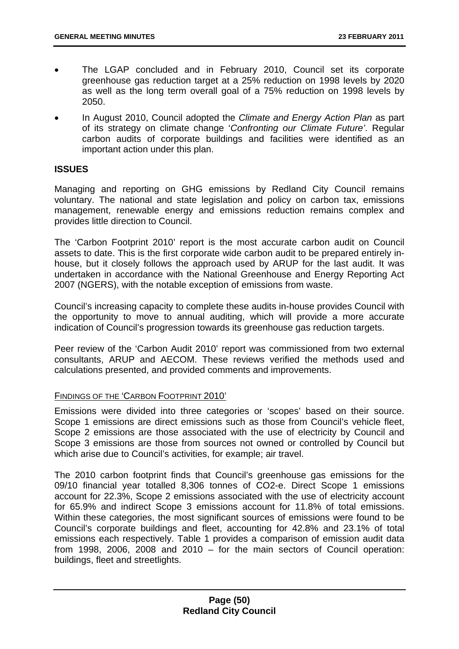- The LGAP concluded and in February 2010, Council set its corporate greenhouse gas reduction target at a 25% reduction on 1998 levels by 2020 as well as the long term overall goal of a 75% reduction on 1998 levels by 2050.
- In August 2010, Council adopted the *Climate and Energy Action Plan* as part of its strategy on climate change '*Confronting our Climate Future'*. Regular carbon audits of corporate buildings and facilities were identified as an important action under this plan.

## **ISSUES**

Managing and reporting on GHG emissions by Redland City Council remains voluntary. The national and state legislation and policy on carbon tax, emissions management, renewable energy and emissions reduction remains complex and provides little direction to Council.

The 'Carbon Footprint 2010' report is the most accurate carbon audit on Council assets to date. This is the first corporate wide carbon audit to be prepared entirely inhouse, but it closely follows the approach used by ARUP for the last audit. It was undertaken in accordance with the National Greenhouse and Energy Reporting Act 2007 (NGERS), with the notable exception of emissions from waste.

Council's increasing capacity to complete these audits in-house provides Council with the opportunity to move to annual auditing, which will provide a more accurate indication of Council's progression towards its greenhouse gas reduction targets.

Peer review of the 'Carbon Audit 2010' report was commissioned from two external consultants, ARUP and AECOM. These reviews verified the methods used and calculations presented, and provided comments and improvements.

### FINDINGS OF THE 'CARBON FOOTPRINT 2010'

Emissions were divided into three categories or 'scopes' based on their source. Scope 1 emissions are direct emissions such as those from Council's vehicle fleet, Scope 2 emissions are those associated with the use of electricity by Council and Scope 3 emissions are those from sources not owned or controlled by Council but which arise due to Council's activities, for example; air travel.

The 2010 carbon footprint finds that Council's greenhouse gas emissions for the 09/10 financial year totalled 8,306 tonnes of CO2-e. Direct Scope 1 emissions account for 22.3%, Scope 2 emissions associated with the use of electricity account for 65.9% and indirect Scope 3 emissions account for 11.8% of total emissions. Within these categories, the most significant sources of emissions were found to be Council's corporate buildings and fleet, accounting for 42.8% and 23.1% of total emissions each respectively. Table 1 provides a comparison of emission audit data from 1998, 2006, 2008 and 2010 – for the main sectors of Council operation: buildings, fleet and streetlights.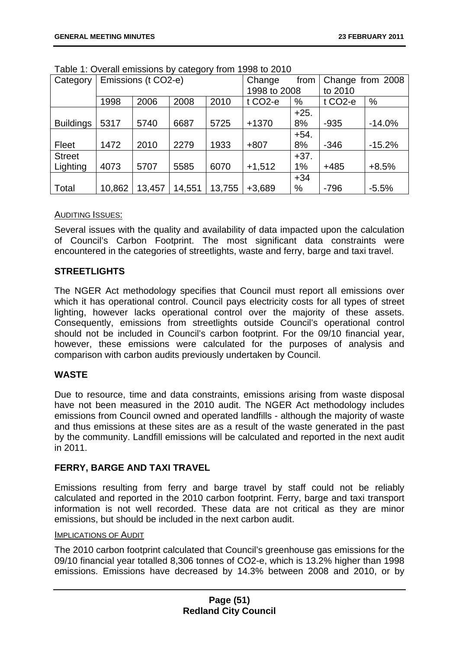| Category         | Emissions (t CO2-e) |        |        | Change       | from                 | Change from 2008 |                     |          |
|------------------|---------------------|--------|--------|--------------|----------------------|------------------|---------------------|----------|
|                  |                     |        |        | 1998 to 2008 |                      | to 2010          |                     |          |
|                  | 1998                | 2006   | 2008   | 2010         | t CO <sub>2</sub> -e | %                | t CO <sub>2-e</sub> | %        |
|                  |                     |        |        |              |                      | $+25.$           |                     |          |
| <b>Buildings</b> | 5317                | 5740   | 6687   | 5725         | $+1370$              | 8%               | $-935$              | $-14.0%$ |
|                  |                     |        |        |              |                      | $+54.$           |                     |          |
| Fleet            | 1472                | 2010   | 2279   | 1933         | $+807$               | 8%               | $-346$              | $-15.2%$ |
| <b>Street</b>    |                     |        |        |              |                      | $+37.$           |                     |          |
| Lighting         | 4073                | 5707   | 5585   | 6070         | $+1,512$             | 1%               | $+485$              | $+8.5%$  |
|                  |                     |        |        |              |                      | $+34$            |                     |          |
| Total            | 10,862              | 13,457 | 14,551 | 13,755       | $+3,689$             | %                | $-796$              | $-5.5%$  |

Table 1: Overall emissions by category from 1998 to 2010

## AUDITING ISSUES:

Several issues with the quality and availability of data impacted upon the calculation of Council's Carbon Footprint. The most significant data constraints were encountered in the categories of streetlights, waste and ferry, barge and taxi travel.

## **STREETLIGHTS**

The NGER Act methodology specifies that Council must report all emissions over which it has operational control. Council pays electricity costs for all types of street lighting, however lacks operational control over the majority of these assets. Consequently, emissions from streetlights outside Council's operational control should not be included in Council's carbon footprint. For the 09/10 financial year, however, these emissions were calculated for the purposes of analysis and comparison with carbon audits previously undertaken by Council.

## **WASTE**

Due to resource, time and data constraints, emissions arising from waste disposal have not been measured in the 2010 audit. The NGER Act methodology includes emissions from Council owned and operated landfills - although the majority of waste and thus emissions at these sites are as a result of the waste generated in the past by the community. Landfill emissions will be calculated and reported in the next audit in 2011.

## **FERRY, BARGE AND TAXI TRAVEL**

Emissions resulting from ferry and barge travel by staff could not be reliably calculated and reported in the 2010 carbon footprint. Ferry, barge and taxi transport information is not well recorded. These data are not critical as they are minor emissions, but should be included in the next carbon audit.

### IMPLICATIONS OF AUDIT

The 2010 carbon footprint calculated that Council's greenhouse gas emissions for the 09/10 financial year totalled 8,306 tonnes of CO2-e, which is 13.2% higher than 1998 emissions. Emissions have decreased by 14.3% between 2008 and 2010, or by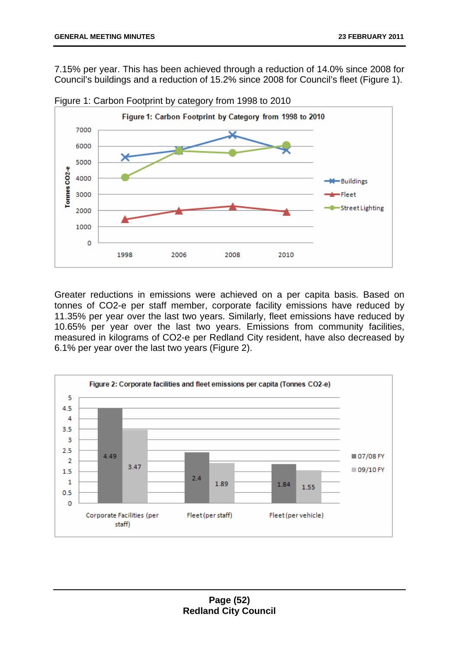7.15% per year. This has been achieved through a reduction of 14.0% since 2008 for Council's buildings and a reduction of 15.2% since 2008 for Council's fleet (Figure 1).



Figure 1: Carbon Footprint by category from 1998 to 2010

Greater reductions in emissions were achieved on a per capita basis. Based on tonnes of CO2-e per staff member, corporate facility emissions have reduced by 11.35% per year over the last two years. Similarly, fleet emissions have reduced by 10.65% per year over the last two years. Emissions from community facilities, measured in kilograms of CO2-e per Redland City resident, have also decreased by 6.1% per year over the last two years (Figure 2).

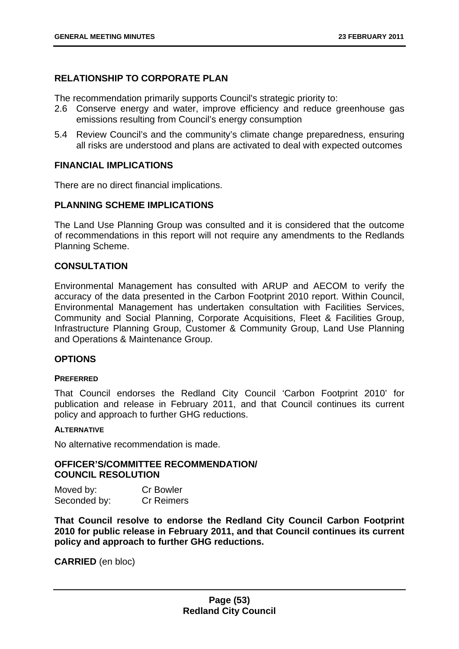## **RELATIONSHIP TO CORPORATE PLAN**

The recommendation primarily supports Council's strategic priority to:

- 2.6 Conserve energy and water, improve efficiency and reduce greenhouse gas emissions resulting from Council's energy consumption
- 5.4 Review Council's and the community's climate change preparedness, ensuring all risks are understood and plans are activated to deal with expected outcomes

## **FINANCIAL IMPLICATIONS**

There are no direct financial implications.

#### **PLANNING SCHEME IMPLICATIONS**

The Land Use Planning Group was consulted and it is considered that the outcome of recommendations in this report will not require any amendments to the Redlands Planning Scheme.

### **CONSULTATION**

Environmental Management has consulted with ARUP and AECOM to verify the accuracy of the data presented in the Carbon Footprint 2010 report. Within Council, Environmental Management has undertaken consultation with Facilities Services, Community and Social Planning, Corporate Acquisitions, Fleet & Facilities Group, Infrastructure Planning Group, Customer & Community Group, Land Use Planning and Operations & Maintenance Group.

### **OPTIONS**

#### **PREFERRED**

That Council endorses the Redland City Council 'Carbon Footprint 2010' for publication and release in February 2011, and that Council continues its current policy and approach to further GHG reductions.

#### **ALTERNATIVE**

No alternative recommendation is made.

#### **OFFICER'S/COMMITTEE RECOMMENDATION/ COUNCIL RESOLUTION**

| Moved by:    | <b>Cr Bowler</b>  |
|--------------|-------------------|
| Seconded by: | <b>Cr Reimers</b> |

**That Council resolve to endorse the Redland City Council Carbon Footprint 2010 for public release in February 2011, and that Council continues its current policy and approach to further GHG reductions.**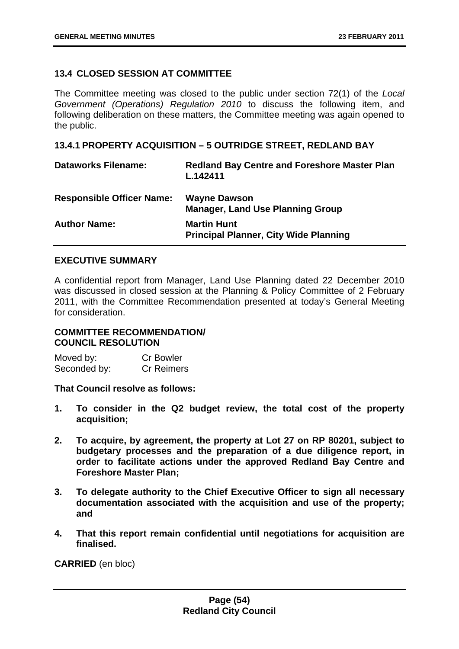## **13.4 CLOSED SESSION AT COMMITTEE**

The Committee meeting was closed to the public under section 72(1) of the *Local Government (Operations) Regulation 2010* to discuss the following item, and following deliberation on these matters, the Committee meeting was again opened to the public.

### **13.4.1 PROPERTY ACQUISITION – 5 OUTRIDGE STREET, REDLAND BAY**

| <b>Dataworks Filename:</b>       | <b>Redland Bay Centre and Foreshore Master Plan</b><br>L.142411    |
|----------------------------------|--------------------------------------------------------------------|
| <b>Responsible Officer Name:</b> | <b>Wayne Dawson</b><br><b>Manager, Land Use Planning Group</b>     |
| <b>Author Name:</b>              | <b>Martin Hunt</b><br><b>Principal Planner, City Wide Planning</b> |

## **EXECUTIVE SUMMARY**

A confidential report from Manager, Land Use Planning dated 22 December 2010 was discussed in closed session at the Planning & Policy Committee of 2 February 2011, with the Committee Recommendation presented at today's General Meeting for consideration.

# **COMMITTEE RECOMMENDATION/ COUNCIL RESOLUTION**

Moved by: Cr Bowler Seconded by: Cr Reimers

**That Council resolve as follows:** 

- **1. To consider in the Q2 budget review, the total cost of the property acquisition;**
- **2. To acquire, by agreement, the property at Lot 27 on RP 80201, subject to budgetary processes and the preparation of a due diligence report, in order to facilitate actions under the approved Redland Bay Centre and Foreshore Master Plan;**
- **3. To delegate authority to the Chief Executive Officer to sign all necessary documentation associated with the acquisition and use of the property; and**
- **4. That this report remain confidential until negotiations for acquisition are finalised.**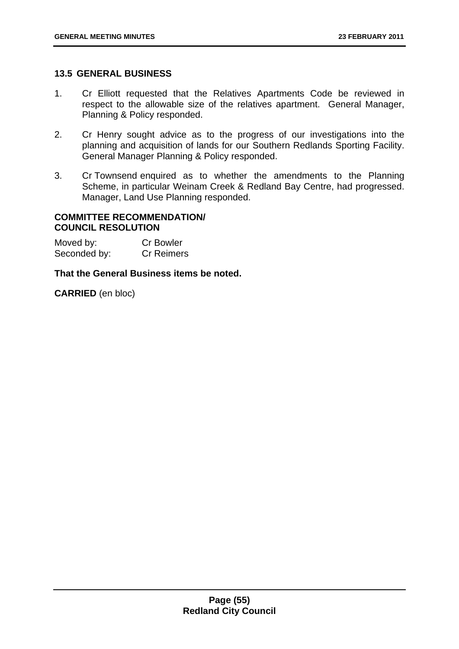### **13.5 GENERAL BUSINESS**

- 1. Cr Elliott requested that the Relatives Apartments Code be reviewed in respect to the allowable size of the relatives apartment. General Manager, Planning & Policy responded.
- 2. Cr Henry sought advice as to the progress of our investigations into the planning and acquisition of lands for our Southern Redlands Sporting Facility. General Manager Planning & Policy responded.
- 3. Cr Townsend enquired as to whether the amendments to the Planning Scheme, in particular Weinam Creek & Redland Bay Centre, had progressed. Manager, Land Use Planning responded.

### **COMMITTEE RECOMMENDATION/ COUNCIL RESOLUTION**

| Moved by:    | <b>Cr Bowler</b>  |
|--------------|-------------------|
| Seconded by: | <b>Cr Reimers</b> |

### **That the General Business items be noted.**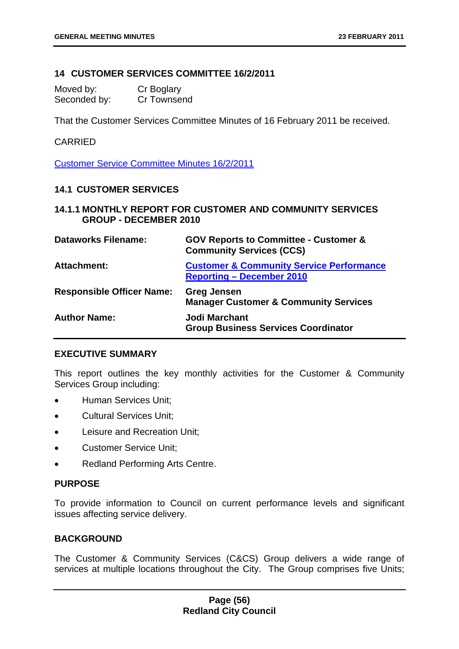## **14 CUSTOMER SERVICES COMMITTEE 16/2/2011**

| Moved by:    | Cr Boglary  |
|--------------|-------------|
| Seconded by: | Cr Townsend |

That the Customer Services Committee Minutes of 16 February 2011 be received.

#### CARRIED

Customer Service Committee Minutes 16/2/2011

### **14.1 CUSTOMER SERVICES**

### **14.1.1 MONTHLY REPORT FOR CUSTOMER AND COMMUNITY SERVICES GROUP - DECEMBER 2010**

| <b>Dataworks Filename:</b>       | <b>GOV Reports to Committee - Customer &amp;</b><br><b>Community Services (CCS)</b>     |
|----------------------------------|-----------------------------------------------------------------------------------------|
| <b>Attachment:</b>               | <b>Customer &amp; Community Service Performance</b><br><b>Reporting – December 2010</b> |
| <b>Responsible Officer Name:</b> | <b>Greg Jensen</b><br><b>Manager Customer &amp; Community Services</b>                  |
| <b>Author Name:</b>              | Jodi Marchant<br><b>Group Business Services Coordinator</b>                             |

### **EXECUTIVE SUMMARY**

This report outlines the key monthly activities for the Customer & Community Services Group including:

- Human Services Unit;
- Cultural Services Unit;
- Leisure and Recreation Unit;
- Customer Service Unit;
- Redland Performing Arts Centre.

### **PURPOSE**

To provide information to Council on current performance levels and significant issues affecting service delivery.

### **BACKGROUND**

The Customer & Community Services (C&CS) Group delivers a wide range of services at multiple locations throughout the City. The Group comprises five Units;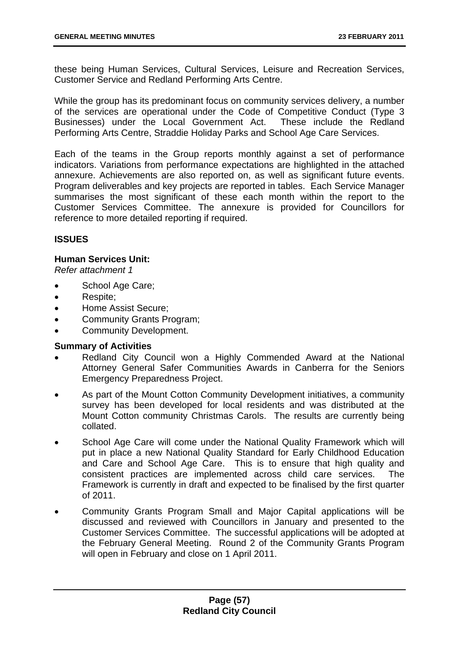these being Human Services, Cultural Services, Leisure and Recreation Services, Customer Service and Redland Performing Arts Centre.

While the group has its predominant focus on community services delivery, a number of the services are operational under the Code of Competitive Conduct (Type 3 Businesses) under the Local Government Act. These include the Redland Performing Arts Centre, Straddie Holiday Parks and School Age Care Services.

Each of the teams in the Group reports monthly against a set of performance indicators. Variations from performance expectations are highlighted in the attached annexure. Achievements are also reported on, as well as significant future events. Program deliverables and key projects are reported in tables. Each Service Manager summarises the most significant of these each month within the report to the Customer Services Committee. The annexure is provided for Councillors for reference to more detailed reporting if required.

## **ISSUES**

## **Human Services Unit:**

*Refer attachment 1* 

- School Age Care;
- Respite;
- Home Assist Secure;
- Community Grants Program;
- Community Development.

## **Summary of Activities**

- Redland City Council won a Highly Commended Award at the National Attorney General Safer Communities Awards in Canberra for the Seniors Emergency Preparedness Project.
- As part of the Mount Cotton Community Development initiatives, a community survey has been developed for local residents and was distributed at the Mount Cotton community Christmas Carols. The results are currently being collated.
- School Age Care will come under the National Quality Framework which will put in place a new National Quality Standard for Early Childhood Education and Care and School Age Care. This is to ensure that high quality and consistent practices are implemented across child care services. The Framework is currently in draft and expected to be finalised by the first quarter of 2011.
- Community Grants Program Small and Major Capital applications will be discussed and reviewed with Councillors in January and presented to the Customer Services Committee. The successful applications will be adopted at the February General Meeting. Round 2 of the Community Grants Program will open in February and close on 1 April 2011.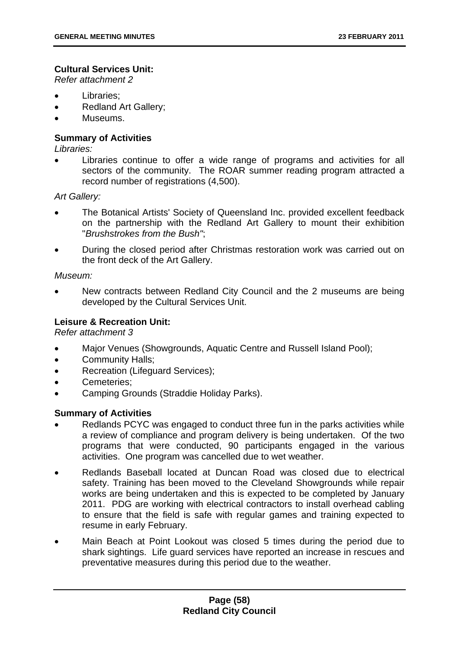## **Cultural Services Unit:**

*Refer attachment 2* 

- Libraries;
- Redland Art Gallery;
- Museums.

## **Summary of Activities**

*Libraries:* 

Libraries continue to offer a wide range of programs and activities for all sectors of the community. The ROAR summer reading program attracted a record number of registrations (4,500).

*Art Gallery:* 

- The Botanical Artists' Society of Queensland Inc. provided excellent feedback on the partnership with the Redland Art Gallery to mount their exhibition "*Brushstrokes from the Bush"*;
- During the closed period after Christmas restoration work was carried out on the front deck of the Art Gallery.

## *Museum:*

• New contracts between Redland City Council and the 2 museums are being developed by the Cultural Services Unit.

## **Leisure & Recreation Unit:**

*Refer attachment 3* 

- Major Venues (Showgrounds, Aquatic Centre and Russell Island Pool);
- Community Halls;
- Recreation (Lifeguard Services);
- Cemeteries:
- Camping Grounds (Straddie Holiday Parks).

### **Summary of Activities**

- Redlands PCYC was engaged to conduct three fun in the parks activities while a review of compliance and program delivery is being undertaken. Of the two programs that were conducted, 90 participants engaged in the various activities. One program was cancelled due to wet weather.
- Redlands Baseball located at Duncan Road was closed due to electrical safety. Training has been moved to the Cleveland Showgrounds while repair works are being undertaken and this is expected to be completed by January 2011. PDG are working with electrical contractors to install overhead cabling to ensure that the field is safe with regular games and training expected to resume in early February.
- Main Beach at Point Lookout was closed 5 times during the period due to shark sightings. Life guard services have reported an increase in rescues and preventative measures during this period due to the weather.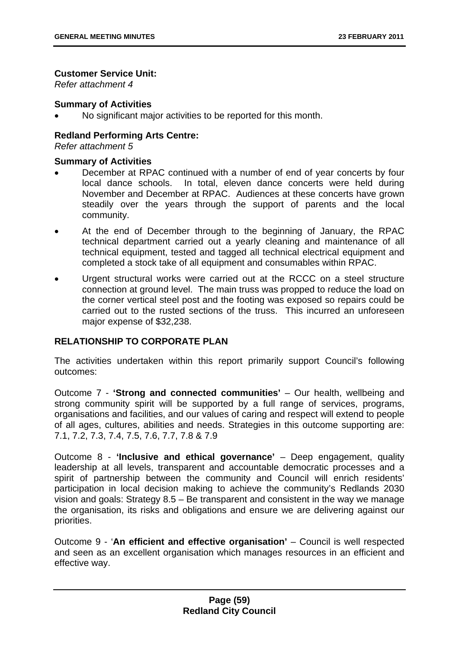## **Customer Service Unit:**

*Refer attachment 4* 

## **Summary of Activities**

No significant major activities to be reported for this month.

# **Redland Performing Arts Centre:**

*Refer attachment 5* 

## **Summary of Activities**

- December at RPAC continued with a number of end of year concerts by four local dance schools. In total, eleven dance concerts were held during November and December at RPAC. Audiences at these concerts have grown steadily over the years through the support of parents and the local community.
- At the end of December through to the beginning of January, the RPAC technical department carried out a yearly cleaning and maintenance of all technical equipment, tested and tagged all technical electrical equipment and completed a stock take of all equipment and consumables within RPAC.
- Urgent structural works were carried out at the RCCC on a steel structure connection at ground level. The main truss was propped to reduce the load on the corner vertical steel post and the footing was exposed so repairs could be carried out to the rusted sections of the truss. This incurred an unforeseen major expense of \$32,238.

# **RELATIONSHIP TO CORPORATE PLAN**

The activities undertaken within this report primarily support Council's following outcomes:

Outcome 7 - **'Strong and connected communities'** – Our health, wellbeing and strong community spirit will be supported by a full range of services, programs, organisations and facilities, and our values of caring and respect will extend to people of all ages, cultures, abilities and needs. Strategies in this outcome supporting are: 7.1, 7.2, 7.3, 7.4, 7.5, 7.6, 7.7, 7.8 & 7.9

Outcome 8 - **'Inclusive and ethical governance'** – Deep engagement, quality leadership at all levels, transparent and accountable democratic processes and a spirit of partnership between the community and Council will enrich residents' participation in local decision making to achieve the community's Redlands 2030 vision and goals: Strategy 8.5 – Be transparent and consistent in the way we manage the organisation, its risks and obligations and ensure we are delivering against our priorities.

Outcome 9 - '**An efficient and effective organisation'** – Council is well respected and seen as an excellent organisation which manages resources in an efficient and effective way.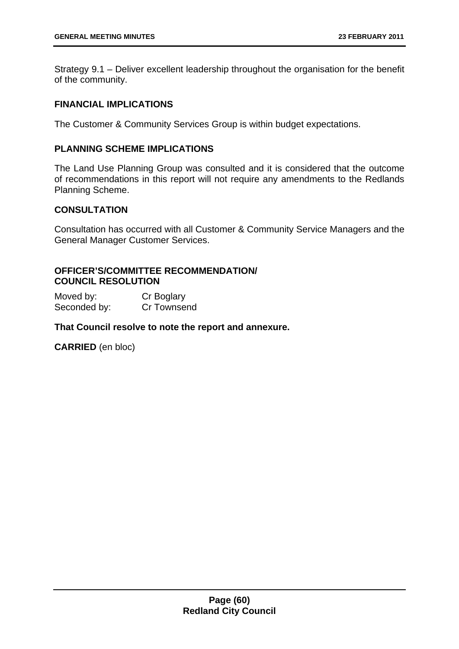Strategy 9.1 – Deliver excellent leadership throughout the organisation for the benefit of the community.

### **FINANCIAL IMPLICATIONS**

The Customer & Community Services Group is within budget expectations.

## **PLANNING SCHEME IMPLICATIONS**

The Land Use Planning Group was consulted and it is considered that the outcome of recommendations in this report will not require any amendments to the Redlands Planning Scheme.

# **CONSULTATION**

Consultation has occurred with all Customer & Community Service Managers and the General Manager Customer Services.

## **OFFICER'S/COMMITTEE RECOMMENDATION/ COUNCIL RESOLUTION**

Moved by: Cr Boglary Seconded by: Cr Townsend

**That Council resolve to note the report and annexure.**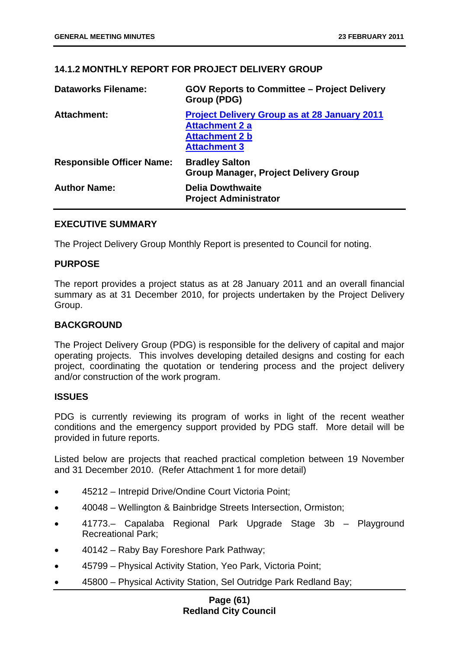# **14.1.2 MONTHLY REPORT FOR PROJECT DELIVERY GROUP**

| <b>Dataworks Filename:</b>       | <b>GOV Reports to Committee – Project Delivery</b><br>Group (PDG)                                                            |
|----------------------------------|------------------------------------------------------------------------------------------------------------------------------|
| <b>Attachment:</b>               | <b>Project Delivery Group as at 28 January 2011</b><br><b>Attachment 2 a</b><br><b>Attachment 2 b</b><br><b>Attachment 3</b> |
| <b>Responsible Officer Name:</b> | <b>Bradley Salton</b><br><b>Group Manager, Project Delivery Group</b>                                                        |
| <b>Author Name:</b>              | <b>Delia Dowthwaite</b><br><b>Project Administrator</b>                                                                      |

### **EXECUTIVE SUMMARY**

The Project Delivery Group Monthly Report is presented to Council for noting.

### **PURPOSE**

The report provides a project status as at 28 January 2011 and an overall financial summary as at 31 December 2010, for projects undertaken by the Project Delivery Group.

#### **BACKGROUND**

The Project Delivery Group (PDG) is responsible for the delivery of capital and major operating projects. This involves developing detailed designs and costing for each project, coordinating the quotation or tendering process and the project delivery and/or construction of the work program.

### **ISSUES**

PDG is currently reviewing its program of works in light of the recent weather conditions and the emergency support provided by PDG staff. More detail will be provided in future reports.

Listed below are projects that reached practical completion between 19 November and 31 December 2010. (Refer Attachment 1 for more detail)

- 45212 Intrepid Drive/Ondine Court Victoria Point;
- 40048 Wellington & Bainbridge Streets Intersection, Ormiston;
- 41773.– Capalaba Regional Park Upgrade Stage 3b Playground Recreational Park;
- 40142 Raby Bay Foreshore Park Pathway;
- 45799 Physical Activity Station, Yeo Park, Victoria Point;
- 45800 Physical Activity Station, Sel Outridge Park Redland Bay;

## **Page (61) Redland City Council**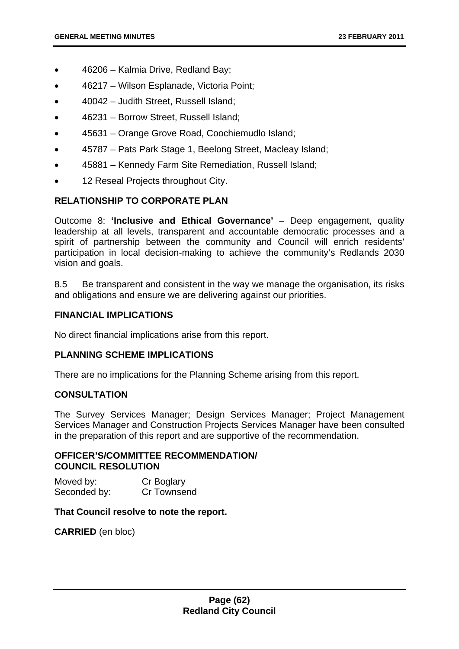- 46206 Kalmia Drive, Redland Bay;
- 46217 Wilson Esplanade, Victoria Point;
- 40042 Judith Street, Russell Island;
- 46231 Borrow Street, Russell Island;
- 45631 Orange Grove Road, Coochiemudlo Island;
- 45787 Pats Park Stage 1, Beelong Street, Macleay Island;
- 45881 Kennedy Farm Site Remediation, Russell Island;
- 12 Reseal Projects throughout City.

## **RELATIONSHIP TO CORPORATE PLAN**

Outcome 8: **'Inclusive and Ethical Governance'** – Deep engagement, quality leadership at all levels, transparent and accountable democratic processes and a spirit of partnership between the community and Council will enrich residents' participation in local decision-making to achieve the community's Redlands 2030 vision and goals.

8.5 Be transparent and consistent in the way we manage the organisation, its risks and obligations and ensure we are delivering against our priorities.

## **FINANCIAL IMPLICATIONS**

No direct financial implications arise from this report.

### **PLANNING SCHEME IMPLICATIONS**

There are no implications for the Planning Scheme arising from this report.

## **CONSULTATION**

The Survey Services Manager; Design Services Manager; Project Management Services Manager and Construction Projects Services Manager have been consulted in the preparation of this report and are supportive of the recommendation.

#### **OFFICER'S/COMMITTEE RECOMMENDATION/ COUNCIL RESOLUTION**

Moved by: Cr Boglary Seconded by: Cr Townsend

### **That Council resolve to note the report.**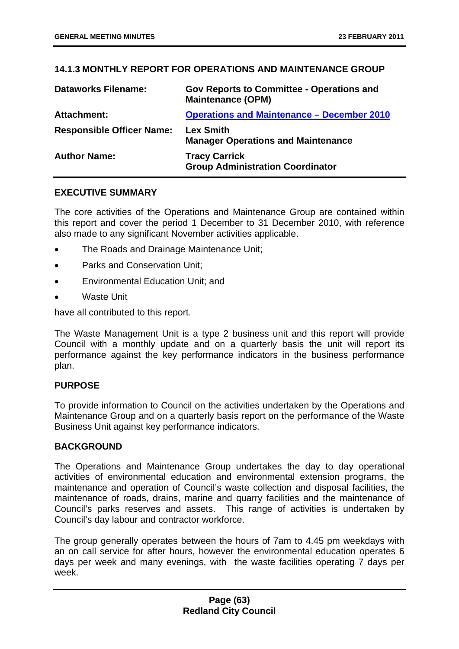## **14.1.3 MONTHLY REPORT FOR OPERATIONS AND MAINTENANCE GROUP**

| <b>Dataworks Filename:</b>       | <b>Gov Reports to Committee - Operations and</b><br><b>Maintenance (OPM)</b> |
|----------------------------------|------------------------------------------------------------------------------|
| <b>Attachment:</b>               | <b>Operations and Maintenance - December 2010</b>                            |
| <b>Responsible Officer Name:</b> | <b>Lex Smith</b><br><b>Manager Operations and Maintenance</b>                |
| <b>Author Name:</b>              | <b>Tracy Carrick</b><br><b>Group Administration Coordinator</b>              |

### **EXECUTIVE SUMMARY**

The core activities of the Operations and Maintenance Group are contained within this report and cover the period 1 December to 31 December 2010, with reference also made to any significant November activities applicable.

- The Roads and Drainage Maintenance Unit;
- Parks and Conservation Unit;
- Environmental Education Unit; and
- Waste Unit

have all contributed to this report.

The Waste Management Unit is a type 2 business unit and this report will provide Council with a monthly update and on a quarterly basis the unit will report its performance against the key performance indicators in the business performance plan.

## **PURPOSE**

To provide information to Council on the activities undertaken by the Operations and Maintenance Group and on a quarterly basis report on the performance of the Waste Business Unit against key performance indicators.

### **BACKGROUND**

The Operations and Maintenance Group undertakes the day to day operational activities of environmental education and environmental extension programs, the maintenance and operation of Council's waste collection and disposal facilities, the maintenance of roads, drains, marine and quarry facilities and the maintenance of Council's parks reserves and assets. This range of activities is undertaken by Council's day labour and contractor workforce.

The group generally operates between the hours of 7am to 4.45 pm weekdays with an on call service for after hours, however the environmental education operates 6 days per week and many evenings, with the waste facilities operating 7 days per week.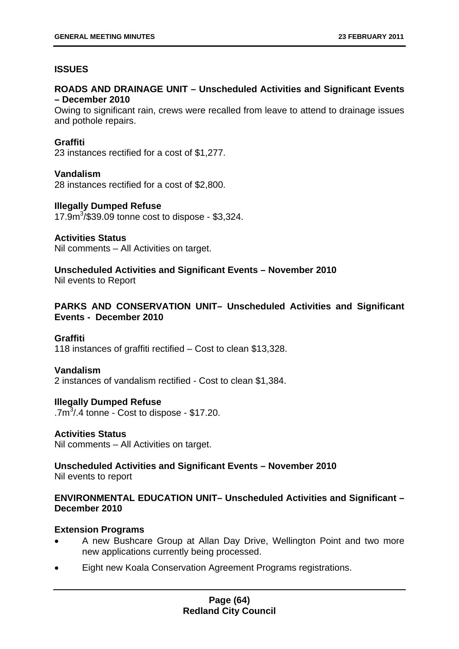# **ISSUES**

## **ROADS AND DRAINAGE UNIT – Unscheduled Activities and Significant Events – December 2010**

Owing to significant rain, crews were recalled from leave to attend to drainage issues and pothole repairs.

## **Graffiti**

23 instances rectified for a cost of \$1,277.

### **Vandalism**

28 instances rectified for a cost of \$2,800.

### **Illegally Dumped Refuse**

17.9m<sup>3</sup> /\$39.09 tonne cost to dispose - \$3,324.

### **Activities Status**

Nil comments – All Activities on target.

**Unscheduled Activities and Significant Events – November 2010** 

Nil events to Report

## **PARKS AND CONSERVATION UNIT– Unscheduled Activities and Significant Events - December 2010**

### **Graffiti**

118 instances of graffiti rectified – Cost to clean \$13,328.

### **Vandalism**

2 instances of vandalism rectified - Cost to clean \$1,384.

### **Illegally Dumped Refuse**

 $.7<sup>3</sup>$ .4 tonne - Cost to dispose - \$17.20.

### **Activities Status**

Nil comments – All Activities on target.

## **Unscheduled Activities and Significant Events – November 2010**  Nil events to report

## **ENVIRONMENTAL EDUCATION UNIT– Unscheduled Activities and Significant – December 2010**

### **Extension Programs**

- A new Bushcare Group at Allan Day Drive, Wellington Point and two more new applications currently being processed.
- Eight new Koala Conservation Agreement Programs registrations.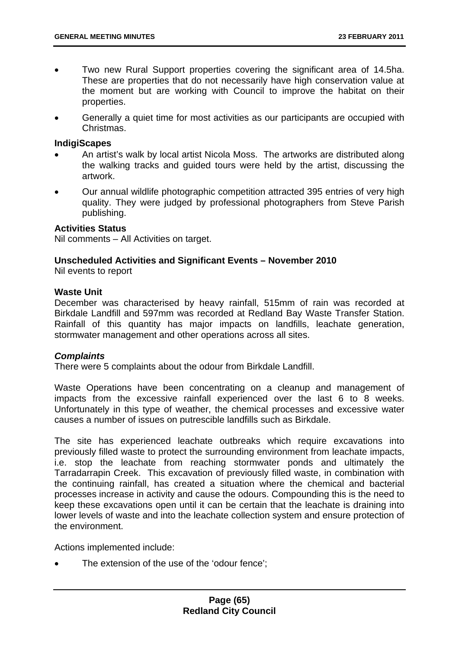- Two new Rural Support properties covering the significant area of 14.5ha. These are properties that do not necessarily have high conservation value at the moment but are working with Council to improve the habitat on their properties.
- Generally a quiet time for most activities as our participants are occupied with Christmas.

### **IndigiScapes**

- An artist's walk by local artist Nicola Moss. The artworks are distributed along the walking tracks and guided tours were held by the artist, discussing the artwork.
- Our annual wildlife photographic competition attracted 395 entries of very high quality. They were judged by professional photographers from Steve Parish publishing.

## **Activities Status**

Nil comments – All Activities on target.

# **Unscheduled Activities and Significant Events – November 2010**

Nil events to report

## **Waste Unit**

December was characterised by heavy rainfall, 515mm of rain was recorded at Birkdale Landfill and 597mm was recorded at Redland Bay Waste Transfer Station. Rainfall of this quantity has major impacts on landfills, leachate generation, stormwater management and other operations across all sites.

## *Complaints*

There were 5 complaints about the odour from Birkdale Landfill.

Waste Operations have been concentrating on a cleanup and management of impacts from the excessive rainfall experienced over the last 6 to 8 weeks. Unfortunately in this type of weather, the chemical processes and excessive water causes a number of issues on putrescible landfills such as Birkdale.

The site has experienced leachate outbreaks which require excavations into previously filled waste to protect the surrounding environment from leachate impacts, i.e. stop the leachate from reaching stormwater ponds and ultimately the Tarradarrapin Creek. This excavation of previously filled waste, in combination with the continuing rainfall, has created a situation where the chemical and bacterial processes increase in activity and cause the odours. Compounding this is the need to keep these excavations open until it can be certain that the leachate is draining into lower levels of waste and into the leachate collection system and ensure protection of the environment.

Actions implemented include:

The extension of the use of the 'odour fence':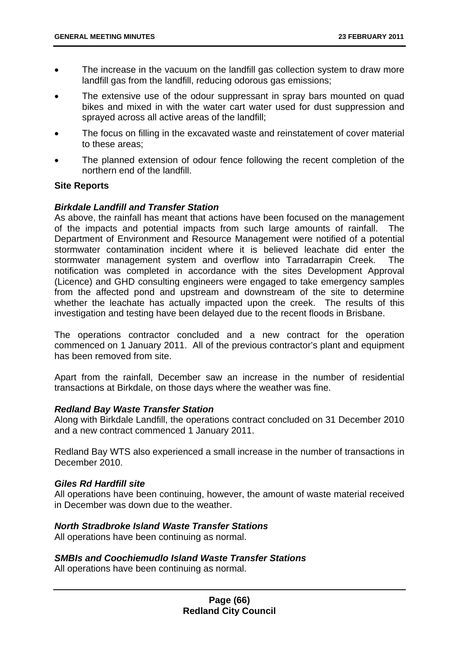- The increase in the vacuum on the landfill gas collection system to draw more landfill gas from the landfill, reducing odorous gas emissions;
- The extensive use of the odour suppressant in spray bars mounted on quad bikes and mixed in with the water cart water used for dust suppression and sprayed across all active areas of the landfill;
- The focus on filling in the excavated waste and reinstatement of cover material to these areas;
- The planned extension of odour fence following the recent completion of the northern end of the landfill.

### **Site Reports**

### *Birkdale Landfill and Transfer Station*

As above, the rainfall has meant that actions have been focused on the management of the impacts and potential impacts from such large amounts of rainfall. The Department of Environment and Resource Management were notified of a potential stormwater contamination incident where it is believed leachate did enter the stormwater management system and overflow into Tarradarrapin Creek. The notification was completed in accordance with the sites Development Approval (Licence) and GHD consulting engineers were engaged to take emergency samples from the affected pond and upstream and downstream of the site to determine whether the leachate has actually impacted upon the creek. The results of this investigation and testing have been delayed due to the recent floods in Brisbane.

The operations contractor concluded and a new contract for the operation commenced on 1 January 2011. All of the previous contractor's plant and equipment has been removed from site.

Apart from the rainfall, December saw an increase in the number of residential transactions at Birkdale, on those days where the weather was fine.

#### *Redland Bay Waste Transfer Station*

Along with Birkdale Landfill, the operations contract concluded on 31 December 2010 and a new contract commenced 1 January 2011.

Redland Bay WTS also experienced a small increase in the number of transactions in December 2010.

### *Giles Rd Hardfill site*

All operations have been continuing, however, the amount of waste material received in December was down due to the weather.

## *North Stradbroke Island Waste Transfer Stations*

All operations have been continuing as normal.

### *SMBIs and Coochiemudlo Island Waste Transfer Stations*

All operations have been continuing as normal.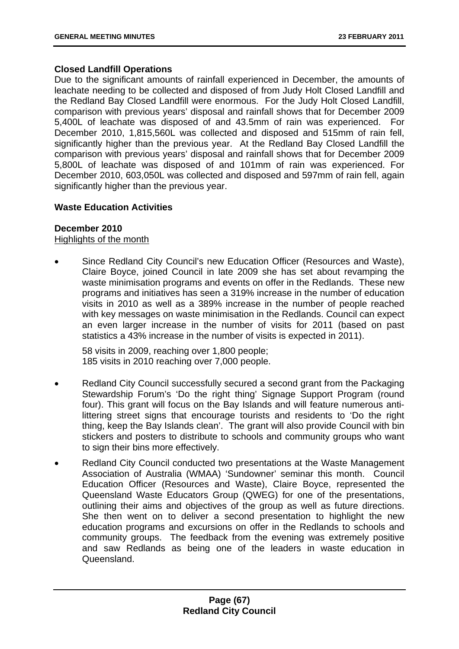## **Closed Landfill Operations**

Due to the significant amounts of rainfall experienced in December, the amounts of leachate needing to be collected and disposed of from Judy Holt Closed Landfill and the Redland Bay Closed Landfill were enormous. For the Judy Holt Closed Landfill, comparison with previous years' disposal and rainfall shows that for December 2009 5,400L of leachate was disposed of and 43.5mm of rain was experienced. For December 2010, 1,815,560L was collected and disposed and 515mm of rain fell, significantly higher than the previous year. At the Redland Bay Closed Landfill the comparison with previous years' disposal and rainfall shows that for December 2009 5,800L of leachate was disposed of and 101mm of rain was experienced. For December 2010, 603,050L was collected and disposed and 597mm of rain fell, again significantly higher than the previous year.

## **Waste Education Activities**

## **December 2010**

Highlights of the month

• Since Redland City Council's new Education Officer (Resources and Waste), Claire Boyce, joined Council in late 2009 she has set about revamping the waste minimisation programs and events on offer in the Redlands. These new programs and initiatives has seen a 319% increase in the number of education visits in 2010 as well as a 389% increase in the number of people reached with key messages on waste minimisation in the Redlands. Council can expect an even larger increase in the number of visits for 2011 (based on past statistics a 43% increase in the number of visits is expected in 2011).

58 visits in 2009, reaching over 1,800 people; 185 visits in 2010 reaching over 7,000 people.

- Redland City Council successfully secured a second grant from the Packaging Stewardship Forum's 'Do the right thing' Signage Support Program (round four). This grant will focus on the Bay Islands and will feature numerous antilittering street signs that encourage tourists and residents to 'Do the right thing, keep the Bay Islands clean'. The grant will also provide Council with bin stickers and posters to distribute to schools and community groups who want to sign their bins more effectively.
- Redland City Council conducted two presentations at the Waste Management Association of Australia (WMAA) 'Sundowner' seminar this month. Council Education Officer (Resources and Waste), Claire Boyce, represented the Queensland Waste Educators Group (QWEG) for one of the presentations, outlining their aims and objectives of the group as well as future directions. She then went on to deliver a second presentation to highlight the new education programs and excursions on offer in the Redlands to schools and community groups. The feedback from the evening was extremely positive and saw Redlands as being one of the leaders in waste education in Queensland.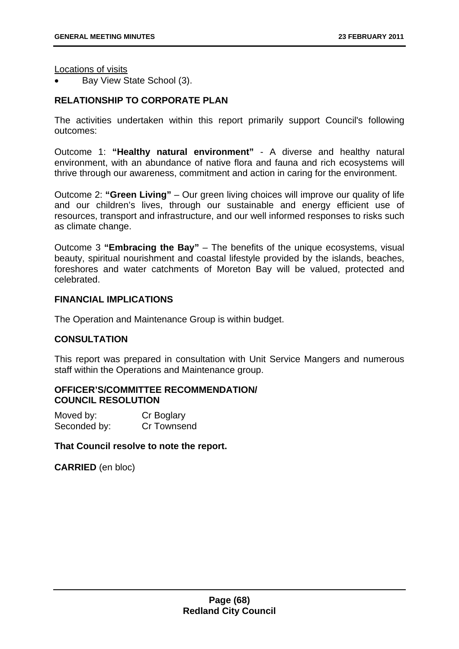Locations of visits

• Bay View State School (3).

# **RELATIONSHIP TO CORPORATE PLAN**

The activities undertaken within this report primarily support Council's following outcomes:

Outcome 1: **"Healthy natural environment"** - A diverse and healthy natural environment, with an abundance of native flora and fauna and rich ecosystems will thrive through our awareness, commitment and action in caring for the environment.

Outcome 2: **"Green Living"** – Our green living choices will improve our quality of life and our children's lives, through our sustainable and energy efficient use of resources, transport and infrastructure, and our well informed responses to risks such as climate change.

Outcome 3 **"Embracing the Bay"** – The benefits of the unique ecosystems, visual beauty, spiritual nourishment and coastal lifestyle provided by the islands, beaches, foreshores and water catchments of Moreton Bay will be valued, protected and celebrated.

## **FINANCIAL IMPLICATIONS**

The Operation and Maintenance Group is within budget.

## **CONSULTATION**

This report was prepared in consultation with Unit Service Mangers and numerous staff within the Operations and Maintenance group.

## **OFFICER'S/COMMITTEE RECOMMENDATION/ COUNCIL RESOLUTION**

| Moved by:    | Cr Boglary  |
|--------------|-------------|
| Seconded by: | Cr Townsend |

### **That Council resolve to note the report.**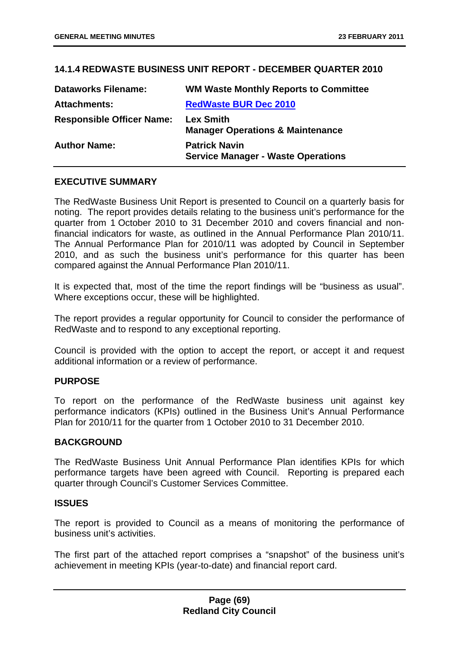## **14.1.4 REDWASTE BUSINESS UNIT REPORT - DECEMBER QUARTER 2010**

| <b>Dataworks Filename:</b>       | <b>WM Waste Monthly Reports to Committee</b>                      |
|----------------------------------|-------------------------------------------------------------------|
| <b>Attachments:</b>              | <b>RedWaste BUR Dec 2010</b>                                      |
| <b>Responsible Officer Name:</b> | <b>Lex Smith</b><br><b>Manager Operations &amp; Maintenance</b>   |
| <b>Author Name:</b>              | <b>Patrick Navin</b><br><b>Service Manager - Waste Operations</b> |

### **EXECUTIVE SUMMARY**

The RedWaste Business Unit Report is presented to Council on a quarterly basis for noting. The report provides details relating to the business unit's performance for the quarter from 1 October 2010 to 31 December 2010 and covers financial and nonfinancial indicators for waste, as outlined in the Annual Performance Plan 2010/11. The Annual Performance Plan for 2010/11 was adopted by Council in September 2010, and as such the business unit's performance for this quarter has been compared against the Annual Performance Plan 2010/11.

It is expected that, most of the time the report findings will be "business as usual". Where exceptions occur, these will be highlighted.

The report provides a regular opportunity for Council to consider the performance of RedWaste and to respond to any exceptional reporting.

Council is provided with the option to accept the report, or accept it and request additional information or a review of performance.

### **PURPOSE**

To report on the performance of the RedWaste business unit against key performance indicators (KPIs) outlined in the Business Unit's Annual Performance Plan for 2010/11 for the quarter from 1 October 2010 to 31 December 2010.

### **BACKGROUND**

The RedWaste Business Unit Annual Performance Plan identifies KPIs for which performance targets have been agreed with Council. Reporting is prepared each quarter through Council's Customer Services Committee.

#### **ISSUES**

The report is provided to Council as a means of monitoring the performance of business unit's activities.

The first part of the attached report comprises a "snapshot" of the business unit's achievement in meeting KPIs (year-to-date) and financial report card.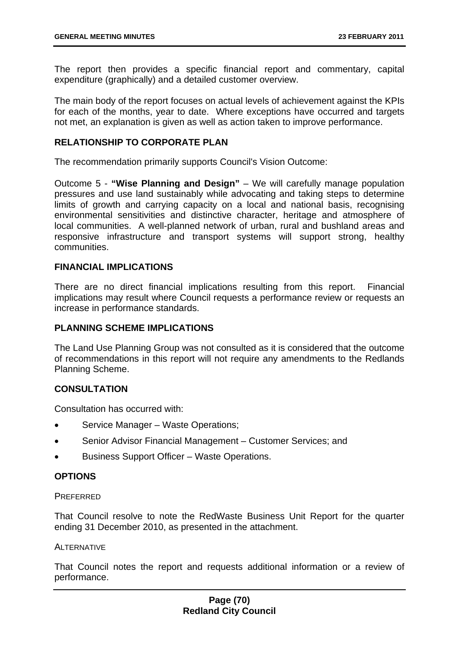The report then provides a specific financial report and commentary, capital expenditure (graphically) and a detailed customer overview.

The main body of the report focuses on actual levels of achievement against the KPIs for each of the months, year to date. Where exceptions have occurred and targets not met, an explanation is given as well as action taken to improve performance.

### **RELATIONSHIP TO CORPORATE PLAN**

The recommendation primarily supports Council's Vision Outcome:

Outcome 5 - **"Wise Planning and Design"** – We will carefully manage population pressures and use land sustainably while advocating and taking steps to determine limits of growth and carrying capacity on a local and national basis, recognising environmental sensitivities and distinctive character, heritage and atmosphere of local communities. A well-planned network of urban, rural and bushland areas and responsive infrastructure and transport systems will support strong, healthy communities.

# **FINANCIAL IMPLICATIONS**

There are no direct financial implications resulting from this report. Financial implications may result where Council requests a performance review or requests an increase in performance standards.

## **PLANNING SCHEME IMPLICATIONS**

The Land Use Planning Group was not consulted as it is considered that the outcome of recommendations in this report will not require any amendments to the Redlands Planning Scheme.

## **CONSULTATION**

Consultation has occurred with:

- Service Manager Waste Operations;
- Senior Advisor Financial Management Customer Services; and
- Business Support Officer Waste Operations.

### **OPTIONS**

#### **PREFERRED**

That Council resolve to note the RedWaste Business Unit Report for the quarter ending 31 December 2010, as presented in the attachment.

#### **ALTERNATIVE**

That Council notes the report and requests additional information or a review of performance.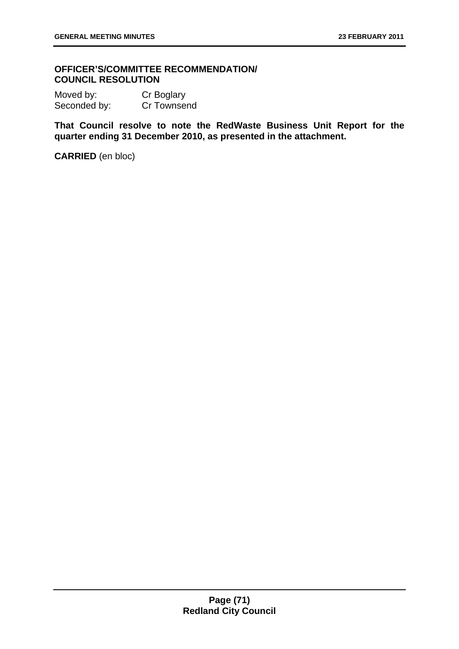## **OFFICER'S/COMMITTEE RECOMMENDATION/ COUNCIL RESOLUTION**

Moved by: Cr Boglary Seconded by: Cr Townsend

**That Council resolve to note the RedWaste Business Unit Report for the quarter ending 31 December 2010, as presented in the attachment.**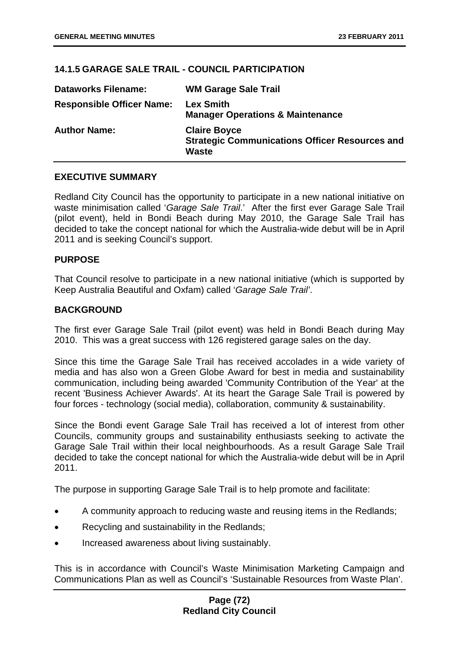# **14.1.5 GARAGE SALE TRAIL - COUNCIL PARTICIPATION**

| <b>Dataworks Filename:</b>       | <b>WM Garage Sale Trail</b>                                                                  |
|----------------------------------|----------------------------------------------------------------------------------------------|
| <b>Responsible Officer Name:</b> | <b>Lex Smith</b><br><b>Manager Operations &amp; Maintenance</b>                              |
| <b>Author Name:</b>              | <b>Claire Boyce</b><br><b>Strategic Communications Officer Resources and</b><br><b>Waste</b> |

## **EXECUTIVE SUMMARY**

Redland City Council has the opportunity to participate in a new national initiative on waste minimisation called '*Garage Sale Trail*.' After the first ever Garage Sale Trail (pilot event), held in Bondi Beach during May 2010, the Garage Sale Trail has decided to take the concept national for which the Australia-wide debut will be in April 2011 and is seeking Council's support.

## **PURPOSE**

That Council resolve to participate in a new national initiative (which is supported by Keep Australia Beautiful and Oxfam) called '*Garage Sale Trail'*.

## **BACKGROUND**

The first ever Garage Sale Trail (pilot event) was held in Bondi Beach during May 2010. This was a great success with 126 registered garage sales on the day.

Since this time the Garage Sale Trail has received accolades in a wide variety of media and has also won a Green Globe Award for best in media and sustainability communication, including being awarded 'Community Contribution of the Year' at the recent 'Business Achiever Awards'. At its heart the Garage Sale Trail is powered by four forces - technology (social media), collaboration, community & sustainability.

Since the Bondi event Garage Sale Trail has received a lot of interest from other Councils, community groups and sustainability enthusiasts seeking to activate the Garage Sale Trail within their local neighbourhoods. As a result Garage Sale Trail decided to take the concept national for which the Australia-wide debut will be in April 2011.

The purpose in supporting Garage Sale Trail is to help promote and facilitate:

- A community approach to reducing waste and reusing items in the Redlands;
- Recycling and sustainability in the Redlands:
- Increased awareness about living sustainably.

This is in accordance with Council's Waste Minimisation Marketing Campaign and Communications Plan as well as Council's 'Sustainable Resources from Waste Plan'.

## **Page (72) Redland City Council**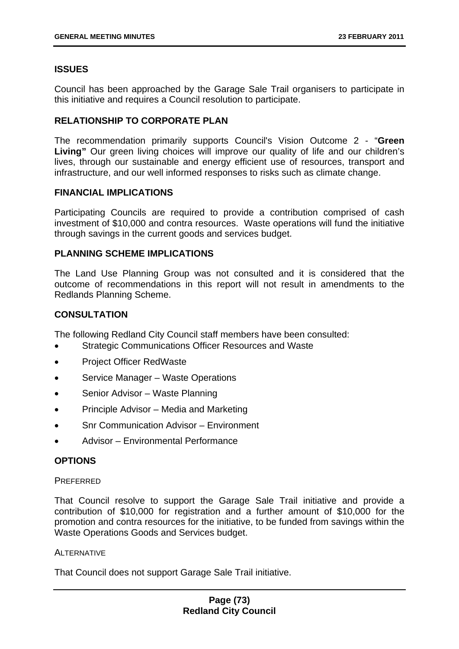# **ISSUES**

Council has been approached by the Garage Sale Trail organisers to participate in this initiative and requires a Council resolution to participate.

## **RELATIONSHIP TO CORPORATE PLAN**

The recommendation primarily supports Council's Vision Outcome 2 - "**Green**  Living" Our green living choices will improve our quality of life and our children's lives, through our sustainable and energy efficient use of resources, transport and infrastructure, and our well informed responses to risks such as climate change.

## **FINANCIAL IMPLICATIONS**

Participating Councils are required to provide a contribution comprised of cash investment of \$10,000 and contra resources. Waste operations will fund the initiative through savings in the current goods and services budget.

# **PLANNING SCHEME IMPLICATIONS**

The Land Use Planning Group was not consulted and it is considered that the outcome of recommendations in this report will not result in amendments to the Redlands Planning Scheme.

# **CONSULTATION**

The following Redland City Council staff members have been consulted:

- Strategic Communications Officer Resources and Waste
- Project Officer RedWaste
- Service Manager Waste Operations
- Senior Advisor Waste Planning
- Principle Advisor Media and Marketing
- Snr Communication Advisor Environment
- Advisor Environmental Performance

## **OPTIONS**

### **PREFERRED**

That Council resolve to support the Garage Sale Trail initiative and provide a contribution of \$10,000 for registration and a further amount of \$10,000 for the promotion and contra resources for the initiative, to be funded from savings within the Waste Operations Goods and Services budget.

# ALTERNATIVE

That Council does not support Garage Sale Trail initiative.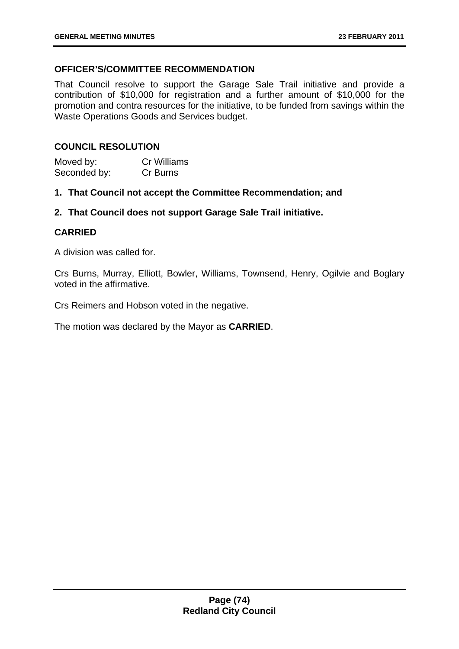# **OFFICER'S/COMMITTEE RECOMMENDATION**

That Council resolve to support the Garage Sale Trail initiative and provide a contribution of \$10,000 for registration and a further amount of \$10,000 for the promotion and contra resources for the initiative, to be funded from savings within the Waste Operations Goods and Services budget.

## **COUNCIL RESOLUTION**

| Moved by:    | <b>Cr Williams</b> |
|--------------|--------------------|
| Seconded by: | Cr Burns           |

**1. That Council not accept the Committee Recommendation; and** 

**2. That Council does not support Garage Sale Trail initiative.** 

## **CARRIED**

A division was called for.

Crs Burns, Murray, Elliott, Bowler, Williams, Townsend, Henry, Ogilvie and Boglary voted in the affirmative.

Crs Reimers and Hobson voted in the negative.

The motion was declared by the Mayor as **CARRIED**.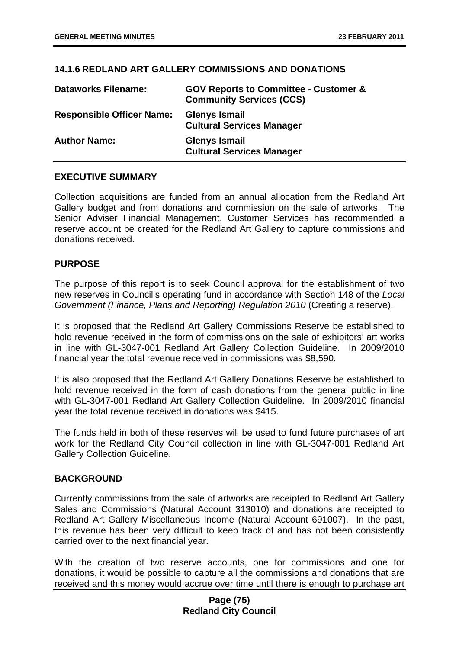## **14.1.6 REDLAND ART GALLERY COMMISSIONS AND DONATIONS**

| <b>Dataworks Filename:</b>       | <b>GOV Reports to Committee - Customer &amp;</b><br><b>Community Services (CCS)</b> |
|----------------------------------|-------------------------------------------------------------------------------------|
| <b>Responsible Officer Name:</b> | <b>Glenys Ismail</b><br><b>Cultural Services Manager</b>                            |
| <b>Author Name:</b>              | <b>Glenys Ismail</b><br><b>Cultural Services Manager</b>                            |

### **EXECUTIVE SUMMARY**

Collection acquisitions are funded from an annual allocation from the Redland Art Gallery budget and from donations and commission on the sale of artworks. The Senior Adviser Financial Management, Customer Services has recommended a reserve account be created for the Redland Art Gallery to capture commissions and donations received.

### **PURPOSE**

The purpose of this report is to seek Council approval for the establishment of two new reserves in Council's operating fund in accordance with Section 148 of the *Local Government (Finance, Plans and Reporting) Regulation 2010* (Creating a reserve).

It is proposed that the Redland Art Gallery Commissions Reserve be established to hold revenue received in the form of commissions on the sale of exhibitors' art works in line with GL-3047-001 Redland Art Gallery Collection Guideline. In 2009/2010 financial year the total revenue received in commissions was \$8,590.

It is also proposed that the Redland Art Gallery Donations Reserve be established to hold revenue received in the form of cash donations from the general public in line with GL-3047-001 Redland Art Gallery Collection Guideline. In 2009/2010 financial year the total revenue received in donations was \$415.

The funds held in both of these reserves will be used to fund future purchases of art work for the Redland City Council collection in line with GL-3047-001 Redland Art Gallery Collection Guideline.

### **BACKGROUND**

Currently commissions from the sale of artworks are receipted to Redland Art Gallery Sales and Commissions (Natural Account 313010) and donations are receipted to Redland Art Gallery Miscellaneous Income (Natural Account 691007). In the past, this revenue has been very difficult to keep track of and has not been consistently carried over to the next financial year.

With the creation of two reserve accounts, one for commissions and one for donations, it would be possible to capture all the commissions and donations that are received and this money would accrue over time until there is enough to purchase art

## **Page (75) Redland City Council**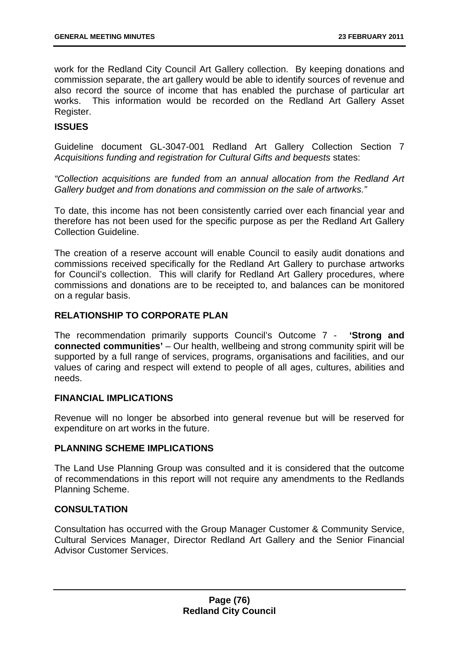work for the Redland City Council Art Gallery collection. By keeping donations and commission separate, the art gallery would be able to identify sources of revenue and also record the source of income that has enabled the purchase of particular art works. This information would be recorded on the Redland Art Gallery Asset Register.

# **ISSUES**

Guideline document GL-3047-001 Redland Art Gallery Collection Section 7 *Acquisitions funding and registration for Cultural Gifts and bequests* states:

*"Collection acquisitions are funded from an annual allocation from the Redland Art Gallery budget and from donations and commission on the sale of artworks."* 

To date, this income has not been consistently carried over each financial year and therefore has not been used for the specific purpose as per the Redland Art Gallery Collection Guideline.

The creation of a reserve account will enable Council to easily audit donations and commissions received specifically for the Redland Art Gallery to purchase artworks for Council's collection. This will clarify for Redland Art Gallery procedures, where commissions and donations are to be receipted to, and balances can be monitored on a regular basis.

## **RELATIONSHIP TO CORPORATE PLAN**

The recommendation primarily supports Council's Outcome 7 - **'Strong and connected communities'** – Our health, wellbeing and strong community spirit will be supported by a full range of services, programs, organisations and facilities, and our values of caring and respect will extend to people of all ages, cultures, abilities and needs.

### **FINANCIAL IMPLICATIONS**

Revenue will no longer be absorbed into general revenue but will be reserved for expenditure on art works in the future.

### **PLANNING SCHEME IMPLICATIONS**

The Land Use Planning Group was consulted and it is considered that the outcome of recommendations in this report will not require any amendments to the Redlands Planning Scheme.

### **CONSULTATION**

Consultation has occurred with the Group Manager Customer & Community Service, Cultural Services Manager, Director Redland Art Gallery and the Senior Financial Advisor Customer Services.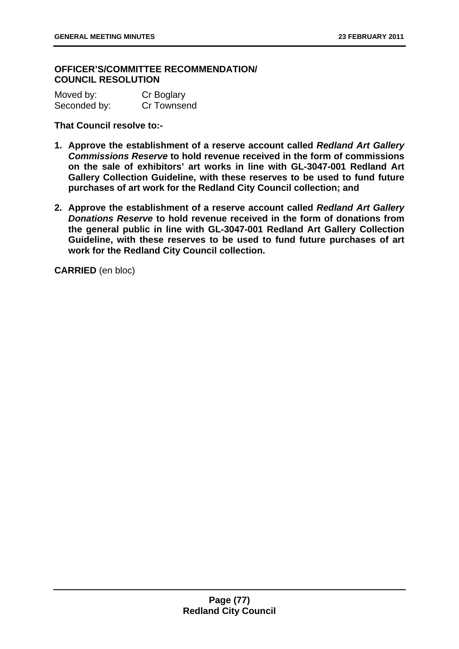## **OFFICER'S/COMMITTEE RECOMMENDATION/ COUNCIL RESOLUTION**

Moved by: Cr Boglary Seconded by: Cr Townsend

**That Council resolve to:-** 

- **1. Approve the establishment of a reserve account called** *Redland Art Gallery Commissions Reserve* **to hold revenue received in the form of commissions on the sale of exhibitors' art works in line with GL-3047-001 Redland Art Gallery Collection Guideline, with these reserves to be used to fund future purchases of art work for the Redland City Council collection; and**
- **2. Approve the establishment of a reserve account called** *Redland Art Gallery Donations Reserve* **to hold revenue received in the form of donations from the general public in line with GL-3047-001 Redland Art Gallery Collection Guideline, with these reserves to be used to fund future purchases of art work for the Redland City Council collection.**

**CARRIED** (en bloc)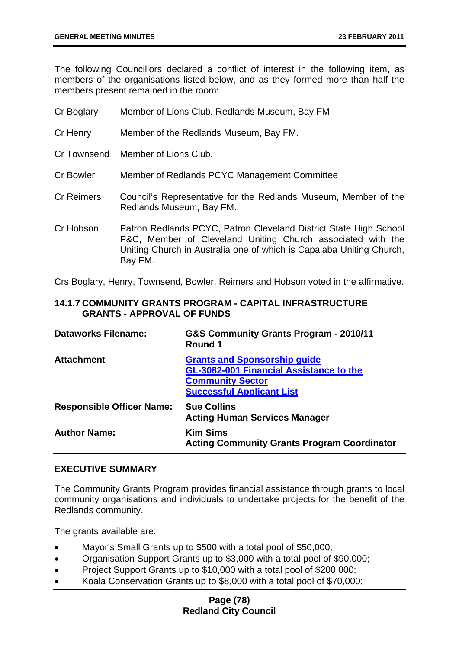The following Councillors declared a conflict of interest in the following item, as members of the organisations listed below, and as they formed more than half the members present remained in the room:

| Cr Boglary        | Member of Lions Club, Redlands Museum, Bay FM                                                                                                                                                                       |
|-------------------|---------------------------------------------------------------------------------------------------------------------------------------------------------------------------------------------------------------------|
| Cr Henry          | Member of the Redlands Museum, Bay FM.                                                                                                                                                                              |
|                   | Cr Townsend Member of Lions Club.                                                                                                                                                                                   |
| <b>Cr Bowler</b>  | Member of Redlands PCYC Management Committee                                                                                                                                                                        |
| <b>Cr Reimers</b> | Council's Representative for the Redlands Museum, Member of the<br>Redlands Museum, Bay FM.                                                                                                                         |
| Cr Hobson         | Patron Redlands PCYC, Patron Cleveland District State High School<br>P&C, Member of Cleveland Uniting Church associated with the<br>Uniting Church in Australia one of which is Capalaba Uniting Church,<br>Bay FM. |

Crs Boglary, Henry, Townsend, Bowler, Reimers and Hobson voted in the affirmative.

# **14.1.7 COMMUNITY GRANTS PROGRAM - CAPITAL INFRASTRUCTURE GRANTS - APPROVAL OF FUNDS**

| <b>Dataworks Filename:</b>       | G&S Community Grants Program - 2010/11<br>Round 1                                                                                             |
|----------------------------------|-----------------------------------------------------------------------------------------------------------------------------------------------|
| <b>Attachment</b>                | <b>Grants and Sponsorship guide</b><br>GL-3082-001 Financial Assistance to the<br><b>Community Sector</b><br><b>Successful Applicant List</b> |
| <b>Responsible Officer Name:</b> | <b>Sue Collins</b><br><b>Acting Human Services Manager</b>                                                                                    |
| <b>Author Name:</b>              | <b>Kim Sims</b><br><b>Acting Community Grants Program Coordinator</b>                                                                         |

### **EXECUTIVE SUMMARY**

The Community Grants Program provides financial assistance through grants to local community organisations and individuals to undertake projects for the benefit of the Redlands community.

The grants available are:

- Mayor's Small Grants up to \$500 with a total pool of \$50,000;
- Organisation Support Grants up to \$3,000 with a total pool of \$90,000;
- Project Support Grants up to \$10,000 with a total pool of \$200,000:
- Koala Conservation Grants up to \$8,000 with a total pool of \$70,000;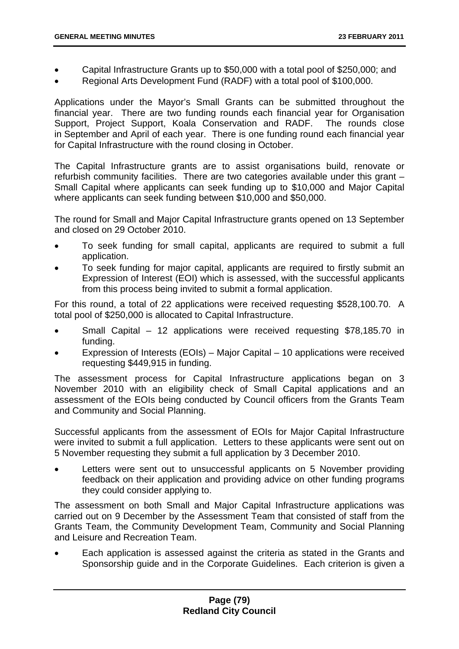- Capital Infrastructure Grants up to \$50,000 with a total pool of \$250,000; and
- Regional Arts Development Fund (RADF) with a total pool of \$100,000.

Applications under the Mayor's Small Grants can be submitted throughout the financial year. There are two funding rounds each financial year for Organisation Support, Project Support, Koala Conservation and RADF. The rounds close in September and April of each year. There is one funding round each financial year for Capital Infrastructure with the round closing in October.

The Capital Infrastructure grants are to assist organisations build, renovate or refurbish community facilities. There are two categories available under this grant – Small Capital where applicants can seek funding up to \$10,000 and Major Capital where applicants can seek funding between \$10,000 and \$50,000.

The round for Small and Major Capital Infrastructure grants opened on 13 September and closed on 29 October 2010.

- To seek funding for small capital, applicants are required to submit a full application.
- To seek funding for major capital, applicants are required to firstly submit an Expression of Interest (EOI) which is assessed, with the successful applicants from this process being invited to submit a formal application.

For this round, a total of 22 applications were received requesting \$528,100.70. A total pool of \$250,000 is allocated to Capital Infrastructure.

- Small Capital 12 applications were received requesting \$78,185.70 in funding.
- Expression of Interests (EOIs) Major Capital 10 applications were received requesting \$449,915 in funding.

The assessment process for Capital Infrastructure applications began on 3 November 2010 with an eligibility check of Small Capital applications and an assessment of the EOIs being conducted by Council officers from the Grants Team and Community and Social Planning.

Successful applicants from the assessment of EOIs for Major Capital Infrastructure were invited to submit a full application. Letters to these applicants were sent out on 5 November requesting they submit a full application by 3 December 2010.

Letters were sent out to unsuccessful applicants on 5 November providing feedback on their application and providing advice on other funding programs they could consider applying to.

The assessment on both Small and Major Capital Infrastructure applications was carried out on 9 December by the Assessment Team that consisted of staff from the Grants Team, the Community Development Team, Community and Social Planning and Leisure and Recreation Team.

• Each application is assessed against the criteria as stated in the Grants and Sponsorship guide and in the Corporate Guidelines. Each criterion is given a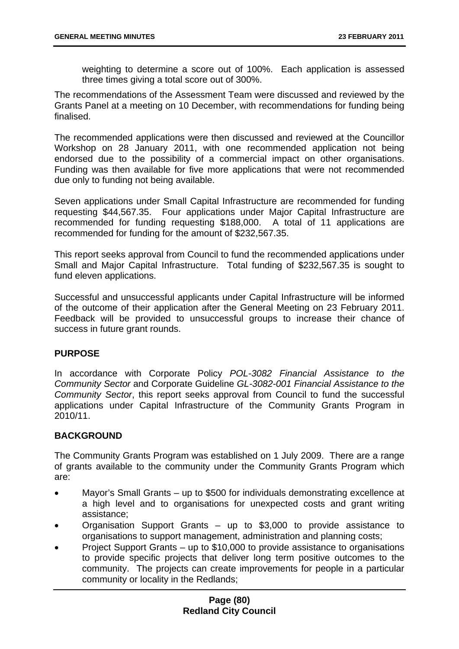weighting to determine a score out of 100%. Each application is assessed three times giving a total score out of 300%.

The recommendations of the Assessment Team were discussed and reviewed by the Grants Panel at a meeting on 10 December, with recommendations for funding being finalised.

The recommended applications were then discussed and reviewed at the Councillor Workshop on 28 January 2011, with one recommended application not being endorsed due to the possibility of a commercial impact on other organisations. Funding was then available for five more applications that were not recommended due only to funding not being available.

Seven applications under Small Capital Infrastructure are recommended for funding requesting \$44,567.35. Four applications under Major Capital Infrastructure are recommended for funding requesting \$188,000. A total of 11 applications are recommended for funding for the amount of \$232,567.35.

This report seeks approval from Council to fund the recommended applications under Small and Major Capital Infrastructure. Total funding of \$232,567.35 is sought to fund eleven applications.

Successful and unsuccessful applicants under Capital Infrastructure will be informed of the outcome of their application after the General Meeting on 23 February 2011. Feedback will be provided to unsuccessful groups to increase their chance of success in future grant rounds.

# **PURPOSE**

In accordance with Corporate Policy *POL-3082 Financial Assistance to the Community Sector* and Corporate Guideline *GL-3082-001 Financial Assistance to the Community Sector*, this report seeks approval from Council to fund the successful applications under Capital Infrastructure of the Community Grants Program in 2010/11.

# **BACKGROUND**

The Community Grants Program was established on 1 July 2009. There are a range of grants available to the community under the Community Grants Program which are:

- Mayor's Small Grants up to \$500 for individuals demonstrating excellence at a high level and to organisations for unexpected costs and grant writing assistance;
- Organisation Support Grants up to \$3,000 to provide assistance to organisations to support management, administration and planning costs;
- Project Support Grants up to \$10,000 to provide assistance to organisations to provide specific projects that deliver long term positive outcomes to the community. The projects can create improvements for people in a particular community or locality in the Redlands;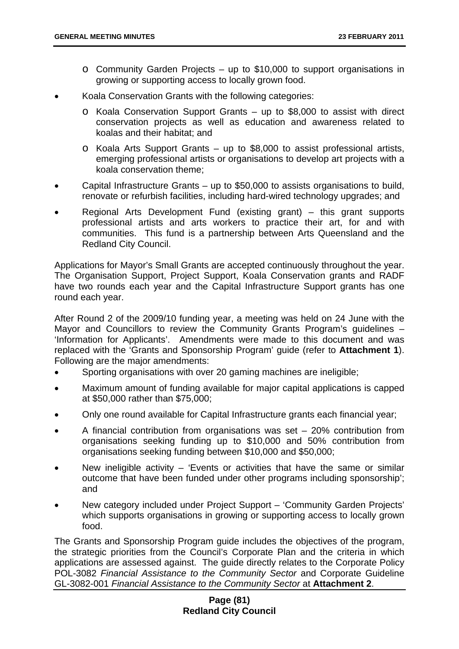- o Community Garden Projects up to \$10,000 to support organisations in growing or supporting access to locally grown food.
- Koala Conservation Grants with the following categories:
	- o Koala Conservation Support Grants up to \$8,000 to assist with direct conservation projects as well as education and awareness related to koalas and their habitat; and
	- o Koala Arts Support Grants up to \$8,000 to assist professional artists, emerging professional artists or organisations to develop art projects with a koala conservation theme;
- Capital Infrastructure Grants up to \$50,000 to assists organisations to build, renovate or refurbish facilities, including hard-wired technology upgrades; and
- Regional Arts Development Fund (existing grant) this grant supports professional artists and arts workers to practice their art, for and with communities. This fund is a partnership between Arts Queensland and the Redland City Council.

Applications for Mayor's Small Grants are accepted continuously throughout the year. The Organisation Support, Project Support, Koala Conservation grants and RADF have two rounds each year and the Capital Infrastructure Support grants has one round each year.

After Round 2 of the 2009/10 funding year, a meeting was held on 24 June with the Mayor and Councillors to review the Community Grants Program's guidelines – 'Information for Applicants'. Amendments were made to this document and was replaced with the 'Grants and Sponsorship Program' guide (refer to **Attachment 1**). Following are the major amendments:

- Sporting organisations with over 20 gaming machines are ineligible;
- Maximum amount of funding available for major capital applications is capped at \$50,000 rather than \$75,000;
- Only one round available for Capital Infrastructure grants each financial year;
- A financial contribution from organisations was set  $-20%$  contribution from organisations seeking funding up to \$10,000 and 50% contribution from organisations seeking funding between \$10,000 and \$50,000;
- New ineligible activity  $-$  'Events or activities that have the same or similar outcome that have been funded under other programs including sponsorship'; and
- New category included under Project Support 'Community Garden Projects' which supports organisations in growing or supporting access to locally grown food.

The Grants and Sponsorship Program guide includes the objectives of the program, the strategic priorities from the Council's Corporate Plan and the criteria in which applications are assessed against. The guide directly relates to the Corporate Policy POL-3082 *Financial Assistance to the Community Sector* and Corporate Guideline GL-3082-001 *Financial Assistance to the Community Sector* at **Attachment 2**.

# **Page (81) Redland City Council**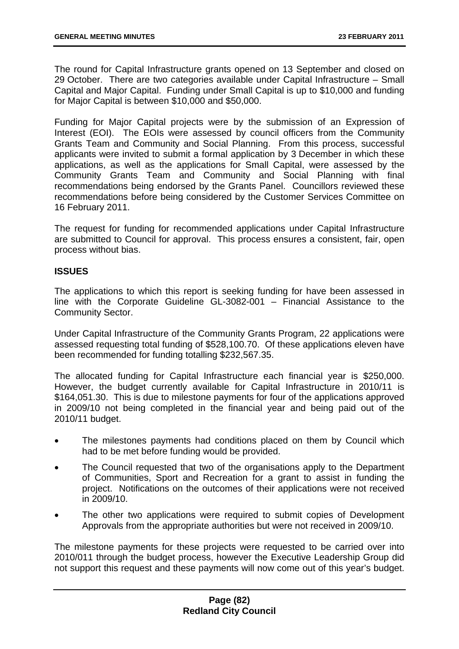The round for Capital Infrastructure grants opened on 13 September and closed on 29 October. There are two categories available under Capital Infrastructure – Small Capital and Major Capital. Funding under Small Capital is up to \$10,000 and funding for Major Capital is between \$10,000 and \$50,000.

Funding for Major Capital projects were by the submission of an Expression of Interest (EOI). The EOIs were assessed by council officers from the Community Grants Team and Community and Social Planning. From this process, successful applicants were invited to submit a formal application by 3 December in which these applications, as well as the applications for Small Capital, were assessed by the Community Grants Team and Community and Social Planning with final recommendations being endorsed by the Grants Panel. Councillors reviewed these recommendations before being considered by the Customer Services Committee on 16 February 2011.

The request for funding for recommended applications under Capital Infrastructure are submitted to Council for approval. This process ensures a consistent, fair, open process without bias.

## **ISSUES**

The applications to which this report is seeking funding for have been assessed in line with the Corporate Guideline GL-3082-001 – Financial Assistance to the Community Sector.

Under Capital Infrastructure of the Community Grants Program, 22 applications were assessed requesting total funding of \$528,100.70. Of these applications eleven have been recommended for funding totalling \$232,567.35.

The allocated funding for Capital Infrastructure each financial year is \$250,000. However, the budget currently available for Capital Infrastructure in 2010/11 is \$164,051.30. This is due to milestone payments for four of the applications approved in 2009/10 not being completed in the financial year and being paid out of the 2010/11 budget.

- The milestones payments had conditions placed on them by Council which had to be met before funding would be provided.
- The Council requested that two of the organisations apply to the Department of Communities, Sport and Recreation for a grant to assist in funding the project. Notifications on the outcomes of their applications were not received in 2009/10.
- The other two applications were required to submit copies of Development Approvals from the appropriate authorities but were not received in 2009/10.

The milestone payments for these projects were requested to be carried over into 2010/011 through the budget process, however the Executive Leadership Group did not support this request and these payments will now come out of this year's budget.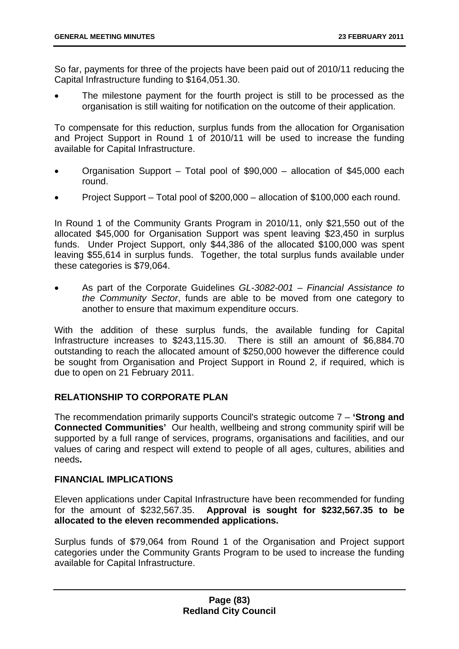So far, payments for three of the projects have been paid out of 2010/11 reducing the Capital Infrastructure funding to \$164,051.30.

The milestone payment for the fourth project is still to be processed as the organisation is still waiting for notification on the outcome of their application.

To compensate for this reduction, surplus funds from the allocation for Organisation and Project Support in Round 1 of 2010/11 will be used to increase the funding available for Capital Infrastructure.

- Organisation Support Total pool of \$90,000 allocation of \$45,000 each round.
- Project Support Total pool of \$200,000 allocation of \$100,000 each round.

In Round 1 of the Community Grants Program in 2010/11, only \$21,550 out of the allocated \$45,000 for Organisation Support was spent leaving \$23,450 in surplus funds. Under Project Support, only \$44,386 of the allocated \$100,000 was spent leaving \$55,614 in surplus funds. Together, the total surplus funds available under these categories is \$79,064.

• As part of the Corporate Guidelines *GL-3082-001 – Financial Assistance to the Community Sector*, funds are able to be moved from one category to another to ensure that maximum expenditure occurs.

With the addition of these surplus funds, the available funding for Capital Infrastructure increases to \$243,115.30. There is still an amount of \$6,884.70 outstanding to reach the allocated amount of \$250,000 however the difference could be sought from Organisation and Project Support in Round 2, if required, which is due to open on 21 February 2011.

# **RELATIONSHIP TO CORPORATE PLAN**

The recommendation primarily supports Council's strategic outcome 7 – **'Strong and Connected Communities'** Our health, wellbeing and strong community spirif will be supported by a full range of services, programs, organisations and facilities, and our values of caring and respect will extend to people of all ages, cultures, abilities and needs**.**

### **FINANCIAL IMPLICATIONS**

Eleven applications under Capital Infrastructure have been recommended for funding for the amount of \$232,567.35. **Approval is sought for \$232,567.35 to be allocated to the eleven recommended applications.** 

Surplus funds of \$79,064 from Round 1 of the Organisation and Project support categories under the Community Grants Program to be used to increase the funding available for Capital Infrastructure.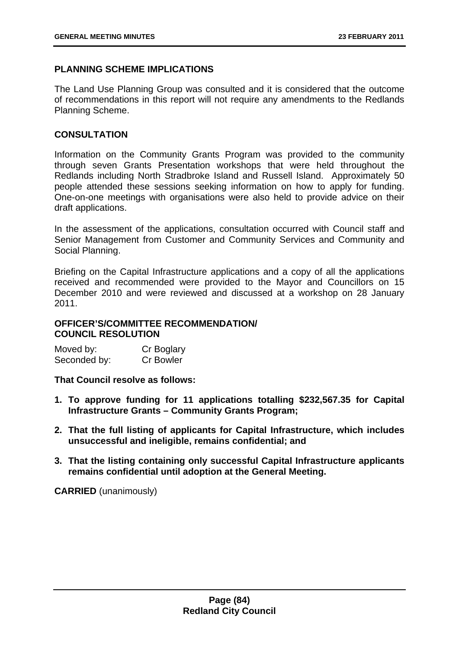## **PLANNING SCHEME IMPLICATIONS**

The Land Use Planning Group was consulted and it is considered that the outcome of recommendations in this report will not require any amendments to the Redlands Planning Scheme.

### **CONSULTATION**

Information on the Community Grants Program was provided to the community through seven Grants Presentation workshops that were held throughout the Redlands including North Stradbroke Island and Russell Island. Approximately 50 people attended these sessions seeking information on how to apply for funding. One-on-one meetings with organisations were also held to provide advice on their draft applications.

In the assessment of the applications, consultation occurred with Council staff and Senior Management from Customer and Community Services and Community and Social Planning.

Briefing on the Capital Infrastructure applications and a copy of all the applications received and recommended were provided to the Mayor and Councillors on 15 December 2010 and were reviewed and discussed at a workshop on 28 January 2011.

## **OFFICER'S/COMMITTEE RECOMMENDATION/ COUNCIL RESOLUTION**

| Moved by:    | Cr Boglary       |
|--------------|------------------|
| Seconded by: | <b>Cr Bowler</b> |

**That Council resolve as follows:** 

- **1. To approve funding for 11 applications totalling \$232,567.35 for Capital Infrastructure Grants – Community Grants Program;**
- **2. That the full listing of applicants for Capital Infrastructure, which includes unsuccessful and ineligible, remains confidential; and**
- **3. That the listing containing only successful Capital Infrastructure applicants remains confidential until adoption at the General Meeting.**

**CARRIED** (unanimously)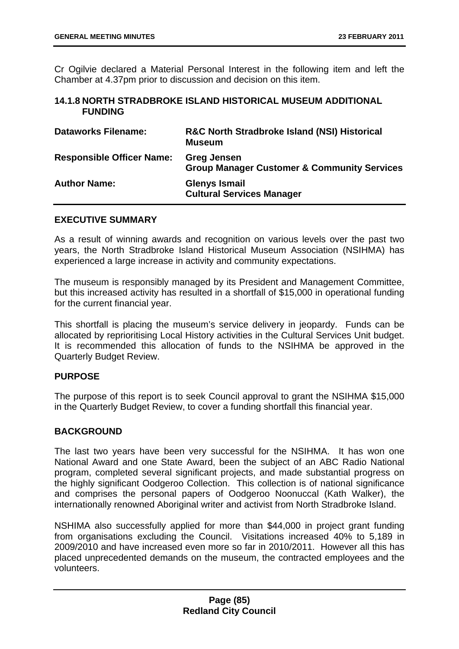Cr Ogilvie declared a Material Personal Interest in the following item and left the Chamber at 4.37pm prior to discussion and decision on this item.

### **14.1.8 NORTH STRADBROKE ISLAND HISTORICAL MUSEUM ADDITIONAL FUNDING**

| <b>Dataworks Filename:</b>       | <b>R&amp;C North Stradbroke Island (NSI) Historical</b><br><b>Museum</b>     |
|----------------------------------|------------------------------------------------------------------------------|
| <b>Responsible Officer Name:</b> | <b>Greg Jensen</b><br><b>Group Manager Customer &amp; Community Services</b> |
| <b>Author Name:</b>              | <b>Glenys Ismail</b><br><b>Cultural Services Manager</b>                     |

## **EXECUTIVE SUMMARY**

As a result of winning awards and recognition on various levels over the past two years, the North Stradbroke Island Historical Museum Association (NSIHMA) has experienced a large increase in activity and community expectations.

The museum is responsibly managed by its President and Management Committee, but this increased activity has resulted in a shortfall of \$15,000 in operational funding for the current financial year.

This shortfall is placing the museum's service delivery in jeopardy. Funds can be allocated by reprioritising Local History activities in the Cultural Services Unit budget. It is recommended this allocation of funds to the NSIHMA be approved in the Quarterly Budget Review.

# **PURPOSE**

The purpose of this report is to seek Council approval to grant the NSIHMA \$15,000 in the Quarterly Budget Review, to cover a funding shortfall this financial year.

### **BACKGROUND**

The last two years have been very successful for the NSIHMA. It has won one National Award and one State Award, been the subject of an ABC Radio National program, completed several significant projects, and made substantial progress on the highly significant Oodgeroo Collection. This collection is of national significance and comprises the personal papers of Oodgeroo Noonuccal (Kath Walker), the internationally renowned Aboriginal writer and activist from North Stradbroke Island.

NSHIMA also successfully applied for more than \$44,000 in project grant funding from organisations excluding the Council. Visitations increased 40% to 5,189 in 2009/2010 and have increased even more so far in 2010/2011. However all this has placed unprecedented demands on the museum, the contracted employees and the volunteers.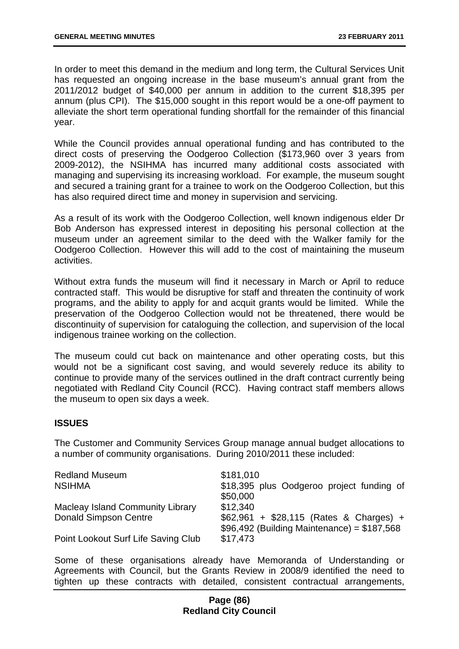In order to meet this demand in the medium and long term, the Cultural Services Unit has requested an ongoing increase in the base museum's annual grant from the 2011/2012 budget of \$40,000 per annum in addition to the current \$18,395 per annum (plus CPI). The \$15,000 sought in this report would be a one-off payment to alleviate the short term operational funding shortfall for the remainder of this financial year.

While the Council provides annual operational funding and has contributed to the direct costs of preserving the Oodgeroo Collection (\$173,960 over 3 years from 2009-2012), the NSIHMA has incurred many additional costs associated with managing and supervising its increasing workload. For example, the museum sought and secured a training grant for a trainee to work on the Oodgeroo Collection, but this has also required direct time and money in supervision and servicing.

As a result of its work with the Oodgeroo Collection, well known indigenous elder Dr Bob Anderson has expressed interest in depositing his personal collection at the museum under an agreement similar to the deed with the Walker family for the Oodgeroo Collection. However this will add to the cost of maintaining the museum activities.

Without extra funds the museum will find it necessary in March or April to reduce contracted staff. This would be disruptive for staff and threaten the continuity of work programs, and the ability to apply for and acquit grants would be limited. While the preservation of the Oodgeroo Collection would not be threatened, there would be discontinuity of supervision for cataloguing the collection, and supervision of the local indigenous trainee working on the collection.

The museum could cut back on maintenance and other operating costs, but this would not be a significant cost saving, and would severely reduce its ability to continue to provide many of the services outlined in the draft contract currently being negotiated with Redland City Council (RCC). Having contract staff members allows the museum to open six days a week.

### **ISSUES**

The Customer and Community Services Group manage annual budget allocations to a number of community organisations. During 2010/2011 these included:

| <b>Redland Museum</b>                   | \$181,010                                                                                |
|-----------------------------------------|------------------------------------------------------------------------------------------|
| <b>NSIHMA</b>                           | \$18,395 plus Oodgeroo project funding of                                                |
|                                         | \$50,000                                                                                 |
| <b>Macleay Island Community Library</b> | \$12,340                                                                                 |
| <b>Donald Simpson Centre</b>            | \$62,961 + \$28,115 (Rates & Charges) +<br>$$96,492$ (Building Maintenance) = $$187,568$ |
| Point Lookout Surf Life Saving Club     | \$17,473                                                                                 |

Some of these organisations already have Memoranda of Understanding or Agreements with Council, but the Grants Review in 2008/9 identified the need to tighten up these contracts with detailed, consistent contractual arrangements,

### **Page (86) Redland City Council**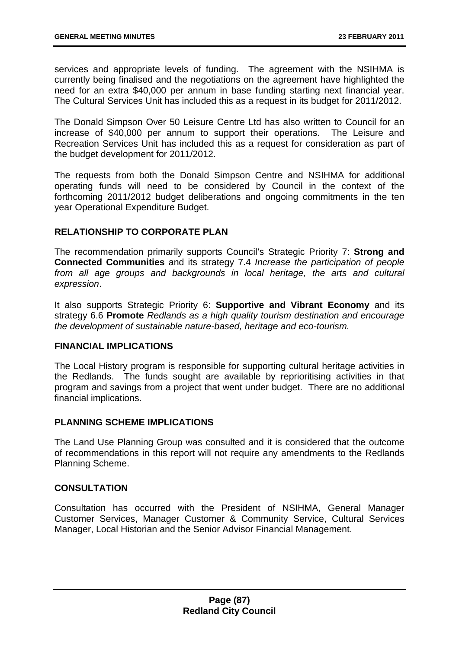services and appropriate levels of funding. The agreement with the NSIHMA is currently being finalised and the negotiations on the agreement have highlighted the need for an extra \$40,000 per annum in base funding starting next financial year. The Cultural Services Unit has included this as a request in its budget for 2011/2012.

The Donald Simpson Over 50 Leisure Centre Ltd has also written to Council for an increase of \$40,000 per annum to support their operations. The Leisure and Recreation Services Unit has included this as a request for consideration as part of the budget development for 2011/2012.

The requests from both the Donald Simpson Centre and NSIHMA for additional operating funds will need to be considered by Council in the context of the forthcoming 2011/2012 budget deliberations and ongoing commitments in the ten year Operational Expenditure Budget.

# **RELATIONSHIP TO CORPORATE PLAN**

The recommendation primarily supports Council's Strategic Priority 7: **Strong and Connected Communities** and its strategy 7.4 *Increase the participation of people from all age groups and backgrounds in local heritage, the arts and cultural expression*.

It also supports Strategic Priority 6: **Supportive and Vibrant Economy** and its strategy 6.6 **Promote** *Redlands as a high quality tourism destination and encourage the development of sustainable nature-based, heritage and eco-tourism.* 

### **FINANCIAL IMPLICATIONS**

The Local History program is responsible for supporting cultural heritage activities in the Redlands. The funds sought are available by reprioritising activities in that program and savings from a project that went under budget. There are no additional financial implications.

### **PLANNING SCHEME IMPLICATIONS**

The Land Use Planning Group was consulted and it is considered that the outcome of recommendations in this report will not require any amendments to the Redlands Planning Scheme.

# **CONSULTATION**

Consultation has occurred with the President of NSIHMA, General Manager Customer Services, Manager Customer & Community Service, Cultural Services Manager, Local Historian and the Senior Advisor Financial Management.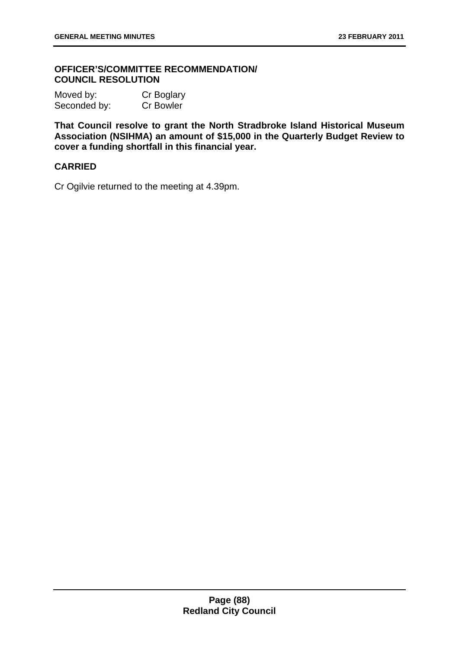## **OFFICER'S/COMMITTEE RECOMMENDATION/ COUNCIL RESOLUTION**

Moved by: Cr Boglary Seconded by: Cr Bowler

**That Council resolve to grant the North Stradbroke Island Historical Museum Association (NSIHMA) an amount of \$15,000 in the Quarterly Budget Review to cover a funding shortfall in this financial year.** 

# **CARRIED**

Cr Ogilvie returned to the meeting at 4.39pm.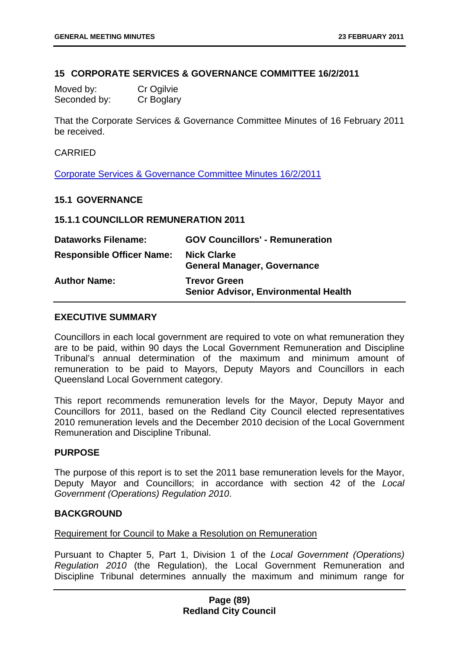### **15 CORPORATE SERVICES & GOVERNANCE COMMITTEE 16/2/2011**

| Moved by:    | Cr Ogilvie |
|--------------|------------|
| Seconded by: | Cr Boglary |

That the Corporate Services & Governance Committee Minutes of 16 February 2011 be received.

### CARRIED

Corporate Services & Governance Committee Minutes 16/2/2011

### **15.1 GOVERNANCE**

### **15.1.1 COUNCILLOR REMUNERATION 2011**

| <b>Dataworks Filename:</b>       | <b>GOV Councillors' - Remuneration</b>                             |
|----------------------------------|--------------------------------------------------------------------|
| <b>Responsible Officer Name:</b> | <b>Nick Clarke</b><br><b>General Manager, Governance</b>           |
| <b>Author Name:</b>              | <b>Trevor Green</b><br><b>Senior Advisor, Environmental Health</b> |

# **EXECUTIVE SUMMARY**

Councillors in each local government are required to vote on what remuneration they are to be paid, within 90 days the Local Government Remuneration and Discipline Tribunal's annual determination of the maximum and minimum amount of remuneration to be paid to Mayors, Deputy Mayors and Councillors in each Queensland Local Government category.

This report recommends remuneration levels for the Mayor, Deputy Mayor and Councillors for 2011, based on the Redland City Council elected representatives 2010 remuneration levels and the December 2010 decision of the Local Government Remuneration and Discipline Tribunal.

### **PURPOSE**

The purpose of this report is to set the 2011 base remuneration levels for the Mayor, Deputy Mayor and Councillors; in accordance with section 42 of the *Local Government (Operations) Regulation 2010*.

### **BACKGROUND**

#### Requirement for Council to Make a Resolution on Remuneration

Pursuant to Chapter 5, Part 1, Division 1 of the *Local Government (Operations) Regulation 2010* (the Regulation), the Local Government Remuneration and Discipline Tribunal determines annually the maximum and minimum range for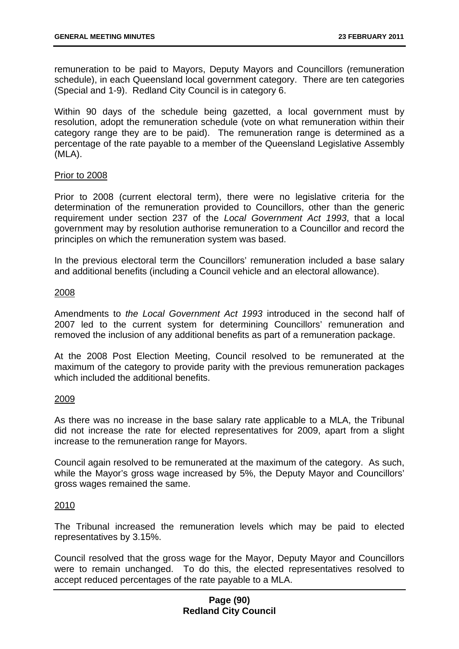remuneration to be paid to Mayors, Deputy Mayors and Councillors (remuneration schedule), in each Queensland local government category. There are ten categories (Special and 1-9). Redland City Council is in category 6.

Within 90 days of the schedule being gazetted, a local government must by resolution, adopt the remuneration schedule (vote on what remuneration within their category range they are to be paid). The remuneration range is determined as a percentage of the rate payable to a member of the Queensland Legislative Assembly (MLA).

#### Prior to 2008

Prior to 2008 (current electoral term), there were no legislative criteria for the determination of the remuneration provided to Councillors, other than the generic requirement under section 237 of the *Local Government Act 1993*, that a local government may by resolution authorise remuneration to a Councillor and record the principles on which the remuneration system was based.

In the previous electoral term the Councillors' remuneration included a base salary and additional benefits (including a Council vehicle and an electoral allowance).

#### 2008

Amendments to *the Local Government Act 1993* introduced in the second half of 2007 led to the current system for determining Councillors' remuneration and removed the inclusion of any additional benefits as part of a remuneration package.

At the 2008 Post Election Meeting, Council resolved to be remunerated at the maximum of the category to provide parity with the previous remuneration packages which included the additional benefits.

#### 2009

As there was no increase in the base salary rate applicable to a MLA, the Tribunal did not increase the rate for elected representatives for 2009, apart from a slight increase to the remuneration range for Mayors.

Council again resolved to be remunerated at the maximum of the category. As such, while the Mayor's gross wage increased by 5%, the Deputy Mayor and Councillors' gross wages remained the same.

### 2010

The Tribunal increased the remuneration levels which may be paid to elected representatives by 3.15%.

Council resolved that the gross wage for the Mayor, Deputy Mayor and Councillors were to remain unchanged. To do this, the elected representatives resolved to accept reduced percentages of the rate payable to a MLA.

## **Page (90) Redland City Council**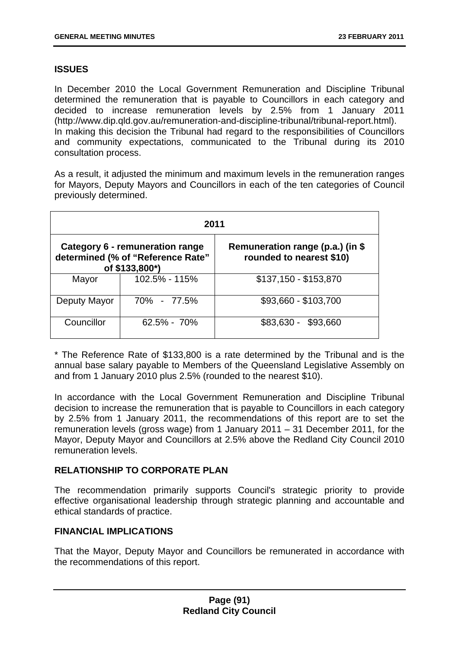# **ISSUES**

In December 2010 the Local Government Remuneration and Discipline Tribunal determined the remuneration that is payable to Councillors in each category and decided to increase remuneration levels by 2.5% from 1 January 2011 (<http://www.dip.qld.gov.au/remuneration-and-discipline-tribunal/tribunal-report.html>). In making this decision the Tribunal had regard to the responsibilities of Councillors and community expectations, communicated to the Tribunal during its 2010 consultation process.

As a result, it adjusted the minimum and maximum levels in the remuneration ranges for Mayors, Deputy Mayors and Councillors in each of the ten categories of Council previously determined.

| 2011                                                                                   |                 |                                                              |
|----------------------------------------------------------------------------------------|-----------------|--------------------------------------------------------------|
| Category 6 - remuneration range<br>determined (% of "Reference Rate"<br>of \$133,800*) |                 | Remuneration range (p.a.) (in \$<br>rounded to nearest \$10) |
| Mayor                                                                                  | 102.5% - 115%   | \$137,150 - \$153,870                                        |
| Deputy Mayor                                                                           | 70% - 77.5%     | \$93,660 - \$103,700                                         |
| Councillor                                                                             | $62.5\% - 70\%$ | \$83,630 -<br>\$93,660                                       |

\* The Reference Rate of \$133,800 is a rate determined by the Tribunal and is the annual base salary payable to Members of the Queensland Legislative Assembly on and from 1 January 2010 plus 2.5% (rounded to the nearest \$10).

In accordance with the Local Government Remuneration and Discipline Tribunal decision to increase the remuneration that is payable to Councillors in each category by 2.5% from 1 January 2011, the recommendations of this report are to set the remuneration levels (gross wage) from 1 January 2011 – 31 December 2011, for the Mayor, Deputy Mayor and Councillors at 2.5% above the Redland City Council 2010 remuneration levels.

# **RELATIONSHIP TO CORPORATE PLAN**

The recommendation primarily supports Council's strategic priority to provide effective organisational leadership through strategic planning and accountable and ethical standards of practice.

# **FINANCIAL IMPLICATIONS**

That the Mayor, Deputy Mayor and Councillors be remunerated in accordance with the recommendations of this report.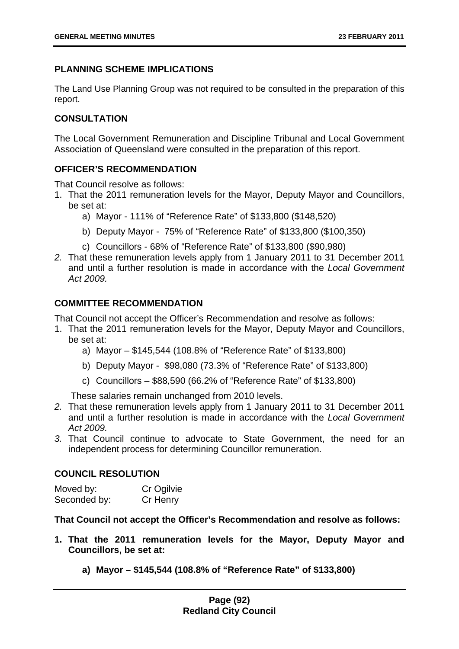# **PLANNING SCHEME IMPLICATIONS**

The Land Use Planning Group was not required to be consulted in the preparation of this report.

# **CONSULTATION**

The Local Government Remuneration and Discipline Tribunal and Local Government Association of Queensland were consulted in the preparation of this report.

# **OFFICER'S RECOMMENDATION**

That Council resolve as follows:

- 1. That the 2011 remuneration levels for the Mayor, Deputy Mayor and Councillors, be set at:
	- a) Mayor 111% of "Reference Rate" of \$133,800 (\$148,520)
	- b) Deputy Mayor 75% of "Reference Rate" of \$133,800 (\$100,350)
	- c) Councillors 68% of "Reference Rate" of \$133,800 (\$90,980)
- *2.* That these remuneration levels apply from 1 January 2011 to 31 December 2011 and until a further resolution is made in accordance with the *Local Government Act 2009.*

# **COMMITTEE RECOMMENDATION**

That Council not accept the Officer's Recommendation and resolve as follows:

- 1. That the 2011 remuneration levels for the Mayor, Deputy Mayor and Councillors, be set at:
	- a) Mayor \$145,544 (108.8% of "Reference Rate" of \$133,800)
	- b) Deputy Mayor \$98,080 (73.3% of "Reference Rate" of \$133,800)
	- c) Councillors \$88,590 (66.2% of "Reference Rate" of \$133,800)

These salaries remain unchanged from 2010 levels.

- *2.* That these remuneration levels apply from 1 January 2011 to 31 December 2011 and until a further resolution is made in accordance with the *Local Government Act 2009.*
- *3.* That Council continue to advocate to State Government, the need for an independent process for determining Councillor remuneration.

### **COUNCIL RESOLUTION**

| Moved by:    | Cr Ogilvie |
|--------------|------------|
| Seconded by: | Cr Henry   |

**That Council not accept the Officer's Recommendation and resolve as follows:** 

- **1. That the 2011 remuneration levels for the Mayor, Deputy Mayor and Councillors, be set at:** 
	- **a) Mayor \$145,544 (108.8% of "Reference Rate" of \$133,800)**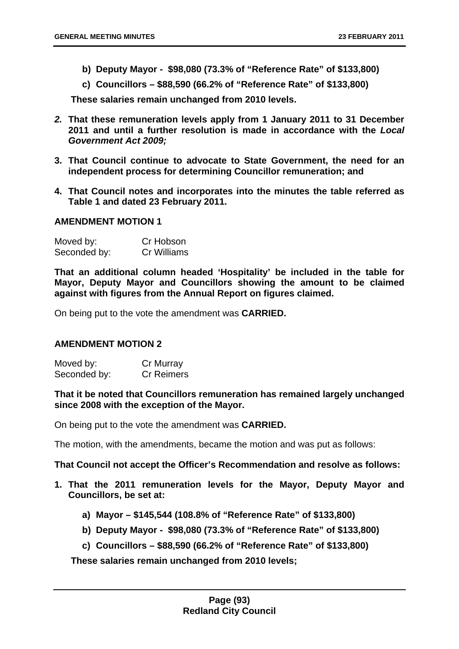- **b) Deputy Mayor \$98,080 (73.3% of "Reference Rate" of \$133,800)**
- **c) Councillors \$88,590 (66.2% of "Reference Rate" of \$133,800)**

**These salaries remain unchanged from 2010 levels.** 

- *2.* **That these remuneration levels apply from 1 January 2011 to 31 December 2011 and until a further resolution is made in accordance with the** *Local Government Act 2009;*
- **3. That Council continue to advocate to State Government, the need for an independent process for determining Councillor remuneration; and**
- **4. That Council notes and incorporates into the minutes the table referred as Table 1 and dated 23 February 2011.**

### **AMENDMENT MOTION 1**

| Moved by:    | Cr Hobson   |
|--------------|-------------|
| Seconded by: | Cr Williams |

**That an additional column headed 'Hospitality' be included in the table for Mayor, Deputy Mayor and Councillors showing the amount to be claimed against with figures from the Annual Report on figures claimed.** 

On being put to the vote the amendment was **CARRIED.** 

### **AMENDMENT MOTION 2**

Moved by: Cr Murray Seconded by: Cr Reimers

**That it be noted that Councillors remuneration has remained largely unchanged since 2008 with the exception of the Mayor.**

On being put to the vote the amendment was **CARRIED.** 

The motion, with the amendments, became the motion and was put as follows:

**That Council not accept the Officer's Recommendation and resolve as follows:** 

- **1. That the 2011 remuneration levels for the Mayor, Deputy Mayor and Councillors, be set at:** 
	- **a) Mayor \$145,544 (108.8% of "Reference Rate" of \$133,800)**
	- **b) Deputy Mayor \$98,080 (73.3% of "Reference Rate" of \$133,800)**
	- **c) Councillors \$88,590 (66.2% of "Reference Rate" of \$133,800)**

**These salaries remain unchanged from 2010 levels;**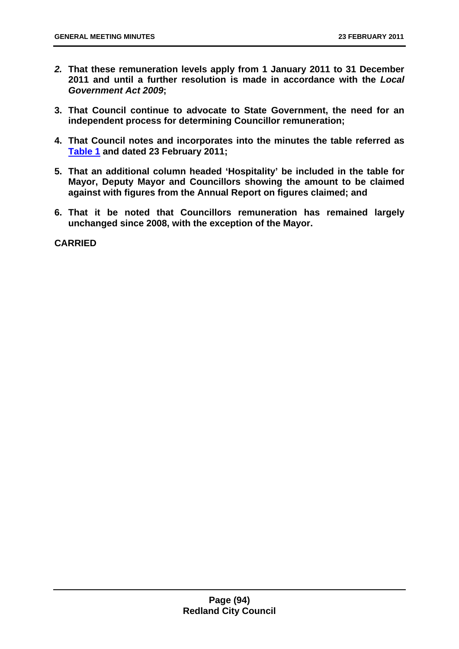- *2.* **That these remuneration levels apply from 1 January 2011 to 31 December 2011 and until a further resolution is made in accordance with the** *Local Government Act 2009***;**
- **3. That Council continue to advocate to State Government, the need for an independent process for determining Councillor remuneration;**
- **4. That Council notes and incorporates into the minutes the table referred as Table 1 and dated 23 February 2011;**
- **5. That an additional column headed 'Hospitality' be included in the table for Mayor, Deputy Mayor and Councillors showing the amount to be claimed against with figures from the Annual Report on figures claimed; and**
- **6. That it be noted that Councillors remuneration has remained largely unchanged since 2008, with the exception of the Mayor.**

**CARRIED**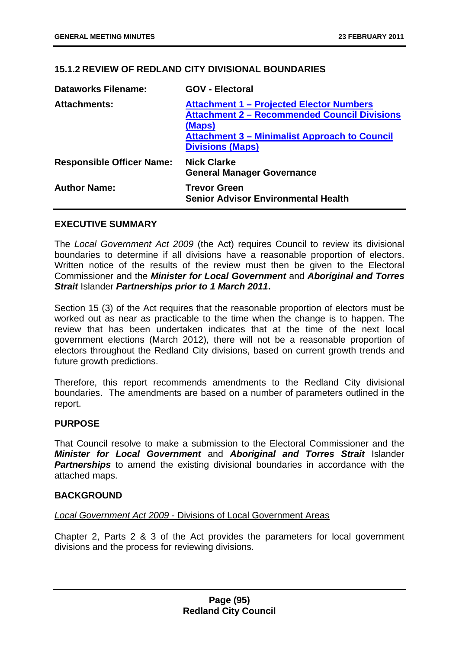## **15.1.2 REVIEW OF REDLAND CITY DIVISIONAL BOUNDARIES**

| <b>Dataworks Filename:</b>       | <b>GOV - Electoral</b>                                                                                                                                                                              |
|----------------------------------|-----------------------------------------------------------------------------------------------------------------------------------------------------------------------------------------------------|
| <b>Attachments:</b>              | <b>Attachment 1 - Projected Elector Numbers</b><br><b>Attachment 2 - Recommended Council Divisions</b><br>(Maps)<br><b>Attachment 3 – Minimalist Approach to Council</b><br><b>Divisions (Maps)</b> |
| <b>Responsible Officer Name:</b> | <b>Nick Clarke</b><br><b>General Manager Governance</b>                                                                                                                                             |
| <b>Author Name:</b>              | <b>Trevor Green</b><br><b>Senior Advisor Environmental Health</b>                                                                                                                                   |

### **EXECUTIVE SUMMARY**

The *Local Government Act 2009* (the Act) requires Council to review its divisional boundaries to determine if all divisions have a reasonable proportion of electors. Written notice of the results of the review must then be given to the Electoral Commissioner and the *Minister for Local Government* and *Aboriginal and Torres Strait* Islander *Partnerships prior to 1 March 2011***.**

Section 15 (3) of the Act requires that the reasonable proportion of electors must be worked out as near as practicable to the time when the change is to happen. The review that has been undertaken indicates that at the time of the next local government elections (March 2012), there will not be a reasonable proportion of electors throughout the Redland City divisions, based on current growth trends and future growth predictions.

Therefore, this report recommends amendments to the Redland City divisional boundaries. The amendments are based on a number of parameters outlined in the report.

### **PURPOSE**

That Council resolve to make a submission to the Electoral Commissioner and the *Minister for Local Government* and *Aboriginal and Torres Strait* Islander **Partnerships** to amend the existing divisional boundaries in accordance with the attached maps.

#### **BACKGROUND**

#### *Local Government Act 2009* - Divisions of Local Government Areas

Chapter 2, Parts 2 & 3 of the Act provides the parameters for local government divisions and the process for reviewing divisions.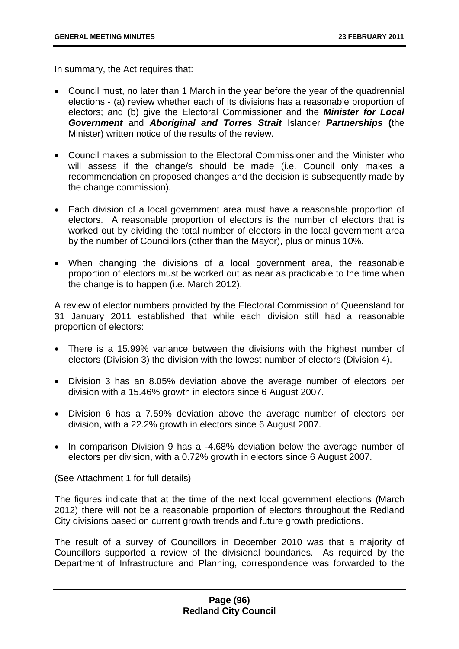In summary, the Act requires that:

- Council must, no later than 1 March in the year before the year of the quadrennial elections - (a) review whether each of its divisions has a reasonable proportion of electors; and (b) give the Electoral Commissioner and the *Minister for Local Government* and *Aboriginal and Torres Strait* Islander *Partnerships* **(**the Minister) written notice of the results of the review.
- Council makes a submission to the Electoral Commissioner and the Minister who will assess if the change/s should be made (i.e. Council only makes a recommendation on proposed changes and the decision is subsequently made by the change commission).
- Each division of a local government area must have a reasonable proportion of electors. A reasonable proportion of electors is the number of electors that is worked out by dividing the total number of electors in the local government area by the number of Councillors (other than the Mayor), plus or minus 10%.
- When changing the divisions of a local government area, the reasonable proportion of electors must be worked out as near as practicable to the time when the change is to happen (i.e. March 2012).

A review of elector numbers provided by the Electoral Commission of Queensland for 31 January 2011 established that while each division still had a reasonable proportion of electors:

- There is a 15.99% variance between the divisions with the highest number of electors (Division 3) the division with the lowest number of electors (Division 4).
- Division 3 has an 8.05% deviation above the average number of electors per division with a 15.46% growth in electors since 6 August 2007.
- Division 6 has a 7.59% deviation above the average number of electors per division, with a 22.2% growth in electors since 6 August 2007.
- In comparison Division 9 has a -4.68% deviation below the average number of electors per division, with a 0.72% growth in electors since 6 August 2007.

(See Attachment 1 for full details)

The figures indicate that at the time of the next local government elections (March 2012) there will not be a reasonable proportion of electors throughout the Redland City divisions based on current growth trends and future growth predictions.

The result of a survey of Councillors in December 2010 was that a majority of Councillors supported a review of the divisional boundaries. As required by the Department of Infrastructure and Planning, correspondence was forwarded to the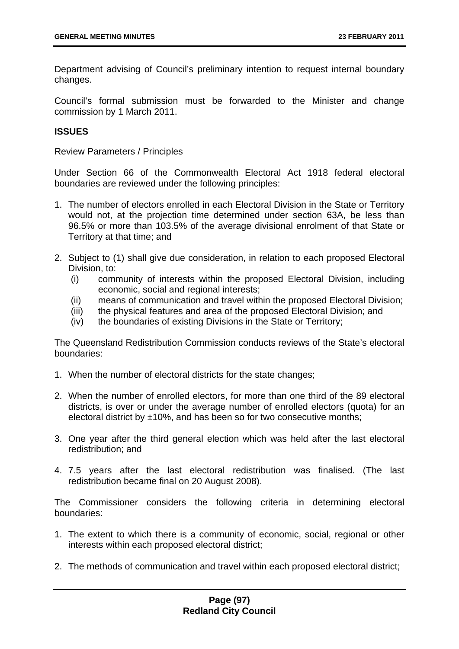Department advising of Council's preliminary intention to request internal boundary changes.

Council's formal submission must be forwarded to the Minister and change commission by 1 March 2011.

## **ISSUES**

### Review Parameters / Principles

Under Section 66 of the Commonwealth Electoral Act 1918 federal electoral boundaries are reviewed under the following principles:

- 1. The number of [electors](http://www.austlii.edu.au/au/legis/cth/consol_act/cea1918233/s4.html#elector?stem=0&synonyms=0&query=boundaries) enrolled in each [Electoral](http://www.austlii.edu.au/au/legis/cth/consol_act/cea1918233/s4.html#elector?stem=0&synonyms=0&query=boundaries) [Division](http://www.austlii.edu.au/au/legis/cth/consol_act/cea1918233/s287.html#division?stem=0&synonyms=0&query=boundaries) in the State or [Territory](http://www.austlii.edu.au/au/legis/cth/consol_act/cea1918233/s55.html#territory?stem=0&synonyms=0&query=boundaries)  would not, at the projection time determined under section 63A, be less than 96.5% or more than 103.5% of the [average divisional enrolment](http://www.austlii.edu.au/au/legis/cth/consol_act/cea1918233/s55.html#average_divisional_enrolment?stem=0&synonyms=0&query=boundaries) of that State or [Territory](http://www.austlii.edu.au/au/legis/cth/consol_act/cea1918233/s55.html#territory?stem=0&synonyms=0&query=boundaries) at that time; and
- 2. Subject to (1) shall give due consideration, in relation to each proposed [Electoral](http://www.austlii.edu.au/au/legis/cth/consol_act/cea1918233/s4.html#elector?stem=0&synonyms=0&query=boundaries)  [Division,](http://www.austlii.edu.au/au/legis/cth/consol_act/cea1918233/s287.html#division?stem=0&synonyms=0&query=boundaries) to:
	- (i) community of interests within the proposed Electoral Division, including economic, social and regional interests;
	- (ii) means of communication and travel within the proposed Electoral Division;
	- (iii) the physical features and area of the proposed Electoral Division; and
	- (iv) the boundaries of existing Divisions in the State or Territory;

The Queensland Redistribution Commission conducts reviews of the State's electoral boundaries:

- 1. When the number of electoral districts for the state changes;
- 2. When the number of enrolled electors, for more than one third of the 89 electoral districts, is over or under the average number of enrolled electors (quota) for an electoral district by ±10%, and has been so for two consecutive months;
- 3. One year after the third general election which was held after the last electoral redistribution; and
- 4. 7.5 years after the last electoral redistribution was finalised. (The last redistribution became final on 20 August 2008).

The Commissioner considers the following criteria in determining electoral boundaries:

- 1. The extent to which there is a community of economic, social, regional or other interests within each proposed electoral district;
- 2. The methods of communication and travel within each proposed electoral district;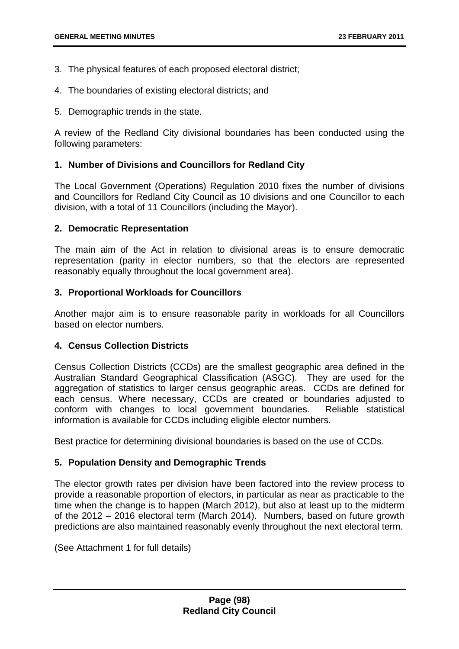- 3. The physical features of each proposed electoral district;
- 4. The boundaries of existing electoral districts; and
- 5. Demographic trends in the state.

A review of the Redland City divisional boundaries has been conducted using the following parameters:

## **1. Number of Divisions and Councillors for Redland City**

The Local Government (Operations) Regulation 2010 fixes the number of divisions and Councillors for Redland City Council as 10 divisions and one Councillor to each division, with a total of 11 Councillors (including the Mayor).

## **2. Democratic Representation**

The main aim of the Act in relation to divisional areas is to ensure democratic representation (parity in elector numbers, so that the electors are represented reasonably equally throughout the local government area).

## **3. Proportional Workloads for Councillors**

Another major aim is to ensure reasonable parity in workloads for all Councillors based on elector numbers.

# **4. Census Collection Districts**

Census Collection Districts (CCDs) are the smallest geographic area defined in the Australian Standard Geographical Classification (ASGC). They are used for the aggregation of statistics to larger census geographic areas. CCDs are defined for each census. Where necessary, CCDs are created or boundaries adjusted to conform with changes to local government boundaries. Reliable statistical information is available for CCDs including eligible elector numbers.

Best practice for determining divisional boundaries is based on the use of CCDs.

# **5. Population Density and Demographic Trends**

The elector growth rates per division have been factored into the review process to provide a reasonable proportion of electors, in particular as near as practicable to the time when the change is to happen (March 2012), but also at least up to the midterm of the 2012 – 2016 electoral term (March 2014). Numbers, based on future growth predictions are also maintained reasonably evenly throughout the next electoral term.

(See Attachment 1 for full details)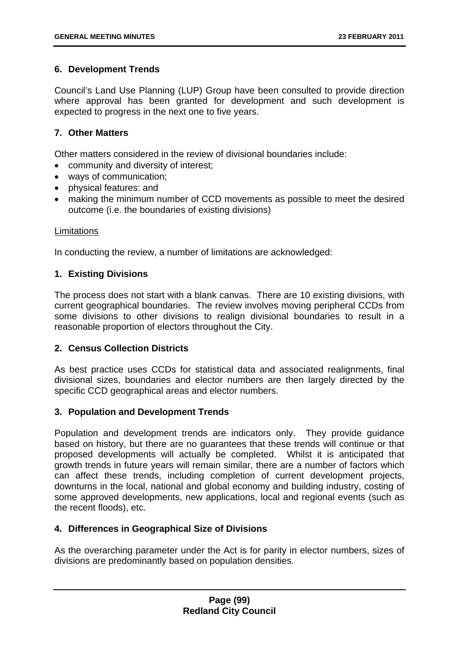# **6. Development Trends**

Council's Land Use Planning (LUP) Group have been consulted to provide direction where approval has been granted for development and such development is expected to progress in the next one to five years.

# **7. Other Matters**

Other matters considered in the review of divisional boundaries include:

- community and diversity of interest;
- ways of communication;
- physical features: and
- making the minimum number of CCD movements as possible to meet the desired outcome (i.e. the boundaries of existing divisions)

### **Limitations**

In conducting the review, a number of limitations are acknowledged:

# **1. Existing Divisions**

The process does not start with a blank canvas. There are 10 existing divisions, with current geographical boundaries. The review involves moving peripheral CCDs from some divisions to other divisions to realign divisional boundaries to result in a reasonable proportion of electors throughout the City.

# **2. Census Collection Districts**

As best practice uses CCDs for statistical data and associated realignments, final divisional sizes, boundaries and elector numbers are then largely directed by the specific CCD geographical areas and elector numbers.

### **3. Population and Development Trends**

Population and development trends are indicators only. They provide guidance based on history, but there are no guarantees that these trends will continue or that proposed developments will actually be completed. Whilst it is anticipated that growth trends in future years will remain similar, there are a number of factors which can affect these trends, including completion of current development projects, downturns in the local, national and global economy and building industry, costing of some approved developments, new applications, local and regional events (such as the recent floods), etc.

# **4. Differences in Geographical Size of Divisions**

As the overarching parameter under the Act is for parity in elector numbers, sizes of divisions are predominantly based on population densities.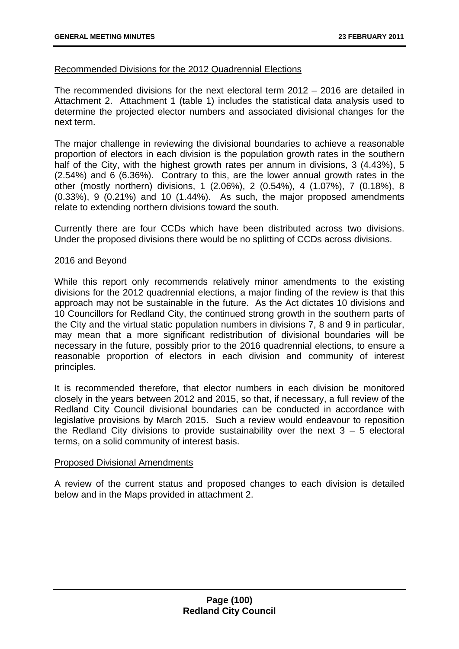## Recommended Divisions for the 2012 Quadrennial Elections

The recommended divisions for the next electoral term 2012 – 2016 are detailed in Attachment 2. Attachment 1 (table 1) includes the statistical data analysis used to determine the projected elector numbers and associated divisional changes for the next term.

The major challenge in reviewing the divisional boundaries to achieve a reasonable proportion of electors in each division is the population growth rates in the southern half of the City, with the highest growth rates per annum in divisions, 3 (4.43%), 5 (2.54%) and 6 (6.36%). Contrary to this, are the lower annual growth rates in the other (mostly northern) divisions, 1 (2.06%), 2 (0.54%), 4 (1.07%), 7 (0.18%), 8 (0.33%), 9 (0.21%) and 10 (1.44%). As such, the major proposed amendments relate to extending northern divisions toward the south.

Currently there are four CCDs which have been distributed across two divisions. Under the proposed divisions there would be no splitting of CCDs across divisions.

## 2016 and Beyond

While this report only recommends relatively minor amendments to the existing divisions for the 2012 quadrennial elections, a major finding of the review is that this approach may not be sustainable in the future. As the Act dictates 10 divisions and 10 Councillors for Redland City, the continued strong growth in the southern parts of the City and the virtual static population numbers in divisions 7, 8 and 9 in particular, may mean that a more significant redistribution of divisional boundaries will be necessary in the future, possibly prior to the 2016 quadrennial elections, to ensure a reasonable proportion of electors in each division and community of interest principles.

It is recommended therefore, that elector numbers in each division be monitored closely in the years between 2012 and 2015, so that, if necessary, a full review of the Redland City Council divisional boundaries can be conducted in accordance with legislative provisions by March 2015. Such a review would endeavour to reposition the Redland City divisions to provide sustainability over the next  $3 - 5$  electoral terms, on a solid community of interest basis.

### Proposed Divisional Amendments

A review of the current status and proposed changes to each division is detailed below and in the Maps provided in attachment 2.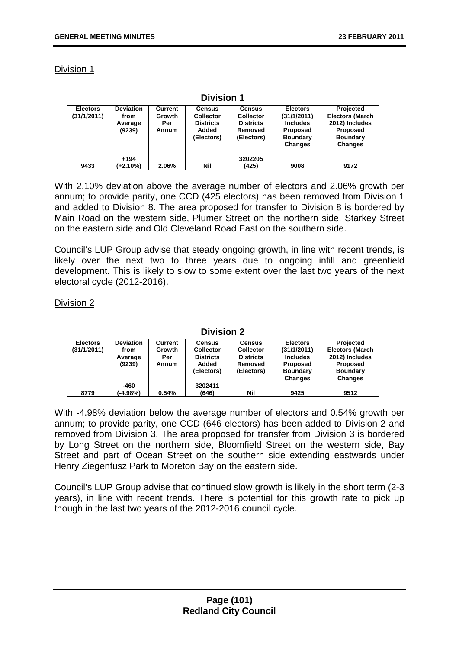| <b>Division 1</b>              |                                               |                                          |                                                                              |                                                                                |                                                                                                    |                                                                                                               |  |  |
|--------------------------------|-----------------------------------------------|------------------------------------------|------------------------------------------------------------------------------|--------------------------------------------------------------------------------|----------------------------------------------------------------------------------------------------|---------------------------------------------------------------------------------------------------------------|--|--|
| <b>Electors</b><br>(31/1/2011) | <b>Deviation</b><br>from<br>Average<br>(9239) | <b>Current</b><br>Growth<br>Per<br>Annum | <b>Census</b><br><b>Collector</b><br><b>Districts</b><br>Added<br>(Electors) | <b>Census</b><br><b>Collector</b><br><b>Districts</b><br>Removed<br>(Electors) | <b>Electors</b><br>(31/1/2011)<br><b>Includes</b><br><b>Proposed</b><br><b>Boundary</b><br>Changes | Projected<br><b>Electors (March</b><br>2012) Includes<br><b>Proposed</b><br><b>Boundary</b><br><b>Changes</b> |  |  |
| 9433                           | $+194$<br>(+2.10%)                            | 2.06%                                    | Nil                                                                          | 3202205<br>(425)                                                               | 9008                                                                                               | 9172                                                                                                          |  |  |

With 2.10% deviation above the average number of electors and 2.06% growth per annum; to provide parity, one CCD (425 electors) has been removed from Division 1 and added to Division 8. The area proposed for transfer to Division 8 is bordered by Main Road on the western side, Plumer Street on the northern side, Starkey Street on the eastern side and Old Cleveland Road East on the southern side.

Council's LUP Group advise that steady ongoing growth, in line with recent trends, is likely over the next two to three years due to ongoing infill and greenfield development. This is likely to slow to some extent over the last two years of the next electoral cycle (2012-2016).

## Division 2

| <b>Division 2</b> |                  |              |                  |                  |                 |                        |  |  |  |
|-------------------|------------------|--------------|------------------|------------------|-----------------|------------------------|--|--|--|
| <b>Electors</b>   | <b>Deviation</b> | Current      | <b>Census</b>    | <b>Census</b>    | <b>Electors</b> | Projected              |  |  |  |
| (31/1/2011)       | from             | Growth       | <b>Collector</b> | <b>Collector</b> | (31/1/2011)     | <b>Electors (March</b> |  |  |  |
|                   | Average          | Per          | <b>Districts</b> | <b>Districts</b> | <b>Includes</b> | 2012) Includes         |  |  |  |
|                   | (9239)           | <b>Annum</b> | Added            | Removed          | <b>Proposed</b> | <b>Proposed</b>        |  |  |  |
|                   |                  |              | (Electors)       | (Electors)       | <b>Boundary</b> | <b>Boundary</b>        |  |  |  |
|                   |                  |              |                  |                  | <b>Changes</b>  | <b>Changes</b>         |  |  |  |
|                   | -460             |              | 3202411          |                  |                 |                        |  |  |  |
| 8779              | (-4.98%)         | 0.54%        | (646)            | Nil              | 9425            | 9512                   |  |  |  |

With -4.98% deviation below the average number of electors and 0.54% growth per annum; to provide parity, one CCD (646 electors) has been added to Division 2 and removed from Division 3. The area proposed for transfer from Division 3 is bordered by Long Street on the northern side, Bloomfield Street on the western side, Bay Street and part of Ocean Street on the southern side extending eastwards under Henry Ziegenfusz Park to Moreton Bay on the eastern side.

Council's LUP Group advise that continued slow growth is likely in the short term (2-3 years), in line with recent trends. There is potential for this growth rate to pick up though in the last two years of the 2012-2016 council cycle.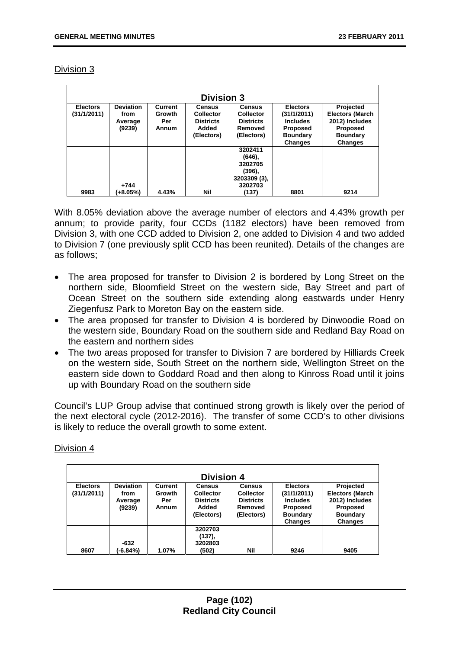| <b>Division 3</b>              |                                               |                                          |                                                                              |                                                                                |                                                                                                    |                                                                                                               |  |  |  |
|--------------------------------|-----------------------------------------------|------------------------------------------|------------------------------------------------------------------------------|--------------------------------------------------------------------------------|----------------------------------------------------------------------------------------------------|---------------------------------------------------------------------------------------------------------------|--|--|--|
| <b>Electors</b><br>(31/1/2011) | <b>Deviation</b><br>from<br>Average<br>(9239) | <b>Current</b><br>Growth<br>Per<br>Annum | <b>Census</b><br><b>Collector</b><br><b>Districts</b><br>Added<br>(Electors) | <b>Census</b><br><b>Collector</b><br><b>Districts</b><br>Removed<br>(Electors) | <b>Electors</b><br>(31/1/2011)<br><b>Includes</b><br><b>Proposed</b><br><b>Boundary</b><br>Changes | Projected<br><b>Electors (March</b><br>2012) Includes<br><b>Proposed</b><br><b>Boundary</b><br><b>Changes</b> |  |  |  |
| 9983                           | +744<br>(+8.05%)                              | 4.43%                                    | Nil                                                                          | 3202411<br>(646),<br>3202705<br>(396),<br>3203309 (3),<br>3202703<br>(137)     | 8801                                                                                               | 9214                                                                                                          |  |  |  |

With 8.05% deviation above the average number of electors and 4.43% growth per annum; to provide parity, four CCDs (1182 electors) have been removed from Division 3, with one CCD added to Division 2, one added to Division 4 and two added to Division 7 (one previously split CCD has been reunited). Details of the changes are as follows;

- The area proposed for transfer to Division 2 is bordered by Long Street on the northern side, Bloomfield Street on the western side, Bay Street and part of Ocean Street on the southern side extending along eastwards under Henry Ziegenfusz Park to Moreton Bay on the eastern side.
- The area proposed for transfer to Division 4 is bordered by Dinwoodie Road on the western side, Boundary Road on the southern side and Redland Bay Road on the eastern and northern sides
- The two areas proposed for transfer to Division 7 are bordered by Hilliards Creek on the western side, South Street on the northern side, Wellington Street on the eastern side down to Goddard Road and then along to Kinross Road until it joins up with Boundary Road on the southern side

Council's LUP Group advise that continued strong growth is likely over the period of the next electoral cycle (2012-2016). The transfer of some CCD's to other divisions is likely to reduce the overall growth to some extent.

| <b>Division 4</b>              |                          |                          |                                   |                                   |                                    |                                     |  |  |  |
|--------------------------------|--------------------------|--------------------------|-----------------------------------|-----------------------------------|------------------------------------|-------------------------------------|--|--|--|
| <b>Electors</b><br>(31/1/2011) | <b>Deviation</b><br>from | <b>Current</b><br>Growth | <b>Census</b><br><b>Collector</b> | <b>Census</b><br><b>Collector</b> | <b>Electors</b><br>(31/1/2011)     | Projected<br><b>Electors (March</b> |  |  |  |
|                                | Average<br>(9239)        | Per<br>Annum             | <b>Districts</b><br>Added         | <b>Districts</b><br>Removed       | <b>Includes</b><br><b>Proposed</b> | 2012) Includes<br>Proposed          |  |  |  |
|                                |                          |                          | (Electors)                        | (Electors)                        | <b>Boundary</b><br><b>Changes</b>  | <b>Boundary</b><br><b>Changes</b>   |  |  |  |
|                                | $-632$                   |                          | 3202703<br>(137),<br>3202803      |                                   |                                    |                                     |  |  |  |
| 8607                           | (-6.84%)                 | 1.07%                    | (502)                             | Nil                               | 9246                               | 9405                                |  |  |  |

# Division 4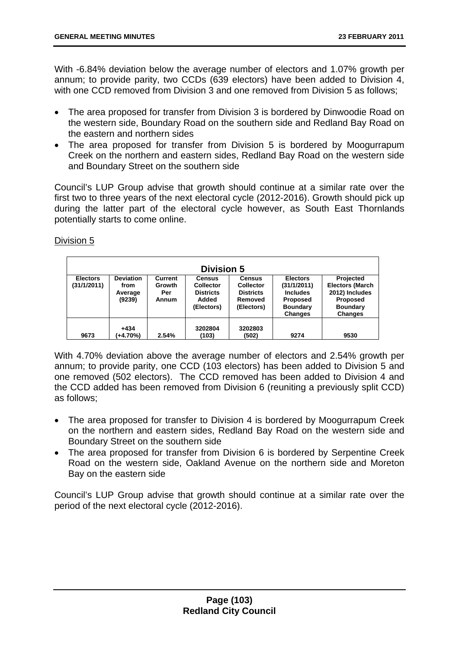With -6.84% deviation below the average number of electors and 1.07% growth per annum; to provide parity, two CCDs (639 electors) have been added to Division 4, with one CCD removed from Division 3 and one removed from Division 5 as follows:

- The area proposed for transfer from Division 3 is bordered by Dinwoodie Road on the western side, Boundary Road on the southern side and Redland Bay Road on the eastern and northern sides
- The area proposed for transfer from Division 5 is bordered by Moogurrapum Creek on the northern and eastern sides, Redland Bay Road on the western side and Boundary Street on the southern side

Council's LUP Group advise that growth should continue at a similar rate over the first two to three years of the next electoral cycle (2012-2016). Growth should pick up during the latter part of the electoral cycle however, as South East Thornlands potentially starts to come online.

# Division 5

| <b>Division 5</b>              |                                               |                                   |                                                                              |                                                                                |                                                                                                    |                                                                                                               |  |  |  |
|--------------------------------|-----------------------------------------------|-----------------------------------|------------------------------------------------------------------------------|--------------------------------------------------------------------------------|----------------------------------------------------------------------------------------------------|---------------------------------------------------------------------------------------------------------------|--|--|--|
| <b>Electors</b><br>(31/1/2011) | <b>Deviation</b><br>from<br>Average<br>(9239) | Current<br>Growth<br>Per<br>Annum | <b>Census</b><br><b>Collector</b><br><b>Districts</b><br>Added<br>(Electors) | <b>Census</b><br><b>Collector</b><br><b>Districts</b><br>Removed<br>(Electors) | <b>Electors</b><br>(31/1/2011)<br><b>Includes</b><br><b>Proposed</b><br><b>Boundary</b><br>Changes | Projected<br><b>Electors (March</b><br>2012) Includes<br><b>Proposed</b><br><b>Boundary</b><br><b>Changes</b> |  |  |  |
| 9673                           | $+434$<br>(+4.70%)                            | 2.54%                             | 3202804<br>(103)                                                             | 3202803<br>(502)                                                               | 9274                                                                                               | 9530                                                                                                          |  |  |  |

With 4.70% deviation above the average number of electors and 2.54% growth per annum; to provide parity, one CCD (103 electors) has been added to Division 5 and one removed (502 electors). The CCD removed has been added to Division 4 and the CCD added has been removed from Division 6 (reuniting a previously split CCD) as follows;

- The area proposed for transfer to Division 4 is bordered by Moogurrapum Creek on the northern and eastern sides, Redland Bay Road on the western side and Boundary Street on the southern side
- The area proposed for transfer from Division 6 is bordered by Serpentine Creek Road on the western side, Oakland Avenue on the northern side and Moreton Bay on the eastern side

Council's LUP Group advise that growth should continue at a similar rate over the period of the next electoral cycle (2012-2016).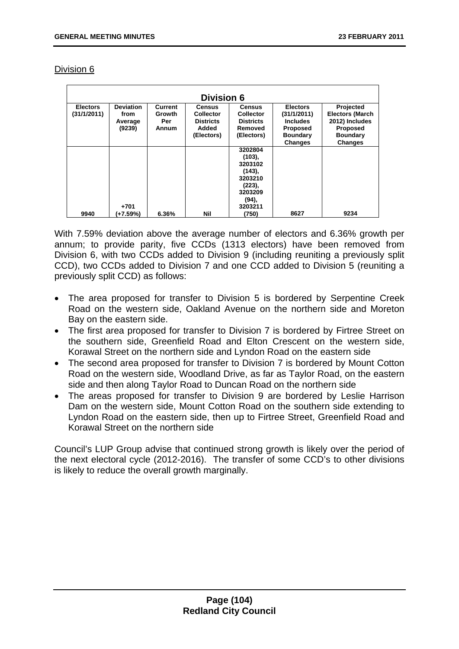| DIVISION |  |
|----------|--|
|          |  |

| <b>Division 6</b>              |                                               |                                   |                                                                              |                                                                                            |                                                                                                           |                                                                                                               |  |  |  |
|--------------------------------|-----------------------------------------------|-----------------------------------|------------------------------------------------------------------------------|--------------------------------------------------------------------------------------------|-----------------------------------------------------------------------------------------------------------|---------------------------------------------------------------------------------------------------------------|--|--|--|
| <b>Electors</b><br>(31/1/2011) | <b>Deviation</b><br>from<br>Average<br>(9239) | Current<br>Growth<br>Per<br>Annum | <b>Census</b><br><b>Collector</b><br><b>Districts</b><br>Added<br>(Electors) | <b>Census</b><br><b>Collector</b><br><b>Districts</b><br>Removed<br>(Electors)             | <b>Electors</b><br>(31/1/2011)<br><b>Includes</b><br><b>Proposed</b><br><b>Boundary</b><br><b>Changes</b> | Projected<br><b>Electors (March</b><br>2012) Includes<br><b>Proposed</b><br><b>Boundary</b><br><b>Changes</b> |  |  |  |
|                                | $+701$                                        |                                   |                                                                              | 3202804<br>(103),<br>3203102<br>(143),<br>3203210<br>(223),<br>3203209<br>(94),<br>3203211 |                                                                                                           |                                                                                                               |  |  |  |
| 9940                           | (+7.59%)                                      | 6.36%                             | Nil                                                                          | (750)                                                                                      | 8627                                                                                                      | 9234                                                                                                          |  |  |  |

With 7.59% deviation above the average number of electors and 6.36% growth per annum; to provide parity, five CCDs (1313 electors) have been removed from Division 6, with two CCDs added to Division 9 (including reuniting a previously split CCD), two CCDs added to Division 7 and one CCD added to Division 5 (reuniting a previously split CCD) as follows:

- The area proposed for transfer to Division 5 is bordered by Serpentine Creek Road on the western side, Oakland Avenue on the northern side and Moreton Bay on the eastern side.
- The first area proposed for transfer to Division 7 is bordered by Firtree Street on the southern side, Greenfield Road and Elton Crescent on the western side, Korawal Street on the northern side and Lyndon Road on the eastern side
- The second area proposed for transfer to Division 7 is bordered by Mount Cotton Road on the western side, Woodland Drive, as far as Taylor Road, on the eastern side and then along Taylor Road to Duncan Road on the northern side
- The areas proposed for transfer to Division 9 are bordered by Leslie Harrison Dam on the western side, Mount Cotton Road on the southern side extending to Lyndon Road on the eastern side, then up to Firtree Street, Greenfield Road and Korawal Street on the northern side

Council's LUP Group advise that continued strong growth is likely over the period of the next electoral cycle (2012-2016). The transfer of some CCD's to other divisions is likely to reduce the overall growth marginally.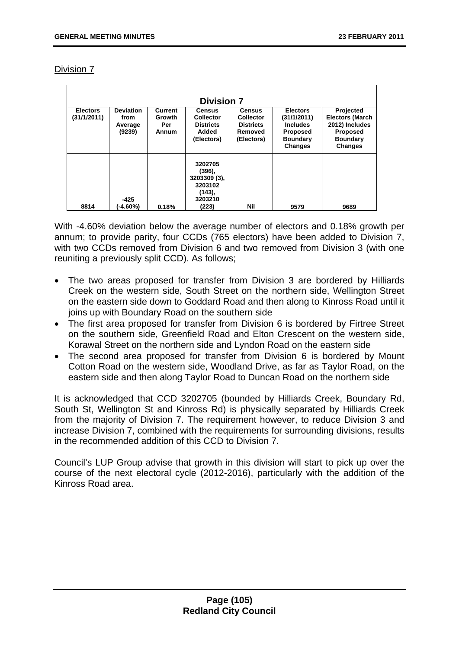|                                |                                               |                                          | <b>Division 7</b>                                                            |                                                                                |                                                                                                    |                                                                                                               |
|--------------------------------|-----------------------------------------------|------------------------------------------|------------------------------------------------------------------------------|--------------------------------------------------------------------------------|----------------------------------------------------------------------------------------------------|---------------------------------------------------------------------------------------------------------------|
| <b>Electors</b><br>(31/1/2011) | <b>Deviation</b><br>from<br>Average<br>(9239) | <b>Current</b><br>Growth<br>Per<br>Annum | <b>Census</b><br><b>Collector</b><br><b>Districts</b><br>Added<br>(Electors) | <b>Census</b><br><b>Collector</b><br><b>Districts</b><br>Removed<br>(Electors) | <b>Electors</b><br>(31/1/2011)<br><b>Includes</b><br>Proposed<br><b>Boundary</b><br><b>Changes</b> | Projected<br><b>Electors (March</b><br>2012) Includes<br><b>Proposed</b><br><b>Boundary</b><br><b>Changes</b> |
| 8814                           | $-425$<br>(-4.60%)                            | 0.18%                                    | 3202705<br>(396),<br>3203309 (3),<br>3203102<br>(143),<br>3203210<br>(223)   | Nil                                                                            | 9579                                                                                               | 9689                                                                                                          |

With -4.60% deviation below the average number of electors and 0.18% growth per annum; to provide parity, four CCDs (765 electors) have been added to Division 7, with two CCDs removed from Division 6 and two removed from Division 3 (with one reuniting a previously split CCD). As follows;

- The two areas proposed for transfer from Division 3 are bordered by Hilliards Creek on the western side, South Street on the northern side, Wellington Street on the eastern side down to Goddard Road and then along to Kinross Road until it joins up with Boundary Road on the southern side
- The first area proposed for transfer from Division 6 is bordered by Firtree Street on the southern side, Greenfield Road and Elton Crescent on the western side, Korawal Street on the northern side and Lyndon Road on the eastern side
- The second area proposed for transfer from Division 6 is bordered by Mount Cotton Road on the western side, Woodland Drive, as far as Taylor Road, on the eastern side and then along Taylor Road to Duncan Road on the northern side

It is acknowledged that CCD 3202705 (bounded by Hilliards Creek, Boundary Rd, South St, Wellington St and Kinross Rd) is physically separated by Hilliards Creek from the majority of Division 7. The requirement however, to reduce Division 3 and increase Division 7, combined with the requirements for surrounding divisions, results in the recommended addition of this CCD to Division 7.

Council's LUP Group advise that growth in this division will start to pick up over the course of the next electoral cycle (2012-2016), particularly with the addition of the Kinross Road area.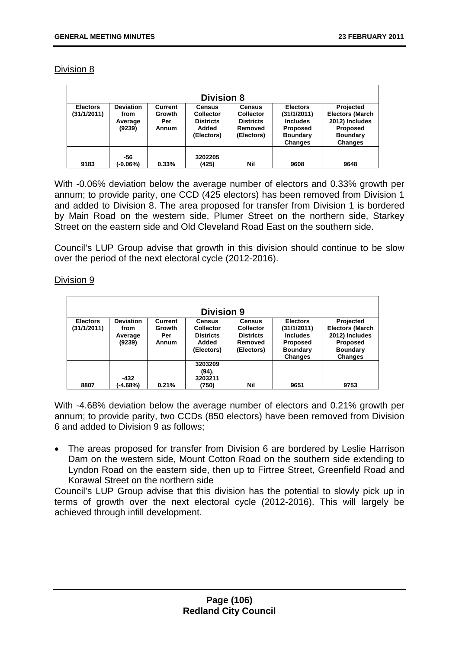| <b>Division 8</b>              |                                               |                                          |                                                                              |                                                                                |                                                                                                    |                                                                                                               |  |  |  |
|--------------------------------|-----------------------------------------------|------------------------------------------|------------------------------------------------------------------------------|--------------------------------------------------------------------------------|----------------------------------------------------------------------------------------------------|---------------------------------------------------------------------------------------------------------------|--|--|--|
| <b>Electors</b><br>(31/1/2011) | <b>Deviation</b><br>from<br>Average<br>(9239) | <b>Current</b><br>Growth<br>Per<br>Annum | <b>Census</b><br><b>Collector</b><br><b>Districts</b><br>Added<br>(Electors) | <b>Census</b><br><b>Collector</b><br><b>Districts</b><br>Removed<br>(Electors) | <b>Electors</b><br>(31/1/2011)<br><b>Includes</b><br><b>Proposed</b><br><b>Boundary</b><br>Changes | Projected<br><b>Electors (March</b><br>2012) Includes<br><b>Proposed</b><br><b>Boundary</b><br><b>Changes</b> |  |  |  |
| 9183                           | -56<br>(-0.06%)                               | 0.33%                                    | 3202205<br>(425)                                                             | Nil                                                                            | 9608                                                                                               | 9648                                                                                                          |  |  |  |

With -0.06% deviation below the average number of electors and 0.33% growth per annum; to provide parity, one CCD (425 electors) has been removed from Division 1 and added to Division 8. The area proposed for transfer from Division 1 is bordered by Main Road on the western side, Plumer Street on the northern side, Starkey Street on the eastern side and Old Cleveland Road East on the southern side.

Council's LUP Group advise that growth in this division should continue to be slow over the period of the next electoral cycle (2012-2016).

Division 9

| <b>Division 9</b>              |                                               |                                   |                                                                              |                                                                                |                                                                                                    |                                                                                                               |  |  |
|--------------------------------|-----------------------------------------------|-----------------------------------|------------------------------------------------------------------------------|--------------------------------------------------------------------------------|----------------------------------------------------------------------------------------------------|---------------------------------------------------------------------------------------------------------------|--|--|
| <b>Electors</b><br>(31/1/2011) | <b>Deviation</b><br>from<br>Average<br>(9239) | Current<br>Growth<br>Per<br>Annum | <b>Census</b><br><b>Collector</b><br><b>Districts</b><br>Added<br>(Electors) | <b>Census</b><br><b>Collector</b><br><b>Districts</b><br>Removed<br>(Electors) | <b>Electors</b><br>(31/1/2011)<br><b>Includes</b><br><b>Proposed</b><br><b>Boundary</b><br>Changes | Projected<br><b>Electors (March</b><br>2012) Includes<br><b>Proposed</b><br><b>Boundary</b><br><b>Changes</b> |  |  |
| 8807                           | -432<br>(-4.68%)                              | 0.21%                             | 3203209<br>(94),<br>3203211<br>(750)                                         | <b>Nil</b>                                                                     | 9651                                                                                               | 9753                                                                                                          |  |  |

With -4.68% deviation below the average number of electors and 0.21% growth per annum; to provide parity, two CCDs (850 electors) have been removed from Division 6 and added to Division 9 as follows;

The areas proposed for transfer from Division 6 are bordered by Leslie Harrison Dam on the western side, Mount Cotton Road on the southern side extending to Lyndon Road on the eastern side, then up to Firtree Street, Greenfield Road and Korawal Street on the northern side

Council's LUP Group advise that this division has the potential to slowly pick up in terms of growth over the next electoral cycle (2012-2016). This will largely be achieved through infill development.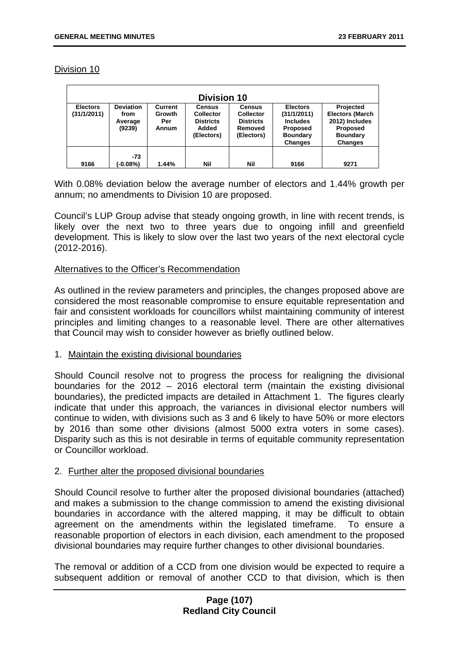| <b>Division 10</b> |                  |         |                  |                  |                 |                        |
|--------------------|------------------|---------|------------------|------------------|-----------------|------------------------|
| <b>Electors</b>    | <b>Deviation</b> | Current | <b>Census</b>    | <b>Census</b>    | <b>Electors</b> | Projected              |
| (31/1/2011)        | from             | Growth  | <b>Collector</b> | <b>Collector</b> | (31/1/2011)     | <b>Electors (March</b> |
|                    | Average          | Per     | <b>Districts</b> | <b>Districts</b> | <b>Includes</b> | 2012) Includes         |
|                    | (9239)           | Annum   | Added            | Removed          | <b>Proposed</b> | Proposed               |
|                    |                  |         | (Electors)       | (Electors)       | <b>Boundary</b> | <b>Boundary</b>        |
|                    |                  |         |                  |                  | <b>Changes</b>  | <b>Changes</b>         |
| 9166               | -73<br>(-0.08%)  | 1.44%   | Nil              | Nil              | 9166            | 9271                   |

With 0.08% deviation below the average number of electors and 1.44% growth per annum; no amendments to Division 10 are proposed.

Council's LUP Group advise that steady ongoing growth, in line with recent trends, is likely over the next two to three years due to ongoing infill and greenfield development. This is likely to slow over the last two years of the next electoral cycle (2012-2016).

#### Alternatives to the Officer's Recommendation

As outlined in the review parameters and principles, the changes proposed above are considered the most reasonable compromise to ensure equitable representation and fair and consistent workloads for councillors whilst maintaining community of interest principles and limiting changes to a reasonable level. There are other alternatives that Council may wish to consider however as briefly outlined below.

#### 1. Maintain the existing divisional boundaries

Should Council resolve not to progress the process for realigning the divisional boundaries for the 2012 – 2016 electoral term (maintain the existing divisional boundaries), the predicted impacts are detailed in Attachment 1. The figures clearly indicate that under this approach, the variances in divisional elector numbers will continue to widen, with divisions such as 3 and 6 likely to have 50% or more electors by 2016 than some other divisions (almost 5000 extra voters in some cases). Disparity such as this is not desirable in terms of equitable community representation or Councillor workload.

### 2. Further alter the proposed divisional boundaries

Should Council resolve to further alter the proposed divisional boundaries (attached) and makes a submission to the change commission to amend the existing divisional boundaries in accordance with the altered mapping, it may be difficult to obtain agreement on the amendments within the legislated timeframe. To ensure a reasonable proportion of electors in each division, each amendment to the proposed divisional boundaries may require further changes to other divisional boundaries.

The removal or addition of a CCD from one division would be expected to require a subsequent addition or removal of another CCD to that division, which is then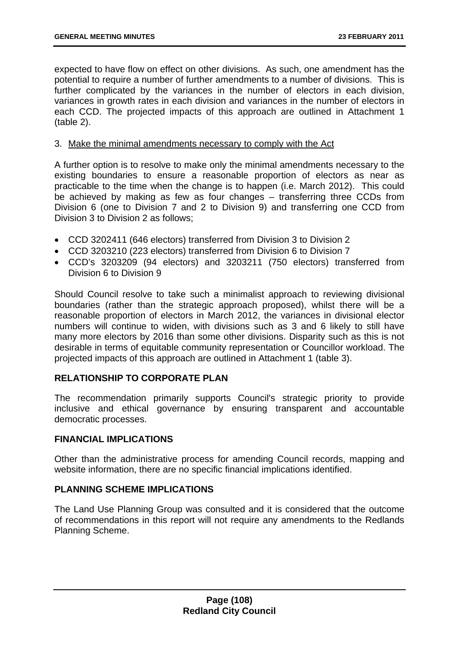expected to have flow on effect on other divisions. As such, one amendment has the potential to require a number of further amendments to a number of divisions. This is further complicated by the variances in the number of electors in each division, variances in growth rates in each division and variances in the number of electors in each CCD. The projected impacts of this approach are outlined in Attachment 1 (table 2).

### 3. Make the minimal amendments necessary to comply with the Act

A further option is to resolve to make only the minimal amendments necessary to the existing boundaries to ensure a reasonable proportion of electors as near as practicable to the time when the change is to happen (i.e. March 2012). This could be achieved by making as few as four changes – transferring three CCDs from Division 6 (one to Division 7 and 2 to Division 9) and transferring one CCD from Division 3 to Division 2 as follows;

- CCD 3202411 (646 electors) transferred from Division 3 to Division 2
- CCD 3203210 (223 electors) transferred from Division 6 to Division 7
- CCD's 3203209 (94 electors) and 3203211 (750 electors) transferred from Division 6 to Division 9

Should Council resolve to take such a minimalist approach to reviewing divisional boundaries (rather than the strategic approach proposed), whilst there will be a reasonable proportion of electors in March 2012, the variances in divisional elector numbers will continue to widen, with divisions such as 3 and 6 likely to still have many more electors by 2016 than some other divisions. Disparity such as this is not desirable in terms of equitable community representation or Councillor workload. The projected impacts of this approach are outlined in Attachment 1 (table 3).

# **RELATIONSHIP TO CORPORATE PLAN**

The recommendation primarily supports Council's strategic priority to provide inclusive and ethical governance by ensuring transparent and accountable democratic processes.

### **FINANCIAL IMPLICATIONS**

Other than the administrative process for amending Council records, mapping and website information, there are no specific financial implications identified.

### **PLANNING SCHEME IMPLICATIONS**

The Land Use Planning Group was consulted and it is considered that the outcome of recommendations in this report will not require any amendments to the Redlands Planning Scheme.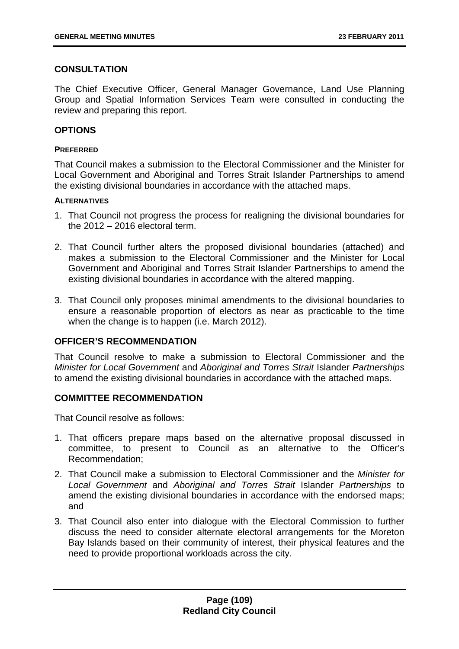# **CONSULTATION**

The Chief Executive Officer, General Manager Governance, Land Use Planning Group and Spatial Information Services Team were consulted in conducting the review and preparing this report.

## **OPTIONS**

### **PREFERRED**

That Council makes a submission to the Electoral Commissioner and the Minister for Local Government and Aboriginal and Torres Strait Islander Partnerships to amend the existing divisional boundaries in accordance with the attached maps.

### **ALTERNATIVES**

- 1. That Council not progress the process for realigning the divisional boundaries for the 2012 – 2016 electoral term.
- 2. That Council further alters the proposed divisional boundaries (attached) and makes a submission to the Electoral Commissioner and the Minister for Local Government and Aboriginal and Torres Strait Islander Partnerships to amend the existing divisional boundaries in accordance with the altered mapping.
- 3. That Council only proposes minimal amendments to the divisional boundaries to ensure a reasonable proportion of electors as near as practicable to the time when the change is to happen (i.e. March 2012).

## **OFFICER'S RECOMMENDATION**

That Council resolve to make a submission to Electoral Commissioner and the *Minister for Local Government* and *Aboriginal and Torres Strait* Islander *Partnerships* to amend the existing divisional boundaries in accordance with the attached maps.

# **COMMITTEE RECOMMENDATION**

That Council resolve as follows:

- 1. That officers prepare maps based on the alternative proposal discussed in committee, to present to Council as an alternative to the Officer's Recommendation;
- 2. That Council make a submission to Electoral Commissioner and the *Minister for Local Government* and *Aboriginal and Torres Strait* Islander *Partnerships* to amend the existing divisional boundaries in accordance with the endorsed maps; and
- 3. That Council also enter into dialogue with the Electoral Commission to further discuss the need to consider alternate electoral arrangements for the Moreton Bay Islands based on their community of interest, their physical features and the need to provide proportional workloads across the city.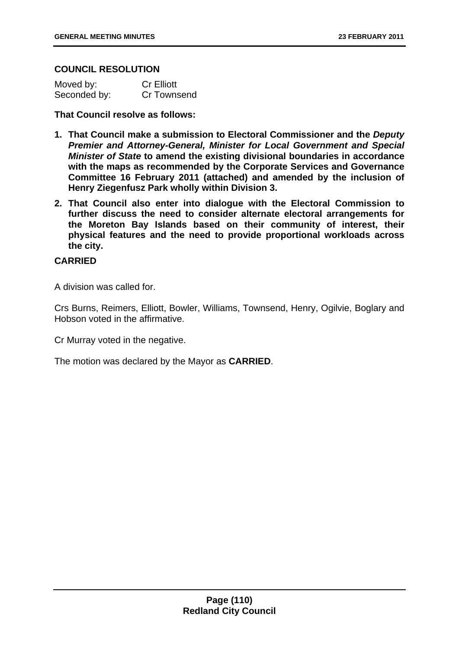## **COUNCIL RESOLUTION**

| Moved by:    | <b>Cr Elliott</b> |
|--------------|-------------------|
| Seconded by: | Cr Townsend       |

## **That Council resolve as follows:**

- **1. That Council make a submission to Electoral Commissioner and the** *Deputy Premier and Attorney-General, Minister for Local Government and Special Minister of State* **to amend the existing divisional boundaries in accordance with the maps as recommended by the Corporate Services and Governance Committee 16 February 2011 (attached) and amended by the inclusion of Henry Ziegenfusz Park wholly within Division 3.**
- **2. That Council also enter into dialogue with the Electoral Commission to further discuss the need to consider alternate electoral arrangements for the Moreton Bay Islands based on their community of interest, their physical features and the need to provide proportional workloads across the city.**

## **CARRIED**

A division was called for.

Crs Burns, Reimers, Elliott, Bowler, Williams, Townsend, Henry, Ogilvie, Boglary and Hobson voted in the affirmative.

Cr Murray voted in the negative.

The motion was declared by the Mayor as **CARRIED**.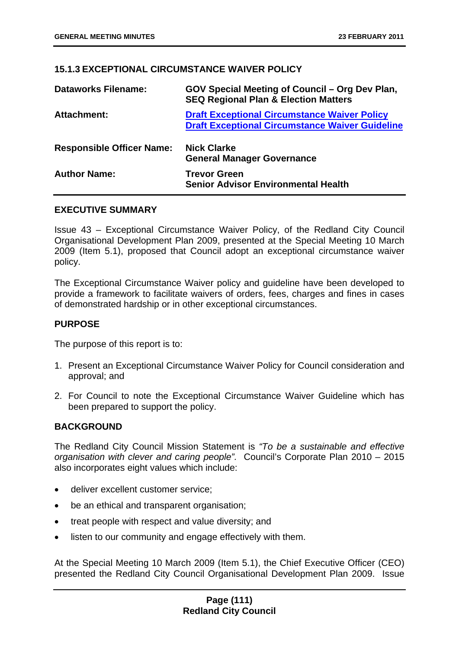## **15.1.3 EXCEPTIONAL CIRCUMSTANCE WAIVER POLICY**

| <b>Dataworks Filename:</b>       | GOV Special Meeting of Council – Org Dev Plan,<br><b>SEQ Regional Plan &amp; Election Matters</b>             |
|----------------------------------|---------------------------------------------------------------------------------------------------------------|
| <b>Attachment:</b>               | <b>Draft Exceptional Circumstance Waiver Policy</b><br><b>Draft Exceptional Circumstance Waiver Guideline</b> |
| <b>Responsible Officer Name:</b> | <b>Nick Clarke</b><br><b>General Manager Governance</b>                                                       |
| <b>Author Name:</b>              | <b>Trevor Green</b><br><b>Senior Advisor Environmental Health</b>                                             |

### **EXECUTIVE SUMMARY**

Issue 43 – Exceptional Circumstance Waiver Policy, of the Redland City Council Organisational Development Plan 2009, presented at the Special Meeting 10 March 2009 (Item 5.1), proposed that Council adopt an exceptional circumstance waiver policy.

The Exceptional Circumstance Waiver policy and guideline have been developed to provide a framework to facilitate waivers of orders, fees, charges and fines in cases of demonstrated hardship or in other exceptional circumstances.

### **PURPOSE**

The purpose of this report is to:

- 1. Present an Exceptional Circumstance Waiver Policy for Council consideration and approval; and
- 2. For Council to note the Exceptional Circumstance Waiver Guideline which has been prepared to support the policy.

### **BACKGROUND**

The Redland City Council Mission Statement is *"To be a sustainable and effective organisation with clever and caring people".* Council's Corporate Plan 2010 – 2015 also incorporates eight values which include:

- deliver excellent customer service;
- be an ethical and transparent organisation;
- treat people with respect and value diversity; and
- listen to our community and engage effectively with them.

At the Special Meeting 10 March 2009 (Item 5.1), the Chief Executive Officer (CEO) presented the Redland City Council Organisational Development Plan 2009. Issue

## **Page (111) Redland City Council**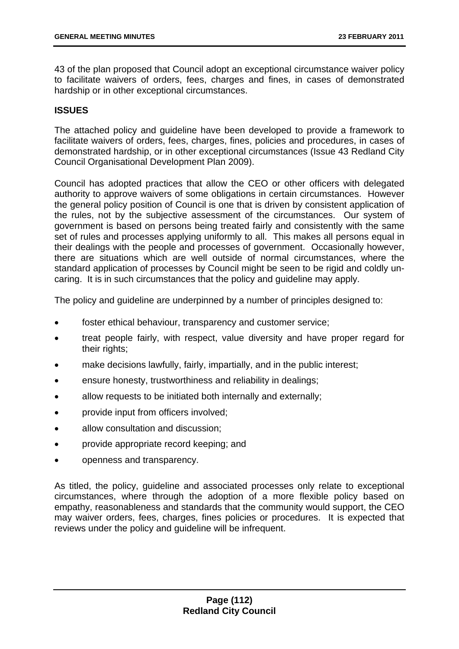43 of the plan proposed that Council adopt an exceptional circumstance waiver policy to facilitate waivers of orders, fees, charges and fines, in cases of demonstrated hardship or in other exceptional circumstances.

# **ISSUES**

The attached policy and guideline have been developed to provide a framework to facilitate waivers of orders, fees, charges, fines, policies and procedures, in cases of demonstrated hardship, or in other exceptional circumstances (Issue 43 Redland City Council Organisational Development Plan 2009).

Council has adopted practices that allow the CEO or other officers with delegated authority to approve waivers of some obligations in certain circumstances. However the general policy position of Council is one that is driven by consistent application of the rules, not by the subjective assessment of the circumstances. Our system of government is based on persons being treated fairly and consistently with the same set of rules and processes applying uniformly to all. This makes all persons equal in their dealings with the people and processes of government. Occasionally however, there are situations which are well outside of normal circumstances, where the standard application of processes by Council might be seen to be rigid and coldly uncaring. It is in such circumstances that the policy and guideline may apply.

The policy and guideline are underpinned by a number of principles designed to:

- foster ethical behaviour, transparency and customer service;
- treat people fairly, with respect, value diversity and have proper regard for their rights;
- make decisions lawfully, fairly, impartially, and in the public interest;
- ensure honesty, trustworthiness and reliability in dealings;
- allow requests to be initiated both internally and externally;
- provide input from officers involved;
- allow consultation and discussion;
- provide appropriate record keeping; and
- openness and transparency.

As titled, the policy, guideline and associated processes only relate to exceptional circumstances, where through the adoption of a more flexible policy based on empathy, reasonableness and standards that the community would support, the CEO may waiver orders, fees, charges, fines policies or procedures. It is expected that reviews under the policy and guideline will be infrequent.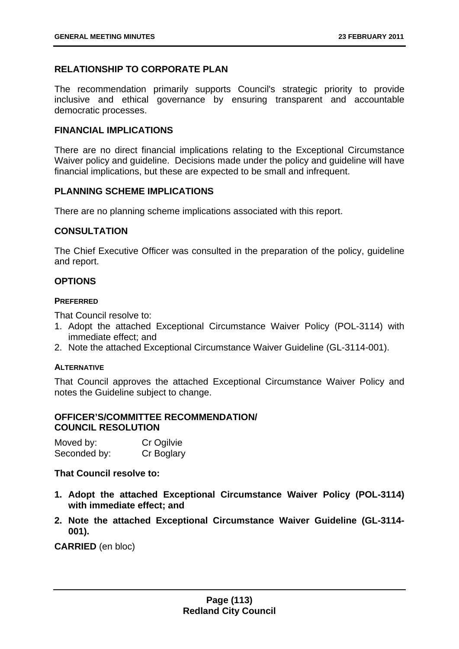## **RELATIONSHIP TO CORPORATE PLAN**

The recommendation primarily supports Council's strategic priority to provide inclusive and ethical governance by ensuring transparent and accountable democratic processes.

### **FINANCIAL IMPLICATIONS**

There are no direct financial implications relating to the Exceptional Circumstance Waiver policy and guideline. Decisions made under the policy and guideline will have financial implications, but these are expected to be small and infrequent.

### **PLANNING SCHEME IMPLICATIONS**

There are no planning scheme implications associated with this report.

### **CONSULTATION**

The Chief Executive Officer was consulted in the preparation of the policy, guideline and report.

## **OPTIONS**

### **PREFERRED**

That Council resolve to:

- 1. Adopt the attached Exceptional Circumstance Waiver Policy (POL-3114) with immediate effect; and
- 2. Note the attached Exceptional Circumstance Waiver Guideline (GL-3114-001).

### **ALTERNATIVE**

That Council approves the attached Exceptional Circumstance Waiver Policy and notes the Guideline subject to change.

## **OFFICER'S/COMMITTEE RECOMMENDATION/ COUNCIL RESOLUTION**

| Moved by:    | Cr Ogilvie |
|--------------|------------|
| Seconded by: | Cr Boglary |

### **That Council resolve to:**

- **1. Adopt the attached Exceptional Circumstance Waiver Policy (POL-3114) with immediate effect; and**
- **2. Note the attached Exceptional Circumstance Waiver Guideline (GL-3114- 001).**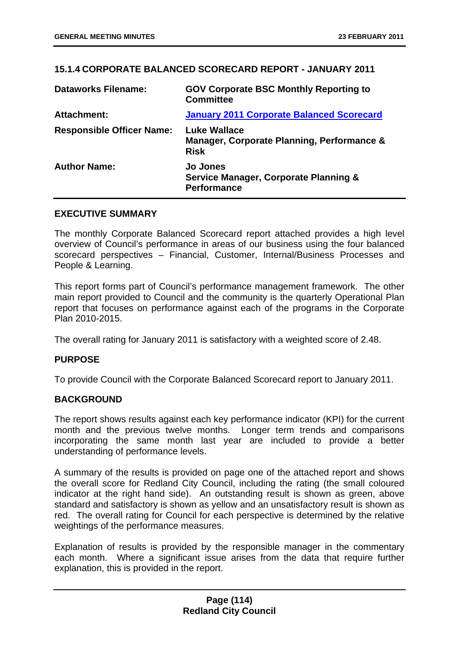## **15.1.4 CORPORATE BALANCED SCORECARD REPORT - JANUARY 2011**

| <b>Dataworks Filename:</b>       | <b>GOV Corporate BSC Monthly Reporting to</b><br><b>Committee</b>                |
|----------------------------------|----------------------------------------------------------------------------------|
| <b>Attachment:</b>               | <b>January 2011 Corporate Balanced Scorecard</b>                                 |
| <b>Responsible Officer Name:</b> | <b>Luke Wallace</b><br>Manager, Corporate Planning, Performance &<br><b>Risk</b> |
| <b>Author Name:</b>              | <b>Jo Jones</b><br>Service Manager, Corporate Planning &<br><b>Performance</b>   |

### **EXECUTIVE SUMMARY**

The monthly Corporate Balanced Scorecard report attached provides a high level overview of Council's performance in areas of our business using the four balanced scorecard perspectives – Financial, Customer, Internal/Business Processes and People & Learning.

This report forms part of Council's performance management framework. The other main report provided to Council and the community is the quarterly Operational Plan report that focuses on performance against each of the programs in the Corporate Plan 2010-2015.

The overall rating for January 2011 is satisfactory with a weighted score of 2.48.

### **PURPOSE**

To provide Council with the Corporate Balanced Scorecard report to January 2011.

### **BACKGROUND**

The report shows results against each key performance indicator (KPI) for the current month and the previous twelve months. Longer term trends and comparisons incorporating the same month last year are included to provide a better understanding of performance levels.

A summary of the results is provided on page one of the attached report and shows the overall score for Redland City Council, including the rating (the small coloured indicator at the right hand side). An outstanding result is shown as green, above standard and satisfactory is shown as yellow and an unsatisfactory result is shown as red. The overall rating for Council for each perspective is determined by the relative weightings of the performance measures.

Explanation of results is provided by the responsible manager in the commentary each month. Where a significant issue arises from the data that require further explanation, this is provided in the report.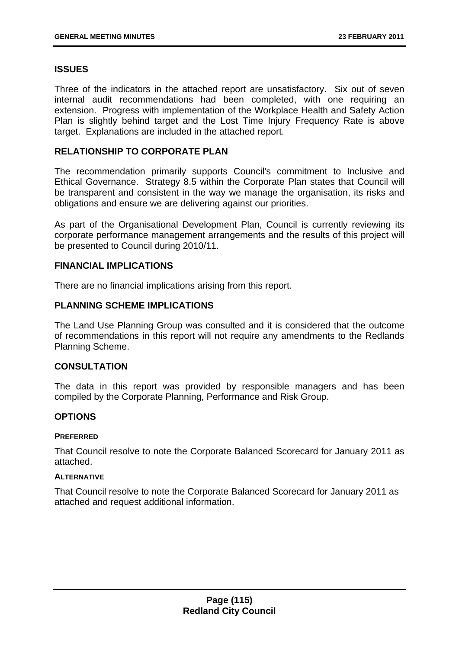# **ISSUES**

Three of the indicators in the attached report are unsatisfactory. Six out of seven internal audit recommendations had been completed, with one requiring an extension. Progress with implementation of the Workplace Health and Safety Action Plan is slightly behind target and the Lost Time Injury Frequency Rate is above target. Explanations are included in the attached report.

## **RELATIONSHIP TO CORPORATE PLAN**

The recommendation primarily supports Council's commitment to Inclusive and Ethical Governance. Strategy 8.5 within the Corporate Plan states that Council will be transparent and consistent in the way we manage the organisation, its risks and obligations and ensure we are delivering against our priorities.

As part of the Organisational Development Plan, Council is currently reviewing its corporate performance management arrangements and the results of this project will be presented to Council during 2010/11.

## **FINANCIAL IMPLICATIONS**

There are no financial implications arising from this report.

## **PLANNING SCHEME IMPLICATIONS**

The Land Use Planning Group was consulted and it is considered that the outcome of recommendations in this report will not require any amendments to the Redlands Planning Scheme.

### **CONSULTATION**

The data in this report was provided by responsible managers and has been compiled by the Corporate Planning, Performance and Risk Group.

### **OPTIONS**

#### **PREFERRED**

That Council resolve to note the Corporate Balanced Scorecard for January 2011 as attached.

### **ALTERNATIVE**

That Council resolve to note the Corporate Balanced Scorecard for January 2011 as attached and request additional information.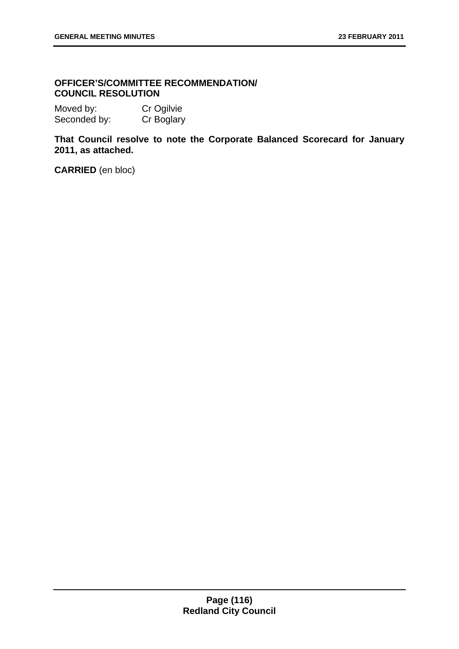## **OFFICER'S/COMMITTEE RECOMMENDATION/ COUNCIL RESOLUTION**

Moved by: Cr Ogilvie Seconded by: Cr Boglary

**That Council resolve to note the Corporate Balanced Scorecard for January 2011, as attached.**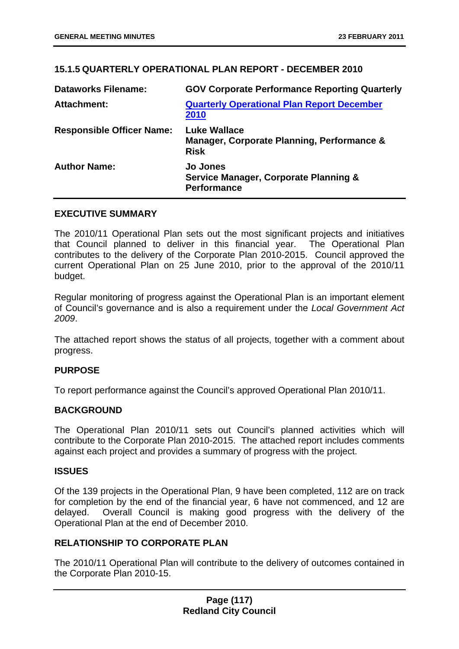# **15.1.5 QUARTERLY OPERATIONAL PLAN REPORT - DECEMBER 2010**

| <b>Dataworks Filename:</b>       | <b>GOV Corporate Performance Reporting Quarterly</b>                                      |
|----------------------------------|-------------------------------------------------------------------------------------------|
| <b>Attachment:</b>               | <b>Quarterly Operational Plan Report December</b><br>2010                                 |
| <b>Responsible Officer Name:</b> | <b>Luke Wallace</b><br>Manager, Corporate Planning, Performance &<br><b>Risk</b>          |
| <b>Author Name:</b>              | <b>Jo Jones</b><br><b>Service Manager, Corporate Planning &amp;</b><br><b>Performance</b> |

### **EXECUTIVE SUMMARY**

The 2010/11 Operational Plan sets out the most significant projects and initiatives that Council planned to deliver in this financial year. The Operational Plan contributes to the delivery of the Corporate Plan 2010-2015. Council approved the current Operational Plan on 25 June 2010, prior to the approval of the 2010/11 budget.

Regular monitoring of progress against the Operational Plan is an important element of Council's governance and is also a requirement under the *Local Government Act 2009*.

The attached report shows the status of all projects, together with a comment about progress.

# **PURPOSE**

To report performance against the Council's approved Operational Plan 2010/11.

# **BACKGROUND**

The Operational Plan 2010/11 sets out Council's planned activities which will contribute to the Corporate Plan 2010-2015. The attached report includes comments against each project and provides a summary of progress with the project.

### **ISSUES**

Of the 139 projects in the Operational Plan, 9 have been completed, 112 are on track for completion by the end of the financial year, 6 have not commenced, and 12 are delayed. Overall Council is making good progress with the delivery of the Operational Plan at the end of December 2010.

# **RELATIONSHIP TO CORPORATE PLAN**

The 2010/11 Operational Plan will contribute to the delivery of outcomes contained in the Corporate Plan 2010-15.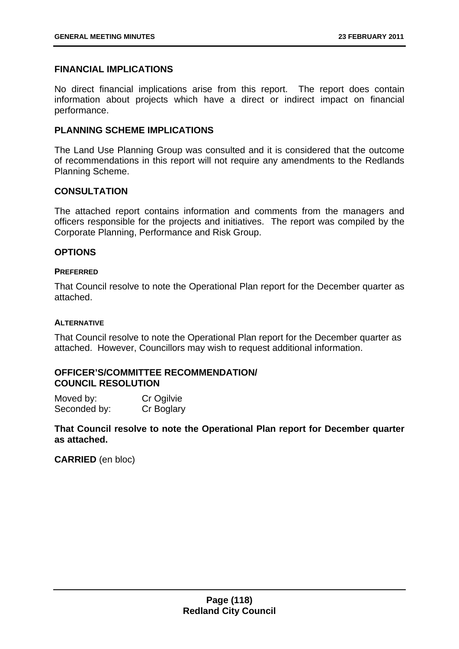### **FINANCIAL IMPLICATIONS**

No direct financial implications arise from this report. The report does contain information about projects which have a direct or indirect impact on financial performance.

### **PLANNING SCHEME IMPLICATIONS**

The Land Use Planning Group was consulted and it is considered that the outcome of recommendations in this report will not require any amendments to the Redlands Planning Scheme.

### **CONSULTATION**

The attached report contains information and comments from the managers and officers responsible for the projects and initiatives. The report was compiled by the Corporate Planning, Performance and Risk Group.

### **OPTIONS**

#### **PREFERRED**

That Council resolve to note the Operational Plan report for the December quarter as attached.

#### **ALTERNATIVE**

That Council resolve to note the Operational Plan report for the December quarter as attached. However, Councillors may wish to request additional information.

## **OFFICER'S/COMMITTEE RECOMMENDATION/ COUNCIL RESOLUTION**

Moved by: Cr Ogilvie Seconded by: Cr Boglary

**That Council resolve to note the Operational Plan report for December quarter as attached.**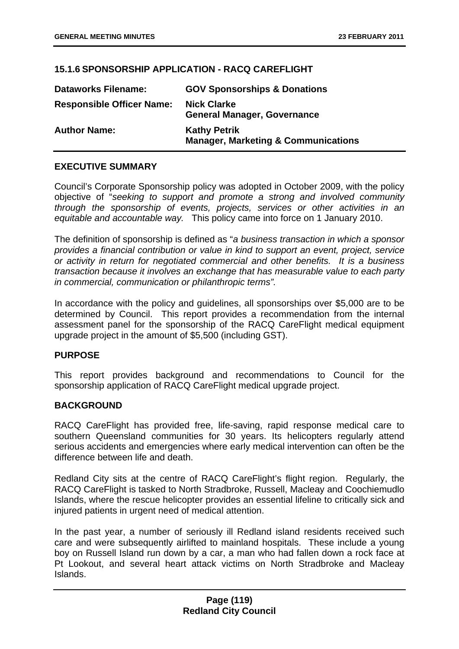# **15.1.6 SPONSORSHIP APPLICATION - RACQ CAREFLIGHT**

| <b>Dataworks Filename:</b>       | <b>GOV Sponsorships &amp; Donations</b>                               |
|----------------------------------|-----------------------------------------------------------------------|
| <b>Responsible Officer Name:</b> | <b>Nick Clarke</b><br><b>General Manager, Governance</b>              |
| <b>Author Name:</b>              | <b>Kathy Petrik</b><br><b>Manager, Marketing &amp; Communications</b> |

## **EXECUTIVE SUMMARY**

Council's Corporate Sponsorship policy was adopted in October 2009, with the policy objective of "*seeking to support and promote a strong and involved community through the sponsorship of events, projects, services or other activities in an equitable and accountable way.* This policy came into force on 1 January 2010.

The definition of sponsorship is defined as "*a business transaction in which a sponsor provides a financial contribution or value in kind to support an event, project, service or activity in return for negotiated commercial and other benefits. It is a business transaction because it involves an exchange that has measurable value to each party in commercial, communication or philanthropic terms".* 

In accordance with the policy and guidelines, all sponsorships over \$5,000 are to be determined by Council. This report provides a recommendation from the internal assessment panel for the sponsorship of the RACQ CareFlight medical equipment upgrade project in the amount of \$5,500 (including GST).

### **PURPOSE**

This report provides background and recommendations to Council for the sponsorship application of RACQ CareFlight medical upgrade project.

# **BACKGROUND**

RACQ CareFlight has provided free, life-saving, rapid response medical care to southern Queensland communities for 30 years. Its helicopters regularly attend serious accidents and emergencies where early medical intervention can often be the difference between life and death.

Redland City sits at the centre of RACQ CareFlight's flight region. Regularly, the RACQ CareFlight is tasked to North Stradbroke, Russell, Macleay and Coochiemudlo Islands, where the rescue helicopter provides an essential lifeline to critically sick and injured patients in urgent need of medical attention.

In the past year, a number of seriously ill Redland island residents received such care and were subsequently airlifted to mainland hospitals. These include a young boy on Russell Island run down by a car, a man who had fallen down a rock face at Pt Lookout, and several heart attack victims on North Stradbroke and Macleay Islands.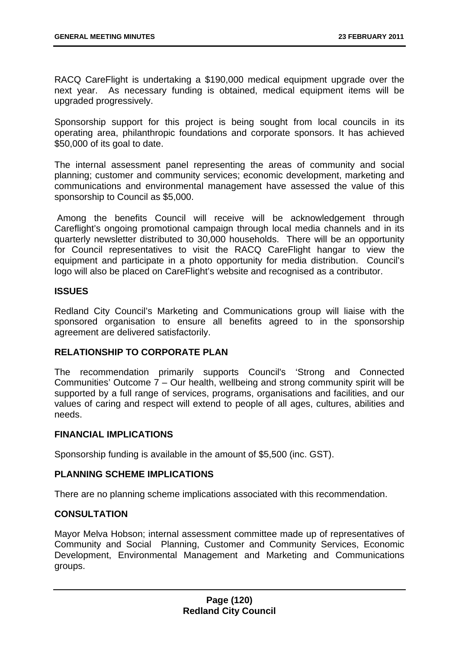RACQ CareFlight is undertaking a \$190,000 medical equipment upgrade over the next year. As necessary funding is obtained, medical equipment items will be upgraded progressively.

Sponsorship support for this project is being sought from local councils in its operating area, philanthropic foundations and corporate sponsors. It has achieved \$50,000 of its goal to date.

The internal assessment panel representing the areas of community and social planning; customer and community services; economic development, marketing and communications and environmental management have assessed the value of this sponsorship to Council as \$5,000.

 Among the benefits Council will receive will be acknowledgement through Careflight's ongoing promotional campaign through local media channels and in its quarterly newsletter distributed to 30,000 households. There will be an opportunity for Council representatives to visit the RACQ CareFlight hangar to view the equipment and participate in a photo opportunity for media distribution. Council's logo will also be placed on CareFlight's website and recognised as a contributor.

## **ISSUES**

Redland City Council's Marketing and Communications group will liaise with the sponsored organisation to ensure all benefits agreed to in the sponsorship agreement are delivered satisfactorily.

# **RELATIONSHIP TO CORPORATE PLAN**

The recommendation primarily supports Council's 'Strong and Connected Communities' Outcome 7 – Our health, wellbeing and strong community spirit will be supported by a full range of services, programs, organisations and facilities, and our values of caring and respect will extend to people of all ages, cultures, abilities and needs.

# **FINANCIAL IMPLICATIONS**

Sponsorship funding is available in the amount of \$5,500 (inc. GST).

### **PLANNING SCHEME IMPLICATIONS**

There are no planning scheme implications associated with this recommendation.

## **CONSULTATION**

Mayor Melva Hobson; internal assessment committee made up of representatives of Community and Social Planning, Customer and Community Services, Economic Development, Environmental Management and Marketing and Communications groups.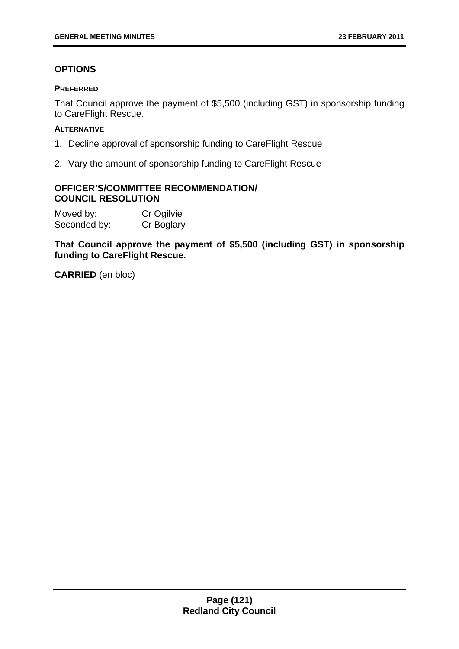# **OPTIONS**

### **PREFERRED**

That Council approve the payment of \$5,500 (including GST) in sponsorship funding to CareFlight Rescue.

## **ALTERNATIVE**

- 1. Decline approval of sponsorship funding to CareFlight Rescue
- 2. Vary the amount of sponsorship funding to CareFlight Rescue

# **OFFICER'S/COMMITTEE RECOMMENDATION/ COUNCIL RESOLUTION**

| Moved by:    | Cr Ogilvie |
|--------------|------------|
| Seconded by: | Cr Boglary |

**That Council approve the payment of \$5,500 (including GST) in sponsorship funding to CareFlight Rescue.**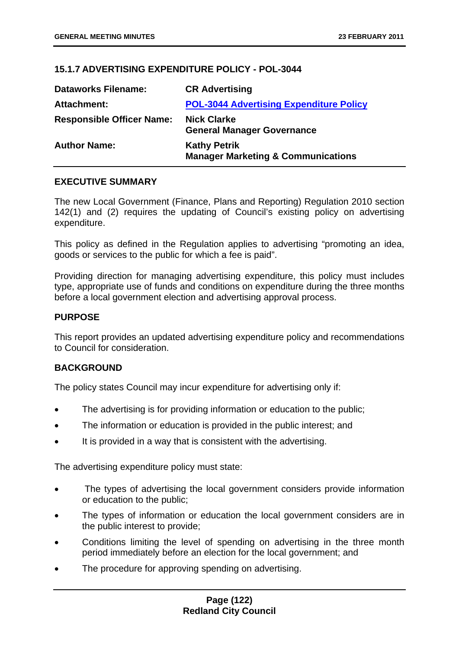# **15.1.7 ADVERTISING EXPENDITURE POLICY - POL-3044**

| <b>Dataworks Filename:</b>       | <b>CR Advertising</b>                                                |
|----------------------------------|----------------------------------------------------------------------|
| Attachment:                      | <b>POL-3044 Advertising Expenditure Policy</b>                       |
| <b>Responsible Officer Name:</b> | <b>Nick Clarke</b><br><b>General Manager Governance</b>              |
| <b>Author Name:</b>              | <b>Kathy Petrik</b><br><b>Manager Marketing &amp; Communications</b> |

## **EXECUTIVE SUMMARY**

The new Local Government (Finance, Plans and Reporting) Regulation 2010 section 142(1) and (2) requires the updating of Council's existing policy on advertising expenditure.

This policy as defined in the Regulation applies to advertising "promoting an idea, goods or services to the public for which a fee is paid".

Providing direction for managing advertising expenditure, this policy must includes type, appropriate use of funds and conditions on expenditure during the three months before a local government election and advertising approval process.

## **PURPOSE**

This report provides an updated advertising expenditure policy and recommendations to Council for consideration.

### **BACKGROUND**

The policy states Council may incur expenditure for advertising only if:

- The advertising is for providing information or education to the public;
- The information or education is provided in the public interest; and
- It is provided in a way that is consistent with the advertising.

The advertising expenditure policy must state:

- The types of advertising the local government considers provide information or education to the public;
- The types of information or education the local government considers are in the public interest to provide;
- Conditions limiting the level of spending on advertising in the three month period immediately before an election for the local government; and
- The procedure for approving spending on advertising.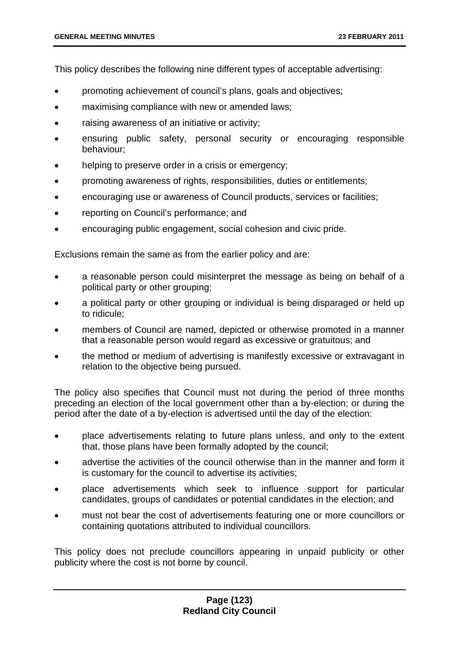This policy describes the following nine different types of acceptable advertising:

- promoting achievement of council's plans, goals and objectives;
- maximising compliance with new or amended laws;
- raising awareness of an initiative or activity;
- ensuring public safety, personal security or encouraging responsible behaviour;
- helping to preserve order in a crisis or emergency;
- promoting awareness of rights, responsibilities, duties or entitlements;
- encouraging use or awareness of Council products, services or facilities;
- reporting on Council's performance; and
- encouraging public engagement, social cohesion and civic pride.

Exclusions remain the same as from the earlier policy and are:

- a reasonable person could misinterpret the message as being on behalf of a political party or other grouping;
- a political party or other grouping or individual is being disparaged or held up to ridicule;
- members of Council are named, depicted or otherwise promoted in a manner that a reasonable person would regard as excessive or gratuitous; and
- the method or medium of advertising is manifestly excessive or extravagant in relation to the objective being pursued.

The policy also specifies that Council must not during the period of three months preceding an election of the local government other than a by-election; or during the period after the date of a by-election is advertised until the day of the election:

- place advertisements relating to future plans unless, and only to the extent that, those plans have been formally adopted by the council;
- advertise the activities of the council otherwise than in the manner and form it is customary for the council to advertise its activities;
- place advertisements which seek to influence support for particular candidates, groups of candidates or potential candidates in the election; and
- must not bear the cost of advertisements featuring one or more councillors or containing quotations attributed to individual councillors.

This policy does not preclude councillors appearing in unpaid publicity or other publicity where the cost is not borne by council.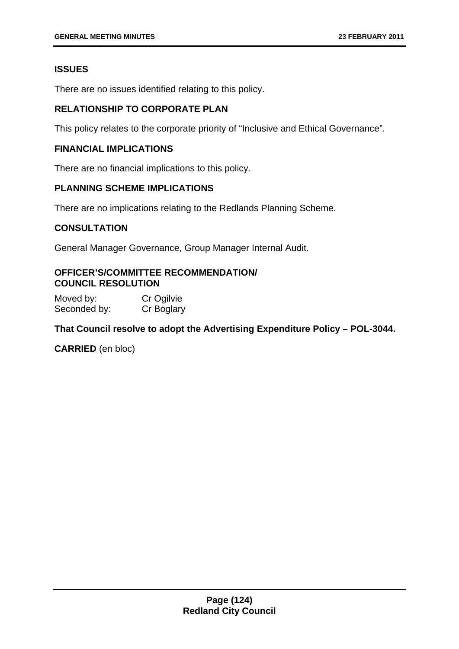# **ISSUES**

There are no issues identified relating to this policy.

# **RELATIONSHIP TO CORPORATE PLAN**

This policy relates to the corporate priority of "Inclusive and Ethical Governance".

## **FINANCIAL IMPLICATIONS**

There are no financial implications to this policy.

## **PLANNING SCHEME IMPLICATIONS**

There are no implications relating to the Redlands Planning Scheme.

# **CONSULTATION**

General Manager Governance, Group Manager Internal Audit.

# **OFFICER'S/COMMITTEE RECOMMENDATION/ COUNCIL RESOLUTION**

Moved by: Cr Ogilvie Seconded by: Cr Boglary

# **That Council resolve to adopt the Advertising Expenditure Policy – POL-3044.**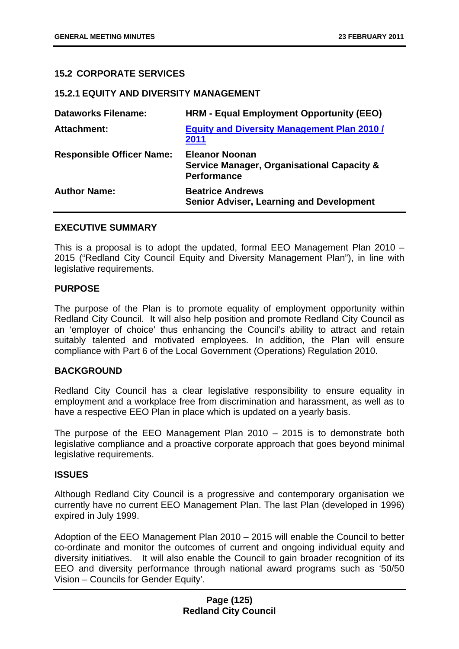## **15.2 CORPORATE SERVICES**

### **15.2.1 EQUITY AND DIVERSITY MANAGEMENT**

| <b>Dataworks Filename:</b>       | HRM - Equal Employment Opportunity (EEO)                                                  |
|----------------------------------|-------------------------------------------------------------------------------------------|
| <b>Attachment:</b>               | <b>Equity and Diversity Management Plan 2010/</b><br>2011                                 |
| <b>Responsible Officer Name:</b> | <b>Eleanor Noonan</b><br>Service Manager, Organisational Capacity &<br><b>Performance</b> |
| <b>Author Name:</b>              | <b>Beatrice Andrews</b><br><b>Senior Adviser, Learning and Development</b>                |

### **EXECUTIVE SUMMARY**

This is a proposal is to adopt the updated, formal EEO Management Plan 2010 – 2015 ("Redland City Council Equity and Diversity Management Plan"), in line with legislative requirements.

### **PURPOSE**

The purpose of the Plan is to promote equality of employment opportunity within Redland City Council. It will also help position and promote Redland City Council as an 'employer of choice' thus enhancing the Council's ability to attract and retain suitably talented and motivated employees. In addition, the Plan will ensure compliance with Part 6 of the Local Government (Operations) Regulation 2010.

### **BACKGROUND**

Redland City Council has a clear legislative responsibility to ensure equality in employment and a workplace free from discrimination and harassment, as well as to have a respective EEO Plan in place which is updated on a yearly basis.

The purpose of the EEO Management Plan 2010 – 2015 is to demonstrate both legislative compliance and a proactive corporate approach that goes beyond minimal legislative requirements.

### **ISSUES**

Although Redland City Council is a progressive and contemporary organisation we currently have no current EEO Management Plan. The last Plan (developed in 1996) expired in July 1999.

Adoption of the EEO Management Plan 2010 – 2015 will enable the Council to better co-ordinate and monitor the outcomes of current and ongoing individual equity and diversity initiatives. It will also enable the Council to gain broader recognition of its EEO and diversity performance through national award programs such as '50/50 Vision – Councils for Gender Equity'.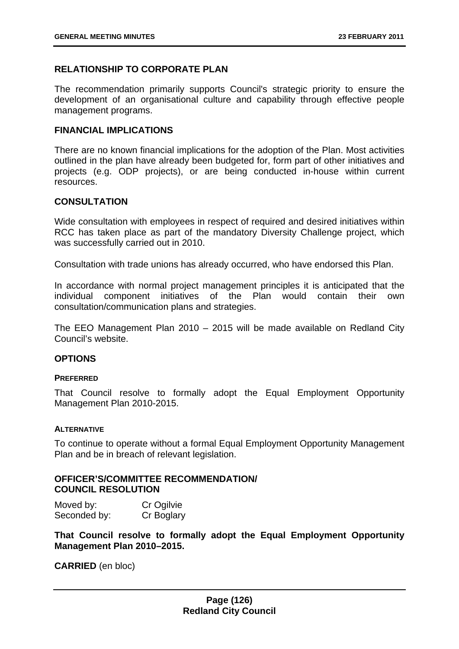## **RELATIONSHIP TO CORPORATE PLAN**

The recommendation primarily supports Council's strategic priority to ensure the development of an organisational culture and capability through effective people management programs.

### **FINANCIAL IMPLICATIONS**

There are no known financial implications for the adoption of the Plan. Most activities outlined in the plan have already been budgeted for, form part of other initiatives and projects (e.g. ODP projects), or are being conducted in-house within current resources.

### **CONSULTATION**

Wide consultation with employees in respect of required and desired initiatives within RCC has taken place as part of the mandatory Diversity Challenge project, which was successfully carried out in 2010.

Consultation with trade unions has already occurred, who have endorsed this Plan.

In accordance with normal project management principles it is anticipated that the individual component initiatives of the Plan would contain their own consultation/communication plans and strategies.

The EEO Management Plan 2010 – 2015 will be made available on Redland City Council's website.

# **OPTIONS**

#### **PREFERRED**

That Council resolve to formally adopt the Equal Employment Opportunity Management Plan 2010-2015.

#### **ALTERNATIVE**

To continue to operate without a formal Equal Employment Opportunity Management Plan and be in breach of relevant legislation.

### **OFFICER'S/COMMITTEE RECOMMENDATION/ COUNCIL RESOLUTION**

Moved by: Cr Ogilvie Seconded by: Cr Boglary

**That Council resolve to formally adopt the Equal Employment Opportunity Management Plan 2010–2015.**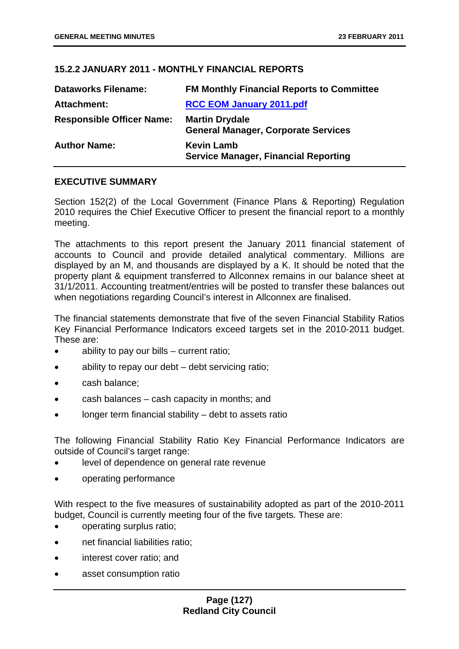# **15.2.2 JANUARY 2011 - MONTHLY FINANCIAL REPORTS**

| <b>Dataworks Filename:</b>       | <b>FM Monthly Financial Reports to Committee</b>                    |
|----------------------------------|---------------------------------------------------------------------|
| Attachment:                      | <b>RCC EOM January 2011.pdf</b>                                     |
| <b>Responsible Officer Name:</b> | <b>Martin Drydale</b><br><b>General Manager, Corporate Services</b> |
| <b>Author Name:</b>              | <b>Kevin Lamb</b><br><b>Service Manager, Financial Reporting</b>    |

# **EXECUTIVE SUMMARY**

Section 152(2) of the Local Government (Finance Plans & Reporting) Regulation 2010 requires the Chief Executive Officer to present the financial report to a monthly meeting.

The attachments to this report present the January 2011 financial statement of accounts to Council and provide detailed analytical commentary. Millions are displayed by an M, and thousands are displayed by a K. It should be noted that the property plant & equipment transferred to Allconnex remains in our balance sheet at 31/1/2011. Accounting treatment/entries will be posted to transfer these balances out when negotiations regarding Council's interest in Allconnex are finalised.

The financial statements demonstrate that five of the seven Financial Stability Ratios Key Financial Performance Indicators exceed targets set in the 2010-2011 budget. These are:

- ability to pay our bills current ratio;
- ability to repay our debt debt servicing ratio;
- cash balance;
- cash balances cash capacity in months; and
- longer term financial stability  $-$  debt to assets ratio

The following Financial Stability Ratio Key Financial Performance Indicators are outside of Council's target range:

- level of dependence on general rate revenue
- operating performance

With respect to the five measures of sustainability adopted as part of the 2010-2011 budget, Council is currently meeting four of the five targets. These are:

- operating surplus ratio;
- net financial liabilities ratio:
- interest cover ratio; and
- asset consumption ratio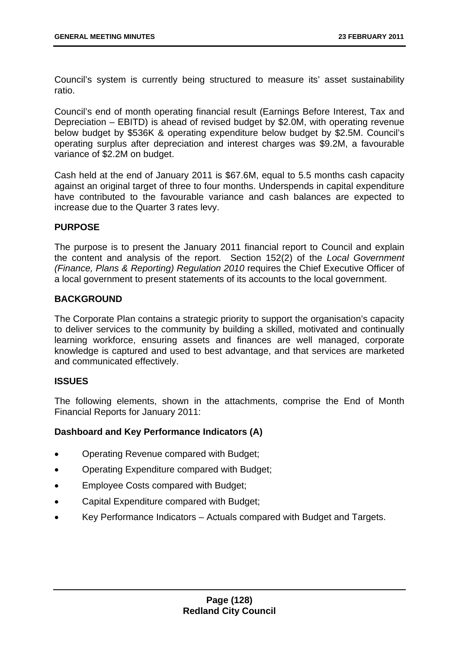Council's system is currently being structured to measure its' asset sustainability ratio.

Council's end of month operating financial result (Earnings Before Interest, Tax and Depreciation – EBITD) is ahead of revised budget by \$2.0M, with operating revenue below budget by \$536K & operating expenditure below budget by \$2.5M. Council's operating surplus after depreciation and interest charges was \$9.2M, a favourable variance of \$2.2M on budget.

Cash held at the end of January 2011 is \$67.6M, equal to 5.5 months cash capacity against an original target of three to four months. Underspends in capital expenditure have contributed to the favourable variance and cash balances are expected to increase due to the Quarter 3 rates levy.

## **PURPOSE**

The purpose is to present the January 2011 financial report to Council and explain the content and analysis of the report. Section 152(2) of the *Local Government (Finance, Plans & Reporting) Regulation 2010* requires the Chief Executive Officer of a local government to present statements of its accounts to the local government.

## **BACKGROUND**

The Corporate Plan contains a strategic priority to support the organisation's capacity to deliver services to the community by building a skilled, motivated and continually learning workforce, ensuring assets and finances are well managed, corporate knowledge is captured and used to best advantage, and that services are marketed and communicated effectively.

# **ISSUES**

The following elements, shown in the attachments, comprise the End of Month Financial Reports for January 2011:

# **Dashboard and Key Performance Indicators (A)**

- Operating Revenue compared with Budget;
- Operating Expenditure compared with Budget;
- Employee Costs compared with Budget;
- Capital Expenditure compared with Budget;
- Key Performance Indicators Actuals compared with Budget and Targets.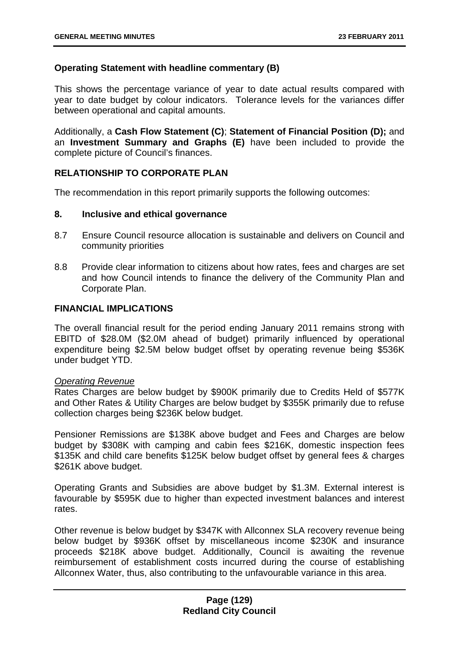## **Operating Statement with headline commentary (B)**

This shows the percentage variance of year to date actual results compared with year to date budget by colour indicators. Tolerance levels for the variances differ between operational and capital amounts.

Additionally, a **Cash Flow Statement (C)**; **Statement of Financial Position (D);** and an **Investment Summary and Graphs (E)** have been included to provide the complete picture of Council's finances.

# **RELATIONSHIP TO CORPORATE PLAN**

The recommendation in this report primarily supports the following outcomes:

### **8. Inclusive and ethical governance**

- 8.7 Ensure Council resource allocation is sustainable and delivers on Council and community priorities
- 8.8 Provide clear information to citizens about how rates, fees and charges are set and how Council intends to finance the delivery of the Community Plan and Corporate Plan.

# **FINANCIAL IMPLICATIONS**

The overall financial result for the period ending January 2011 remains strong with EBITD of \$28.0M (\$2.0M ahead of budget) primarily influenced by operational expenditure being \$2.5M below budget offset by operating revenue being \$536K under budget YTD.

### *Operating Revenue*

Rates Charges are below budget by \$900K primarily due to Credits Held of \$577K and Other Rates & Utility Charges are below budget by \$355K primarily due to refuse collection charges being \$236K below budget.

Pensioner Remissions are \$138K above budget and Fees and Charges are below budget by \$308K with camping and cabin fees \$216K, domestic inspection fees \$135K and child care benefits \$125K below budget offset by general fees & charges \$261K above budget.

Operating Grants and Subsidies are above budget by \$1.3M. External interest is favourable by \$595K due to higher than expected investment balances and interest rates.

Other revenue is below budget by \$347K with Allconnex SLA recovery revenue being below budget by \$936K offset by miscellaneous income \$230K and insurance proceeds \$218K above budget. Additionally, Council is awaiting the revenue reimbursement of establishment costs incurred during the course of establishing Allconnex Water, thus, also contributing to the unfavourable variance in this area.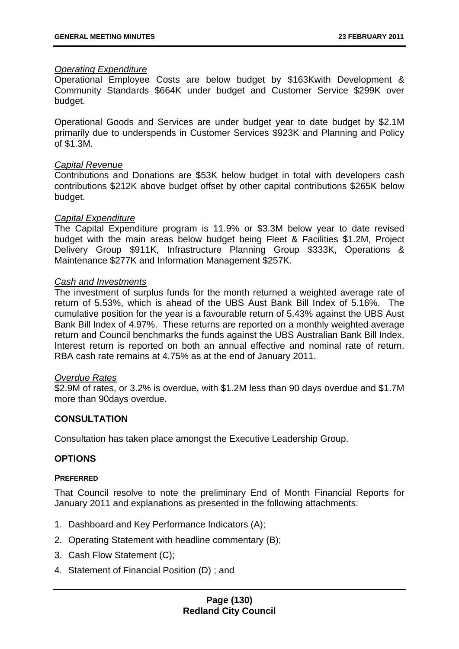### *Operating Expenditure*

Operational Employee Costs are below budget by \$163Kwith Development & Community Standards \$664K under budget and Customer Service \$299K over budget.

Operational Goods and Services are under budget year to date budget by \$2.1M primarily due to underspends in Customer Services \$923K and Planning and Policy of \$1.3M.

### *Capital Revenue*

Contributions and Donations are \$53K below budget in total with developers cash contributions \$212K above budget offset by other capital contributions \$265K below budget.

### *Capital Expenditure*

The Capital Expenditure program is 11.9% or \$3.3M below year to date revised budget with the main areas below budget being Fleet & Facilities \$1.2M, Project Delivery Group \$911K, Infrastructure Planning Group \$333K, Operations & Maintenance \$277K and Information Management \$257K.

### *Cash and Investments*

The investment of surplus funds for the month returned a weighted average rate of return of 5.53%, which is ahead of the UBS Aust Bank Bill Index of 5.16%. The cumulative position for the year is a favourable return of 5.43% against the UBS Aust Bank Bill Index of 4.97%. These returns are reported on a monthly weighted average return and Council benchmarks the funds against the UBS Australian Bank Bill Index. Interest return is reported on both an annual effective and nominal rate of return. RBA cash rate remains at 4.75% as at the end of January 2011.

### *Overdue Rates*

\$2.9M of rates, or 3.2% is overdue, with \$1.2M less than 90 days overdue and \$1.7M more than 90days overdue.

### **CONSULTATION**

Consultation has taken place amongst the Executive Leadership Group.

### **OPTIONS**

#### **PREFERRED**

That Council resolve to note the preliminary End of Month Financial Reports for January 2011 and explanations as presented in the following attachments:

- 1. Dashboard and Key Performance Indicators (A);
- 2. Operating Statement with headline commentary (B);
- 3. Cash Flow Statement (C);
- 4. Statement of Financial Position (D) ; and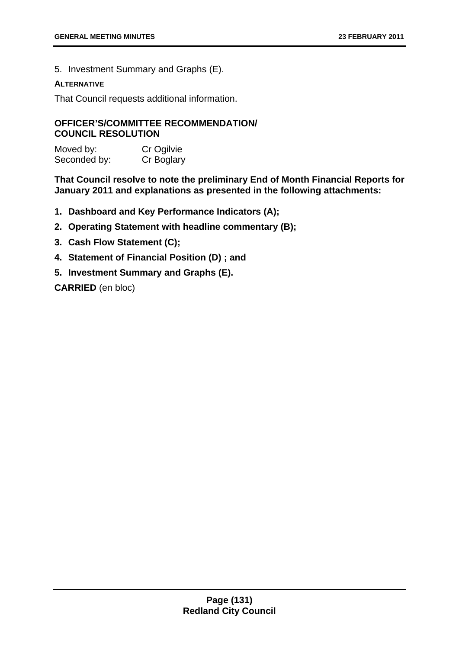5. Investment Summary and Graphs (E).

### **ALTERNATIVE**

That Council requests additional information.

## **OFFICER'S/COMMITTEE RECOMMENDATION/ COUNCIL RESOLUTION**

Moved by: Cr Ogilvie Seconded by: Cr Boglary

**That Council resolve to note the preliminary End of Month Financial Reports for January 2011 and explanations as presented in the following attachments:** 

- **1. Dashboard and Key Performance Indicators (A);**
- **2. Operating Statement with headline commentary (B);**
- **3. Cash Flow Statement (C);**
- **4. Statement of Financial Position (D) ; and**
- **5. Investment Summary and Graphs (E).**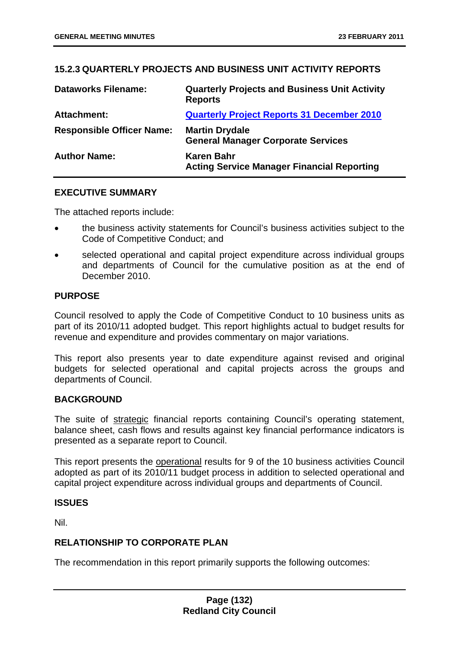# **15.2.3 QUARTERLY PROJECTS AND BUSINESS UNIT ACTIVITY REPORTS**

| <b>Dataworks Filename:</b>       | <b>Quarterly Projects and Business Unit Activity</b><br><b>Reports</b> |
|----------------------------------|------------------------------------------------------------------------|
| <b>Attachment:</b>               | <b>Quarterly Project Reports 31 December 2010</b>                      |
| <b>Responsible Officer Name:</b> | <b>Martin Drydale</b><br><b>General Manager Corporate Services</b>     |
| <b>Author Name:</b>              | Karen Bahr<br><b>Acting Service Manager Financial Reporting</b>        |

## **EXECUTIVE SUMMARY**

The attached reports include:

- the business activity statements for Council's business activities subject to the Code of Competitive Conduct; and
- selected operational and capital project expenditure across individual groups and departments of Council for the cumulative position as at the end of December 2010.

### **PURPOSE**

Council resolved to apply the Code of Competitive Conduct to 10 business units as part of its 2010/11 adopted budget. This report highlights actual to budget results for revenue and expenditure and provides commentary on major variations.

This report also presents year to date expenditure against revised and original budgets for selected operational and capital projects across the groups and departments of Council.

### **BACKGROUND**

The suite of strategic financial reports containing Council's operating statement, balance sheet, cash flows and results against key financial performance indicators is presented as a separate report to Council.

This report presents the operational results for 9 of the 10 business activities Council adopted as part of its 2010/11 budget process in addition to selected operational and capital project expenditure across individual groups and departments of Council.

### **ISSUES**

Nil.

# **RELATIONSHIP TO CORPORATE PLAN**

The recommendation in this report primarily supports the following outcomes: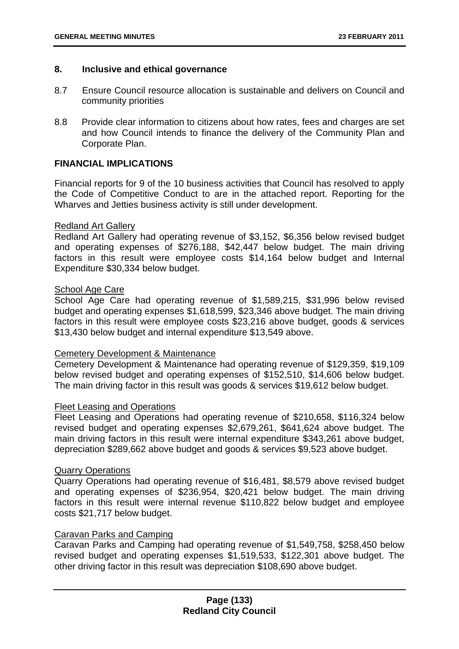### **8. Inclusive and ethical governance**

- 8.7 Ensure Council resource allocation is sustainable and delivers on Council and community priorities
- 8.8 Provide clear information to citizens about how rates, fees and charges are set and how Council intends to finance the delivery of the Community Plan and Corporate Plan.

## **FINANCIAL IMPLICATIONS**

Financial reports for 9 of the 10 business activities that Council has resolved to apply the Code of Competitive Conduct to are in the attached report. Reporting for the Wharves and Jetties business activity is still under development.

### Redland Art Gallery

Redland Art Gallery had operating revenue of \$3,152, \$6,356 below revised budget and operating expenses of \$276,188, \$42,447 below budget. The main driving factors in this result were employee costs \$14,164 below budget and Internal Expenditure \$30,334 below budget.

### School Age Care

School Age Care had operating revenue of \$1,589,215, \$31,996 below revised budget and operating expenses \$1,618,599, \$23,346 above budget. The main driving factors in this result were employee costs \$23,216 above budget, goods & services \$13,430 below budget and internal expenditure \$13,549 above.

### Cemetery Development & Maintenance

Cemetery Development & Maintenance had operating revenue of \$129,359, \$19,109 below revised budget and operating expenses of \$152,510, \$14,606 below budget. The main driving factor in this result was goods & services \$19,612 below budget.

#### Fleet Leasing and Operations

Fleet Leasing and Operations had operating revenue of \$210,658, \$116,324 below revised budget and operating expenses \$2,679,261, \$641,624 above budget. The main driving factors in this result were internal expenditure \$343,261 above budget, depreciation \$289,662 above budget and goods & services \$9,523 above budget.

# Quarry Operations

Quarry Operations had operating revenue of \$16,481, \$8,579 above revised budget and operating expenses of \$236,954, \$20,421 below budget. The main driving factors in this result were internal revenue \$110,822 below budget and employee costs \$21,717 below budget.

## Caravan Parks and Camping

Caravan Parks and Camping had operating revenue of \$1,549,758, \$258,450 below revised budget and operating expenses \$1,519,533, \$122,301 above budget. The other driving factor in this result was depreciation \$108,690 above budget.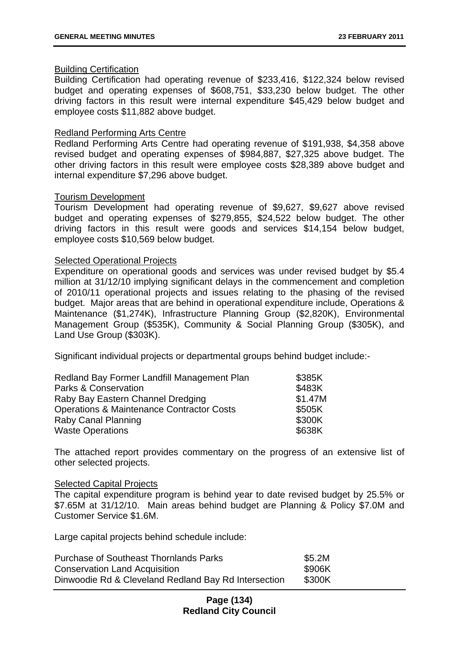### Building Certification

Building Certification had operating revenue of \$233,416, \$122,324 below revised budget and operating expenses of \$608,751, \$33,230 below budget. The other driving factors in this result were internal expenditure \$45,429 below budget and employee costs \$11,882 above budget.

### Redland Performing Arts Centre

Redland Performing Arts Centre had operating revenue of \$191,938, \$4,358 above revised budget and operating expenses of \$984,887, \$27,325 above budget. The other driving factors in this result were employee costs \$28,389 above budget and internal expenditure \$7,296 above budget.

### Tourism Development

Tourism Development had operating revenue of \$9,627, \$9,627 above revised budget and operating expenses of \$279,855, \$24,522 below budget. The other driving factors in this result were goods and services \$14,154 below budget, employee costs \$10,569 below budget.

### Selected Operational Projects

Expenditure on operational goods and services was under revised budget by \$5.4 million at 31/12/10 implying significant delays in the commencement and completion of 2010/11 operational projects and issues relating to the phasing of the revised budget. Major areas that are behind in operational expenditure include, Operations & Maintenance (\$1,274K), Infrastructure Planning Group (\$2,820K), Environmental Management Group (\$535K), Community & Social Planning Group (\$305K), and Land Use Group (\$303K).

Significant individual projects or departmental groups behind budget include:-

| Redland Bay Former Landfill Management Plan          | \$385K  |
|------------------------------------------------------|---------|
| <b>Parks &amp; Conservation</b>                      | \$483K  |
| Raby Bay Eastern Channel Dredging                    | \$1.47M |
| <b>Operations &amp; Maintenance Contractor Costs</b> | \$505K  |
| <b>Raby Canal Planning</b>                           | \$300K  |
| <b>Waste Operations</b>                              | \$638K  |

The attached report provides commentary on the progress of an extensive list of other selected projects.

#### Selected Capital Projects

The capital expenditure program is behind year to date revised budget by 25.5% or \$7.65M at 31/12/10. Main areas behind budget are Planning & Policy \$7.0M and Customer Service \$1.6M.

Large capital projects behind schedule include:

| <b>Purchase of Southeast Thornlands Parks</b>        | \$5.2M |
|------------------------------------------------------|--------|
| <b>Conservation Land Acquisition</b>                 | \$906K |
| Dinwoodie Rd & Cleveland Redland Bay Rd Intersection | \$300K |

## **Page (134) Redland City Council**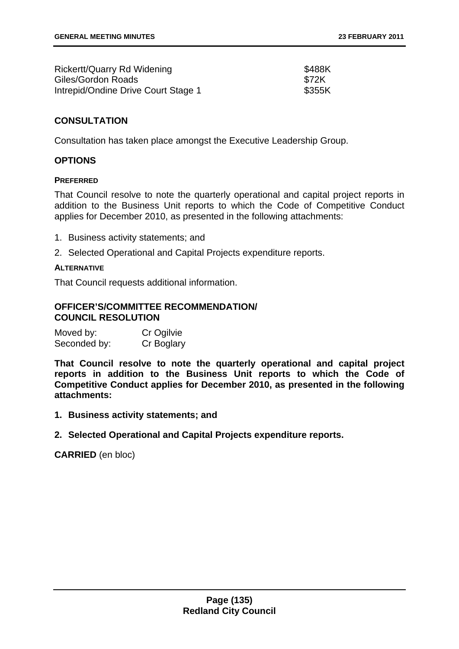| Rickertt/Quarry Rd Widening         | \$488K       |
|-------------------------------------|--------------|
| Giles/Gordon Roads                  | <b>\$72K</b> |
| Intrepid/Ondine Drive Court Stage 1 | \$355K       |

## **CONSULTATION**

Consultation has taken place amongst the Executive Leadership Group.

### **OPTIONS**

#### **PREFERRED**

That Council resolve to note the quarterly operational and capital project reports in addition to the Business Unit reports to which the Code of Competitive Conduct applies for December 2010, as presented in the following attachments:

- 1. Business activity statements; and
- 2. Selected Operational and Capital Projects expenditure reports.

### **ALTERNATIVE**

That Council requests additional information.

### **OFFICER'S/COMMITTEE RECOMMENDATION/ COUNCIL RESOLUTION**

| Moved by:    | Cr Ogilvie |
|--------------|------------|
| Seconded by: | Cr Boglary |

**That Council resolve to note the quarterly operational and capital project reports in addition to the Business Unit reports to which the Code of Competitive Conduct applies for December 2010, as presented in the following attachments:** 

- **1. Business activity statements; and**
- **2. Selected Operational and Capital Projects expenditure reports.**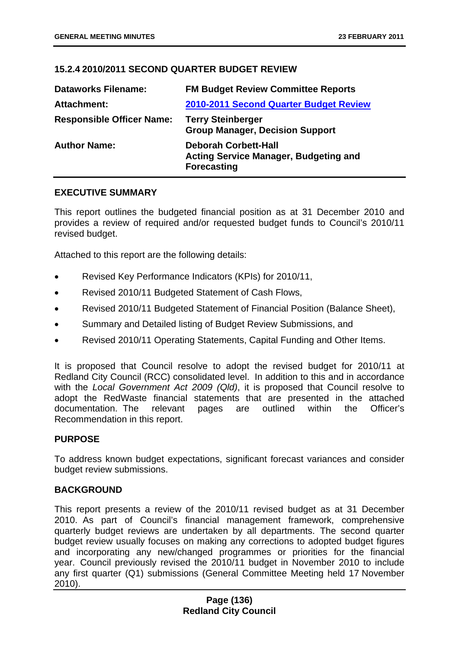# **15.2.4 2010/2011 SECOND QUARTER BUDGET REVIEW**

| <b>Dataworks Filename:</b>       | <b>FM Budget Review Committee Reports</b>                                                         |
|----------------------------------|---------------------------------------------------------------------------------------------------|
| Attachment:                      | 2010-2011 Second Quarter Budget Review                                                            |
| <b>Responsible Officer Name:</b> | <b>Terry Steinberger</b><br><b>Group Manager, Decision Support</b>                                |
| <b>Author Name:</b>              | <b>Deborah Corbett-Hall</b><br><b>Acting Service Manager, Budgeting and</b><br><b>Forecasting</b> |

### **EXECUTIVE SUMMARY**

This report outlines the budgeted financial position as at 31 December 2010 and provides a review of required and/or requested budget funds to Council's 2010/11 revised budget.

Attached to this report are the following details:

- Revised Key Performance Indicators (KPIs) for 2010/11,
- Revised 2010/11 Budgeted Statement of Cash Flows,
- Revised 2010/11 Budgeted Statement of Financial Position (Balance Sheet),
- Summary and Detailed listing of Budget Review Submissions, and
- Revised 2010/11 Operating Statements, Capital Funding and Other Items.

It is proposed that Council resolve to adopt the revised budget for 2010/11 at Redland City Council (RCC) consolidated level. In addition to this and in accordance with the *Local Government Act 2009 (Qld)*, it is proposed that Council resolve to adopt the RedWaste financial statements that are presented in the attached documentation. The relevant pages are outlined within the Officer's Recommendation in this report.

### **PURPOSE**

To address known budget expectations, significant forecast variances and consider budget review submissions.

### **BACKGROUND**

This report presents a review of the 2010/11 revised budget as at 31 December 2010. As part of Council's financial management framework, comprehensive quarterly budget reviews are undertaken by all departments. The second quarter budget review usually focuses on making any corrections to adopted budget figures and incorporating any new/changed programmes or priorities for the financial year. Council previously revised the 2010/11 budget in November 2010 to include any first quarter (Q1) submissions (General Committee Meeting held 17 November 2010).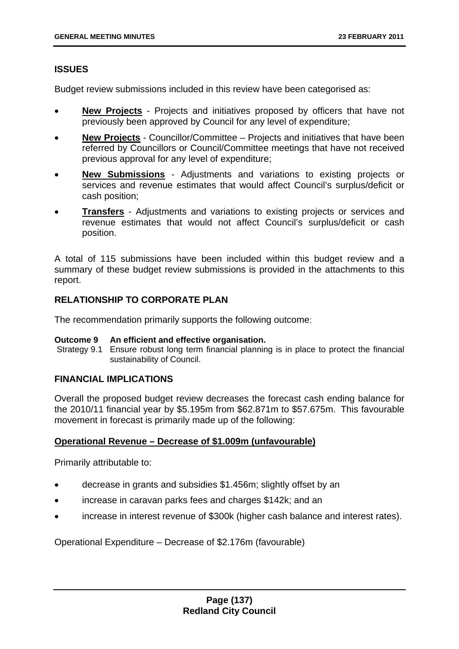# **ISSUES**

Budget review submissions included in this review have been categorised as:

- **New Projects** Projects and initiatives proposed by officers that have not previously been approved by Council for any level of expenditure;
- **New Projects** Councillor/Committee Projects and initiatives that have been referred by Councillors or Council/Committee meetings that have not received previous approval for any level of expenditure;
- **New Submissions** Adjustments and variations to existing projects or services and revenue estimates that would affect Council's surplus/deficit or cash position;
- **Transfers** Adjustments and variations to existing projects or services and revenue estimates that would not affect Council's surplus/deficit or cash position.

A total of 115 submissions have been included within this budget review and a summary of these budget review submissions is provided in the attachments to this report.

## **RELATIONSHIP TO CORPORATE PLAN**

The recommendation primarily supports the following outcome:

### **Outcome 9 An efficient and effective organisation.**

 Strategy 9.1 Ensure robust long term financial planning is in place to protect the financial sustainability of Council.

# **FINANCIAL IMPLICATIONS**

Overall the proposed budget review decreases the forecast cash ending balance for the 2010/11 financial year by \$5.195m from \$62.871m to \$57.675m. This favourable movement in forecast is primarily made up of the following:

# **Operational Revenue – Decrease of \$1.009m (unfavourable)**

Primarily attributable to:

- decrease in grants and subsidies \$1.456m; slightly offset by an
- increase in caravan parks fees and charges \$142k; and an
- increase in interest revenue of \$300k (higher cash balance and interest rates).

Operational Expenditure – Decrease of \$2.176m (favourable)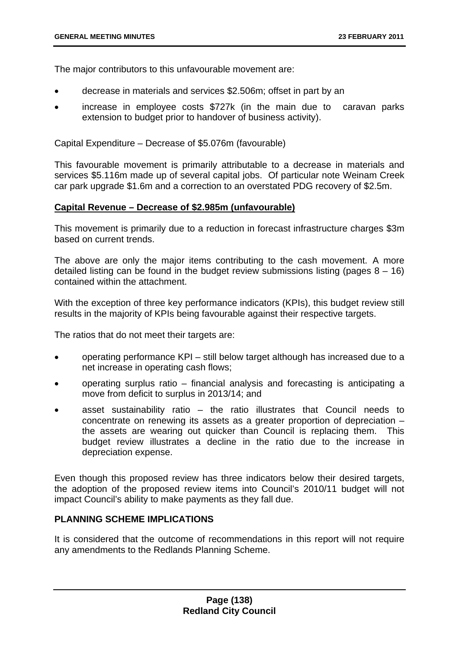The major contributors to this unfavourable movement are:

- decrease in materials and services \$2.506m; offset in part by an
- increase in employee costs \$727k (in the main due to caravan parks extension to budget prior to handover of business activity).

Capital Expenditure – Decrease of \$5.076m (favourable)

This favourable movement is primarily attributable to a decrease in materials and services \$5.116m made up of several capital jobs. Of particular note Weinam Creek car park upgrade \$1.6m and a correction to an overstated PDG recovery of \$2.5m.

## **Capital Revenue – Decrease of \$2.985m (unfavourable)**

This movement is primarily due to a reduction in forecast infrastructure charges \$3m based on current trends.

The above are only the major items contributing to the cash movement. A more detailed listing can be found in the budget review submissions listing (pages  $8 - 16$ ) contained within the attachment.

With the exception of three key performance indicators (KPIs), this budget review still results in the majority of KPIs being favourable against their respective targets.

The ratios that do not meet their targets are:

- operating performance KPI still below target although has increased due to a net increase in operating cash flows;
- operating surplus ratio financial analysis and forecasting is anticipating a move from deficit to surplus in 2013/14; and
- asset sustainability ratio  $-$  the ratio illustrates that Council needs to concentrate on renewing its assets as a greater proportion of depreciation – the assets are wearing out quicker than Council is replacing them. This budget review illustrates a decline in the ratio due to the increase in depreciation expense.

Even though this proposed review has three indicators below their desired targets, the adoption of the proposed review items into Council's 2010/11 budget will not impact Council's ability to make payments as they fall due.

# **PLANNING SCHEME IMPLICATIONS**

It is considered that the outcome of recommendations in this report will not require any amendments to the Redlands Planning Scheme.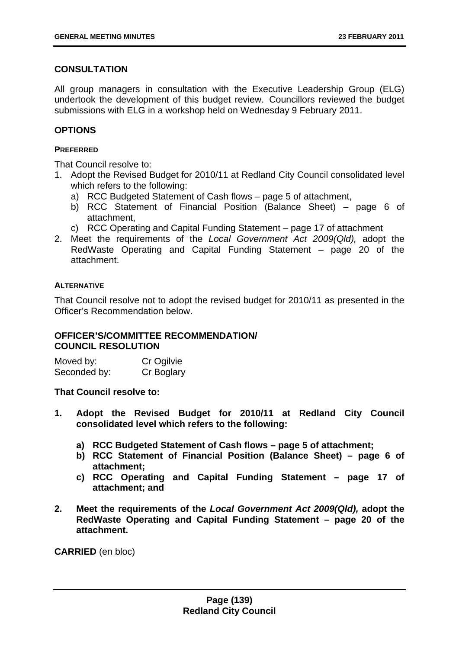# **CONSULTATION**

All group managers in consultation with the Executive Leadership Group (ELG) undertook the development of this budget review. Councillors reviewed the budget submissions with ELG in a workshop held on Wednesday 9 February 2011.

# **OPTIONS**

### **PREFERRED**

That Council resolve to:

- 1. Adopt the Revised Budget for 2010/11 at Redland City Council consolidated level which refers to the following:
	- a) RCC Budgeted Statement of Cash flows page 5 of attachment,
	- b) RCC Statement of Financial Position (Balance Sheet) page 6 of attachment,
	- c) RCC Operating and Capital Funding Statement page 17 of attachment
- 2. Meet the requirements of the *Local Government Act 2009(Qld),* adopt the RedWaste Operating and Capital Funding Statement – page 20 of the attachment.

### **ALTERNATIVE**

That Council resolve not to adopt the revised budget for 2010/11 as presented in the Officer's Recommendation below.

# **OFFICER'S/COMMITTEE RECOMMENDATION/ COUNCIL RESOLUTION**

Moved by: Cr Ogilvie Seconded by: Cr Boglary

**That Council resolve to:** 

- **1. Adopt the Revised Budget for 2010/11 at Redland City Council consolidated level which refers to the following:** 
	- **a) RCC Budgeted Statement of Cash flows page 5 of attachment;**
	- **b) RCC Statement of Financial Position (Balance Sheet) page 6 of attachment;**
	- **c) RCC Operating and Capital Funding Statement page 17 of attachment; and**
- **2. Meet the requirements of the** *Local Government Act 2009(Qld),* **adopt the RedWaste Operating and Capital Funding Statement – page 20 of the attachment.**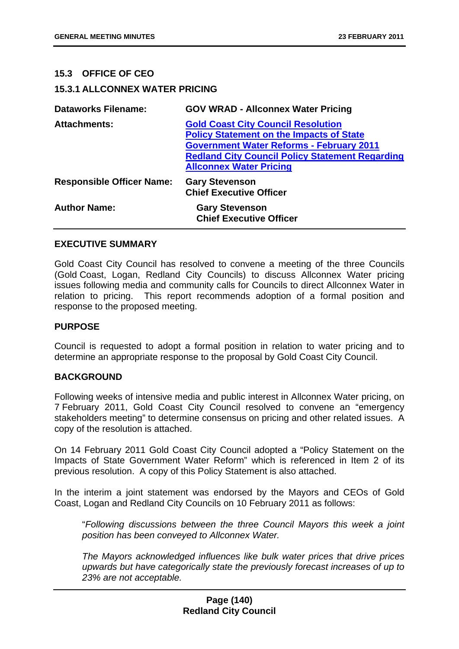## **15.3 OFFICE OF CEO**

## **15.3.1 ALLCONNEX WATER PRICING**

| <b>Dataworks Filename:</b>       | <b>GOV WRAD - Allconnex Water Pricing</b>                                                                                                                                                                                                   |
|----------------------------------|---------------------------------------------------------------------------------------------------------------------------------------------------------------------------------------------------------------------------------------------|
| <b>Attachments:</b>              | <b>Gold Coast City Council Resolution</b><br><b>Policy Statement on the Impacts of State</b><br><b>Government Water Reforms - February 2011</b><br><b>Redland City Council Policy Statement Regarding</b><br><b>Allconnex Water Pricing</b> |
| <b>Responsible Officer Name:</b> | <b>Gary Stevenson</b><br><b>Chief Executive Officer</b>                                                                                                                                                                                     |
| <b>Author Name:</b>              | <b>Gary Stevenson</b><br><b>Chief Executive Officer</b>                                                                                                                                                                                     |

### **EXECUTIVE SUMMARY**

Gold Coast City Council has resolved to convene a meeting of the three Councils (Gold Coast, Logan, Redland City Councils) to discuss Allconnex Water pricing issues following media and community calls for Councils to direct Allconnex Water in relation to pricing. This report recommends adoption of a formal position and response to the proposed meeting.

### **PURPOSE**

Council is requested to adopt a formal position in relation to water pricing and to determine an appropriate response to the proposal by Gold Coast City Council.

### **BACKGROUND**

Following weeks of intensive media and public interest in Allconnex Water pricing, on 7 February 2011, Gold Coast City Council resolved to convene an "emergency stakeholders meeting" to determine consensus on pricing and other related issues. A copy of the resolution is attached.

On 14 February 2011 Gold Coast City Council adopted a "Policy Statement on the Impacts of State Government Water Reform" which is referenced in Item 2 of its previous resolution. A copy of this Policy Statement is also attached.

In the interim a joint statement was endorsed by the Mayors and CEOs of Gold Coast, Logan and Redland City Councils on 10 February 2011 as follows:

"*Following discussions between the three Council Mayors this week a joint position has been conveyed to Allconnex Water.* 

*The Mayors acknowledged influences like bulk water prices that drive prices upwards but have categorically state the previously forecast increases of up to 23% are not acceptable.* 

## **Page (140) Redland City Council**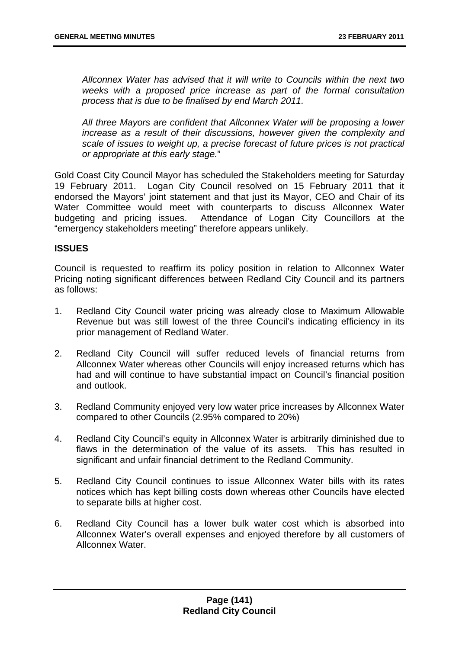*Allconnex Water has advised that it will write to Councils within the next two weeks with a proposed price increase as part of the formal consultation process that is due to be finalised by end March 2011.* 

*All three Mayors are confident that Allconnex Water will be proposing a lower increase as a result of their discussions, however given the complexity and scale of issues to weight up, a precise forecast of future prices is not practical or appropriate at this early stage.*"

Gold Coast City Council Mayor has scheduled the Stakeholders meeting for Saturday 19 February 2011. Logan City Council resolved on 15 February 2011 that it endorsed the Mayors' joint statement and that just its Mayor, CEO and Chair of its Water Committee would meet with counterparts to discuss Allconnex Water budgeting and pricing issues. Attendance of Logan City Councillors at the "emergency stakeholders meeting" therefore appears unlikely.

## **ISSUES**

Council is requested to reaffirm its policy position in relation to Allconnex Water Pricing noting significant differences between Redland City Council and its partners as follows:

- 1. Redland City Council water pricing was already close to Maximum Allowable Revenue but was still lowest of the three Council's indicating efficiency in its prior management of Redland Water.
- 2. Redland City Council will suffer reduced levels of financial returns from Allconnex Water whereas other Councils will enjoy increased returns which has had and will continue to have substantial impact on Council's financial position and outlook.
- 3. Redland Community enjoyed very low water price increases by Allconnex Water compared to other Councils (2.95% compared to 20%)
- 4. Redland City Council's equity in Allconnex Water is arbitrarily diminished due to flaws in the determination of the value of its assets. This has resulted in significant and unfair financial detriment to the Redland Community.
- 5. Redland City Council continues to issue Allconnex Water bills with its rates notices which has kept billing costs down whereas other Councils have elected to separate bills at higher cost.
- 6. Redland City Council has a lower bulk water cost which is absorbed into Allconnex Water's overall expenses and enjoyed therefore by all customers of Allconnex Water.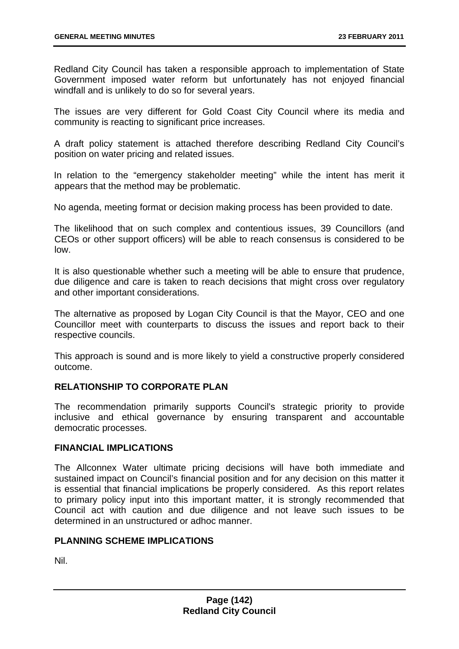Redland City Council has taken a responsible approach to implementation of State Government imposed water reform but unfortunately has not enjoyed financial windfall and is unlikely to do so for several years.

The issues are very different for Gold Coast City Council where its media and community is reacting to significant price increases.

A draft policy statement is attached therefore describing Redland City Council's position on water pricing and related issues.

In relation to the "emergency stakeholder meeting" while the intent has merit it appears that the method may be problematic.

No agenda, meeting format or decision making process has been provided to date.

The likelihood that on such complex and contentious issues, 39 Councillors (and CEOs or other support officers) will be able to reach consensus is considered to be low.

It is also questionable whether such a meeting will be able to ensure that prudence, due diligence and care is taken to reach decisions that might cross over regulatory and other important considerations.

The alternative as proposed by Logan City Council is that the Mayor, CEO and one Councillor meet with counterparts to discuss the issues and report back to their respective councils.

This approach is sound and is more likely to yield a constructive properly considered outcome.

# **RELATIONSHIP TO CORPORATE PLAN**

The recommendation primarily supports Council's strategic priority to provide inclusive and ethical governance by ensuring transparent and accountable democratic processes.

### **FINANCIAL IMPLICATIONS**

The Allconnex Water ultimate pricing decisions will have both immediate and sustained impact on Council's financial position and for any decision on this matter it is essential that financial implications be properly considered. As this report relates to primary policy input into this important matter, it is strongly recommended that Council act with caution and due diligence and not leave such issues to be determined in an unstructured or adhoc manner.

# **PLANNING SCHEME IMPLICATIONS**

Nil.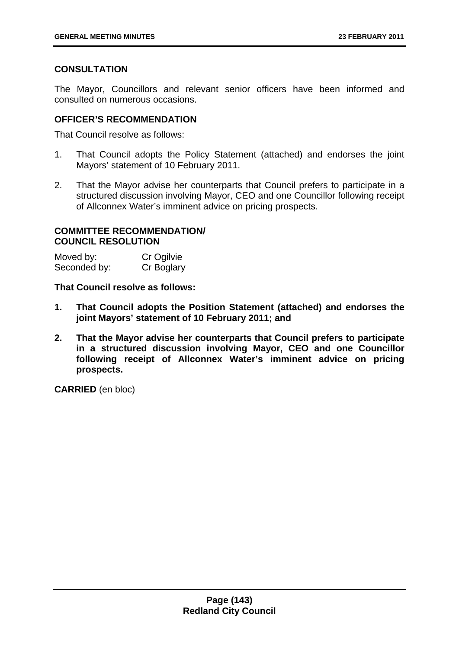# **CONSULTATION**

The Mayor, Councillors and relevant senior officers have been informed and consulted on numerous occasions.

# **OFFICER'S RECOMMENDATION**

That Council resolve as follows:

- 1. That Council adopts the Policy Statement (attached) and endorses the joint Mayors' statement of 10 February 2011.
- 2. That the Mayor advise her counterparts that Council prefers to participate in a structured discussion involving Mayor, CEO and one Councillor following receipt of Allconnex Water's imminent advice on pricing prospects.

## **COMMITTEE RECOMMENDATION/ COUNCIL RESOLUTION**

| Moved by:    | Cr Ogilvie |
|--------------|------------|
| Seconded by: | Cr Boglary |

**That Council resolve as follows:** 

- **1. That Council adopts the Position Statement (attached) and endorses the joint Mayors' statement of 10 February 2011; and**
- **2. That the Mayor advise her counterparts that Council prefers to participate in a structured discussion involving Mayor, CEO and one Councillor following receipt of Allconnex Water's imminent advice on pricing prospects.**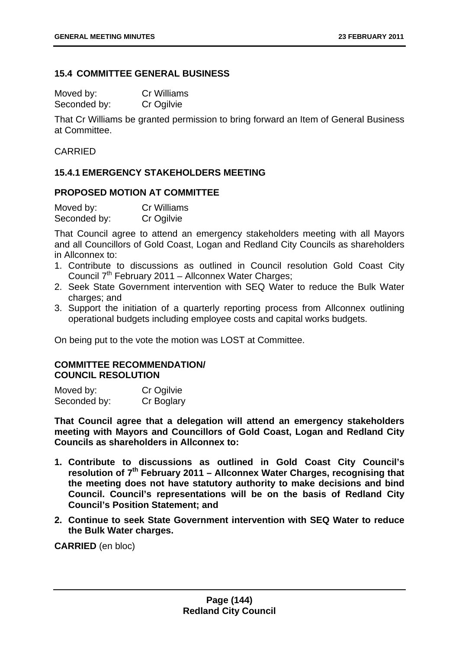### **15.4 COMMITTEE GENERAL BUSINESS**

Moved by: Cr Williams Seconded by: Cr Ogilvie

That Cr Williams be granted permission to bring forward an Item of General Business at Committee.

# CARRIED

# **15.4.1 EMERGENCY STAKEHOLDERS MEETING**

# **PROPOSED MOTION AT COMMITTEE**

| Moved by:    | <b>Cr Williams</b> |
|--------------|--------------------|
| Seconded by: | Cr Ogilvie         |

That Council agree to attend an emergency stakeholders meeting with all Mayors and all Councillors of Gold Coast, Logan and Redland City Councils as shareholders in Allconnex to:

- 1. Contribute to discussions as outlined in Council resolution Gold Coast City Council  $7<sup>th</sup>$  February 2011 – Allconnex Water Charges;
- 2. Seek State Government intervention with SEQ Water to reduce the Bulk Water charges; and
- 3. Support the initiation of a quarterly reporting process from Allconnex outlining operational budgets including employee costs and capital works budgets.

On being put to the vote the motion was LOST at Committee.

### **COMMITTEE RECOMMENDATION/ COUNCIL RESOLUTION**

| Moved by:    | Cr Ogilvie |
|--------------|------------|
| Seconded by: | Cr Boglary |

**That Council agree that a delegation will attend an emergency stakeholders meeting with Mayors and Councillors of Gold Coast, Logan and Redland City Councils as shareholders in Allconnex to:** 

- **1. Contribute to discussions as outlined in Gold Coast City Council's resolution of 7th February 2011 – Allconnex Water Charges, recognising that the meeting does not have statutory authority to make decisions and bind Council. Council's representations will be on the basis of Redland City Council's Position Statement; and**
- **2. Continue to seek State Government intervention with SEQ Water to reduce the Bulk Water charges.**

**CARRIED** (en bloc)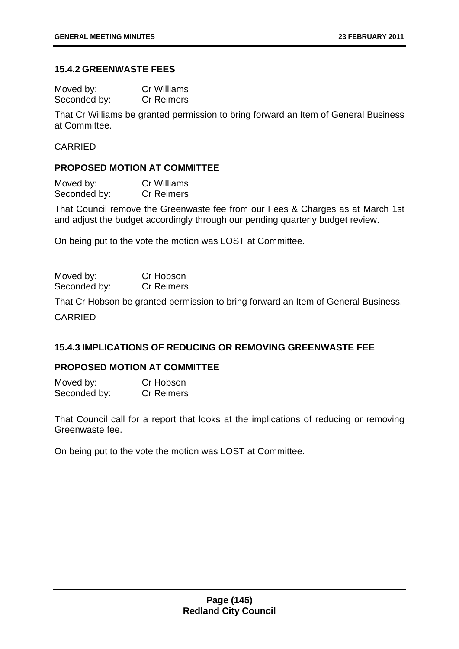### **15.4.2 GREENWASTE FEES**

| Moved by:    | <b>Cr Williams</b> |
|--------------|--------------------|
| Seconded by: | <b>Cr Reimers</b>  |

That Cr Williams be granted permission to bring forward an Item of General Business at Committee.

CARRIED

### **PROPOSED MOTION AT COMMITTEE**

| Moved by:    | <b>Cr Williams</b> |
|--------------|--------------------|
| Seconded by: | <b>Cr Reimers</b>  |

That Council remove the Greenwaste fee from our Fees & Charges as at March 1st and adjust the budget accordingly through our pending quarterly budget review.

On being put to the vote the motion was LOST at Committee.

| Moved by:    | Cr Hobson         |
|--------------|-------------------|
| Seconded by: | <b>Cr Reimers</b> |

That Cr Hobson be granted permission to bring forward an Item of General Business.

CARRIED

# **15.4.3 IMPLICATIONS OF REDUCING OR REMOVING GREENWASTE FEE**

### **PROPOSED MOTION AT COMMITTEE**

Moved by: Cr Hobson Seconded by: Cr Reimers

That Council call for a report that looks at the implications of reducing or removing Greenwaste fee.

On being put to the vote the motion was LOST at Committee.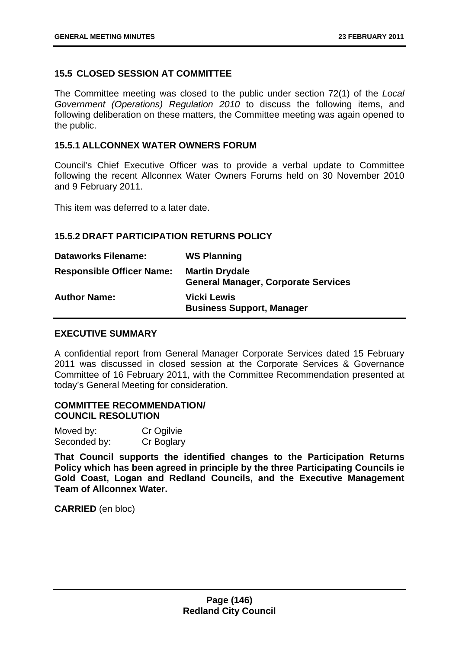# **15.5 CLOSED SESSION AT COMMITTEE**

The Committee meeting was closed to the public under section 72(1) of the *Local Government (Operations) Regulation 2010* to discuss the following items, and following deliberation on these matters, the Committee meeting was again opened to the public.

# **15.5.1 ALLCONNEX WATER OWNERS FORUM**

Council's Chief Executive Officer was to provide a verbal update to Committee following the recent Allconnex Water Owners Forums held on 30 November 2010 and 9 February 2011.

This item was deferred to a later date.

### **15.5.2 DRAFT PARTICIPATION RETURNS POLICY**

| <b>Dataworks Filename:</b>       | <b>WS Planning</b>                                                  |
|----------------------------------|---------------------------------------------------------------------|
| <b>Responsible Officer Name:</b> | <b>Martin Drydale</b><br><b>General Manager, Corporate Services</b> |
| <b>Author Name:</b>              | <b>Vicki Lewis</b><br><b>Business Support, Manager</b>              |

### **EXECUTIVE SUMMARY**

A confidential report from General Manager Corporate Services dated 15 February 2011 was discussed in closed session at the Corporate Services & Governance Committee of 16 February 2011, with the Committee Recommendation presented at today's General Meeting for consideration.

### **COMMITTEE RECOMMENDATION/ COUNCIL RESOLUTION**

| Moved by:    | Cr Ogilvie |
|--------------|------------|
| Seconded by: | Cr Boglary |

**That Council supports the identified changes to the Participation Returns Policy which has been agreed in principle by the three Participating Councils ie Gold Coast, Logan and Redland Councils, and the Executive Management Team of Allconnex Water.** 

**CARRIED** (en bloc)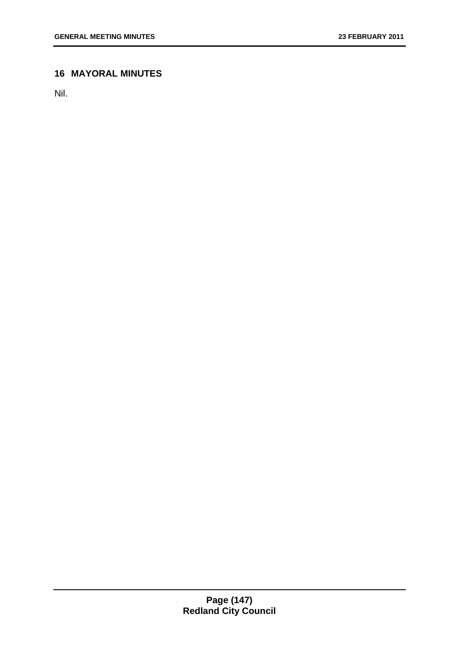# **16 MAYORAL MINUTES**

Nil.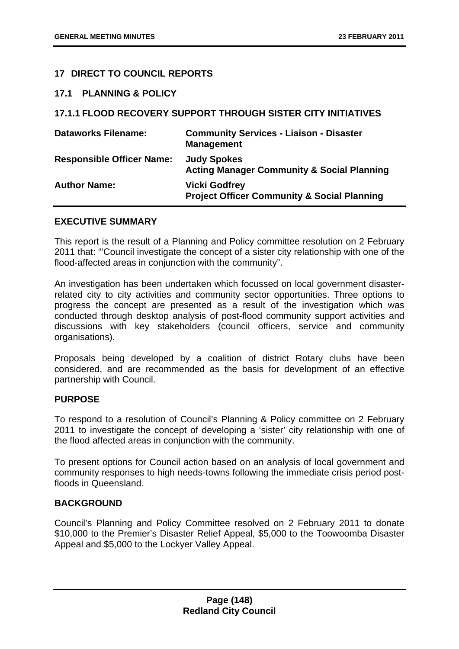# **17 DIRECT TO COUNCIL REPORTS**

#### **17.1 PLANNING & POLICY**

# **17.1.1 FLOOD RECOVERY SUPPORT THROUGH SISTER CITY INITIATIVES**

| <b>Dataworks Filename:</b>       | <b>Community Services - Liaison - Disaster</b><br><b>Management</b>            |
|----------------------------------|--------------------------------------------------------------------------------|
| <b>Responsible Officer Name:</b> | <b>Judy Spokes</b><br><b>Acting Manager Community &amp; Social Planning</b>    |
| <b>Author Name:</b>              | <b>Vicki Godfrey</b><br><b>Project Officer Community &amp; Social Planning</b> |

#### **EXECUTIVE SUMMARY**

This report is the result of a Planning and Policy committee resolution on 2 February 2011 that: "'Council investigate the concept of a sister city relationship with one of the flood-affected areas in conjunction with the community".

An investigation has been undertaken which focussed on local government disasterrelated city to city activities and community sector opportunities. Three options to progress the concept are presented as a result of the investigation which was conducted through desktop analysis of post-flood community support activities and discussions with key stakeholders (council officers, service and community organisations).

Proposals being developed by a coalition of district Rotary clubs have been considered, and are recommended as the basis for development of an effective partnership with Council.

### **PURPOSE**

To respond to a resolution of Council's Planning & Policy committee on 2 February 2011 to investigate the concept of developing a 'sister' city relationship with one of the flood affected areas in conjunction with the community.

To present options for Council action based on an analysis of local government and community responses to high needs-towns following the immediate crisis period postfloods in Queensland.

### **BACKGROUND**

Council's Planning and Policy Committee resolved on 2 February 2011 to donate \$10,000 to the Premier's Disaster Relief Appeal, \$5,000 to the Toowoomba Disaster Appeal and \$5,000 to the Lockyer Valley Appeal.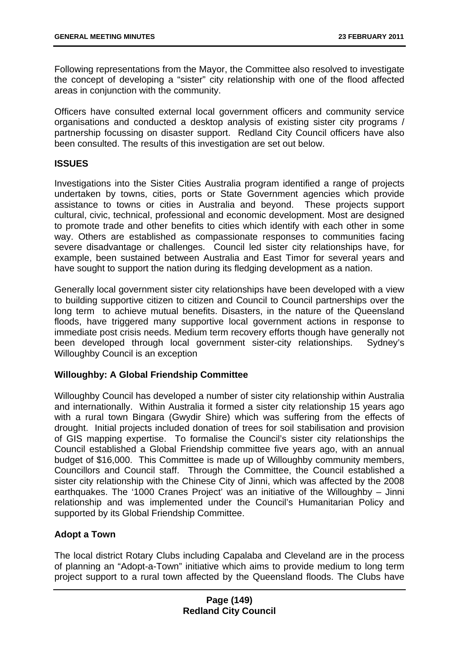Following representations from the Mayor, the Committee also resolved to investigate the concept of developing a "sister" city relationship with one of the flood affected areas in conjunction with the community.

Officers have consulted external local government officers and community service organisations and conducted a desktop analysis of existing sister city programs / partnership focussing on disaster support. Redland City Council officers have also been consulted. The results of this investigation are set out below.

# **ISSUES**

Investigations into the Sister Cities Australia program identified a range of projects undertaken by towns, cities, ports or State Government agencies which provide assistance to towns or cities in Australia and beyond. These projects support cultural, civic, technical, professional and economic development. Most are designed to promote trade and other benefits to cities which identify with each other in some way. Others are established as compassionate responses to communities facing severe disadvantage or challenges. Council led sister city relationships have, for example, been sustained between Australia and East Timor for several years and have sought to support the nation during its fledging development as a nation.

Generally local government sister city relationships have been developed with a view to building supportive citizen to citizen and Council to Council partnerships over the long term to achieve mutual benefits. Disasters, in the nature of the Queensland floods, have triggered many supportive local government actions in response to immediate post crisis needs. Medium term recovery efforts though have generally not been developed through local government sister-city relationships. Sydney's Willoughby Council is an exception

# **Willoughby: A Global Friendship Committee**

Willoughby Council has developed a number of sister city relationship within Australia and internationally. Within Australia it formed a sister city relationship 15 years ago with a rural town Bingara (Gwydir Shire) which was suffering from the effects of drought. Initial projects included donation of trees for soil stabilisation and provision of GIS mapping expertise. To formalise the Council's sister city relationships the Council established a Global Friendship committee five years ago, with an annual budget of \$16,000. This Committee is made up of Willoughby community members, Councillors and Council staff. Through the Committee, the Council established a sister city relationship with the Chinese City of Jinni, which was affected by the 2008 earthquakes. The '1000 Cranes Project' was an initiative of the Willoughby – Jinni relationship and was implemented under the Council's Humanitarian Policy and supported by its Global Friendship Committee.

# **Adopt a Town**

The local district Rotary Clubs including Capalaba and Cleveland are in the process of planning an "Adopt-a-Town" initiative which aims to provide medium to long term project support to a rural town affected by the Queensland floods. The Clubs have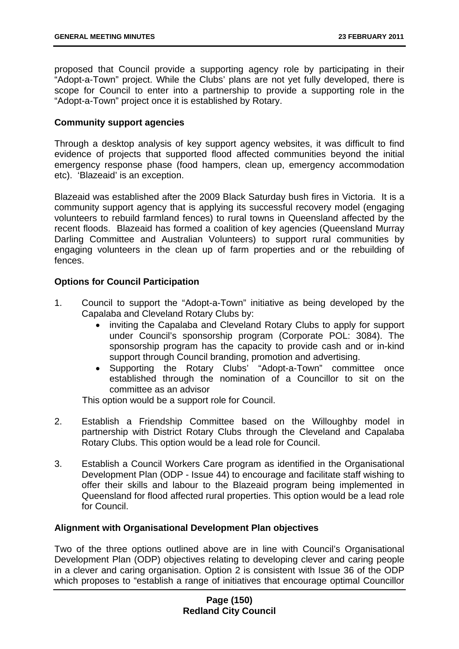proposed that Council provide a supporting agency role by participating in their "Adopt-a-Town" project. While the Clubs' plans are not yet fully developed, there is scope for Council to enter into a partnership to provide a supporting role in the "Adopt-a-Town" project once it is established by Rotary.

# **Community support agencies**

Through a desktop analysis of key support agency websites, it was difficult to find evidence of projects that supported flood affected communities beyond the initial emergency response phase (food hampers, clean up, emergency accommodation etc). 'Blazeaid' is an exception.

Blazeaid was established after the 2009 Black Saturday bush fires in Victoria. It is a community support agency that is applying its successful recovery model (engaging volunteers to rebuild farmland fences) to rural towns in Queensland affected by the recent floods. Blazeaid has formed a coalition of key agencies (Queensland Murray Darling Committee and Australian Volunteers) to support rural communities by engaging volunteers in the clean up of farm properties and or the rebuilding of fences.

# **Options for Council Participation**

- 1. Council to support the "Adopt-a-Town" initiative as being developed by the Capalaba and Cleveland Rotary Clubs by:
	- inviting the Capalaba and Cleveland Rotary Clubs to apply for support under Council's sponsorship program (Corporate POL: 3084). The sponsorship program has the capacity to provide cash and or in-kind support through Council branding, promotion and advertising.
	- Supporting the Rotary Clubs' "Adopt-a-Town" committee once established through the nomination of a Councillor to sit on the committee as an advisor

This option would be a support role for Council.

- 2. Establish a Friendship Committee based on the Willoughby model in partnership with District Rotary Clubs through the Cleveland and Capalaba Rotary Clubs. This option would be a lead role for Council.
- 3. Establish a Council Workers Care program as identified in the Organisational Development Plan (ODP - Issue 44) to encourage and facilitate staff wishing to offer their skills and labour to the Blazeaid program being implemented in Queensland for flood affected rural properties. This option would be a lead role for Council.

### **Alignment with Organisational Development Plan objectives**

Two of the three options outlined above are in line with Council's Organisational Development Plan (ODP) objectives relating to developing clever and caring people in a clever and caring organisation. Option 2 is consistent with Issue 36 of the ODP which proposes to "establish a range of initiatives that encourage optimal Councillor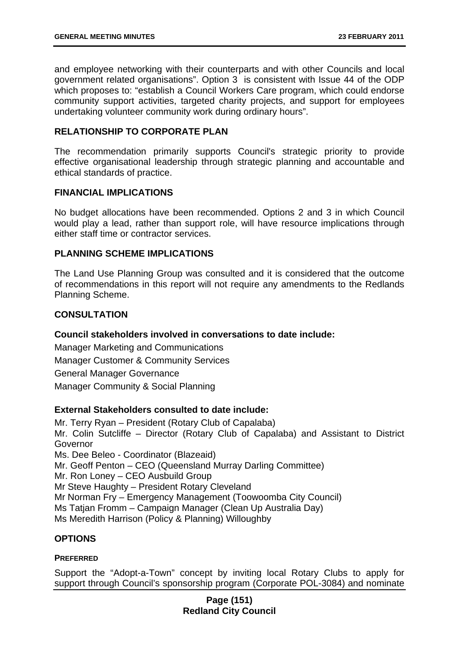and employee networking with their counterparts and with other Councils and local government related organisations". Option 3 is consistent with Issue 44 of the ODP which proposes to: "establish a Council Workers Care program, which could endorse community support activities, targeted charity projects, and support for employees undertaking volunteer community work during ordinary hours".

# **RELATIONSHIP TO CORPORATE PLAN**

The recommendation primarily supports Council's strategic priority to provide effective organisational leadership through strategic planning and accountable and ethical standards of practice.

### **FINANCIAL IMPLICATIONS**

No budget allocations have been recommended. Options 2 and 3 in which Council would play a lead, rather than support role, will have resource implications through either staff time or contractor services.

# **PLANNING SCHEME IMPLICATIONS**

The Land Use Planning Group was consulted and it is considered that the outcome of recommendations in this report will not require any amendments to the Redlands Planning Scheme.

# **CONSULTATION**

# **Council stakeholders involved in conversations to date include:**

Manager Marketing and Communications Manager Customer & Community Services General Manager Governance Manager Community & Social Planning

### **External Stakeholders consulted to date include:**

Mr. Terry Ryan – President (Rotary Club of Capalaba) Mr. Colin Sutcliffe – Director (Rotary Club of Capalaba) and Assistant to District Governor Ms. Dee Beleo - Coordinator (Blazeaid) Mr. Geoff Penton – CEO (Queensland Murray Darling Committee) Mr. Ron Loney – CEO Ausbuild Group Mr Steve Haughty – President Rotary Cleveland Mr Norman Fry – Emergency Management (Toowoomba City Council) Ms Tatjan Fromm – Campaign Manager (Clean Up Australia Day) Ms Meredith Harrison (Policy & Planning) Willoughby

### **OPTIONS**

### **PREFERRED**

Support the "Adopt-a-Town" concept by inviting local Rotary Clubs to apply for support through Council's sponsorship program (Corporate POL-3084) and nominate

# **Page (151) Redland City Council**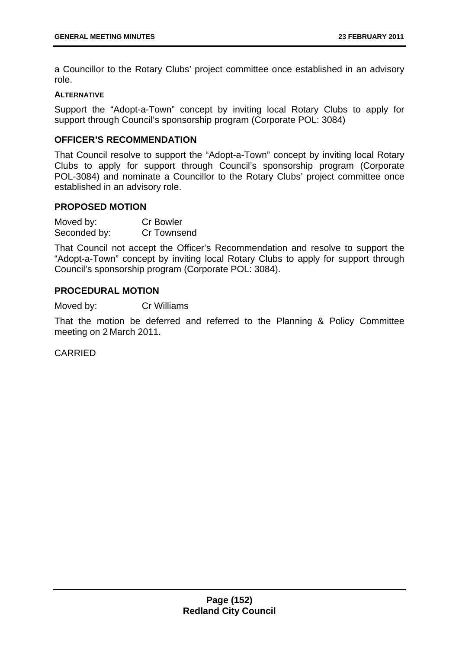a Councillor to the Rotary Clubs' project committee once established in an advisory role.

#### **ALTERNATIVE**

Support the "Adopt-a-Town" concept by inviting local Rotary Clubs to apply for support through Council's sponsorship program (Corporate POL: 3084)

# **OFFICER'S RECOMMENDATION**

That Council resolve to support the "Adopt-a-Town" concept by inviting local Rotary Clubs to apply for support through Council's sponsorship program (Corporate POL-3084) and nominate a Councillor to the Rotary Clubs' project committee once established in an advisory role.

### **PROPOSED MOTION**

| Moved by:    | <b>Cr Bowler</b> |
|--------------|------------------|
| Seconded by: | Cr Townsend      |

That Council not accept the Officer's Recommendation and resolve to support the "Adopt-a-Town" concept by inviting local Rotary Clubs to apply for support through Council's sponsorship program (Corporate POL: 3084).

# **PROCEDURAL MOTION**

Moved by: Cr Williams

That the motion be deferred and referred to the Planning & Policy Committee meeting on 2 March 2011.

CARRIED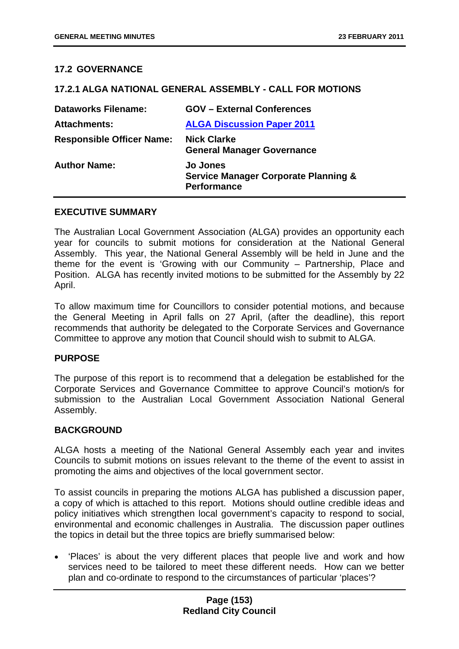# **17.2 GOVERNANCE**

#### **17.2.1 ALGA NATIONAL GENERAL ASSEMBLY - CALL FOR MOTIONS**

| <b>Dataworks Filename:</b>       | <b>GOV - External Conferences</b>                                                        |
|----------------------------------|------------------------------------------------------------------------------------------|
| <b>Attachments:</b>              | <b>ALGA Discussion Paper 2011</b>                                                        |
| <b>Responsible Officer Name:</b> | <b>Nick Clarke</b><br><b>General Manager Governance</b>                                  |
| <b>Author Name:</b>              | <b>Jo Jones</b><br><b>Service Manager Corporate Planning &amp;</b><br><b>Performance</b> |

### **EXECUTIVE SUMMARY**

The Australian Local Government Association (ALGA) provides an opportunity each year for councils to submit motions for consideration at the National General Assembly. This year, the National General Assembly will be held in June and the theme for the event is 'Growing with our Community – Partnership, Place and Position. ALGA has recently invited motions to be submitted for the Assembly by 22 April.

To allow maximum time for Councillors to consider potential motions, and because the General Meeting in April falls on 27 April, (after the deadline), this report recommends that authority be delegated to the Corporate Services and Governance Committee to approve any motion that Council should wish to submit to ALGA.

#### **PURPOSE**

The purpose of this report is to recommend that a delegation be established for the Corporate Services and Governance Committee to approve Council's motion/s for submission to the Australian Local Government Association National General Assembly.

### **BACKGROUND**

ALGA hosts a meeting of the National General Assembly each year and invites Councils to submit motions on issues relevant to the theme of the event to assist in promoting the aims and objectives of the local government sector.

To assist councils in preparing the motions ALGA has published a discussion paper, a copy of which is attached to this report. Motions should outline credible ideas and policy initiatives which strengthen local government's capacity to respond to social, environmental and economic challenges in Australia. The discussion paper outlines the topics in detail but the three topics are briefly summarised below:

• 'Places' is about the very different places that people live and work and how services need to be tailored to meet these different needs. How can we better plan and co-ordinate to respond to the circumstances of particular 'places'?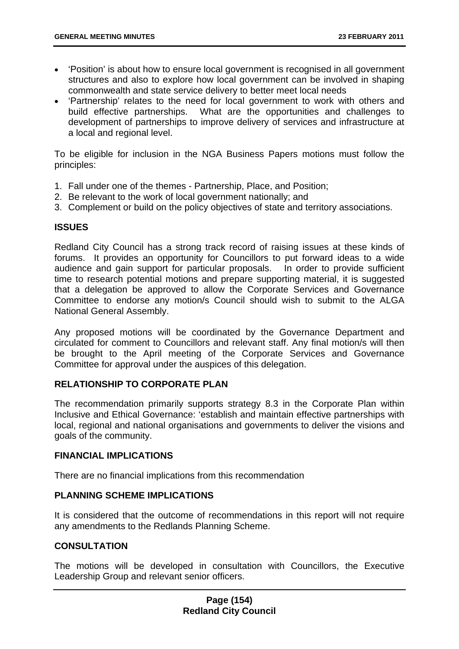- 'Position' is about how to ensure local government is recognised in all government structures and also to explore how local government can be involved in shaping commonwealth and state service delivery to better meet local needs
- 'Partnership' relates to the need for local government to work with others and build effective partnerships. What are the opportunities and challenges to development of partnerships to improve delivery of services and infrastructure at a local and regional level.

To be eligible for inclusion in the NGA Business Papers motions must follow the principles:

- 1. Fall under one of the themes Partnership, Place, and Position;
- 2. Be relevant to the work of local government nationally; and
- 3. Complement or build on the policy objectives of state and territory associations.

# **ISSUES**

Redland City Council has a strong track record of raising issues at these kinds of forums. It provides an opportunity for Councillors to put forward ideas to a wide audience and gain support for particular proposals. In order to provide sufficient time to research potential motions and prepare supporting material, it is suggested that a delegation be approved to allow the Corporate Services and Governance Committee to endorse any motion/s Council should wish to submit to the ALGA National General Assembly.

Any proposed motions will be coordinated by the Governance Department and circulated for comment to Councillors and relevant staff. Any final motion/s will then be brought to the April meeting of the Corporate Services and Governance Committee for approval under the auspices of this delegation.

# **RELATIONSHIP TO CORPORATE PLAN**

The recommendation primarily supports strategy 8.3 in the Corporate Plan within Inclusive and Ethical Governance: 'establish and maintain effective partnerships with local, regional and national organisations and governments to deliver the visions and goals of the community.

### **FINANCIAL IMPLICATIONS**

There are no financial implications from this recommendation

### **PLANNING SCHEME IMPLICATIONS**

It is considered that the outcome of recommendations in this report will not require any amendments to the Redlands Planning Scheme.

### **CONSULTATION**

The motions will be developed in consultation with Councillors, the Executive Leadership Group and relevant senior officers.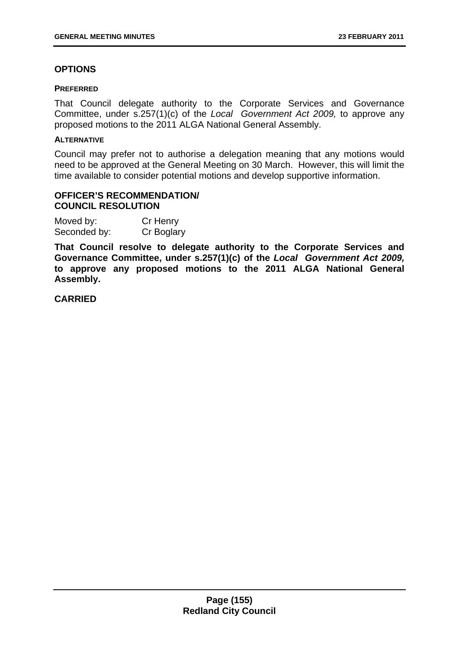# **OPTIONS**

#### **PREFERRED**

That Council delegate authority to the Corporate Services and Governance Committee, under s.257(1)(c) of the *Local Government Act 2009,* to approve any proposed motions to the 2011 ALGA National General Assembly.

# **ALTERNATIVE**

Council may prefer not to authorise a delegation meaning that any motions would need to be approved at the General Meeting on 30 March. However, this will limit the time available to consider potential motions and develop supportive information.

## **OFFICER'S RECOMMENDATION/ COUNCIL RESOLUTION**

| Moved by:    | Cr Henry   |
|--------------|------------|
| Seconded by: | Cr Boglary |

**That Council resolve to delegate authority to the Corporate Services and Governance Committee, under s.257(1)(c) of the** *Local Government Act 2009,* **to approve any proposed motions to the 2011 ALGA National General Assembly.** 

**CARRIED**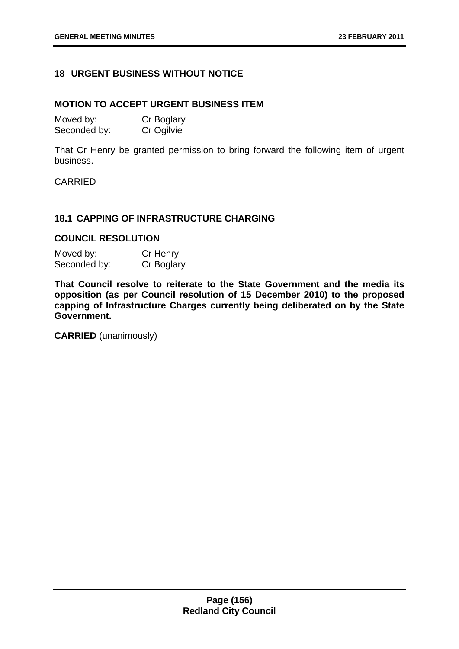# **18 URGENT BUSINESS WITHOUT NOTICE**

#### **MOTION TO ACCEPT URGENT BUSINESS ITEM**

| Moved by:    | Cr Boglary |
|--------------|------------|
| Seconded by: | Cr Ogilvie |

That Cr Henry be granted permission to bring forward the following item of urgent business.

# CARRIED

# **18.1 CAPPING OF INFRASTRUCTURE CHARGING**

### **COUNCIL RESOLUTION**

| Moved by:    | Cr Henry   |
|--------------|------------|
| Seconded by: | Cr Boglary |

**That Council resolve to reiterate to the State Government and the media its opposition (as per Council resolution of 15 December 2010) to the proposed capping of Infrastructure Charges currently being deliberated on by the State Government.** 

**CARRIED** (unanimously)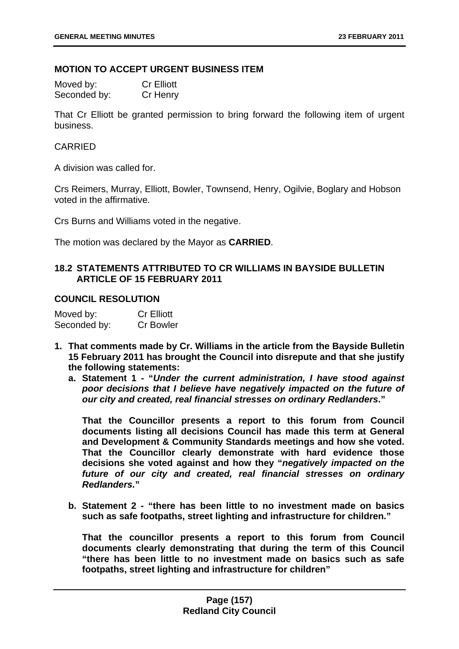### **MOTION TO ACCEPT URGENT BUSINESS ITEM**

| Moved by:    | <b>Cr Elliott</b> |
|--------------|-------------------|
| Seconded by: | Cr Henry          |

That Cr Elliott be granted permission to bring forward the following item of urgent business.

## CARRIED

A division was called for.

Crs Reimers, Murray, Elliott, Bowler, Townsend, Henry, Ogilvie, Boglary and Hobson voted in the affirmative.

Crs Burns and Williams voted in the negative.

The motion was declared by the Mayor as **CARRIED**.

# **18.2 STATEMENTS ATTRIBUTED TO CR WILLIAMS IN BAYSIDE BULLETIN ARTICLE OF 15 FEBRUARY 2011**

# **COUNCIL RESOLUTION**

| Moved by:    | <b>Cr Elliott</b> |
|--------------|-------------------|
| Seconded by: | <b>Cr Bowler</b>  |

- **1. That comments made by Cr. Williams in the article from the Bayside Bulletin 15 February 2011 has brought the Council into disrepute and that she justify the following statements:** 
	- **a. Statement 1 "***Under the current administration, I have stood against poor decisions that I believe have negatively impacted on the future of our city and created, real financial stresses on ordinary Redlanders***."**

**That the Councillor presents a report to this forum from Council documents listing all decisions Council has made this term at General and Development & Community Standards meetings and how she voted. That the Councillor clearly demonstrate with hard evidence those decisions she voted against and how they "***negatively impacted on the future of our city and created, real financial stresses on ordinary Redlanders.***"** 

**b. Statement 2 - "there has been little to no investment made on basics such as safe footpaths, street lighting and infrastructure for children."** 

**That the councillor presents a report to this forum from Council documents clearly demonstrating that during the term of this Council "there has been little to no investment made on basics such as safe footpaths, street lighting and infrastructure for children"**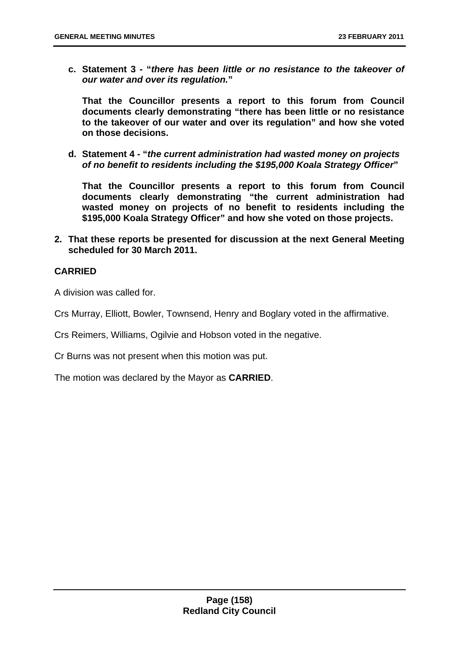**c. Statement 3 - "***there has been little or no resistance to the takeover of our water and over its regulation.***"** 

**That the Councillor presents a report to this forum from Council documents clearly demonstrating "there has been little or no resistance to the takeover of our water and over its regulation" and how she voted on those decisions.** 

**d. Statement 4 - "***the current administration had wasted money on projects of no benefit to residents including the \$195,000 Koala Strategy Officer***"** 

**That the Councillor presents a report to this forum from Council documents clearly demonstrating "the current administration had wasted money on projects of no benefit to residents including the \$195,000 Koala Strategy Officer" and how she voted on those projects.** 

**2. That these reports be presented for discussion at the next General Meeting scheduled for 30 March 2011.** 

# **CARRIED**

A division was called for.

Crs Murray, Elliott, Bowler, Townsend, Henry and Boglary voted in the affirmative.

Crs Reimers, Williams, Ogilvie and Hobson voted in the negative.

Cr Burns was not present when this motion was put.

The motion was declared by the Mayor as **CARRIED**.